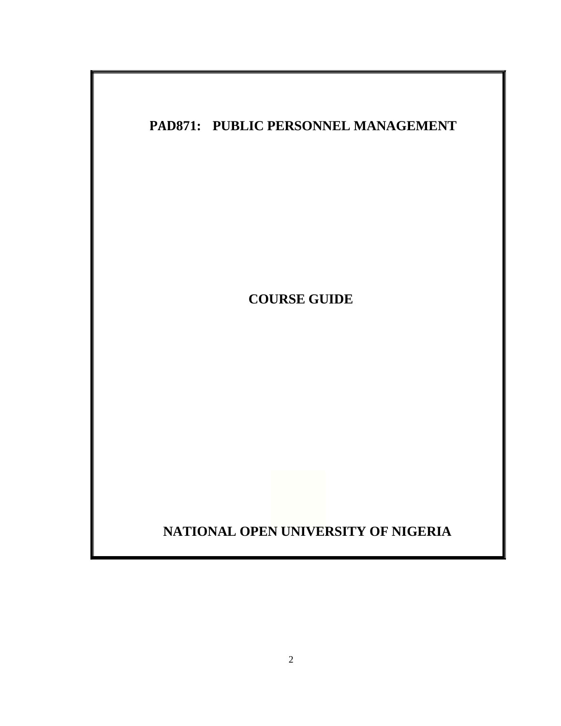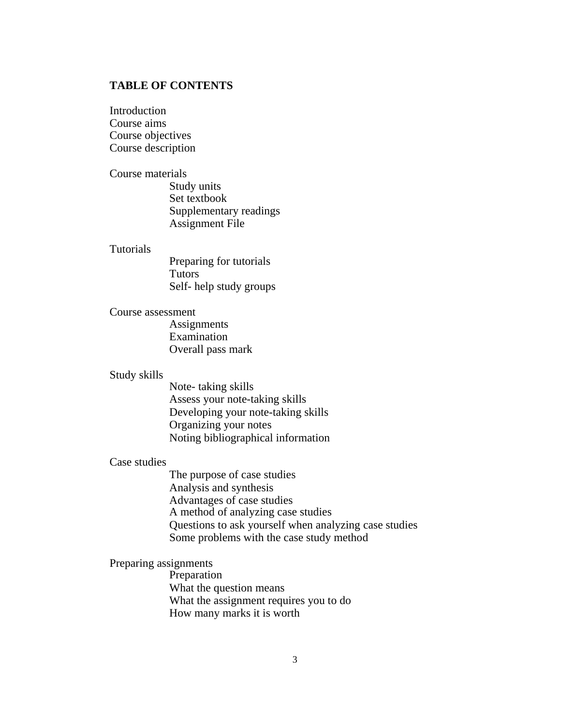# **TABLE OF CONTENTS**

Introduction Course aims Course objectives Course description

Course materials Study units Set textbook

 Supplementary readings Assignment File

#### Tutorials

 Preparing for tutorials Tutors Self- help study groups

Course assessment **Assignments**  Examination Overall pass mark

#### Study skills

 Note- taking skills Assess your note-taking skills Developing your note-taking skills Organizing your notes Noting bibliographical information

# Case studies

 The purpose of case studies Analysis and synthesis Advantages of case studies A method of analyzing case studies Questions to ask yourself when analyzing case studies Some problems with the case study method

Preparing assignments

 Preparation What the question means What the assignment requires you to do How many marks it is worth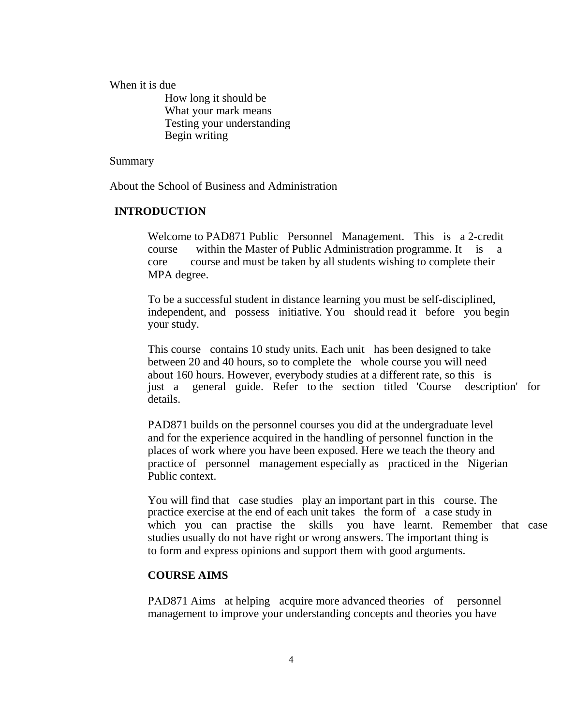When it is due

 How long it should be What your mark means Testing your understanding Begin writing

Summary

About the School of Business and Administration

# **INTRODUCTION**

Welcome to PAD871 Public Personnel Management. This is a 2-credit course within the Master of Public Administration programme. It is a core course and must be taken by all students wishing to complete their MPA degree.

To be a successful student in distance learning you must be self-disciplined, independent, and possess initiative. You should read it before you begin your study.

This course contains 10 study units. Each unit has been designed to take between 20 and 40 hours, so to complete the whole course you will need about 160 hours. However, everybody studies at a different rate, so this is just a general guide. Refer to the section titled 'Course description' for details.

PAD871 builds on the personnel courses you did at the undergraduate level and for the experience acquired in the handling of personnel function in the places of work where you have been exposed. Here we teach the theory and practice of personnel management especially as practiced in the Nigerian Public context.

You will find that case studies play an important part in this course. The practice exercise at the end of each unit takes the form of a case study in which you can practise the skills you have learnt. Remember that case studies usually do not have right or wrong answers. The important thing is to form and express opinions and support them with good arguments.

# **COURSE AIMS**

PAD871 Aims at helping acquire more advanced theories of personnel management to improve your understanding concepts and theories you have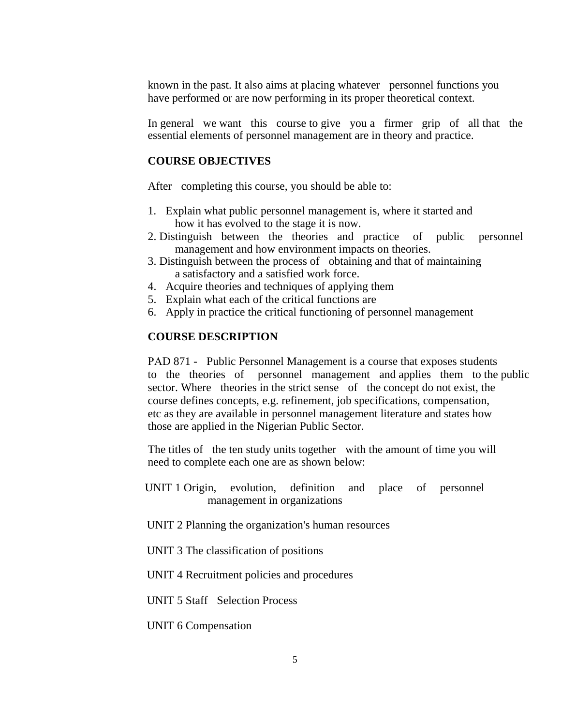known in the past. It also aims at placing whatever personnel functions you have performed or are now performing in its proper theoretical context.

In general we want this course to give you a firmer grip of all that the essential elements of personnel management are in theory and practice.

# **COURSE OBJECTIVES**

After completing this course, you should be able to:

- 1. Explain what public personnel management is, where it started and how it has evolved to the stage it is now.
- 2. Distinguish between the theories and practice of public personnel management and how environment impacts on theories.
- 3. Distinguish between the process of obtaining and that of maintaining a satisfactory and a satisfied work force.
- 4. Acquire theories and techniques of applying them
- 5. Explain what each of the critical functions are
- 6. Apply in practice the critical functioning of personnel management

# **COURSE DESCRIPTION**

PAD 871 - Public Personnel Management is a course that exposes students to the theories of personnel management and applies them to the public sector. Where theories in the strict sense of the concept do not exist, the course defines concepts, e.g. refinement, job specifications, compensation, etc as they are available in personnel management literature and states how those are applied in the Nigerian Public Sector.

The titles of the ten study units together with the amount of time you will need to complete each one are as shown below:

- UNIT 1 Origin, evolution, definition and place of personnel management in organizations
- UNIT 2 Planning the organization's human resources
- UNIT 3 The classification of positions

UNIT 4 Recruitment policies and procedures

UNIT 5 Staff Selection Process

UNIT 6 Compensation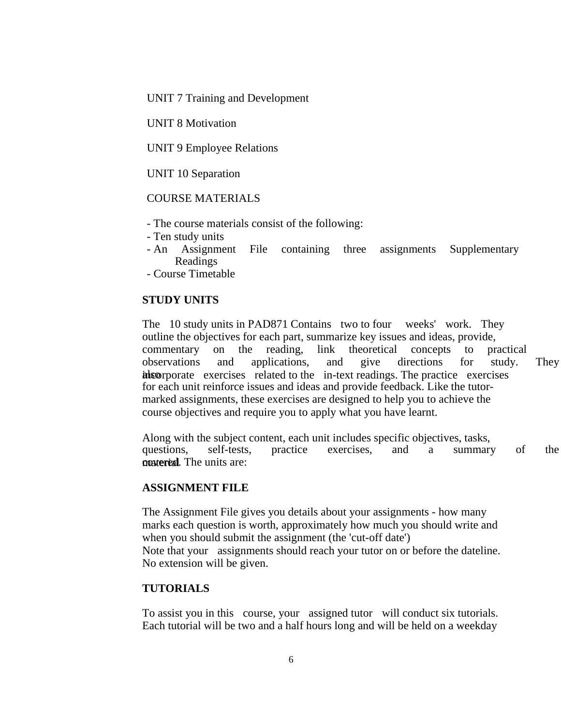UNIT 7 Training and Development

UNIT 8 Motivation

UNIT 9 Employee Relations

UNIT 10 Separation

### COURSE MATERIALS

- The course materials consist of the following:
- Ten study units
- An Assignment File containing three assignments Supplementary Readings
- Course Timetable

# **STUDY UNITS**

insted parameter exercises related to the in-text readings. The practice exercises for each unit reinforce issues and ideas and provide feedback. Like the tutormarked assignments, these exercises are designed to help you to achieve the course objectives and require you to apply what you have learnt. The 10 study units in PAD871 Contains two to four weeks' work. They outline the objectives for each part, summarize key issues and ideas, provide, commentary on the reading, link theoretical concepts to practical observations and applications, and give directions for study. They

Along with the subject content, each unit includes specific objectives, tasks, questions, self-tests, practice exercises, and a summary questions, self-tests, practice exercises, and a summary of the **poptered.** The units are:

#### **ASSIGNMENT FILE**

The Assignment File gives you details about your assignments - how many marks each question is worth, approximately how much you should write and when you should submit the assignment (the 'cut-off date') Note that your assignments should reach your tutor on or before the dateline. No extension will be given.

### **TUTORIALS**

To assist you in this course, your assigned tutor will conduct six tutorials. Each tutorial will be two and a half hours long and will be held on a weekday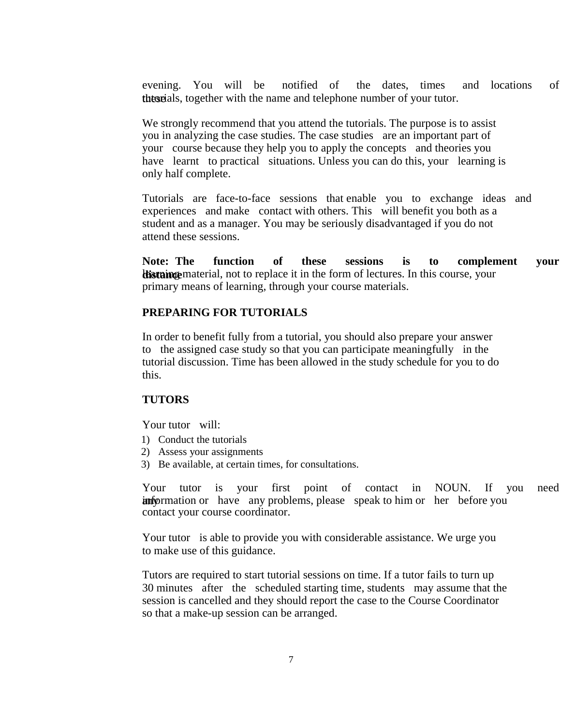evening. You will be notified of the dates, times and locations of thes regions, to gether with the name and telephone number of your tutor.

We strongly recommend that you attend the tutorials. The purpose is to assist you in analyzing the case studies. The case studies are an important part of your course because they help you to apply the concepts and theories you have learnt to practical situations. Unless you can do this, your learning is only half complete.

Tutorials are face-to-face sessions that enable you to exchange ideas and experiences and make contact with others. This will benefit you both as a student and as a manager. You may be seriously disadvantaged if you do not attend these sessions.

**Note: The function of these sessions is to complement your distaince** material, not to replace it in the form of lectures. In this course, your primary means of learning, through your course materials.

# **PREPARING FOR TUTORIALS**

In order to benefit fully from a tutorial, you should also prepare your answer to the assigned case study so that you can participate meaningfully in the tutorial discussion. Time has been allowed in the study schedule for you to do this.

### **TUTORS**

Your tutor will:

- 1) Conduct the tutorials
- 2) Assess your assignments
- 3) Be available, at certain times, for consultations.

Your tutor is your first point of contact in NOUN. If you need information or have any problems, please speak to him or her before you contact your course coordinator.

Your tutor is able to provide you with considerable assistance. We urge you to make use of this guidance.

Tutors are required to start tutorial sessions on time. If a tutor fails to turn up 30 minutes after the scheduled starting time, students may assume that the session is cancelled and they should report the case to the Course Coordinator so that a make-up session can be arranged.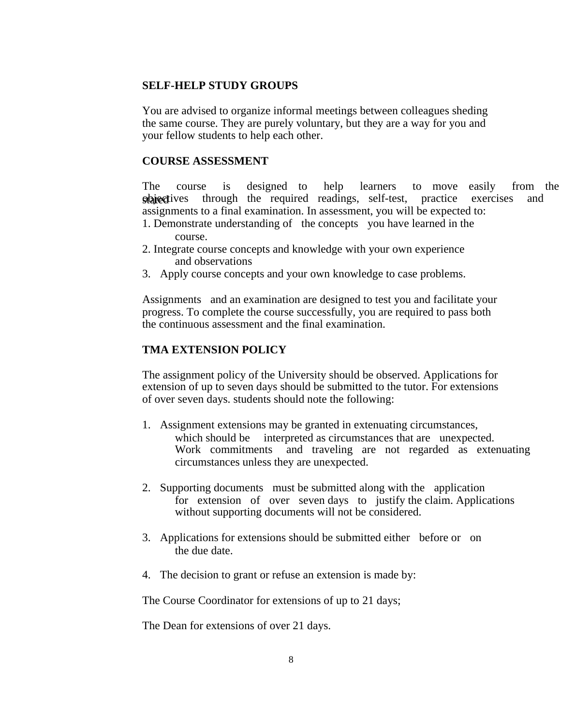# **SELF-HELP STUDY GROUPS**

You are advised to organize informal meetings between colleagues sheding the same course. They are purely voluntary, but they are a way for you and your fellow students to help each other.

# **COURSE ASSESSMENT**

The course is designed to help learners to move easily from the state objectives through the required readings, self-test, practice exercises and assignments to a final examination. In assessment, you will be expected to:

- 1. Demonstrate understanding of the concepts you have learned in the course.
- 2. Integrate course concepts and knowledge with your own experience and observations
- 3. Apply course concepts and your own knowledge to case problems.

Assignments and an examination are designed to test you and facilitate your progress. To complete the course successfully, you are required to pass both the continuous assessment and the final examination.

# **TMA EXTENSION POLICY**

The assignment policy of the University should be observed. Applications for extension of up to seven days should be submitted to the tutor. For extensions of over seven days. students should note the following:

- 1. Assignment extensions may be granted in extenuating circumstances, which should be interpreted as circumstances that are unexpected. Work commitments and traveling are not regarded as extenuating circumstances unless they are unexpected.
- 2. Supporting documents must be submitted along with the application for extension of over seven days to justify the claim. Applications without supporting documents will not be considered.
- 3. Applications for extensions should be submitted either before or on the due date.
- 4. The decision to grant or refuse an extension is made by:

The Course Coordinator for extensions of up to 21 days;

The Dean for extensions of over 21 days.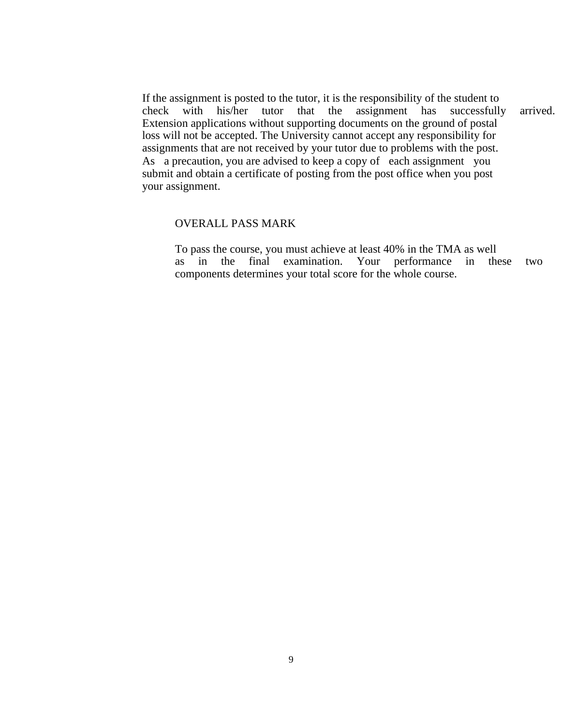If the assignment is posted to the tutor, it is the responsibility of the student to check with his/her tutor that the assignment has successfully arrived. Extension applications without supporting documents on the ground of postal loss will not be accepted. The University cannot accept any responsibility for assignments that are not received by your tutor due to problems with the post. As a precaution, you are advised to keep a copy of each assignment you submit and obtain a certificate of posting from the post office when you post your assignment.

### OVERALL PASS MARK

To pass the course, you must achieve at least 40% in the TMA as well as in the final examination. Your performance in these two components determines your total score for the whole course.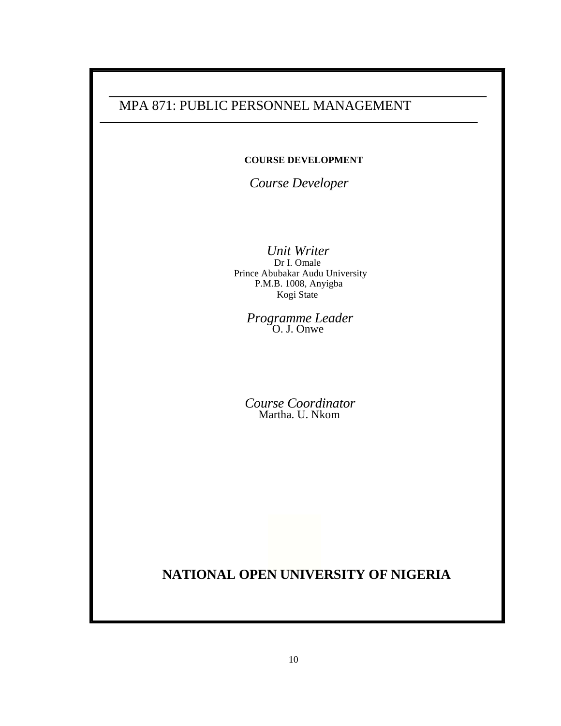# MPA 871: PUBLIC PERSONNEL MANAGEMENT

I

#### **COURSE DEVELOPMENT**

*Course Developer*

*Unit Writer* Dr I. Omale Prince Abubakar Audu University P.M.B. 1008, Anyigba Kogi State

*Programme Leader* O. J. Onwe

*Course Coordinator* Martha. U. Nkom

# **NATIONAL OPEN UNIVERSITY OF NIGERIA**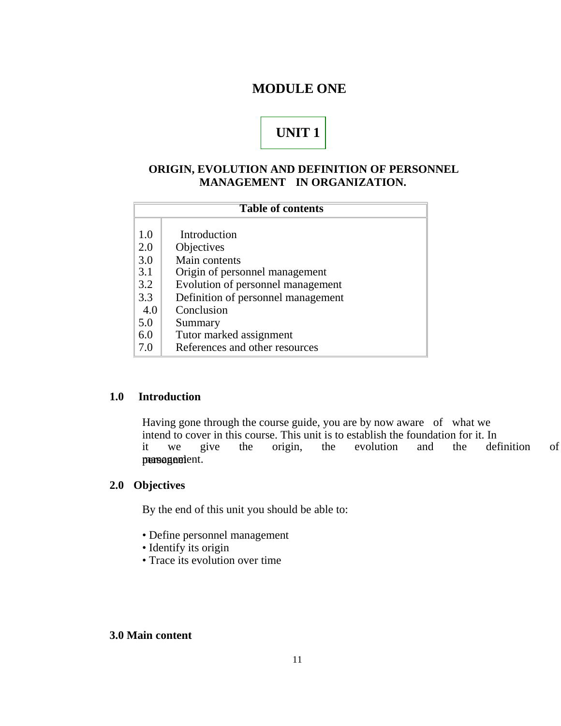# **MODULE ONE**

# **UNIT 1**

# **ORIGIN, EVOLUTION AND DEFINITION OF PERSONNEL MANAGEMENT IN ORGANIZATION.**

| <b>Table of contents</b> |                                    |  |
|--------------------------|------------------------------------|--|
|                          |                                    |  |
| 1.0                      | Introduction                       |  |
| 2.0                      | Objectives                         |  |
| 3.0                      | Main contents                      |  |
| 3.1                      | Origin of personnel management     |  |
| 3.2                      | Evolution of personnel management  |  |
| 3.3                      | Definition of personnel management |  |
| 4.0                      | Conclusion                         |  |
| 5.0                      | Summary                            |  |
| 6.0                      | Tutor marked assignment            |  |
| 7.0                      | References and other resources     |  |

# **1.0 Introduction**

Having gone through the course guide, you are by now aware of what we intend to cover in this course. This unit is to establish the foundation for it. In<br>it we give the origin, the evolution and the definition it we give the origin, the evolution and the definition of personent.

# **2.0 Objectives**

By the end of this unit you should be able to:

- Define personnel management
- Identify its origin
- Trace its evolution over time

# **3.0 Main content**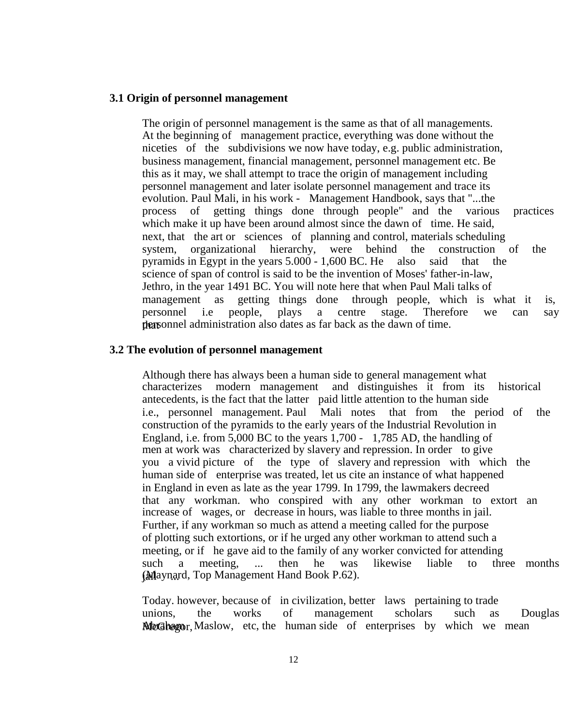#### **3.1 Origin of personnel management**

The origin of personnel management is the same as that of all managements. At the beginning of management practice, everything was done without the niceties of the subdivisions we now have today, e.g. public administration, business management, financial management, personnel management etc. Be this as it may, we shall attempt to trace the origin of management including personnel management and later isolate personnel management and trace its evolution. Paul Mali, in his work - Management Handbook, says that "...the process of getting things done through people" and the various practices which make it up have been around almost since the dawn of time. He said, next, that the art or sciences of planning and control, materials scheduling system, organizational hierarchy, were behind the construction of the pyramids in Egypt in the years 5.000 - 1,600 BC. He also said that the science of span of control is said to be the invention of Moses' father-in-law, Jethro, in the year 1491 BC. You will note here that when Paul Mali talks of management as getting things done through people, which is what it is, personnel i.e people, plays a centre stage. Therefore we can say the personnel administration also dates as far back as the dawn of time.

#### **3.2 The evolution of personnel management**

Although there has always been a human side to general management what characterizes modern management and distinguishes it from its historical antecedents, is the fact that the latter paid little attention to the human side i.e., personnel management. Paul Mali notes that from the period of the construction of the pyramids to the early years of the Industrial Revolution in England, i.e. from 5,000 BC to the years 1,700 - 1,785 AD, the handling of men at work was characterized by slavery and repression. In order to give you a vivid picture of the type of slavery and repression with which the human side of enterprise was treated, let us cite an instance of what happened in England in even as late as the year 1799. In 1799, the lawmakers decreed that any workman. who conspired with any other workman to extort an increase of wages, or decrease in hours, was liable to three months in jail. Further, if any workman so much as attend a meeting called for the purpose of plotting such extortions, or if he urged any other workman to attend such a meeting, or if he gave aid to the family of any worker convicted for attending such a meeting, ... then he was likewise liable to three months (Maynard, Top Management Hand Book P.62).

Today. however, because of in civilization, better laws pertaining to trade unions, the works of management scholars such as Douglas Motchagor, Maslow, etc, the human side of enterprises by which we mean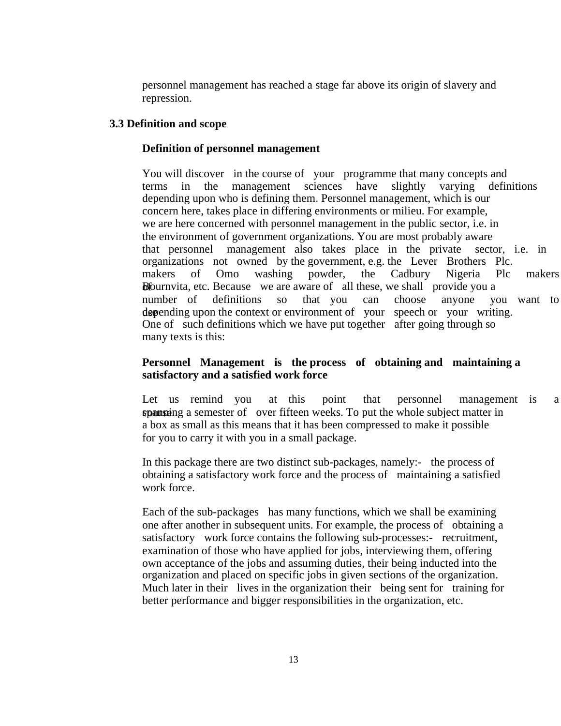personnel management has reached a stage far above its origin of slavery and repression.

# **3.3 Definition and scope**

# **Definition of personnel management**

You will discover in the course of your programme that many concepts and terms in the management sciences have slightly varying definitions depending upon who is defining them. Personnel management, which is our concern here, takes place in differing environments or milieu. For example, we are here concerned with personnel management in the public sector, i.e. in the environment of government organizations. You are most probably aware that personnel management also takes place in the private sector, i.e. in organizations not owned by the government, e.g. the Lever Brothers Plc. makers of Omo washing powder, the Cadbury Nigeria Plc makers **B**fournvita, etc. Because we are aware of all these, we shall provide you a number of definitions so that you can choose anyone you want to depending upon the context or environment of your speech or your writing. One of such definitions which we have put together after going through so many texts is this:

# **Personnel Management is the process of obtaining and maintaining a satisfactory and a satisfied work force**

Let us remind you at this point that personnel management is a spansing a semester of over fifteen weeks. To put the whole subject matter in a box as small as this means that it has been compressed to make it possible for you to carry it with you in a small package.

In this package there are two distinct sub-packages, namely:- the process of obtaining a satisfactory work force and the process of maintaining a satisfied work force.

Each of the sub-packages has many functions, which we shall be examining one after another in subsequent units. For example, the process of obtaining a satisfactory work force contains the following sub-processes:- recruitment, examination of those who have applied for jobs, interviewing them, offering own acceptance of the jobs and assuming duties, their being inducted into the organization and placed on specific jobs in given sections of the organization. Much later in their lives in the organization their being sent for training for better performance and bigger responsibilities in the organization, etc.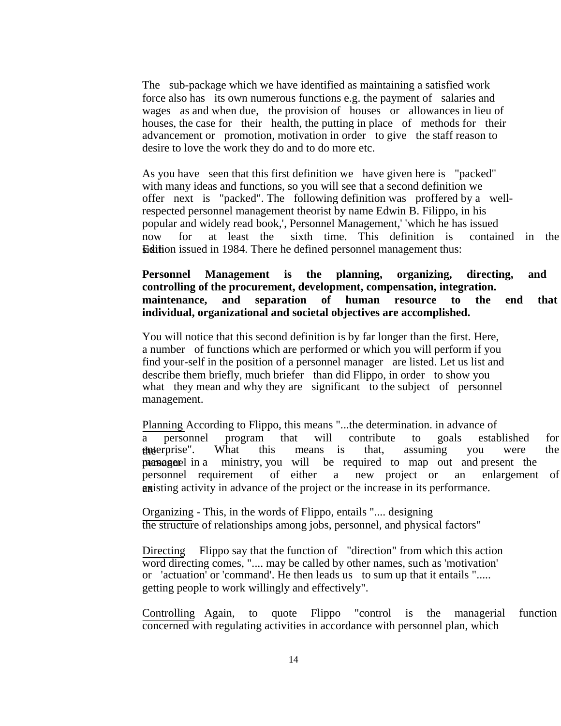The sub-package which we have identified as maintaining a satisfied work force also has its own numerous functions e.g. the payment of salaries and wages as and when due, the provision of houses or allowances in lieu of houses, the case for their health, the putting in place of methods for their advancement or promotion, motivation in order to give the staff reason to desire to love the work they do and to do more etc.

As you have seen that this first definition we have given here is "packed" with many ideas and functions, so you will see that a second definition we offer next is "packed". The following definition was proffered by a wellrespected personnel management theorist by name Edwin B. Filippo, in his popular and widely read book,', Personnel Management,' 'which he has issued now for at least the sixth time. This definition is contained in the **Solution** issued in 1984. There he defined personnel management thus:

# **Personnel Management is the planning, organizing, directing, and controlling of the procurement, development, compensation, integration. maintenance, and separation of human resource to the end that individual, organizational and societal objectives are accomplished.**

You will notice that this second definition is by far longer than the first. Here, a number of functions which are performed or which you will perform if you find your-self in the position of a personnel manager are listed. Let us list and describe them briefly, much briefer than did Flippo, in order to show you what they mean and why they are significant to the subject of personnel management.

Planning According to Flippo, this means "...the determination. in advance of a personnel program that will contribute to goals established for enterprise". What this means is that, assuming you were the the enterprise". What this means is that, assuming you were the pearson pearson in a ministry, you will be required to map out and present the personnel requirement of either a new project or an enlargement of **an** existing activity in advance of the project or the increase in its performance.

Organizing - This, in the words of Flippo, entails ".... designing the structure of relationships among jobs, personnel, and physical factors"

Directing Flippo say that the function of "direction" from which this action word directing comes, ".... may be called by other names, such as 'motivation' or 'actuation' or 'command'. He then leads us to sum up that it entails "..... getting people to work willingly and effectively".

Controlling Again, to quote Flippo "control is the managerial function concerned with regulating activities in accordance with personnel plan, which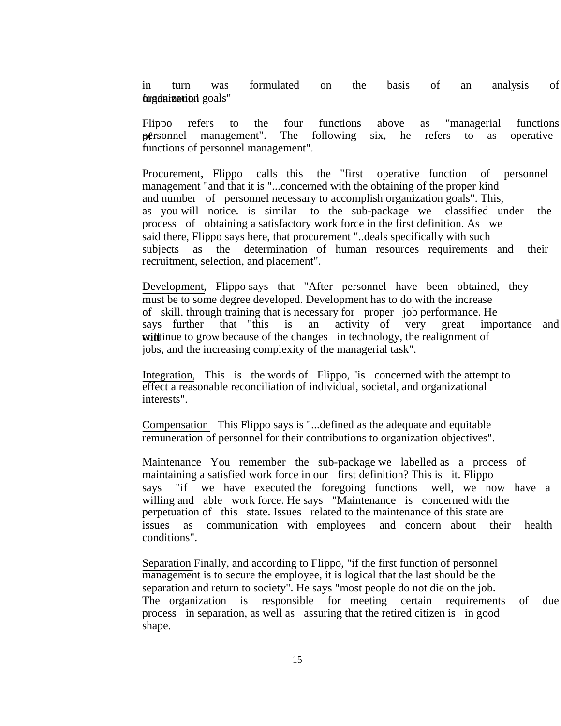in turn was formulated on the basis of an analysis of fundametical goals"

Flippo refers to the four functions above as "managerial functions of personnel management". The following six, he refers to as operative functions of personnel management".

Procurement, Flippo calls this the "first operative function of personnel management "and that it is "...concerned with the obtaining of the proper kind and number of personnel necessary to accomplish organization goals". This, as you will notice. is similar to the sub-package we classified under the process of obtaining a satisfactory work force in the first definition. As we said there, Flippo says here, that procurement "..deals specifically with such subjects as the determination of human resources requirements and their recruitment, selection, and placement".

Development, Flippo says that "After personnel have been obtained, they must be to some degree developed. Development has to do with the increase of skill. through training that is necessary for proper job performance. He says further that "this is an activity of very great imp says further that "this is an activity of very great importance and will trinue to grow because of the changes in technology, the realignment of jobs, and the increasing complexity of the managerial task".

Integration, This is the words of Flippo, "is concerned with the attempt to effect a reasonable reconciliation of individual, societal, and organizational interests".

Compensation This Flippo says is "...defined as the adequate and equitable remuneration of personnel for their contributions to organization objectives".

Maintenance You remember the sub-package we labelled as a process of maintaining a satisfied work force in our first definition? This is it. Flippo says "if we have executed the foregoing functions well, we now have a willing and able work force. He says "Maintenance is concerned with the perpetuation of this state. Issues related to the maintenance of this state are issues as communication with employees and concern about their health conditions".

Separation Finally, and according to Flippo, "if the first function of personnel management is to secure the employee, it is logical that the last should be the separation and return to society". He says "most people do not die on the job. The organization is responsible for meeting certain requirements of due process in separation, as well as assuring that the retired citizen is in good shape.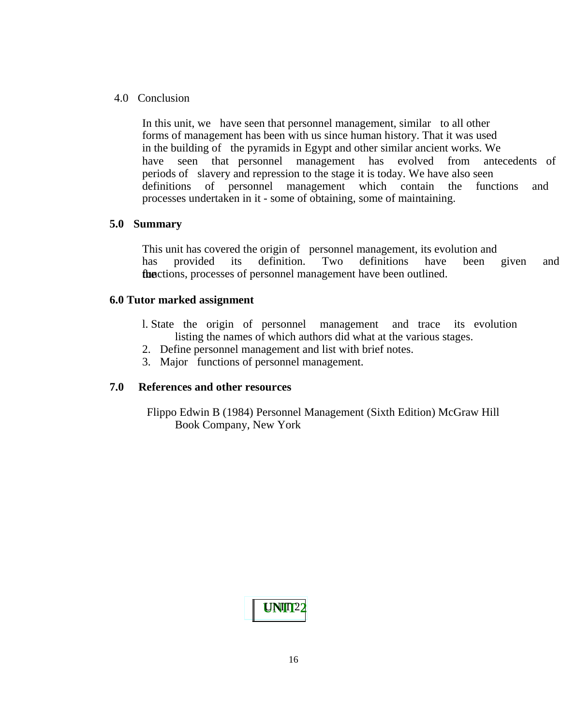# 4.0 Conclusion

In this unit, we have seen that personnel management, similar to all other forms of management has been with us since human history. That it was used in the building of the pyramids in Egypt and other similar ancient works. We have seen that personnel management has evolved from antecedents of periods of slavery and repression to the stage it is today. We have also seen definitions of personnel management which contain the functions and processes undertaken in it - some of obtaining, some of maintaining.

# **5.0 Summary**

This unit has covered the origin of personnel management, its evolution and has provided its definition. Two definitions have been given and the ections, processes of personnel management have been outlined.

# **6.0 Tutor marked assignment**

- l. State the origin of personnel management and trace its evolution listing the names of which authors did what at the various stages.
- 2. Define personnel management and list with brief notes.
- 3. Major functions of personnel management.

# **7.0 References and other resources**

 Flippo Edwin B (1984) Personnel Management (Sixth Edition) McGraw Hill Book Company, New York

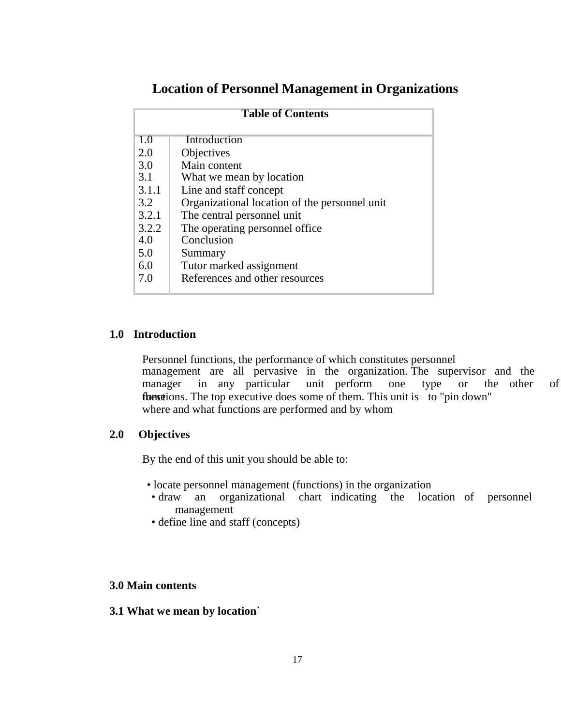# **Location of Personnel Management in Organizations**

| <b>Table of Contents</b> |                                               |  |
|--------------------------|-----------------------------------------------|--|
|                          |                                               |  |
| 1.0                      | Introduction                                  |  |
| 2.0                      | Objectives                                    |  |
| 3.0                      | Main content                                  |  |
| 3.1                      | What we mean by location                      |  |
| 3.1.1                    | Line and staff concept                        |  |
| 3.2                      | Organizational location of the personnel unit |  |
| 3.2.1                    | The central personnel unit                    |  |
| 3.2.2                    | The operating personnel office                |  |
| 4.0                      | Conclusion                                    |  |
| 5.0                      | Summary                                       |  |
| 6.0                      | Tutor marked assignment                       |  |
| 7.0                      | References and other resources                |  |

# **1.0 Introduction**

Personnel functions, the performance of which constitutes personnel management are all pervasive in the organization. The supervisor and the manager in any particular unit perform one type or the other of these functions. The top executive does some of them. This unit is to "pin down" where and what functions are performed and by whom

# **2.0 Objectives**

By the end of this unit you should be able to:

- locate personnel management (functions) in the organization
- draw an organizational chart indicating the location of personnel management
- define line and staff (concepts)

# **3.0 Main contents**

# **3.1 What we mean by location`**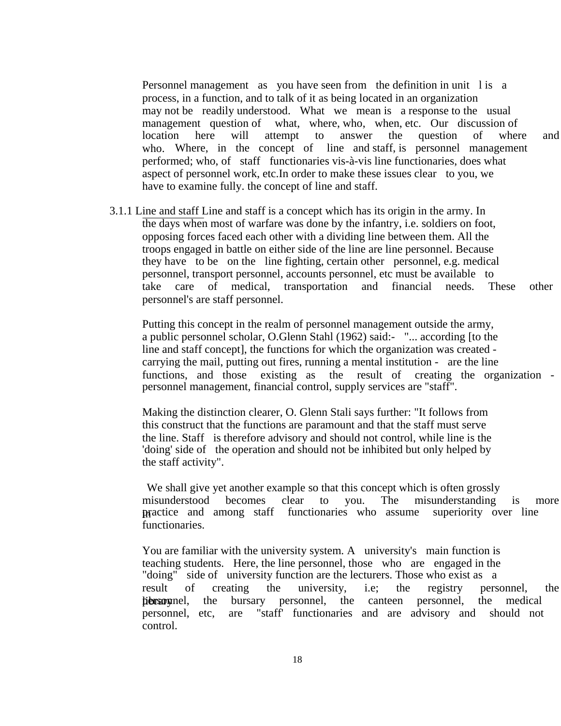Personnel management as you have seen from the definition in unit l is a process, in a function, and to talk of it as being located in an organization may not be readily understood. What we mean is a response to the usual management question of what, where, who, when, etc. Our discussion of location here will attempt to answer the question of where and who. Where, in the concept of line and staff, is personnel management performed; who, of staff functionaries vis-à-vis line functionaries, does what aspect of personnel work, etc.In order to make these issues clear to you, we have to examine fully. the concept of line and staff.

3.1.1 Line and staff Line and staff is a concept which has its origin in the army. In the days when most of warfare was done by the infantry, i.e. soldiers on foot, opposing forces faced each other with a dividing line between them. All the troops engaged in battle on either side of the line are line personnel. Because they have to be on the line fighting, certain other personnel, e.g. medical personnel, transport personnel, accounts personnel, etc must be available to take care of medical, transportation and financial needs. These other personnel's are staff personnel.

Putting this concept in the realm of personnel management outside the army, a public personnel scholar, O.Glenn Stahl (1962) said:- "... according [to the line and staff concept], the functions for which the organization was created carrying the mail, putting out fires, running a mental institution - are the line functions, and those existing as the result of creating the organization personnel management, financial control, supply services are "staff".

Making the distinction clearer, O. Glenn Stali says further: "It follows from this construct that the functions are paramount and that the staff must serve the line. Staff is therefore advisory and should not control, while line is the 'doing' side of the operation and should not be inhibited but only helped by the staff activity".

 We shall give yet another example so that this concept which is often grossly misunderstood becomes clear to you. The misunderstanding is more<br>time is more that is more that is more than the matrix over line in practice and among staff functionaries who assume functionaries.

You are familiar with the university system. A university's main function is teaching students. Here, the line personnel, those who are engaged in the "doing" side of university function are the lecturers. Those who exist as a result of creating the university, i.e; the registry personnel, the library personnel, the bursary personnel, the canteen personnel, the medical personnel, etc, are "staff' functionaries and are advisory and should not control.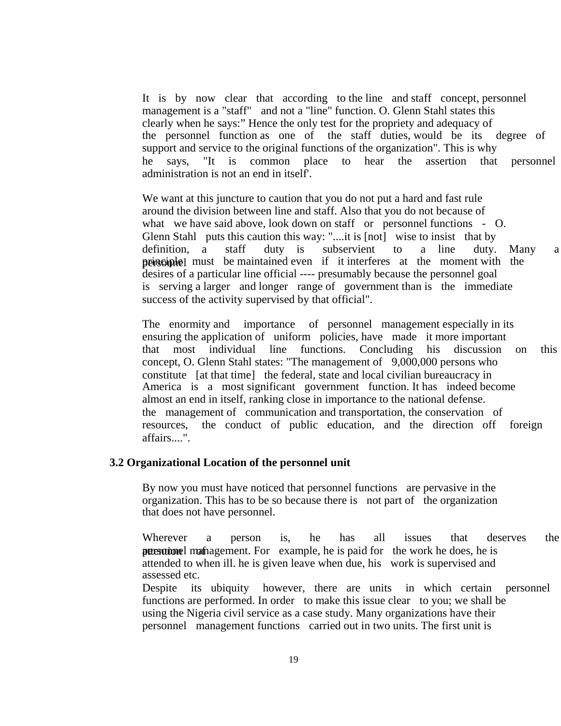It is by now clear that according to the line and staff concept, personnel management is a "staff" and not a "line" function. O. Glenn Stahl states this clearly when he says:" Hence the only test for the propriety and adequacy of the personnel function as one of the staff duties, would be its degree of support and service to the original functions of the organization". This is why he says, "It is common place to hear the assertion that personnel administration is not an end in itself'.

We want at this juncture to caution that you do not put a hard and fast rule around the division between line and staff. Also that you do not because of what we have said above, look down on staff or personnel functions - O. Glenn Stahl puts this caution this way: "....it is [not] wise to insist that by definition, a staff duty is subservient to a line duty. Many a personnel must be maintained even if it interferes at the moment with the desires of a particular line official ---- presumably because the personnel goal is serving a larger and longer range of government than is the immediate success of the activity supervised by that official".

The enormity and importance of personnel management especially in its ensuring the application of uniform policies, have made it more important that most individual line functions. Concluding his discussion on this concept, O. Glenn Stahl states: "The management of 9,000,000 persons who constitute [at that time] the federal, state and local civilian bureaucracy in America is a most significant government function. It has indeed become almost an end in itself, ranking close in importance to the national defense. the management of communication and transportation, the conservation of resources, the conduct of public education, and the direction off foreign affairs....".

#### **3.2 Organizational Location of the personnel unit**

By now you must have noticed that personnel functions are pervasive in the organization. This has to be so because there is not part of the organization that does not have personnel.

Wherever a person is, he has all issues that deserves the **attentional management.** For example, he is paid for the work he does, he is attended to when ill. he is given leave when due, his work is supervised and assessed etc.

Despite its ubiquity however, there are units in which certain personnel functions are performed. In order to make this issue clear to you; we shall be using the Nigeria civil service as a case study. Many organizations have their personnel management functions carried out in two units. The first unit is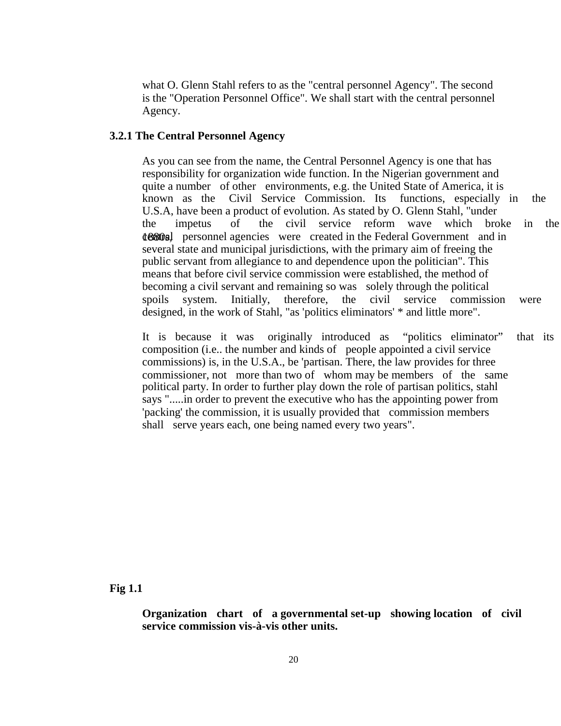what O. Glenn Stahl refers to as the "central personnel Agency". The second is the "Operation Personnel Office". We shall start with the central personnel Agency.

#### **3.2.1 The Central Personnel Agency**

As you can see from the name, the Central Personnel Agency is one that has responsibility for organization wide function. In the Nigerian government and quite a number of other environments, e.g. the United State of America, it is known as the Civil Service Commission. Its functions, especially in the U.S.A, have been a product of evolution. As stated by O. Glenn Stahl, "under the impetus of the civil service reform wave which broke in the **1880s** bersonnel agencies were created in the Federal Government and in several state and municipal jurisdictions, with the primary aim of freeing the public servant from allegiance to and dependence upon the politician". This means that before civil service commission were established, the method of becoming a civil servant and remaining so was solely through the political spoils system. Initially, therefore, the civil service commission were designed, in the work of Stahl, "as 'politics eliminators' \* and little more".

It is because it was originally introduced as "politics eliminator" that its composition (i.e.. the number and kinds of people appointed a civil service commissions) is, in the U.S.A., be 'partisan. There, the law provides for three commissioner, not more than two of whom may be members of the same political party. In order to further play down the role of partisan politics, stahl says ".....in order to prevent the executive who has the appointing power from 'packing' the commission, it is usually provided that commission members shall serve years each, one being named every two years".

**Fig 1.1** 

**Organization chart of a governmental set-up showing location of civil service commission vis-à-vis other units.**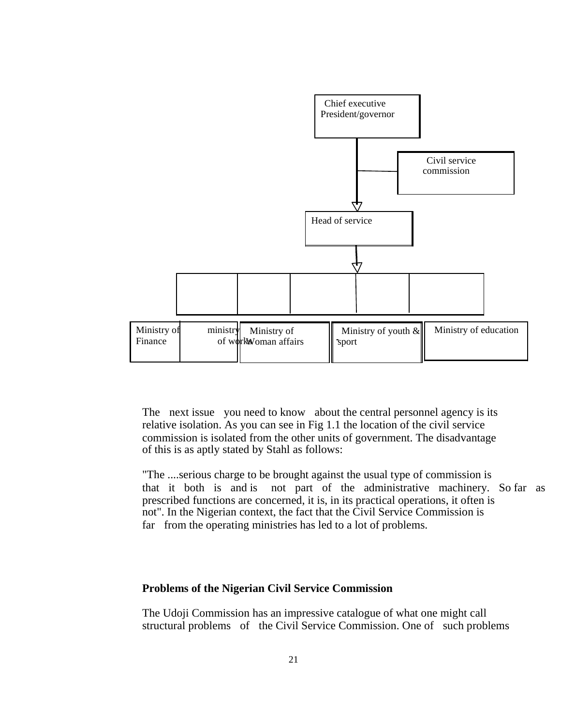

The next issue you need to know about the central personnel agency is its relative isolation. As you can see in Fig 1.1 the location of the civil service commission is isolated from the other units of government. The disadvantage of this is as aptly stated by Stahl as follows:

"The ....serious charge to be brought against the usual type of commission is that it both is and is not part of the administrative machinery. So far as prescribed functions are concerned, it is, in its practical operations, it often is not". In the Nigerian context, the fact that the Civil Service Commission is far from the operating ministries has led to a lot of problems.

#### **Problems of the Nigerian Civil Service Commission**

The Udoji Commission has an impressive catalogue of what one might call structural problems of the Civil Service Commission. One of such problems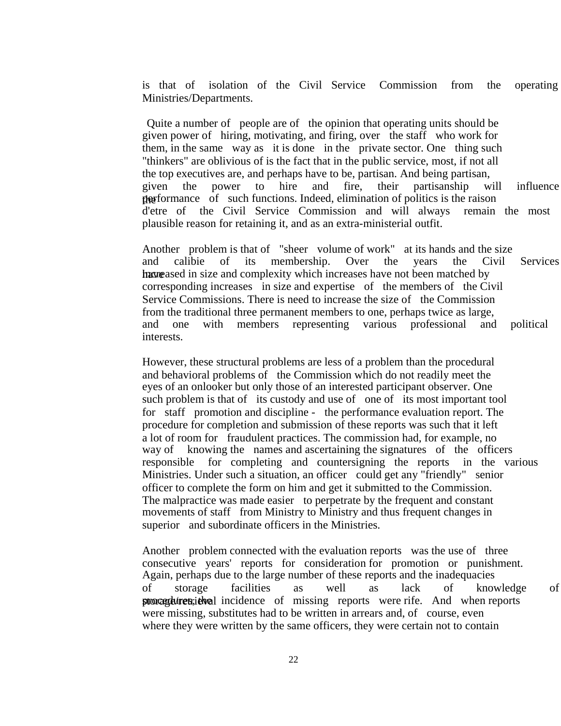is that of isolation of the Civil Service Commission from the operating Ministries/Departments.

 Quite a number of people are of the opinion that operating units should be given power of hiring, motivating, and firing, over the staff who work for them, in the same way as it is done in the private sector. One thing such "thinkers" are oblivious of is the fact that in the public service, most, if not all the top executives are, and perhaps have to be, partisan. And being partisan, given the power to hire and fire, their partisanship will influence  $\frac{d}{dt}$  the performance of such functions. Indeed, elimination of politics is the raison<br>d'etre of the Civil Service Commission and will always remain the most d'etre of the Civil Service Commission and will always plausible reason for retaining it, and as an extra-ministerial outfit.

Another problem is that of "sheer volume of work" at its hands and the size and calibie of its membership. Over the years the Civil Services **have** in size and complexity which increases have not been matched by corresponding increases in size and expertise of the members of the Civil Service Commissions. There is need to increase the size of the Commission from the traditional three permanent members to one, perhaps twice as large, and one with members representing various professional and political interests.

However, these structural problems are less of a problem than the procedural and behavioral problems of the Commission which do not readily meet the eyes of an onlooker but only those of an interested participant observer. One such problem is that of its custody and use of one of its most important tool for staff promotion and discipline - the performance evaluation report. The procedure for completion and submission of these reports was such that it left a lot of room for fraudulent practices. The commission had, for example, no way of knowing the names and ascertaining the signatures of the officers responsible for completing and countersigning the reports in the various Ministries. Under such a situation, an officer could get any "friendly" senior officer to complete the form on him and get it submitted to the Commission. The malpractice was made easier to perpetrate by the frequent and constant movements of staff from Ministry to Ministry and thus frequent changes in superior and subordinate officers in the Ministries.

Another problem connected with the evaluation reports was the use of three consecutive years' reports for consideration for promotion or punishment. Again, perhaps due to the large number of these reports and the inadequacies of storage facilities as well as lack of knowledge of proceedurenties incidence of missing reports were rife. And when reports were missing, substitutes had to be written in arrears and, of course, even where they were written by the same officers, they were certain not to contain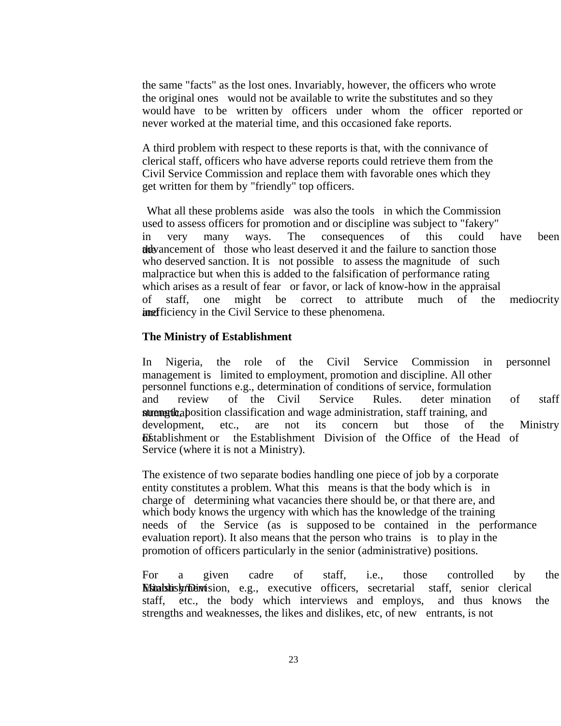the same "facts" as the lost ones. Invariably, however, the officers who wrote the original ones would not be available to write the substitutes and so they would have to be written by officers under whom the officer reported or never worked at the material time, and this occasioned fake reports.

A third problem with respect to these reports is that, with the connivance of clerical staff, officers who have adverse reports could retrieve them from the Civil Service Commission and replace them with favorable ones which they get written for them by "friendly" top officers.

What all these problems aside was also the tools in which the Commission used to assess officers for promotion and or discipline was subject to "fakery" in very many ways. The consequences of this could have been the advancement of those who least deserved it and the failure to sanction those who deserved sanction. It is not possible to assess the magnitude of such malpractice but when this is added to the falsification of performance rating which arises as a result of fear or favor, or lack of know-how in the appraisal of staff, one might be correct to attribute much of the mediocrity inefficiency in the Civil Service to these phenomena.

#### **The Ministry of Establishment**

In Nigeria, the role of the Civil Service Commission in personnel management is limited to employment, promotion and discipline. All other personnel functions e.g., determination of conditions of service, formulation and review of the Civil Service Rules. deter mination of staff **numerical** position classification and wage administration, staff training, and development, etc., are not its concern but those of the Ministry **E** Establishment or the Establishment Division of the Office of the Head of Service (where it is not a Ministry).

The existence of two separate bodies handling one piece of job by a corporate entity constitutes a problem. What this means is that the body which is in charge of determining what vacancies there should be, or that there are, and which body knows the urgency with which has the knowledge of the training needs of the Service (as is supposed to be contained in the performance evaluation report). It also means that the person who trains is to play in the promotion of officers particularly in the senior (administrative) positions.

For a given cadre of staff, i.e., those controlled by the Establishment is e.g., executive officers, secretarial staff, senior clerical staff, etc., the body which interviews and employs, and thus knows the strengths and weaknesses, the likes and dislikes, etc, of new entrants, is not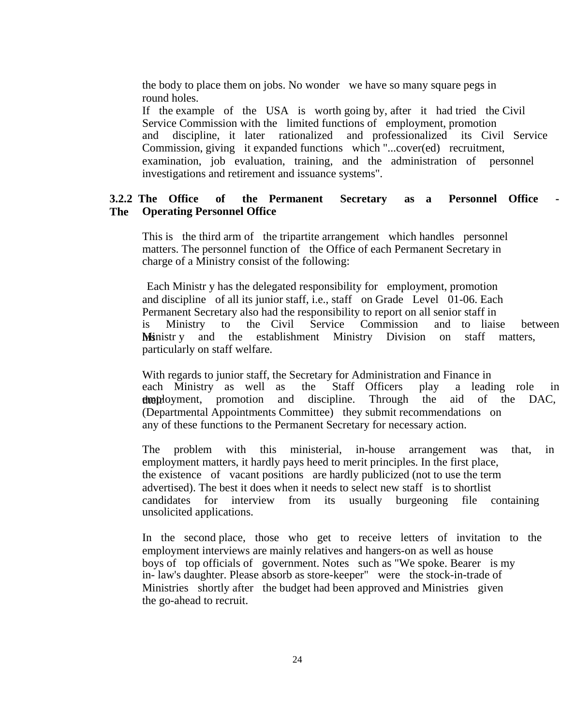the body to place them on jobs. No wonder we have so many square pegs in round holes.

If the example of the USA is worth going by, after it had tried the Civil Service Commission with the limited functions of employment, promotion and discipline, it later rationalized and professionalized its Civil Service Commission, giving it expanded functions which "...cover(ed) recruitment, examination, job evaluation, training, and the administration of personnel investigations and retirement and issuance systems".

# **3.2.2 The Office of the Permanent Secretary as a Personnel Office The Operating Personnel Office**

This is the third arm of the tripartite arrangement which handles personnel matters. The personnel function of the Office of each Permanent Secretary in charge of a Ministry consist of the following:

 Each Ministr y has the delegated responsibility for employment, promotion and discipline of all its junior staff, i.e., staff on Grade Level 01-06. Each Permanent Secretary also had the responsibility to report on all senior staff in is Ministry to the Civil Service Commission and to liaise between Ministry and the establishment Ministry Division on staff matters, particularly on staff welfare.

With regards to junior staff, the Secretary for Administration and Finance in each Ministry as well as the Staff Officers play a leading role in their employment, promotion and discipline. Through the aid of the DAC, (Departmental Appointments Committee) they submit recommendations on any of these functions to the Permanent Secretary for necessary action.

The problem with this ministerial, in-house arrangement was that, in employment matters, it hardly pays heed to merit principles. In the first place, the existence of vacant positions are hardly publicized (not to use the term advertised). The best it does when it needs to select new staff is to shortlist candidates for interview from its usually burgeoning file containing unsolicited applications.

In the second place, those who get to receive letters of invitation to the employment interviews are mainly relatives and hangers-on as well as house boys of top officials of government. Notes such as "We spoke. Bearer is my in- law's daughter. Please absorb as store-keeper" were the stock-in-trade of Ministries shortly after the budget had been approved and Ministries given the go-ahead to recruit.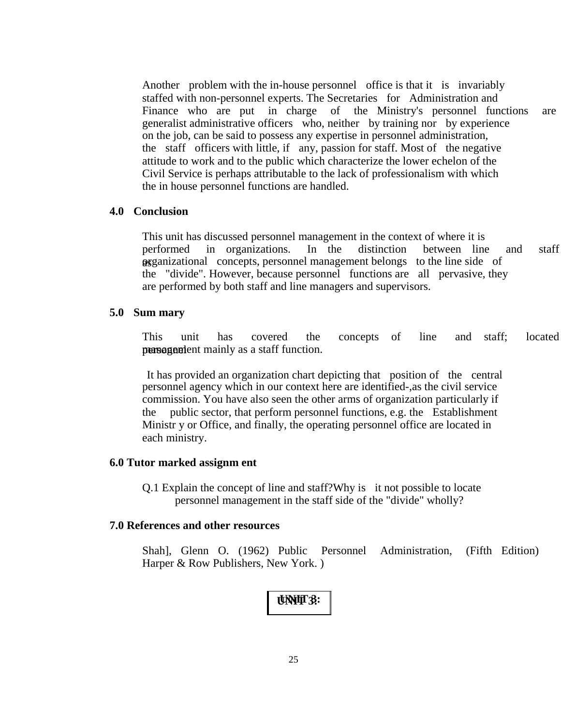Another problem with the in-house personnel office is that it is invariably staffed with non-personnel experts. The Secretaries for Administration and Finance who are put in charge of the Ministry's personnel functions are generalist administrative officers who, neither by training nor by experience on the job, can be said to possess any expertise in personnel administration, the staff officers with little, if any, passion for staff. Most of the negative attitude to work and to the public which characterize the lower echelon of the Civil Service is perhaps attributable to the lack of professionalism with which the in house personnel functions are handled.

# **4.0 Conclusion**

This unit has discussed personnel management in the context of where it is performed in organizations. In the distinction between line and staff as organizational concepts, personnel management belongs to the line side of the "divide". However, because personnel functions are all pervasive, they are performed by both staff and line managers and supervisors.

# **5.0 Sum mary**

This unit has covered the concepts of line and staff; located **personantially** as a staff function.

 It has provided an organization chart depicting that position of the central personnel agency which in our context here are identified-,as the civil service commission. You have also seen the other arms of organization particularly if the public sector, that perform personnel functions, e.g. the Establishment Ministr y or Office, and finally, the operating personnel office are located in each ministry.

#### **6.0 Tutor marked assignm ent**

Q.1 Explain the concept of line and staff?Why is it not possible to locate personnel management in the staff side of the "divide" wholly?

#### **7.0 References and other resources**

Shah], Glenn O. (1962) Public Personnel Administration, (Fifth Edition) Harper & Row Publishers, New York. )

$$
\boxed{\text{UNiff }3:}
$$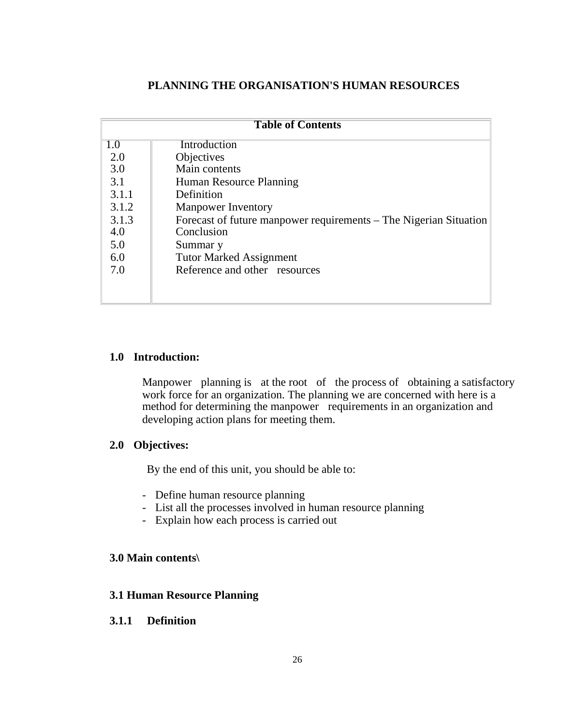# **PLANNING THE ORGANISATION'S HUMAN RESOURCES**

| <b>Table of Contents</b> |                                                                   |  |
|--------------------------|-------------------------------------------------------------------|--|
| $1.0\,$                  | Introduction                                                      |  |
| 2.0                      | Objectives                                                        |  |
| 3.0                      | Main contents                                                     |  |
| 3.1                      | Human Resource Planning                                           |  |
| 3.1.1                    | Definition                                                        |  |
| 3.1.2                    | <b>Manpower Inventory</b>                                         |  |
| 3.1.3                    | Forecast of future manpower requirements – The Nigerian Situation |  |
| 4.0                      | Conclusion                                                        |  |
| 5.0                      | Summar y                                                          |  |
| 6.0                      | <b>Tutor Marked Assignment</b>                                    |  |
| 7.0                      | Reference and other resources                                     |  |
|                          |                                                                   |  |
|                          |                                                                   |  |

# **1.0 Introduction:**

Manpower planning is at the root of the process of obtaining a satisfactory work force for an organization. The planning we are concerned with here is a method for determining the manpower requirements in an organization and developing action plans for meeting them.

# **2.0 Objectives:**

By the end of this unit, you should be able to:

- Define human resource planning
- List all the processes involved in human resource planning
- Explain how each process is carried out

# **3.0 Main contents\**

# **3.1 Human Resource Planning**

# **3.1.1 Definition**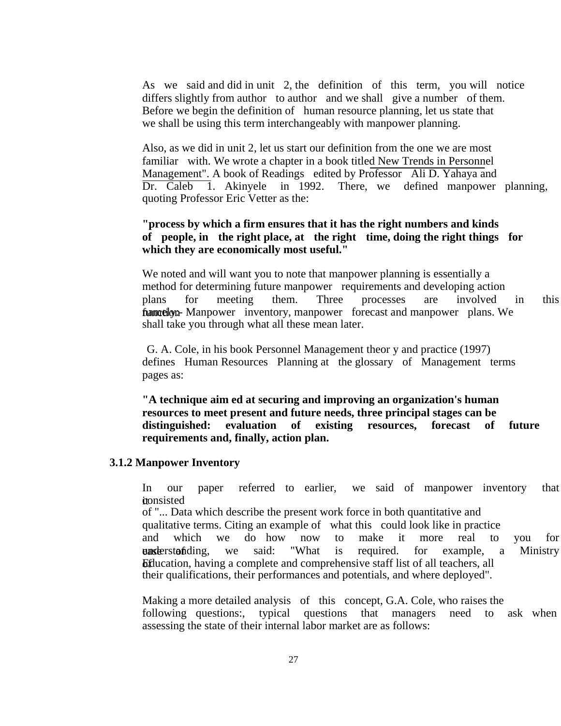As we said and did in unit 2, the definition of this term, you will notice differs slightly from author to author and we shall give a number of them. Before we begin the definition of human resource planning, let us state that we shall be using this term interchangeably with manpower planning.

Also, as we did in unit 2, let us start our definition from the one we are most familiar with. We wrote a chapter in a book titled New Trends in Personnel Management". A book of Readings edited by Professor Ali D. Yahaya and Dr. Caleb 1. Akinyele in 1992. There, we defined manpower planning, quoting Professor Eric Vetter as the:

# **"process by which a firm ensures that it has the right numbers and kinds of people, in the right place, at the right time, doing the right things for which they are economically most useful."**

We noted and will want you to note that manpower planning is essentially a method for determining future manpower requirements and developing action plans for meeting them. Three processes are involved in this function-Manpower inventory, manpower forecast and manpower plans. We shall take you through what all these mean later.

 G. A. Cole, in his book Personnel Management theor y and practice (1997) defines Human Resources Planning at the glossary of Management terms pages as:

**"A technique aim ed at securing and improving an organization's human resources to meet present and future needs, three principal stages can be distinguished: evaluation of existing resources, forecast of future requirements and, finally, action plan.**

#### **3.1.2 Manpower Inventory**

In our paper referred to earlier, we said of manpower inventory that it consisted

of "... Data which describe the present work force in both quantitative and qualitative terms. Citing an example of what this could look like in practice and which we do how now to make it more real to you for **easter of understanding,** we said: "What is required. for example, a Ministry **E**ducation, having a complete and comprehensive staff list of all teachers, all their qualifications, their performances and potentials, and where deployed".

Making a more detailed analysis of this concept, G.A. Cole, who raises the following questions:, typical questions that managers need to ask when assessing the state of their internal labor market are as follows: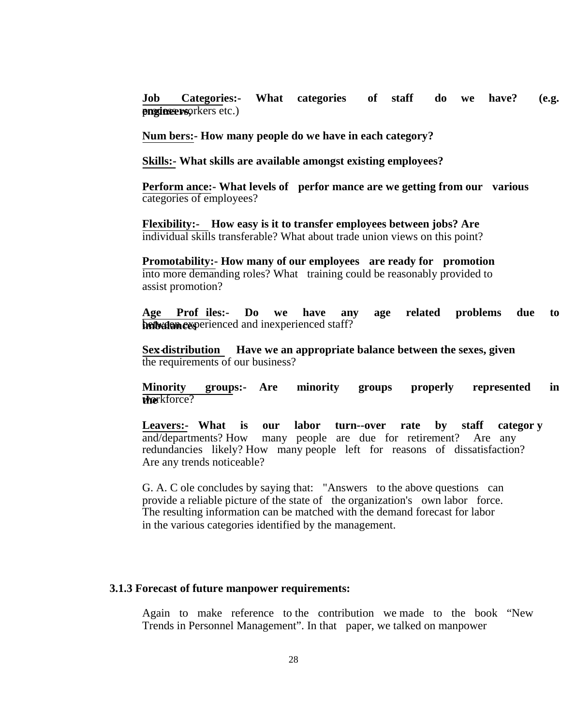**Job Categories:- What categories of staff do we have? (e.g. engineers** orkers etc.)

**Num bers:- How many people do we have in each category?**

**Skills:- What skills are available amongst existing employees?**

**Perform ance:- What levels of perfor mance are we getting from our various**  categories of employees?

**Flexibility:- How easy is it to transfer employees between jobs? Are**  individual skills transferable? What about trade union views on this point?

**Promotability:- How many of our employees are ready for promotion**  into more demanding roles? What training could be reasonably provided to assist promotion?

**Age Prof iles:- Do we have any age related problems due to hollydances** perienced and inexperienced staff?

**Sex distribution ... Have we an appropriate balance between the sexes, given** the requirements of our business?

**Minority groups:- Are minority groups properly represented in therkforce?** 

**Leavers:- What is our labor turn--over rate by staff categor y**  and/departments? How many people are due for retirement? Are any redundancies likely? How many people left for reasons of dissatisfaction? Are any trends noticeable?

G. A. C ole concludes by saying that: "Answers to the above questions can provide a reliable picture of the state of the organization's own labor force. The resulting information can be matched with the demand forecast for labor in the various categories identified by the management.

#### **3.1.3 Forecast of future manpower requirements:**

Again to make reference to the contribution we made to the book "New Trends in Personnel Management". In that paper, we talked on manpower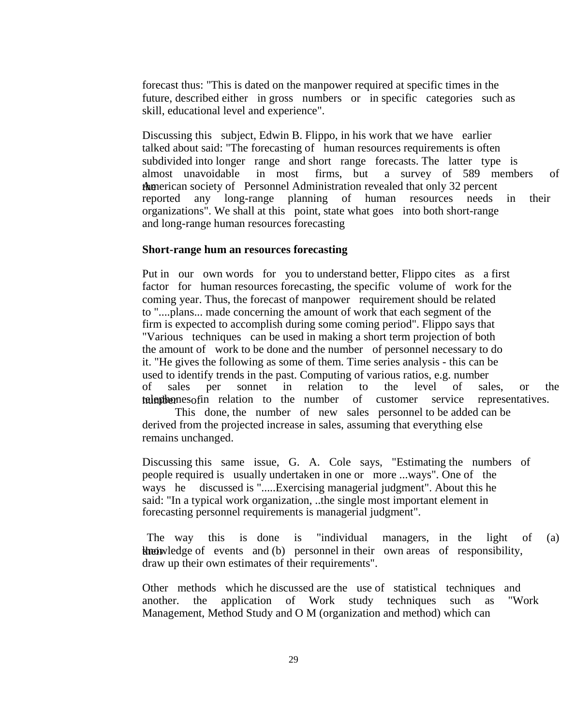forecast thus: "This is dated on the manpower required at specific times in the future, described either in gross numbers or in specific categories such as skill, educational level and experience".

Discussing this subject, Edwin B. Flippo, in his work that we have earlier talked about said: "The forecasting of human resources requirements is often subdivided into longer range and short range forecasts. The latter type is almost unavoidable in most firms, but a survey of 589 members of the American society of Personnel Administration revealed that only 32 percent reported any long-range planning of human resources needs in their organizations". We shall at this point, state what goes into both short-range and long-range human resources forecasting

#### **Short-range hum an resources forecasting**

Put in our own words for you to understand better, Flippo cites as a first factor for human resources forecasting, the specific volume of work for the coming year. Thus, the forecast of manpower requirement should be related to "....plans... made concerning the amount of work that each segment of the firm is expected to accomplish during some coming period". Flippo says that "Various techniques can be used in making a short term projection of both the amount of work to be done and the number of personnel necessary to do it. "He gives the following as some of them. Time series analysis - this can be used to identify trends in the past. Computing of various ratios, e.g. number of sales per sonnet in relation to the level of sales, or the **talenthernes of in** relation to the number of customer service representatives. This done, the number of new sales personnel to be added can be derived from the projected increase in sales, assuming that everything else

remains unchanged.

Discussing this same issue, G. A. Cole says, "Estimating the numbers of people required is usually undertaken in one or more ...ways". One of the ways he discussed is ".....Exercising managerial judgment". About this he said: "In a typical work organization, ..the single most important element in forecasting personnel requirements is managerial judgment".

The way this is done is "individual managers, in the light of (a) their knowledge of events and (b) personnel in their own areas of responsibility, draw up their own estimates of their requirements".

Other methods which he discussed are the use of statistical techniques and another. the application of Work study techniques such as "Work Management, Method Study and O M (organization and method) which can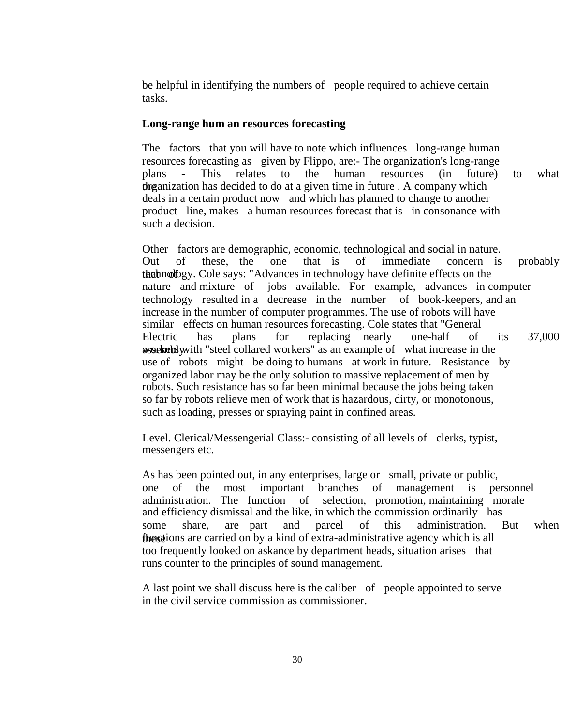be helpful in identifying the numbers of people required to achieve certain tasks.

# **Long-range hum an resources forecasting**

The factors that you will have to note which influences long-range human resources forecasting as given by Flippo, are:- The organization's long-range plans - This relates to the human resources (in future) to what the *decided* to do at a given time in future . A company which deals in a certain product now and which has planned to change to another product line, makes a human resources forecast that is in consonance with such a decision.

Other factors are demographic, economic, technological and social in nature. Out of these, the one that is of immediate concern is probably that of the technology have definite effects on the that of the says: "Advances in technology have definite effects on the nature and mixture of jobs available. For example, advances in computer technology resulted in a decrease in the number of book-keepers, and an increase in the number of computer programmes. The use of robots will have similar effects on human resources forecasting. Cole states that "General Electric has plans for replacing nearly one-half of its 37,000 assekebly with "steel collared workers" as an example of what increase in the use of robots might be doing to humans at work in future. Resistance by organized labor may be the only solution to massive replacement of men by robots. Such resistance has so far been minimal because the jobs being taken so far by robots relieve men of work that is hazardous, dirty, or monotonous, such as loading, presses or spraying paint in confined areas.

Level. Clerical/Messengerial Class:- consisting of all levels of clerks, typist, messengers etc.

As has been pointed out, in any enterprises, large or small, private or public, one of the most important branches of management is personnel administration. The function of selection, promotion, maintaining morale and efficiency dismissal and the like, in which the commission ordinarily has some share, are part and parcel of this administration. But when these tions are carried on by a kind of extra-administrative agency which is all too frequently looked on askance by department heads, situation arises that runs counter to the principles of sound management.

A last point we shall discuss here is the caliber of people appointed to serve in the civil service commission as commissioner.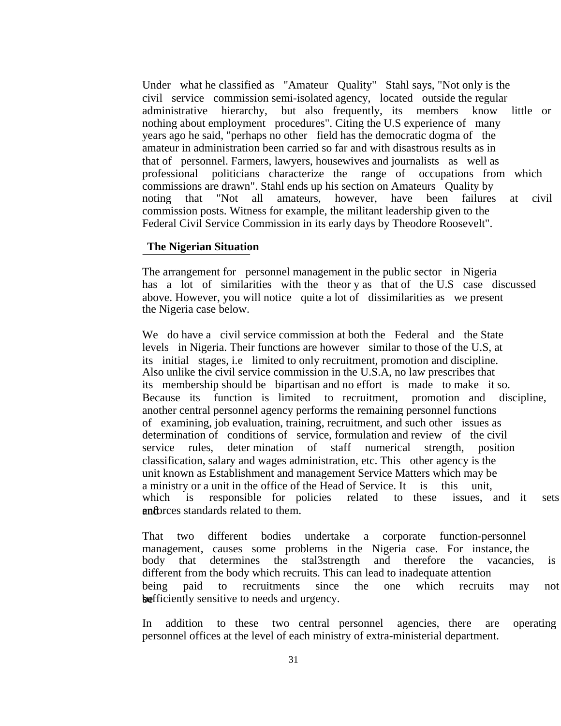Under what he classified as "Amateur Quality" Stahl says, "Not only is the civil service commission semi-isolated agency, located outside the regular administrative hierarchy, but also frequently, its members know little or nothing about employment procedures". Citing the U.S experience of many years ago he said, "perhaps no other field has the democratic dogma of the amateur in administration been carried so far and with disastrous results as in that of personnel. Farmers, lawyers, housewives and journalists as well as professional politicians characterize the range of occupations from which commissions are drawn". Stahl ends up his section on Amateurs Quality by noting that "Not all amateurs, however, have been failures noting that "Not all amateurs, however, have been failures at civil commission posts. Witness for example, the militant leadership given to the Federal Civil Service Commission in its early days by Theodore Roosevelt".

#### **The Nigerian Situation**

The arrangement for personnel management in the public sector in Nigeria has a lot of similarities with the theor y as that of the U.S case discussed above. However, you will notice quite a lot of dissimilarities as we present the Nigeria case below.

We do have a civil service commission at both the Federal and the State levels in Nigeria. Their functions are however similar to those of the U.S, at its initial stages, i.e limited to only recruitment, promotion and discipline. Also unlike the civil service commission in the U.S.A, no law prescribes that its membership should be bipartisan and no effort is made to make it so. Because its function is limited to recruitment, promotion and discipline, another central personnel agency performs the remaining personnel functions of examining, job evaluation, training, recruitment, and such other issues as determination of conditions of service, formulation and review of the civil service rules, deter mination of staff numerical strength, position classification, salary and wages administration, etc. This other agency is the unit known as Establishment and management Service Matters which may be a ministry or a unit in the office of the Head of Service. It is this unit, which is responsible for policies related to these issues, and it sets enforces standards related to them.

That two different bodies undertake a corporate function-personnel management, causes some problems in the Nigeria case. For instance, the body that determines the stal3strength and therefore the vacancies, is different from the body which recruits. This can lead to inadequate attention being paid to recruitments since the one which recruits may not be fficiently sensitive to needs and urgency.

In addition to these two central personnel agencies, there are operating personnel offices at the level of each ministry of extra-ministerial department.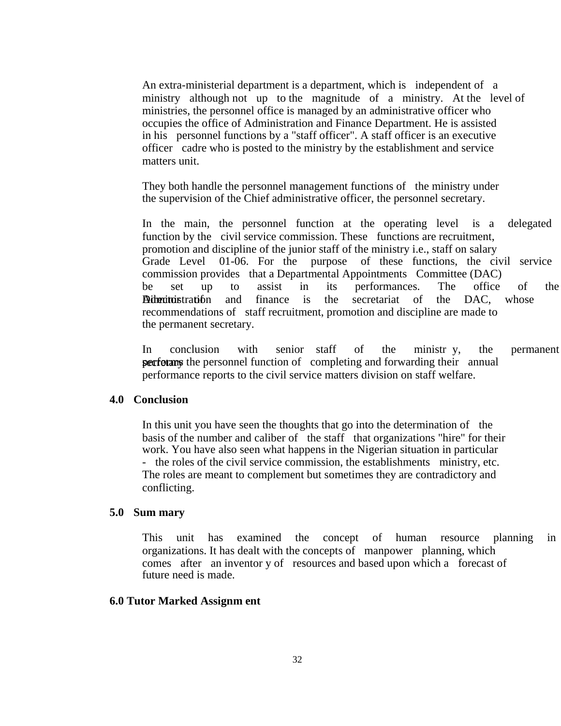An extra-ministerial department is a department, which is independent of a ministry although not up to the magnitude of a ministry. At the level of ministries, the personnel office is managed by an administrative officer who occupies the office of Administration and Finance Department. He is assisted in his personnel functions by a "staff officer". A staff officer is an executive officer cadre who is posted to the ministry by the establishment and service matters unit.

They both handle the personnel management functions of the ministry under the supervision of the Chief administrative officer, the personnel secretary.

In the main, the personnel function at the operating level is a delegated function by the civil service commission. These functions are recruitment, promotion and discipline of the junior staff of the ministry i.e., staff on salary Grade Level 01-06. For the purpose of these functions, the civil service commission provides that a Departmental Appointments Committee (DAC) be set up to assist in its performances. The office of the  $\Delta$ Adminitector  $\Delta$  and finance is the secretariat of the DAC, whose recommendations of staff recruitment, promotion and discipline are made to the permanent secretary.

In conclusion with senior staff of the ministr y, the permanent secribitions the personnel function of completing and forwarding their annual performance reports to the civil service matters division on staff welfare.

#### **4.0 Conclusion**

In this unit you have seen the thoughts that go into the determination of the basis of the number and caliber of the staff that organizations "hire" for their work. You have also seen what happens in the Nigerian situation in particular - the roles of the civil service commission, the establishments ministry, etc. The roles are meant to complement but sometimes they are contradictory and conflicting.

#### **5.0 Sum mary**

This unit has examined the concept of human resource planning in organizations. It has dealt with the concepts of manpower planning, which comes after an inventor y of resources and based upon which a forecast of future need is made.

#### **6.0 Tutor Marked Assignm ent**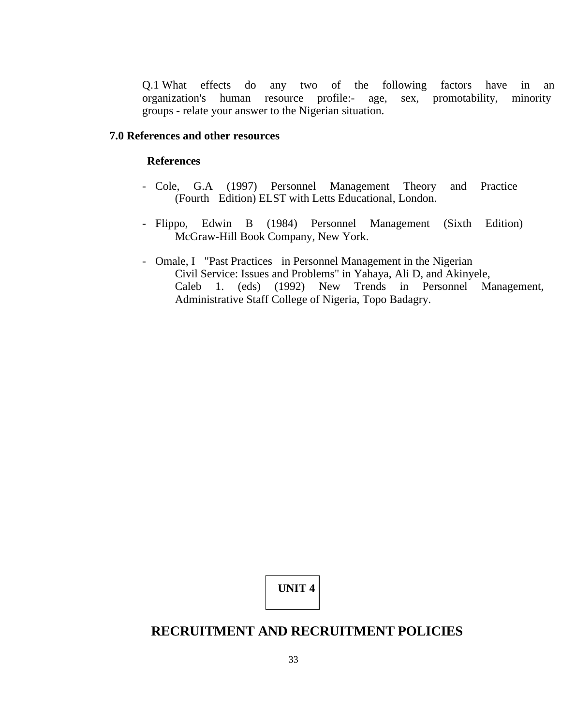Q.1 What effects do any two of the following factors have in an organization's human resource profile:- age, sex, promotability, minority groups - relate your answer to the Nigerian situation.

# **7.0 References and other resources**

# **References**

- Cole, G.A (1997) Personnel Management Theory and Practice (Fourth Edition) ELST with Letts Educational, London.
- Flippo, Edwin B (1984) Personnel Management (Sixth Edition) McGraw-Hill Book Company, New York.
- Omale, I "Past Practices in Personnel Management in the Nigerian Civil Service: Issues and Problems" in Yahaya, Ali D, and Akinyele, Caleb 1. (eds) (1992) New Trends in Personnel Management, Administrative Staff College of Nigeria, Topo Badagry.

 **UNIT 4**

# **RECRUITMENT AND RECRUITMENT POLICIES**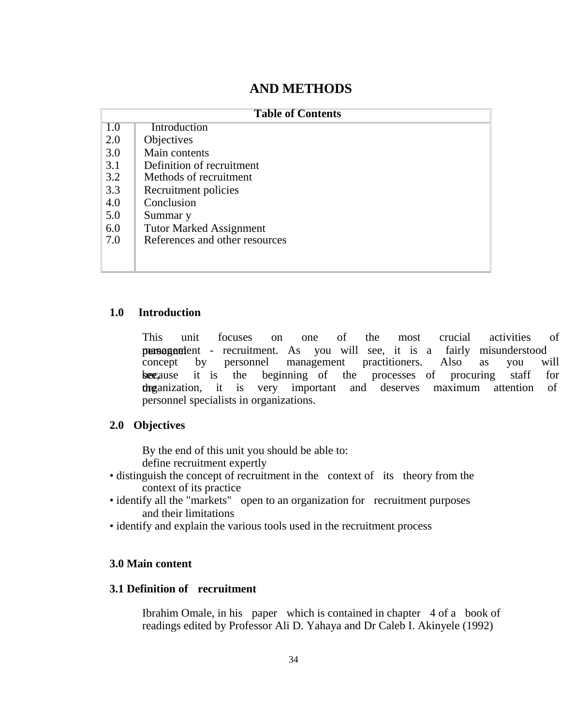# **AND METHODS**

| <b>Table of Contents</b> |                                |  |
|--------------------------|--------------------------------|--|
| 1.0                      | Introduction                   |  |
| 2.0                      | <b>Objectives</b>              |  |
| 3.0                      | Main contents                  |  |
| 3.1                      | Definition of recruitment      |  |
| 3.2                      | Methods of recruitment         |  |
| 3.3                      | Recruitment policies           |  |
| 4.0                      | Conclusion                     |  |
| 5.0                      | Summar y                       |  |
| 6.0                      | <b>Tutor Marked Assignment</b> |  |
| 7.0                      | References and other resources |  |
|                          |                                |  |
|                          |                                |  |

# **1.0 Introduction**

This unit focuses on one of the most crucial activities of **personal** end as you will see, it is a fairly misunderstood concept by personnel management practitioners. Also as you will by personnel management practitioners. Also as because it is the beginning of the processes of procuring staff for the organization, it is very important and deserves maximum attention of personnel specialists in organizations.

# **2.0 Objectives**

By the end of this unit you should be able to: define recruitment expertly

- distinguish the concept of recruitment in the context of its theory from the context of its practice
- identify all the "markets" open to an organization for recruitment purposes and their limitations
- identify and explain the various tools used in the recruitment process

# **3.0 Main content**

# **3.1 Definition of recruitment**

Ibrahim Omale, in his paper which is contained in chapter 4 of a book of readings edited by Professor Ali D. Yahaya and Dr Caleb I. Akinyele (1992)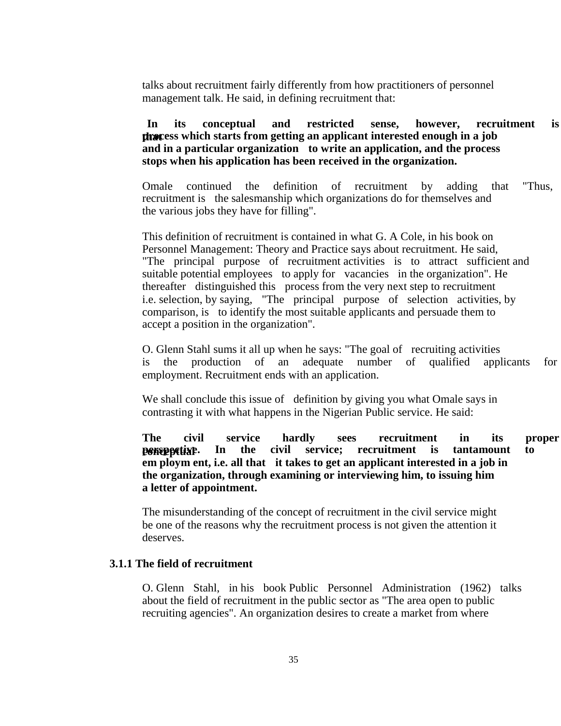talks about recruitment fairly differently from how practitioners of personnel management talk. He said, in defining recruitment that:

# **In its conceptual and restricted sense, however, recruitment is**  the process which starts from getting an applicant interested enough in a job **and in a particular organization to write an application, and the process stops when his application has been received in the organization.**

Omale continued the definition of recruitment by adding that "Thus, recruitment is the salesmanship which organizations do for themselves and the various jobs they have for filling".

This definition of recruitment is contained in what G. A Cole, in his book on Personnel Management: Theory and Practice says about recruitment. He said, "The principal purpose of recruitment activities is to attract sufficient and suitable potential employees to apply for vacancies in the organization". He thereafter distinguished this process from the very next step to recruitment i.e. selection, by saying, "The principal purpose of selection activities, by comparison, is to identify the most suitable applicants and persuade them to accept a position in the organization".

O. Glenn Stahl sums it all up when he says: "The goal of recruiting activities is the production of an adequate number of qualified applicants for employment. Recruitment ends with an application.

We shall conclude this issue of definition by giving you what Omale says in contrasting it with what happens in the Nigerian Public service. He said:

**The civil service hardly sees recruitment in its proper conceptual** perspective. In the civil service; recruitment is tantamount to **em ploym ent, i.e. all that it takes to get an applicant interested in a job in the organization, through examining or interviewing him, to issuing him a letter of appointment.**

The misunderstanding of the concept of recruitment in the civil service might be one of the reasons why the recruitment process is not given the attention it deserves.

#### **3.1.1 The field of recruitment**

O. Glenn Stahl, in his book Public Personnel Administration (1962) talks about the field of recruitment in the public sector as "The area open to public recruiting agencies". An organization desires to create a market from where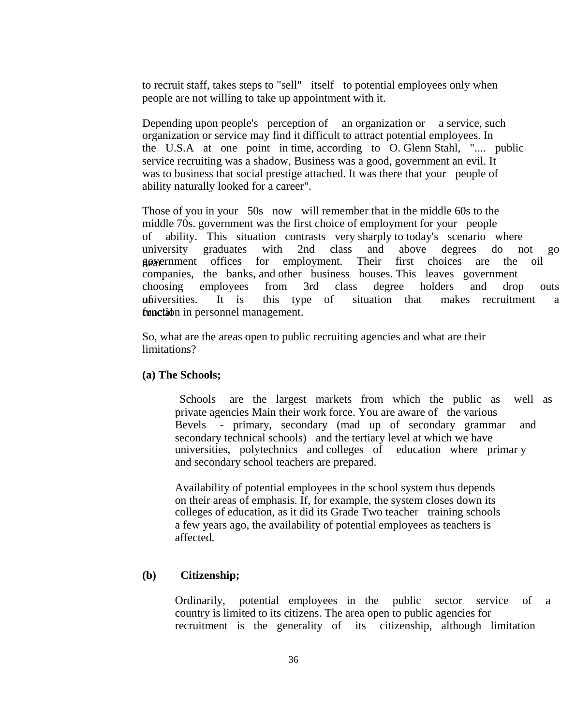to recruit staff, takes steps to "sell" itself to potential employees only when people are not willing to take up appointment with it.

Depending upon people's perception of an organization or a service, such organization or service may find it difficult to attract potential employees. In the U.S.A at one point in time, according to O. Glenn Stahl, ".... public service recruiting was a shadow, Business was a good, government an evil. It was to business that social prestige attached. It was there that your people of ability naturally looked for a career".

Those of you in your 50s now will remember that in the middle 60s to the middle 70s. government was the first choice of employment for your people of ability. This situation contrasts very sharply to today's scenario where university graduates with 2nd class and above degrees do not go **near example in the interpretent choices** are the oil companies, the banks, and other business houses. This leaves government choosing employees from 3rd class degree holders and drop outs **of** universities. It is this type of situation that makes recruitment a **conciation** in personnel management.

So, what are the areas open to public recruiting agencies and what are their limitations?

#### **(a) The Schools;**

 Schools are the largest markets from which the public as well as private agencies Main their work force. You are aware of the various Bevels - primary, secondary (mad up of secondary grammar and secondary technical schools) and the tertiary level at which we have universities, polytechnics and colleges of education where primar y and secondary school teachers are prepared.

Availability of potential employees in the school system thus depends on their areas of emphasis. If, for example, the system closes down its colleges of education, as it did its Grade Two teacher training schools a few years ago, the availability of potential employees as teachers is affected.

# **(b) Citizenship;**

Ordinarily, potential employees in the public sector service of a country is limited to its citizens. The area open to public agencies for recruitment is the generality of its citizenship, although limitation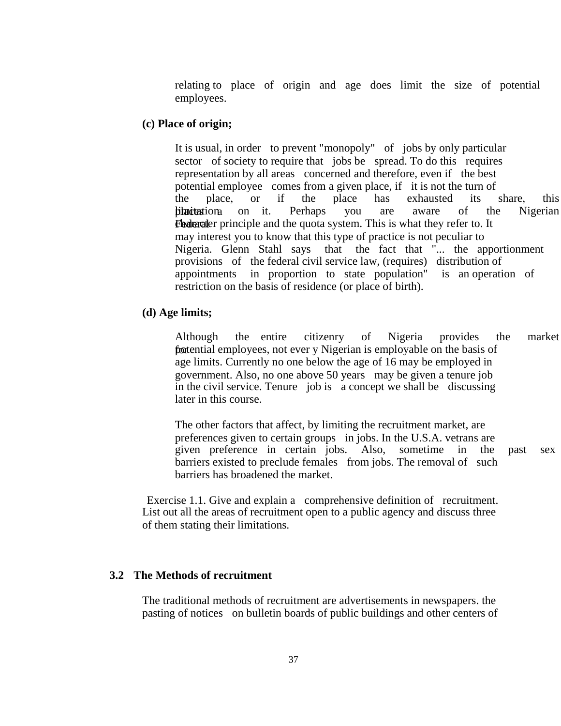relating to place of origin and age does limit the size of potential employees.

### **(c) Place of origin;**

It is usual, in order to prevent "monopoly" of jobs by only particular sector of society to require that jobs be spread. To do this requires representation by all areas concerned and therefore, even if the best potential employee comes from a given place, if it is not the turn of the place, or if the place has exhausted its share, this **pinaces** is not a limitation on it. Perhaps you are aware of the Nigerian **Feature character principle and the quota system. This is what they refer to. It** may interest you to know that this type of practice is not peculiar to Nigeria. Glenn Stahl says that the fact that "... the apportionment provisions of the federal civil service law, (requires) distribution of appointments in proportion to state population" is an operation of restriction on the basis of residence (or place of birth).

#### **(d) Age limits;**

Although the entire citizenry of Nigeria provides the market fortential employees, not ever y Nigerian is employable on the basis of age limits. Currently no one below the age of 16 may be employed in government. Also, no one above 50 years may be given a tenure job in the civil service. Tenure job is a concept we shall be discussing later in this course.

The other factors that affect, by limiting the recruitment market, are preferences given to certain groups in jobs. In the U.S.A. vetrans are given preference in certain jobs. Also, sometime in the given preference in certain jobs. Also, sometime in the past sex barriers existed to preclude females from jobs. The removal of such barriers has broadened the market.

 Exercise 1.1. Give and explain a comprehensive definition of recruitment. List out all the areas of recruitment open to a public agency and discuss three of them stating their limitations.

# **3.2 The Methods of recruitment**

The traditional methods of recruitment are advertisements in newspapers. the pasting of notices on bulletin boards of public buildings and other centers of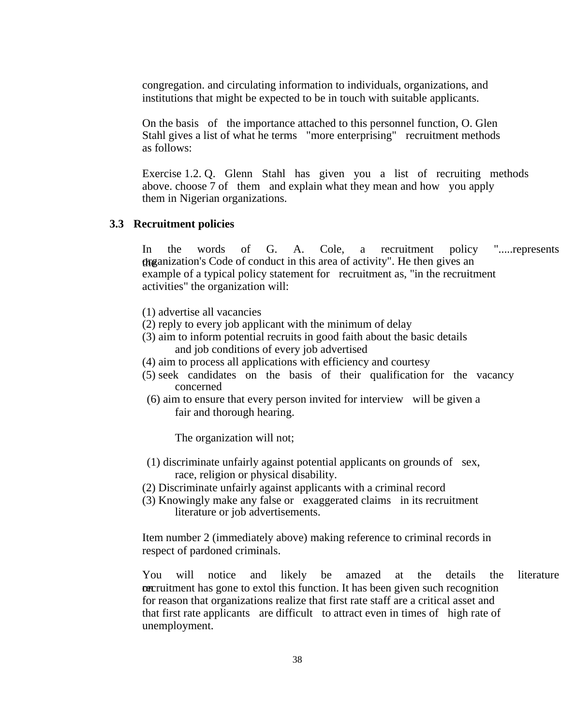congregation. and circulating information to individuals, organizations, and institutions that might be expected to be in touch with suitable applicants.

On the basis of the importance attached to this personnel function, O. Glen Stahl gives a list of what he terms "more enterprising" recruitment methods as follows:

Exercise 1.2. Q. Glenn Stahl has given you a list of recruiting methods above. choose 7 of them and explain what they mean and how you apply them in Nigerian organizations.

# **3.3 Recruitment policies**

In the words of G. A. Cole, a recruitment policy ".....represents the organization's Code of conduct in this area of activity". He then gives an example of a typical policy statement for recruitment as, "in the recruitment activities" the organization will:

- (1) advertise all vacancies
- (2) reply to every job applicant with the minimum of delay
- (3) aim to inform potential recruits in good faith about the basic details and job conditions of every job advertised
- (4) aim to process all applications with efficiency and courtesy
- (5) seek candidates on the basis of their qualification for the vacancy concerned
- (6) aim to ensure that every person invited for interview will be given a fair and thorough hearing.

The organization will not;

- (1) discriminate unfairly against potential applicants on grounds of sex, race, religion or physical disability.
- (2) Discriminate unfairly against applicants with a criminal record
- (3) Knowingly make any false or exaggerated claims in its recruitment literature or job advertisements.

Item number 2 (immediately above) making reference to criminal records in respect of pardoned criminals.

You will notice and likely be amazed at the details the literature **per** ruitment has gone to extol this function. It has been given such recognition for reason that organizations realize that first rate staff are a critical asset and that first rate applicants are difficult to attract even in times of high rate of unemployment.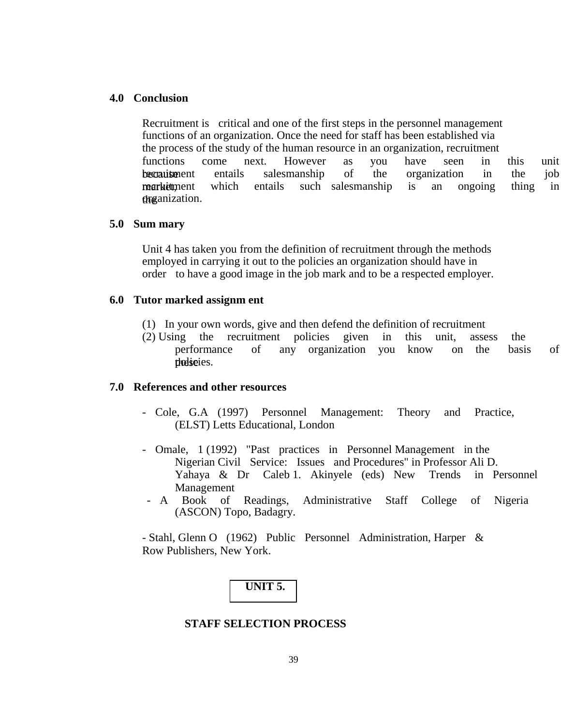# **4.0 Conclusion**

Recruitment is critical and one of the first steps in the personnel management functions of an organization. Once the need for staff has been established via the process of the study of the human resource in an organization, recruitment functions come next. However as you have seen in this unit becaustment entails salesmanship of the organization in the job market the recruit which entails such sales manship is an ongoing thing in the anization.

# **5.0 Sum mary**

Unit 4 has taken you from the definition of recruitment through the methods employed in carrying it out to the policies an organization should have in order to have a good image in the job mark and to be a respected employer.

# **6.0 Tutor marked assignm ent**

- (1) In your own words, give and then defend the definition of recruitment
- (2) Using the recruitment policies given in this unit, assess the performance of any organization you know on the basis of thesies.

# **7.0 References and other resources**

- Cole, G.A (1997) Personnel Management: Theory and Practice, (ELST) Letts Educational, London
- Omale, 1 (1992) "Past practices in Personnel Management in the Nigerian Civil Service: Issues and Procedures" in Professor Ali D. Yahaya & Dr Caleb 1. Akinyele (eds) New Trends in Personnel Management
- A Book of Readings, Administrative Staff College of Nigeria (ASCON) Topo, Badagry.

- Stahl, Glenn O (1962) Public Personnel Administration, Harper & Row Publishers, New York.

# **UNIT 5.**

# **STAFF SELECTION PROCESS**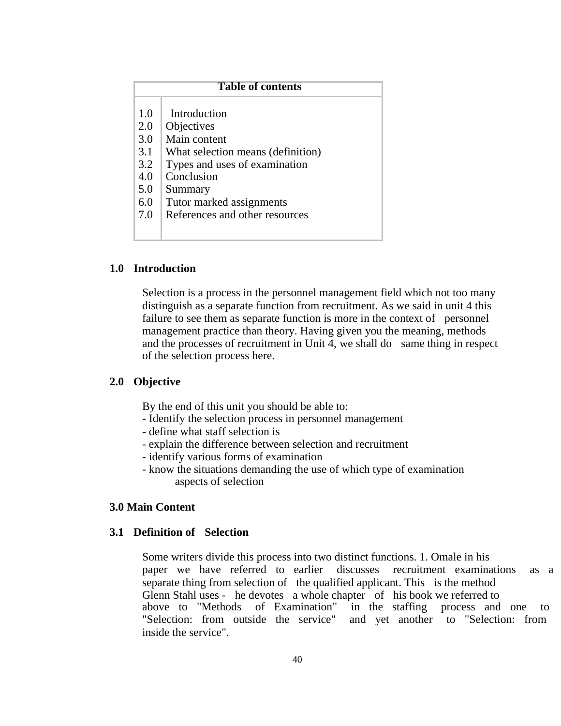|                                                             | <b>Table of contents</b>                                                                                                                                                                                |  |
|-------------------------------------------------------------|---------------------------------------------------------------------------------------------------------------------------------------------------------------------------------------------------------|--|
| 1.0<br>2.0<br>3.0<br>3.1<br>3.2<br>4.0<br>5.0<br>6.0<br>7.0 | Introduction<br>Objectives<br>Main content<br>What selection means (definition)<br>Types and uses of examination<br>Conclusion<br>Summary<br>Tutor marked assignments<br>References and other resources |  |
|                                                             |                                                                                                                                                                                                         |  |

# **1.0 Introduction**

Selection is a process in the personnel management field which not too many distinguish as a separate function from recruitment. As we said in unit 4 this failure to see them as separate function is more in the context of personnel management practice than theory. Having given you the meaning, methods and the processes of recruitment in Unit 4, we shall do same thing in respect of the selection process here.

#### **2.0 Objective**

By the end of this unit you should be able to:

- Identify the selection process in personnel management
- define what staff selection is
- explain the difference between selection and recruitment
- identify various forms of examination
- know the situations demanding the use of which type of examination aspects of selection

# **3.0 Main Content**

#### **3.1 Definition of Selection**

Some writers divide this process into two distinct functions. 1. Omale in his paper we have referred to earlier discusses recruitment examinations as a separate thing from selection of the qualified applicant. This is the method Glenn Stahl uses - he devotes a whole chapter of his book we referred to above to "Methods of Examination" in the staffing process and above to "Methods of Examination" in the staffing process and one to "Selection: from outside the service" and yet another to "Selection: from inside the service".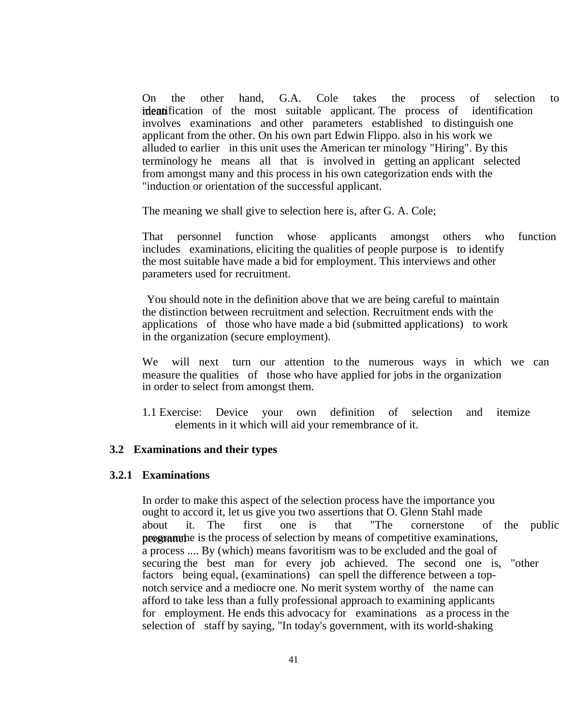On the other hand, G.A. Cole takes the process of selection to identification of the most suitable applicant. The process of identification involves examinations and other parameters established to distinguish one applicant from the other. On his own part Edwin Flippo. also in his work we alluded to earlier in this unit uses the American ter minology "Hiring". By this terminology he means all that is involved in getting an applicant selected from amongst many and this process in his own categorization ends with the "induction or orientation of the successful applicant.

The meaning we shall give to selection here is, after G. A. Cole;

That personnel function whose applicants amongst others who function includes examinations, eliciting the qualities of people purpose is to identify the most suitable have made a bid for employment. This interviews and other parameters used for recruitment.

 You should note in the definition above that we are being careful to maintain the distinction between recruitment and selection. Recruitment ends with the applications of those who have made a bid (submitted applications) to work in the organization (secure employment).

We will next turn our attention to the numerous ways in which we can measure the qualities of those who have applied for jobs in the organization in order to select from amongst them.

1.1 Exercise: Device your own definition of selection and itemize elements in it which will aid your remembrance of it.

#### **3.2 Examinations and their types**

#### **3.2.1 Examinations**

In order to make this aspect of the selection process have the importance you ought to accord it, let us give you two assertions that O. Glenn Stahl made about it. The first one is that "The cornerstone of the public persons programmeter is the process of selection by means of competitive examinations, a process .... By (which) means favoritism was to be excluded and the goal of securing the best man for every job achieved. The second one is, "other factors being equal, (examinations) can spell the difference between a topnotch service and a mediocre one. No merit system worthy of the name can afford to take less than a fully professional approach to examining applicants for employment. He ends this advocacy for examinations as a process in the selection of staff by saying, "In today's government, with its world-shaking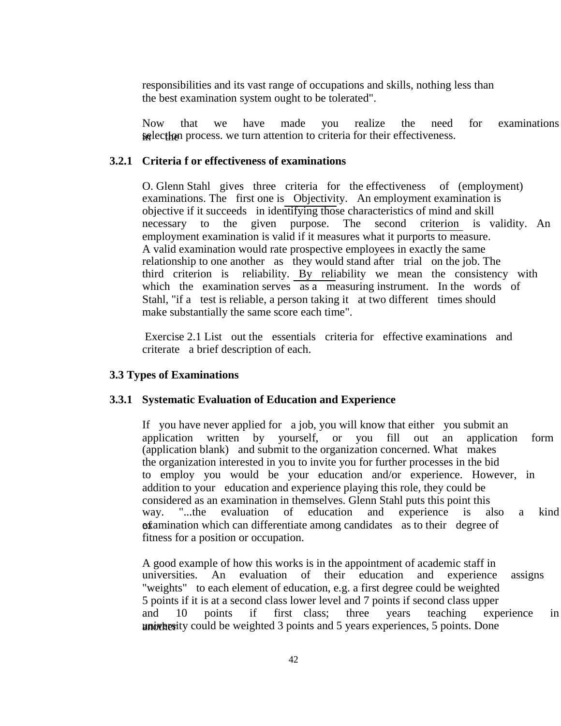responsibilities and its vast range of occupations and skills, nothing less than the best examination system ought to be tolerated".

Now that we have made you realize the need for examinations in the selection process. we turn attention to criteria for their effectiveness.

# **3.2.1 Criteria f or effectiveness of examinations**

O. Glenn Stahl gives three criteria for the effectiveness of (employment) examinations. The first one is Objectivity. An employment examination is objective if it succeeds in identifying those characteristics of mind and skill necessary to the given purpose. The second criterion is validity. An employment examination is valid if it measures what it purports to measure. A valid examination would rate prospective employees in exactly the same relationship to one another as they would stand after trial on the job. The third criterion is reliability. By reliability we mean the consistency with which the examination serves as a measuring instrument. In the words of Stahl, "if a test is reliable, a person taking it at two different times should make substantially the same score each time".

Exercise 2.1 List out the essentials criteria for effective examinations and criterate a brief description of each.

#### **3.3 Types of Examinations**

#### **3.3.1 Systematic Evaluation of Education and Experience**

If you have never applied for a job, you will know that either you submit an application written by yourself, or you fill out an application form (application blank) and submit to the organization concerned. What makes the organization interested in you to invite you for further processes in the bid to employ you would be your education and/or experience. However, in addition to your education and experience playing this role, they could be considered as an examination in themselves. Glenn Stahl puts this point this way. "...the evaluation of education and experience is also a kind of amination which can differentiate among candidates as to their degree of fitness for a position or occupation.

A good example of how this works is in the appointment of academic staff in universities. An evaluation of their education and experience assigns "weights" to each element of education, e.g. a first degree could be weighted 5 points if it is at a second class lower level and 7 points if second class upper and 10 points if first class; three years teaching experience in university could be weighted 3 points and 5 years experiences, 5 points. Done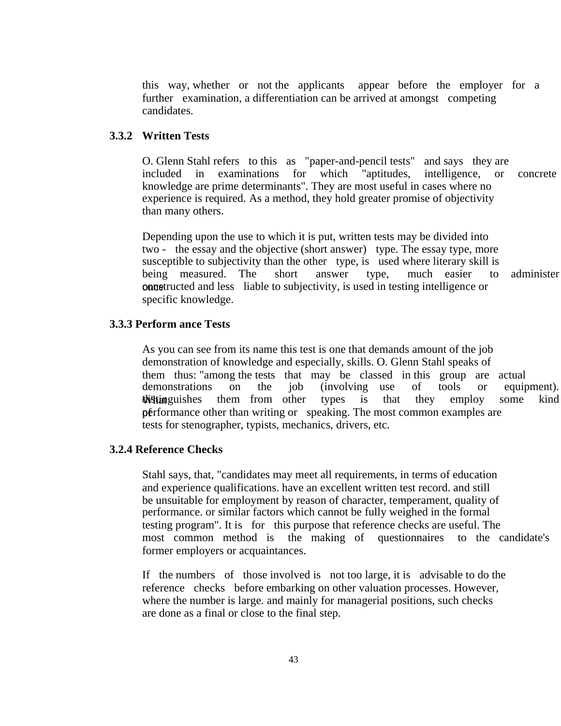this way, whether or not the applicants appear before the employer for a further examination, a differentiation can be arrived at amongst competing candidates.

# **3.3.2 Written Tests**

O. Glenn Stahl refers to this as "paper-and-pencil tests" and says they are included in examinations for which "aptitudes, intelligence, or concrete knowledge are prime determinants". They are most useful in cases where no experience is required. As a method, they hold greater promise of objectivity than many others.

Depending upon the use to which it is put, written tests may be divided into two - the essay and the objective (short answer) type. The essay type, more susceptible to subjectivity than the other type, is used where literary skill is being measured. The short answer type, much easier to administer **once** constructed and less liable to subjectivity, is used in testing intelligence or specific knowledge.

# **3.3.3 Perform ance Tests**

As you can see from its name this test is one that demands amount of the job demonstration of knowledge and especially, skills. O. Glenn Stahl speaks of them thus: "among the tests that may be classed in this group are actual demonstrations on the job (involving use of tools or equipment). What imaginary is them from other types is that they employ some kind **performance other than writing or speaking. The most common examples are** tests for stenographer, typists, mechanics, drivers, etc.

# **3.2.4 Reference Checks**

Stahl says, that, "candidates may meet all requirements, in terms of education and experience qualifications. have an excellent written test record. and still be unsuitable for employment by reason of character, temperament, quality of performance. or similar factors which cannot be fully weighed in the formal testing program". It is for this purpose that reference checks are useful. The most common method is the making of questionnaires to the candidate's former employers or acquaintances.

If the numbers of those involved is not too large, it is advisable to do the reference checks before embarking on other valuation processes. However, where the number is large, and mainly for managerial positions, such checks are done as a final or close to the final step.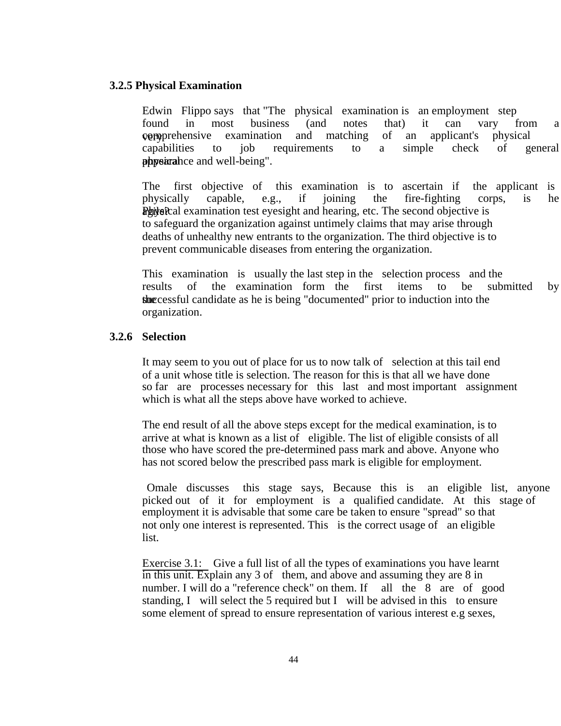#### **3.2.5 Physical Examination**

Edwin Flippo says that "The physical examination is an employment step found in most business (and notes that) it can vary from a **very** preprehensive examination and matching of an applicant's physical capabilities to job requirements to a simple check of general physical and well-being".

The first objective of this examination is to ascertain if the applicant is physically capable, e.g., if joining the fire-fighting corps, is he **Reivel** dexamination test eyesight and hearing, etc. The second objective is to safeguard the organization against untimely claims that may arise through deaths of unhealthy new entrants to the organization. The third objective is to prevent communicable diseases from entering the organization.

This examination is usually the last step in the selection process and the results of the examination form the first items to be submitted by the cessful candidate as he is being "documented" prior to induction into the organization.

#### **3.2.6 Selection**

It may seem to you out of place for us to now talk of selection at this tail end of a unit whose title is selection. The reason for this is that all we have done so far are processes necessary for this last and most important assignment which is what all the steps above have worked to achieve.

The end result of all the above steps except for the medical examination, is to arrive at what is known as a list of eligible. The list of eligible consists of all those who have scored the pre-determined pass mark and above. Anyone who has not scored below the prescribed pass mark is eligible for employment.

 Omale discusses this stage says, Because this is an eligible list, anyone picked out of it for employment is a qualified candidate. At this stage of employment it is advisable that some care be taken to ensure "spread" so that not only one interest is represented. This is the correct usage of an eligible list.

Exercise 3.1: Give a full list of all the types of examinations you have learnt in this unit. Explain any 3 of them, and above and assuming they are 8 in number. I will do a "reference check" on them. If all the 8 are of good standing, I will select the 5 required but I will be advised in this to ensure some element of spread to ensure representation of various interest e.g sexes,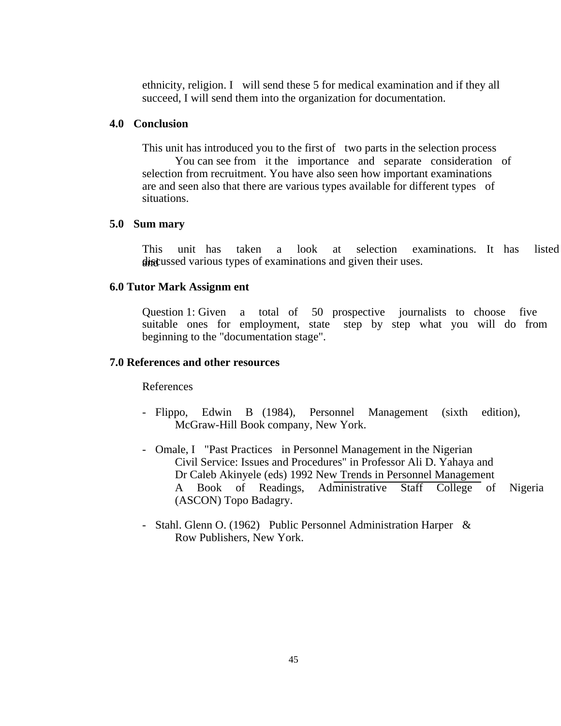ethnicity, religion. I will send these 5 for medical examination and if they all succeed, I will send them into the organization for documentation.

#### **4.0 Conclusion**

This unit has introduced you to the first of two parts in the selection process You can see from it the importance and separate consideration of selection from recruitment. You have also seen how important examinations are and seen also that there are various types available for different types of situations.

# **5.0 Sum mary**

This unit has taken a look at selection examinations. It has listed discussed various types of examinations and given their uses.

# **6.0 Tutor Mark Assignm ent**

Question 1: Given a total of 50 prospective journalists to choose five suitable ones for employment, state step by step what you will do from step by step what you will do from beginning to the "documentation stage".

#### **7.0 References and other resources**

References

- Flippo, Edwin B (1984), Personnel Management (sixth edition), McGraw-Hill Book company, New York.
- Omale, I "Past Practices in Personnel Management in the Nigerian Civil Service: Issues and Procedures" in Professor Ali D. Yahaya and Dr Caleb Akinyele (eds) 1992 New Trends in Personnel Management A Book of Readings, Administrative Staff College of Nigeria (ASCON) Topo Badagry.
- Stahl. Glenn O. (1962) Public Personnel Administration Harper & Row Publishers, New York.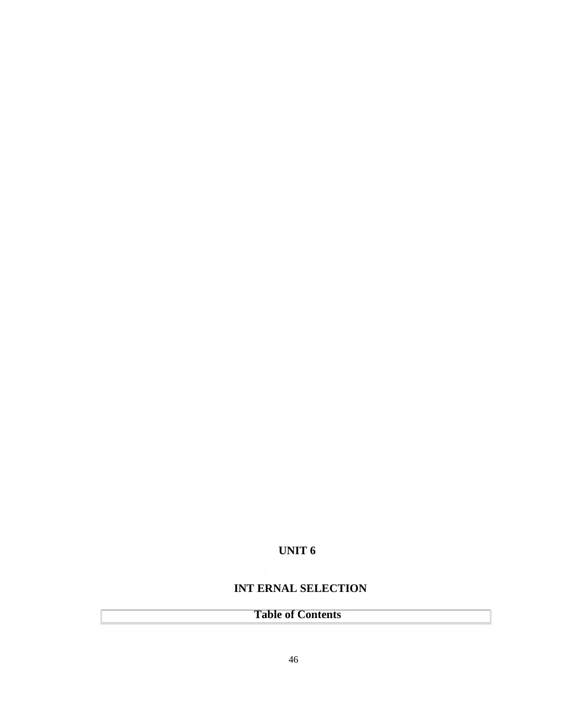# **UNIT 6**

# **INT ERNAL SELECTION**

**Table of Contents**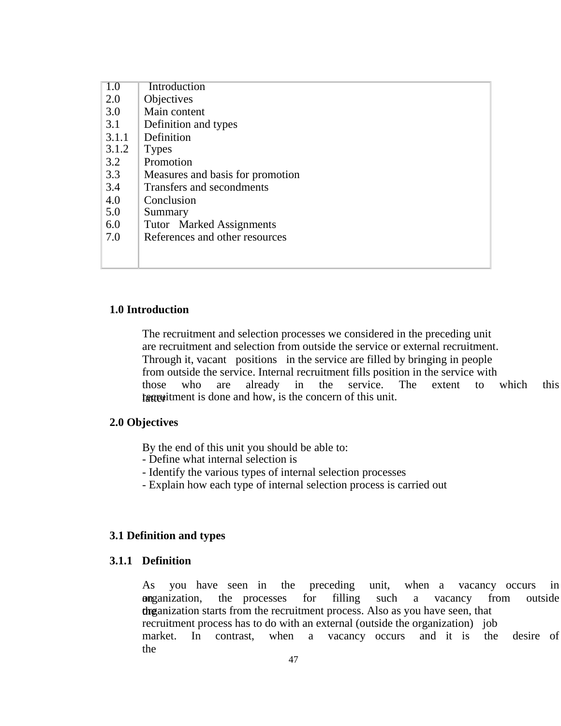| $\overline{1.0}$ | Introduction                     |
|------------------|----------------------------------|
| 2.0              | Objectives                       |
| 3.0              | Main content                     |
| 3.1              | Definition and types             |
| 3.1.1            | Definition                       |
| 3.1.2            | <b>Types</b>                     |
| 3.2              | Promotion                        |
| 3.3              | Measures and basis for promotion |
| 3.4              | Transfers and secondments        |
| 4.0              | Conclusion                       |
| 5.0              | Summary                          |
| 6.0              | Tutor Marked Assignments         |
| 7.0              | References and other resources   |
|                  |                                  |
|                  |                                  |
|                  |                                  |

#### **1.0 Introduction**

The recruitment and selection processes we considered in the preceding unit are recruitment and selection from outside the service or external recruitment. Through it, vacant positions in the service are filled by bringing in people from outside the service. Internal recruitment fills position in the service with those who are already in the service. The extent to which this requitment is done and how, is the concern of this unit.

## **2.0 Objectives**

By the end of this unit you should be able to:

- Define what internal selection is
- Identify the various types of internal selection processes
- Explain how each type of internal selection process is carried out

### **3.1 Definition and types**

# **3.1.1 Definition**

As you have seen in the preceding unit, when a vacancy occurs in **an** ganization, the processes for filling such a vacancy from outside the anization starts from the recruitment process. Also as you have seen, that recruitment process has to do with an external (outside the organization) job market. In contrast, when a vacancy occurs and it is the desire of the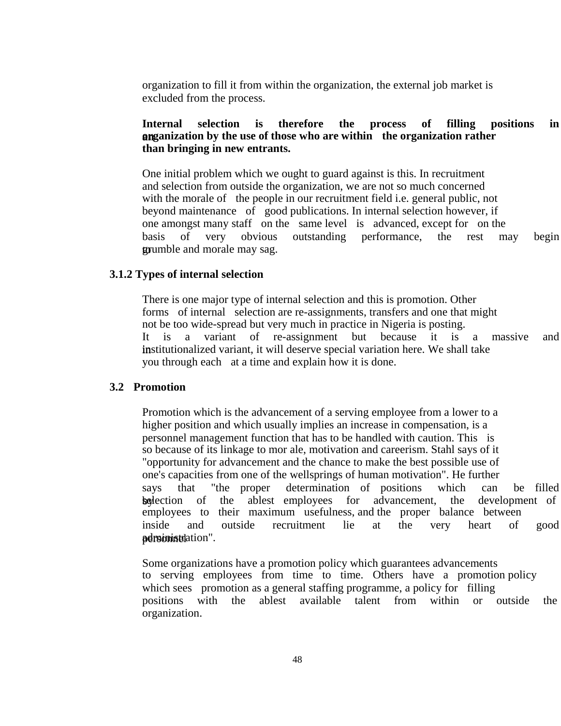organization to fill it from within the organization, the external job market is excluded from the process.

# **Internal selection is therefore the process of filling positions in anganization by the use of those who are within the organization rather than bringing in new entrants.**

One initial problem which we ought to guard against is this. In recruitment and selection from outside the organization, we are not so much concerned with the morale of the people in our recruitment field i.e. general public, not beyond maintenance of good publications. In internal selection however, if one amongst many staff on the same level is advanced, except for on the basis of very obvious outstanding performance, the rest may begin **to grumble and morale may sag.** 

#### **3.1.2 Types of internal selection**

There is one major type of internal selection and this is promotion. Other forms of internal selection are re-assignments, transfers and one that might not be too wide-spread but very much in practice in Nigeria is posting. It is a variant of re-assignment but because it is a massive and in stitutionalized variant, it will deserve special variation here. We shall take you through each at a time and explain how it is done.

#### **3.2 Promotion**

Promotion which is the advancement of a serving employee from a lower to a higher position and which usually implies an increase in compensation, is a personnel management function that has to be handled with caution. This is so because of its linkage to mor ale, motivation and careerism. Stahl says of it "opportunity for advancement and the chance to make the best possible use of one's capacities from one of the wellsprings of human motivation". He further says that "the proper determination of positions which can be filled bolection of the ablest employees for advancement, the development of employees to their maximum usefulness, and the proper balance between inside and outside recruitment lie at the very heart of good personistelation".

Some organizations have a promotion policy which guarantees advancements to serving employees from time to time. Others have a promotion policy which sees promotion as a general staffing programme, a policy for filling positions with the ablest available talent from within or outside the organization.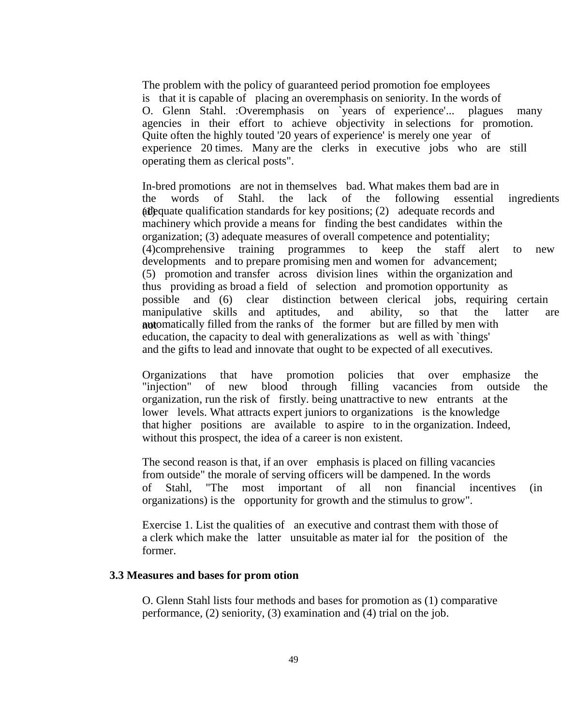The problem with the policy of guaranteed period promotion foe employees is that it is capable of placing an overemphasis on seniority. In the words of O. Glenn Stahl. :Overemphasis on `years of experience'... plagues many agencies in their effort to achieve objectivity in selections for promotion. Quite often the highly touted '20 years of experience' is merely one year of experience 20 times. Many are the clerks in executive jobs who are still operating them as clerical posts".

In-bred promotions are not in themselves bad. What makes them bad are in the words of Stahl. the lack of the following essential ingredients (1) adequate qualification standards for key positions; (2) adequate records and machinery which provide a means for finding the best candidates within the organization; (3) adequate measures of overall competence and potentiality; (4)comprehensive training programmes to keep the staff alert to new developments and to prepare promising men and women for advancement; (5) promotion and transfer across division lines within the organization and thus providing as broad a field of selection and promotion opportunity as possible and (6) clear distinction between clerical jobs, requiring certain manipulative skills and aptitudes, and ability, so that the latter are **automatically filled from the ranks of** the former but are filled by men with education, the capacity to deal with generalizations as well as with `things' and the gifts to lead and innovate that ought to be expected of all executives.

Organizations that have promotion policies that over emphasize the "injection" of new blood through filling vacancies from outside the organization, run the risk of firstly. being unattractive to new entrants at the lower levels. What attracts expert juniors to organizations is the knowledge that higher positions are available to aspire to in the organization. Indeed, without this prospect, the idea of a career is non existent.

The second reason is that, if an over emphasis is placed on filling vacancies from outside" the morale of serving officers will be dampened. In the words of Stahl, "The most important of all non financial incentives (in organizations) is the opportunity for growth and the stimulus to grow".

Exercise 1. List the qualities of an executive and contrast them with those of a clerk which make the latter unsuitable as mater ial for the position of the former.

#### **3.3 Measures and bases for prom otion**

O. Glenn Stahl lists four methods and bases for promotion as (1) comparative performance, (2) seniority, (3) examination and (4) trial on the job.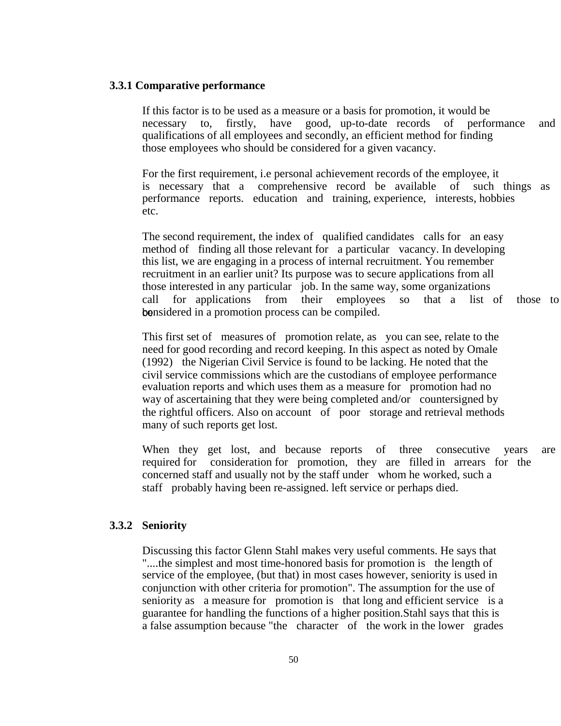#### **3.3.1 Comparative performance**

If this factor is to be used as a measure or a basis for promotion, it would be necessary to, firstly, have good, up-to-date records of performance and qualifications of all employees and secondly, an efficient method for finding those employees who should be considered for a given vacancy.

For the first requirement, i.e personal achievement records of the employee, it is necessary that a comprehensive record be available of such things as performance reports. education and training, experience, interests, hobbies etc.

The second requirement, the index of qualified candidates calls for an easy method of finding all those relevant for a particular vacancy. In developing this list, we are engaging in a process of internal recruitment. You remember recruitment in an earlier unit? Its purpose was to secure applications from all those interested in any particular job. In the same way, some organizations call for applications from their employees so that a list of those to bensidered in a promotion process can be compiled.

This first set of measures of promotion relate, as you can see, relate to the need for good recording and record keeping. In this aspect as noted by Omale (1992) the Nigerian Civil Service is found to be lacking. He noted that the civil service commissions which are the custodians of employee performance evaluation reports and which uses them as a measure for promotion had no way of ascertaining that they were being completed and/or countersigned by the rightful officers. Also on account of poor storage and retrieval methods many of such reports get lost.

When they get lost, and because reports of three consecutive years are required for consideration for promotion, they are filled in arrears for the concerned staff and usually not by the staff under whom he worked, such a staff probably having been re-assigned. left service or perhaps died.

#### **3.3.2 Seniority**

Discussing this factor Glenn Stahl makes very useful comments. He says that "....the simplest and most time-honored basis for promotion is the length of service of the employee, (but that) in most cases however, seniority is used in conjunction with other criteria for promotion". The assumption for the use of seniority as a measure for promotion is that long and efficient service is a guarantee for handling the functions of a higher position.Stahl says that this is a false assumption because "the character of the work in the lower grades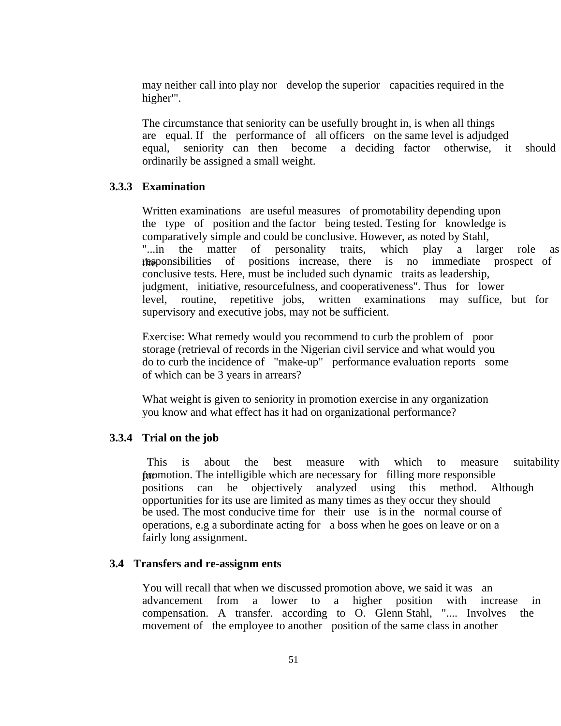may neither call into play nor develop the superior capacities required in the higher'".

The circumstance that seniority can be usefully brought in, is when all things are equal. If the performance of all officers on the same level is adjudged equal, seniority can then become a deciding factor otherwise, it should ordinarily be assigned a small weight.

# **3.3.3 Examination**

Written examinations are useful measures of promotability depending upon the type of position and the factor being tested. Testing for knowledge is comparatively simple and could be conclusive. However, as noted by Stahl, "...in the matter of personality traits, which play a larger role as the prosibilities of positions increase, there is no immediate prospect of conclusive tests. Here, must be included such dynamic traits as leadership, judgment, initiative, resourcefulness, and cooperativeness". Thus for lower level, routine, repetitive jobs, written examinations may suffice, but for supervisory and executive jobs, may not be sufficient.

Exercise: What remedy would you recommend to curb the problem of poor storage (retrieval of records in the Nigerian civil service and what would you do to curb the incidence of "make-up" performance evaluation reports some of which can be 3 years in arrears?

What weight is given to seniority in promotion exercise in any organization you know and what effect has it had on organizational performance?

#### **3.3.4 Trial on the job**

This is about the best measure with which to measure suitability for filling more responsible which are necessary for filling more responsible positions can be objectively analyzed using this method. Although opportunities for its use are limited as many times as they occur they should be used. The most conducive time for their use is in the normal course of operations, e.g a subordinate acting for a boss when he goes on leave or on a fairly long assignment.

#### **3.4 Transfers and re-assignm ents**

You will recall that when we discussed promotion above, we said it was an advancement from a lower to a higher position with increase in compensation. A transfer. according to O. Glenn Stahl, ".... Involves the movement of the employee to another position of the same class in another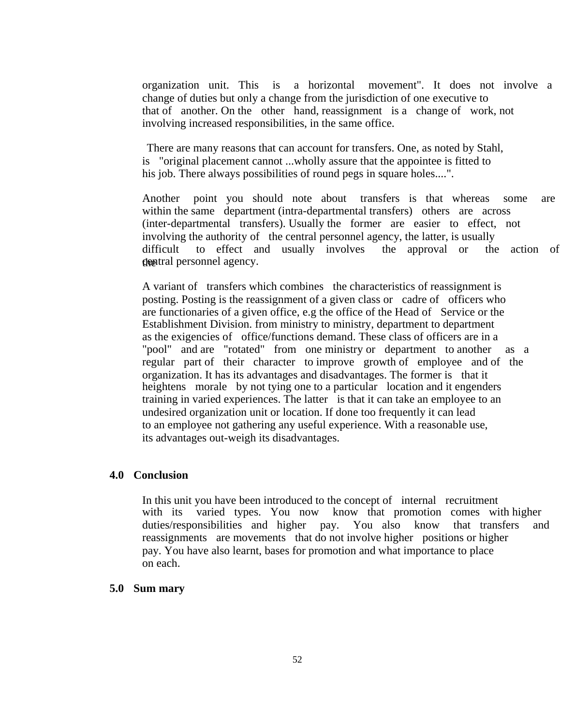organization unit. This is a horizontal movement". It does not involve a change of duties but only a change from the jurisdiction of one executive to that of another. On the other hand, reassignment is a change of work, not involving increased responsibilities, in the same office.

 There are many reasons that can account for transfers. One, as noted by Stahl, is "original placement cannot ...wholly assure that the appointee is fitted to his job. There always possibilities of round pegs in square holes....".

Another point you should note about transfers is that whereas some are within the same department (intra-departmental transfers) others are across (inter-departmental transfers). Usually the former are easier to effect, not involving the authority of the central personnel agency, the latter, is usually difficult to effect and usually involves the approval or the action of dentral personnel agency.

A variant of transfers which combines the characteristics of reassignment is posting. Posting is the reassignment of a given class or cadre of officers who are functionaries of a given office, e.g the office of the Head of Service or the Establishment Division. from ministry to ministry, department to department as the exigencies of office/functions demand. These class of officers are in a "pool" and are "rotated" from one ministry or department to another as a regular part of their character to improve growth of employee and of the organization. It has its advantages and disadvantages. The former is that it heightens morale by not tying one to a particular location and it engenders training in varied experiences. The latter is that it can take an employee to an undesired organization unit or location. If done too frequently it can lead to an employee not gathering any useful experience. With a reasonable use, its advantages out-weigh its disadvantages.

#### **4.0 Conclusion**

In this unit you have been introduced to the concept of internal recruitment with its varied types. You now know that promotion comes with higher duties/responsibilities and higher pay. You also know that transfers and reassignments are movements that do not involve higher positions or higher pay. You have also learnt, bases for promotion and what importance to place on each.

#### **5.0 Sum mary**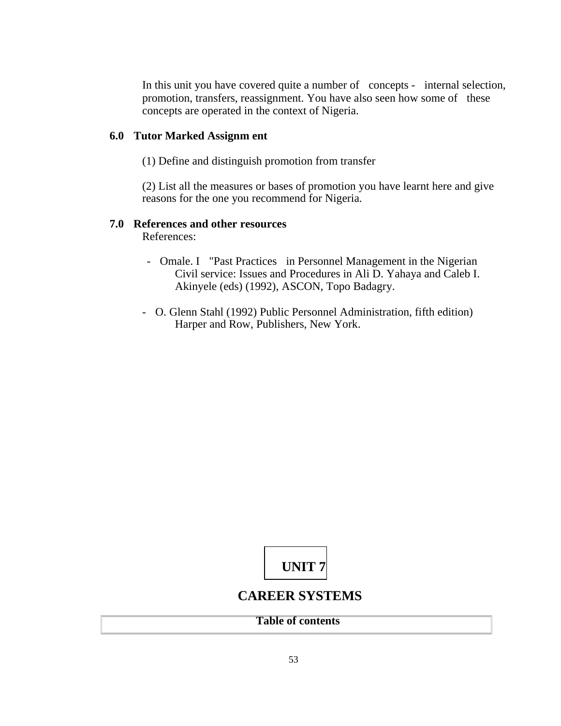In this unit you have covered quite a number of concepts - internal selection, promotion, transfers, reassignment. You have also seen how some of these concepts are operated in the context of Nigeria.

# **6.0 Tutor Marked Assignm ent**

(1) Define and distinguish promotion from transfer

(2) List all the measures or bases of promotion you have learnt here and give reasons for the one you recommend for Nigeria.

# **7.0 References and other resources**

References:

- Omale. I "Past Practices in Personnel Management in the Nigerian Civil service: Issues and Procedures in Ali D. Yahaya and Caleb I. Akinyele (eds) (1992), ASCON, Topo Badagry.
- O. Glenn Stahl (1992) Public Personnel Administration, fifth edition) Harper and Row, Publishers, New York.



# **CAREER SYSTEMS**

# **Table of contents**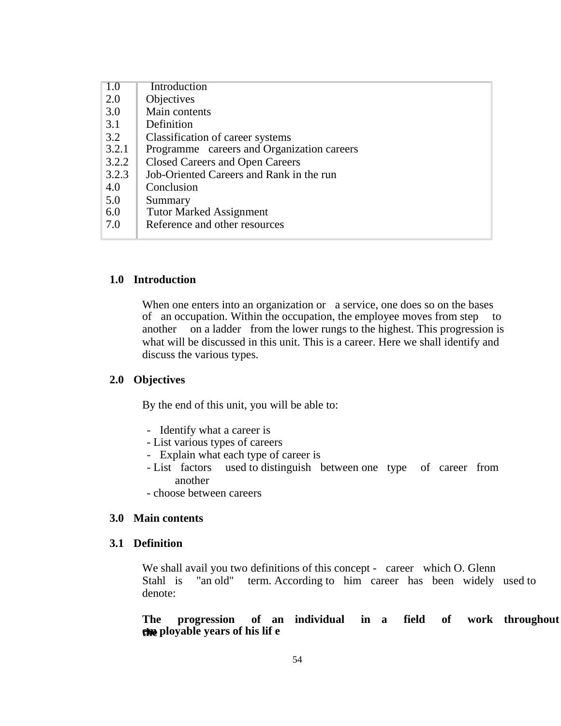| 1.0   | Introduction                               |
|-------|--------------------------------------------|
| 2.0   | Objectives                                 |
| 3.0   | Main contents                              |
| 3.1   | Definition                                 |
| 3.2   | Classification of career systems           |
| 3.2.1 | Programme careers and Organization careers |
| 3.2.2 | <b>Closed Careers and Open Careers</b>     |
| 3.2.3 | Job-Oriented Careers and Rank in the run   |
| 4.0   | Conclusion                                 |
| 5.0   | Summary                                    |
| 6.0   | <b>Tutor Marked Assignment</b>             |
| 7.0   | Reference and other resources              |
|       |                                            |

# **1.0 Introduction**

When one enters into an organization or a service, one does so on the bases of an occupation. Within the occupation, the employee moves from step to another on a ladder from the lower rungs to the highest. This progression is what will be discussed in this unit. This is a career. Here we shall identify and discuss the various types.

#### **2.0 Objectives**

By the end of this unit, you will be able to:

- Identify what a career is
- List various types of careers
- Explain what each type of career is
- List factors used to distinguish between one type of career from another
- choose between careers

#### **3.0 Main contents**

#### **3.1 Definition**

We shall avail you two definitions of this concept - career which O. Glenn Stahl is "an old" term. According to him career has been widely used to denote:

**The progression of an individual in a field of work throughout the em ployable years of his lif e**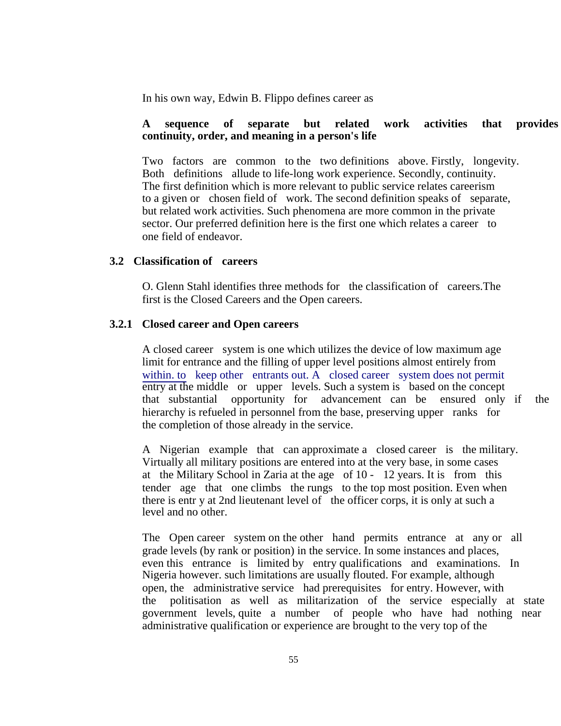In his own way, Edwin B. Flippo defines career as

# **A sequence of separate but related work activities that provides continuity, order, and meaning in a person's life**

Two factors are common to the two definitions above. Firstly, longevity. Both definitions allude to life-long work experience. Secondly, continuity. The first definition which is more relevant to public service relates careerism to a given or chosen field of work. The second definition speaks of separate, but related work activities. Such phenomena are more common in the private sector. Our preferred definition here is the first one which relates a career to one field of endeavor.

#### **3.2 Classification of careers**

O. Glenn Stahl identifies three methods for the classification of careers.The first is the Closed Careers and the Open careers.

#### **3.2.1 Closed career and Open careers**

A closed career system is one which utilizes the device of low maximum age limit for entrance and the filling of upper level positions almost entirely from within, to keep other entrants out. A closed career system does not permit entry at the middle or upper levels. Such a system is based on the concept that substantial opportunity for advancement can be ensured only if the hierarchy is refueled in personnel from the base, preserving upper ranks for the completion of those already in the service.

A Nigerian example that can approximate a closed career is the military. Virtually all military positions are entered into at the very base, in some cases at the Military School in Zaria at the age of 10 - 12 years. It is from this tender age that one climbs the rungs to the top most position. Even when there is entr y at 2nd lieutenant level of the officer corps, it is only at such a level and no other.

The Open career system on the other hand permits entrance at any or all grade levels (by rank or position) in the service. In some instances and places, even this entrance is limited by entry qualifications and examinations. In Nigeria however. such limitations are usually flouted. For example, although open, the administrative service had prerequisites for entry. However, with the politisation as well as militarization of the service especially at state government levels, quite a number of people who have had nothing near administrative qualification or experience are brought to the very top of the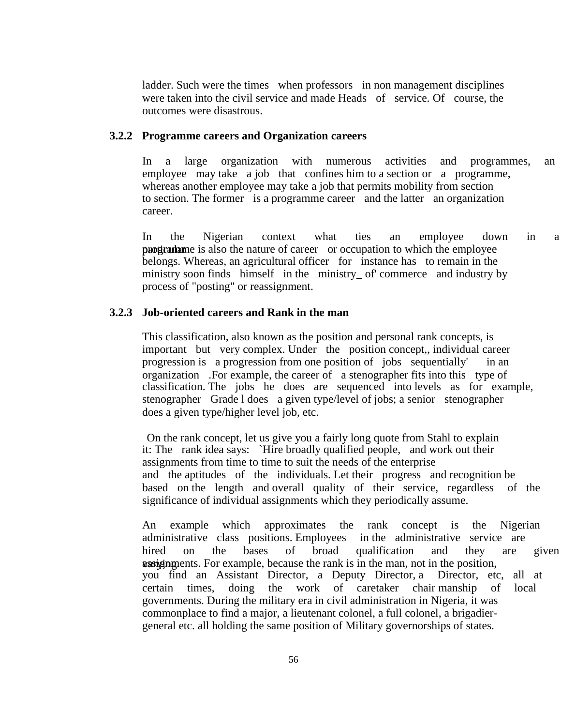ladder. Such were the times when professors in non management disciplines were taken into the civil service and made Heads of service. Of course, the outcomes were disastrous.

#### **3.2.2 Programme careers and Organization careers**

In a large organization with numerous activities and programmes, an employee may take a job that confines him to a section or a programme, whereas another employee may take a job that permits mobility from section to section. The former is a programme career and the latter an organization career.

In the Nigerian context what ties an employee down in a provector provides also the nature of career or occupation to which the employee belongs. Whereas, an agricultural officer for instance has to remain in the ministry soon finds himself in the ministry\_ of' commerce and industry by process of "posting" or reassignment.

# **3.2.3 Job-oriented careers and Rank in the man**

This classification, also known as the position and personal rank concepts, is important but very complex. Under the position concept,, individual career progression is a progression from one position of jobs sequentially' in an organization .For example, the career of a stenographer fits into this type of classification. The jobs he does are sequenced into levels as for example, stenographer Grade l does a given type/level of jobs; a senior stenographer does a given type/higher level job, etc.

 On the rank concept, let us give you a fairly long quote from Stahl to explain it: The rank idea says: `Hire broadly qualified people, and work out their assignments from time to time to suit the needs of the enterprise and the aptitudes of the individuals. Let their progress and recognition be based on the length and overall quality of their service, regardless of the significance of individual assignments which they periodically assume.

An example which approximates the rank concept is the Nigerian administrative class positions. Employees in the administrative service are hired on the bases of broad qualification and they are given **assignments.** For example, because the rank is in the man, not in the position, you find an Assistant Director, a Deputy Director, a Director, etc, all at certain times, doing the work of caretaker chair manship of local governments. During the military era in civil administration in Nigeria, it was commonplace to find a major, a lieutenant colonel, a full colonel, a brigadiergeneral etc. all holding the same position of Military governorships of states.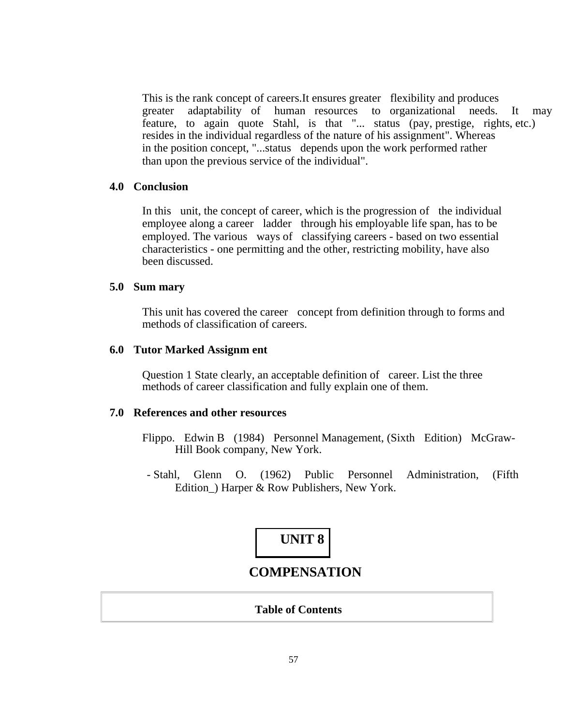This is the rank concept of careers.It ensures greater flexibility and produces greater adaptability of human resources to organizational needs. It may feature, to again quote Stahl, is that "... status (pay, prestige, rights, etc.) resides in the individual regardless of the nature of his assignment". Whereas in the position concept, "...status depends upon the work performed rather than upon the previous service of the individual".

# **4.0 Conclusion**

In this unit, the concept of career, which is the progression of the individual employee along a career ladder through his employable life span, has to be employed. The various ways of classifying careers - based on two essential characteristics - one permitting and the other, restricting mobility, have also been discussed.

# **5.0 Sum mary**

This unit has covered the career concept from definition through to forms and methods of classification of careers.

#### **6.0 Tutor Marked Assignm ent**

Question 1 State clearly, an acceptable definition of career. List the three methods of career classification and fully explain one of them.

#### **7.0 References and other resources**

- Flippo. Edwin B (1984) Personnel Management, (Sixth Edition) McGraw-Hill Book company, New York.
- Stahl, Glenn O. (1962) Public Personnel Administration, (Fifth Edition\_) Harper & Row Publishers, New York.

| UNIT 8 |
|--------|
|        |

# **COMPENSATION**

# **Table of Contents**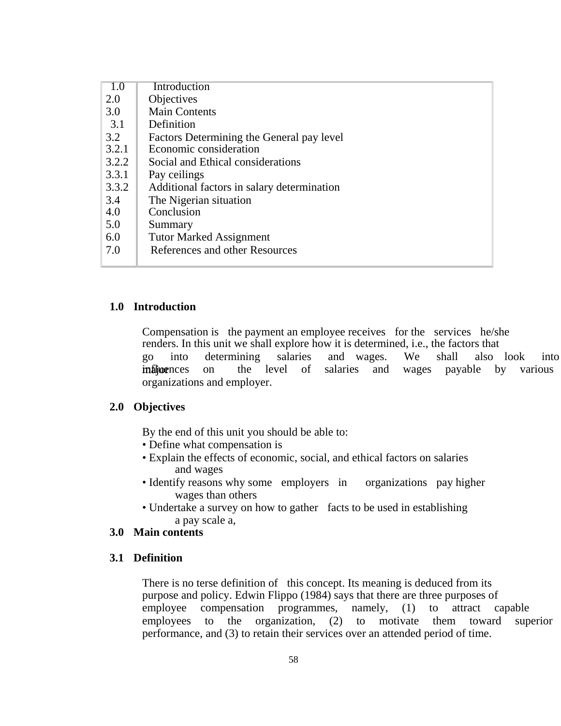| 1.0   | Introduction                               |
|-------|--------------------------------------------|
| 2.0   | Objectives                                 |
| 3.0   | <b>Main Contents</b>                       |
| 3.1   | Definition                                 |
| 3.2   | Factors Determining the General pay level  |
| 3.2.1 | Economic consideration                     |
| 3.2.2 | Social and Ethical considerations          |
| 3.3.1 | Pay ceilings                               |
| 3.3.2 | Additional factors in salary determination |
| 3.4   | The Nigerian situation                     |
| 4.0   | Conclusion                                 |
| 5.0   | Summary                                    |
| 6.0   | <b>Tutor Marked Assignment</b>             |
| 7.0   | References and other Resources             |
|       |                                            |

#### **1.0 Introduction**

Compensation is the payment an employee receives for the services he/she renders. In this unit we shall explore how it is determined, i.e., the factors that go into determining salaries and wages. We shall also look into influences on the level of salaries and wages payable by various organizations and employer.

#### **2.0 Objectives**

By the end of this unit you should be able to:

- Define what compensation is
- Explain the effects of economic, social, and ethical factors on salaries and wages
- Identify reasons why some employers in organizations pay higher wages than others
- Undertake a survey on how to gather facts to be used in establishing a pay scale a,

# **3.0 Main contents**

#### **3.1 Definition**

There is no terse definition of this concept. Its meaning is deduced from its purpose and policy. Edwin Flippo (1984) says that there are three purposes of employee compensation programmes, namely, (1) to attract capable employees to the organization, (2) to motivate them toward superior performance, and (3) to retain their services over an attended period of time.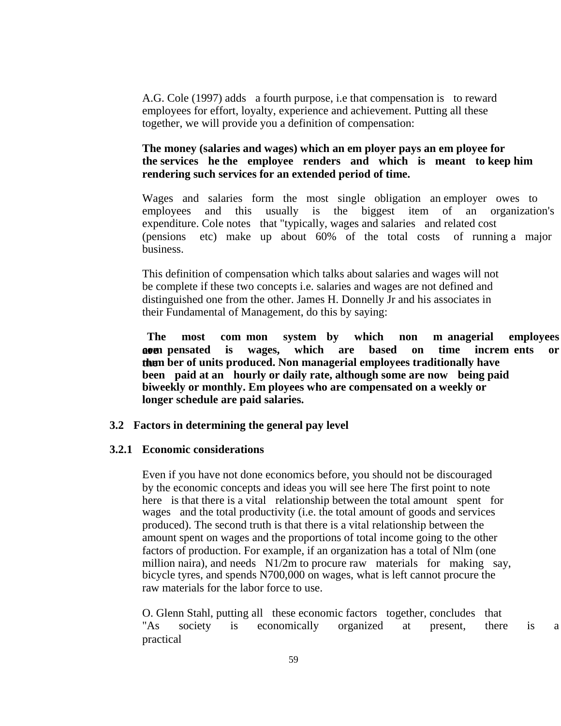A.G. Cole (1997) adds a fourth purpose, i.e that compensation is to reward employees for effort, loyalty, experience and achievement. Putting all these together, we will provide you a definition of compensation:

# **The money (salaries and wages) which an em ployer pays an em ployee for the services he the employee renders and which is meant to keep him rendering such services for an extended period of time.**

Wages and salaries form the most single obligation an employer owes to employees and this usually is the biggest item of an organization's expenditure. Cole notes that "typically, wages and salaries and related cost (pensions etc) make up about 60% of the total costs of running a major business.

This definition of compensation which talks about salaries and wages will not be complete if these two concepts i.e. salaries and wages are not defined and distinguished one from the other. James H. Donnelly Jr and his associates in their Fundamental of Management, do this by saying:

**The most com mon system by which non m anagerial employees agen** pensated is wages, which are based on time increm ents or **the num** ber of units produced. Non managerial employees traditionally have **been paid at an hourly or daily rate, although some are now being paid biweekly or monthly. Em ployees who are compensated on a weekly or longer schedule are paid salaries.**

#### **3.2 Factors in determining the general pay level**

#### **3.2.1 Economic considerations**

Even if you have not done economics before, you should not be discouraged by the economic concepts and ideas you will see here The first point to note here is that there is a vital relationship between the total amount spent for wages and the total productivity (i.e. the total amount of goods and services produced). The second truth is that there is a vital relationship between the amount spent on wages and the proportions of total income going to the other factors of production. For example, if an organization has a total of Nlm (one million naira), and needs N1/2m to procure raw materials for making say, bicycle tyres, and spends N700,000 on wages, what is left cannot procure the raw materials for the labor force to use.

O. Glenn Stahl, putting all these economic factors together, concludes that "As society is economically organized at present, there is a practical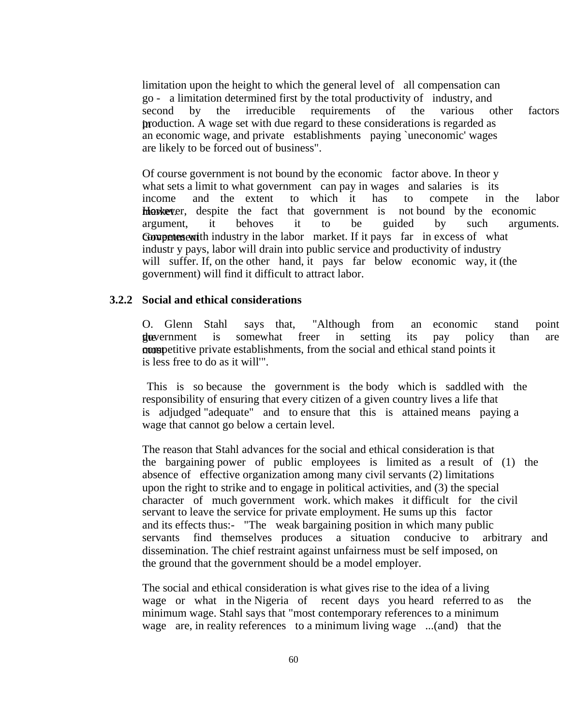limitation upon the height to which the general level of all compensation can go - a limitation determined first by the total productivity of industry, and second by the irreducible requirements of the various other factors in production. A wage set with due regard to these considerations is regarded as an economic wage, and private establishments paying `uneconomic' wages are likely to be forced out of business".

Of course government is not bound by the economic factor above. In theor y what sets a limit to what government can pay in wages and salaries is its income and the extent to which it has to compete in the labor **H**arketer, despite the fact that government is not bound by the economic argument, it behoves it to be guided by such arguments. **Competes exithetical competent competent competent competent in excess of what** industr y pays, labor will drain into public service and productivity of industry will suffer. If, on the other hand, it pays far below economic way, it (the government) will find it difficult to attract labor.

# **3.2.2 Social and ethical considerations**

O. Glenn Stahl says that, "Although from an economic stand point the government is somewhat freer in setting its pay policy than are **properative private establishments, from the social and ethical stand points it** is less free to do as it will'".

 This is so because the government is the body which is saddled with the responsibility of ensuring that every citizen of a given country lives a life that is adjudged "adequate" and to ensure that this is attained means paying a wage that cannot go below a certain level.

The reason that Stahl advances for the social and ethical consideration is that the bargaining power of public employees is limited as a result of (1) the absence of effective organization among many civil servants (2) limitations upon the right to strike and to engage in political activities, and (3) the special character of much government work. which makes it difficult for the civil servant to leave the service for private employment. He sums up this factor and its effects thus:- "The weak bargaining position in which many public servants find themselves produces a situation conducive to arbitrary and dissemination. The chief restraint against unfairness must be self imposed, on the ground that the government should be a model employer.

The social and ethical consideration is what gives rise to the idea of a living wage or what in the Nigeria of recent days you heard referred to as the minimum wage. Stahl says that "most contemporary references to a minimum wage are, in reality references to a minimum living wage ...(and) that the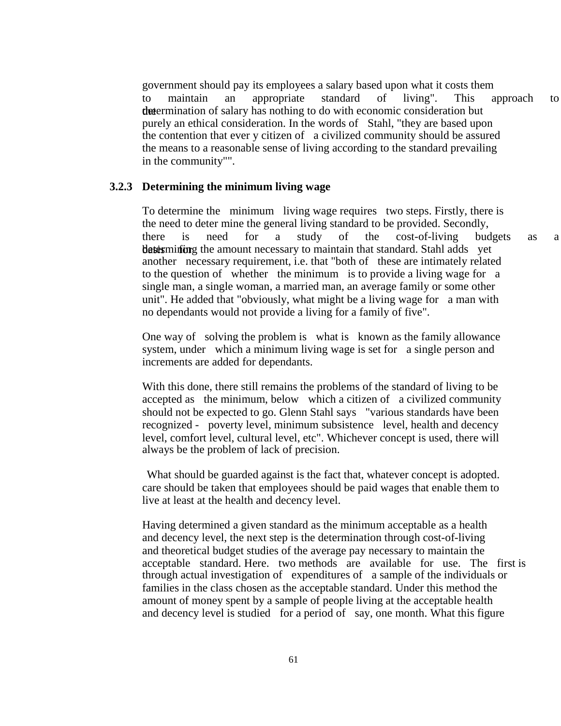government should pay its employees a salary based upon what it costs them to maintain an appropriate standard of living". This approach to the determination of salary has nothing to do with economic consideration but purely an ethical consideration. In the words of Stahl, "they are based upon the contention that ever y citizen of a civilized community should be assured the means to a reasonable sense of living according to the standard prevailing in the community"".

#### **3.2.3 Determining the minimum living wage**

To determine the minimum living wage requires two steps. Firstly, there is the need to deter mine the general living standard to be provided. Secondly, there is need for a study of the cost-of-living budgets as a **basis for determining the amount necessary to maintain that standard. Stahl adds** vet another necessary requirement, i.e. that "both of these are intimately related to the question of whether the minimum is to provide a living wage for a single man, a single woman, a married man, an average family or some other unit". He added that "obviously, what might be a living wage for a man with no dependants would not provide a living for a family of five".

One way of solving the problem is what is known as the family allowance system, under which a minimum living wage is set for a single person and increments are added for dependants.

With this done, there still remains the problems of the standard of living to be accepted as the minimum, below which a citizen of a civilized community should not be expected to go. Glenn Stahl says "various standards have been recognized - poverty level, minimum subsistence level, health and decency level, comfort level, cultural level, etc". Whichever concept is used, there will always be the problem of lack of precision.

 What should be guarded against is the fact that, whatever concept is adopted. care should be taken that employees should be paid wages that enable them to live at least at the health and decency level.

Having determined a given standard as the minimum acceptable as a health and decency level, the next step is the determination through cost-of-living and theoretical budget studies of the average pay necessary to maintain the acceptable standard. Here. two methods are available for use. The first is through actual investigation of expenditures of a sample of the individuals or families in the class chosen as the acceptable standard. Under this method the amount of money spent by a sample of people living at the acceptable health and decency level is studied for a period of say, one month. What this figure

61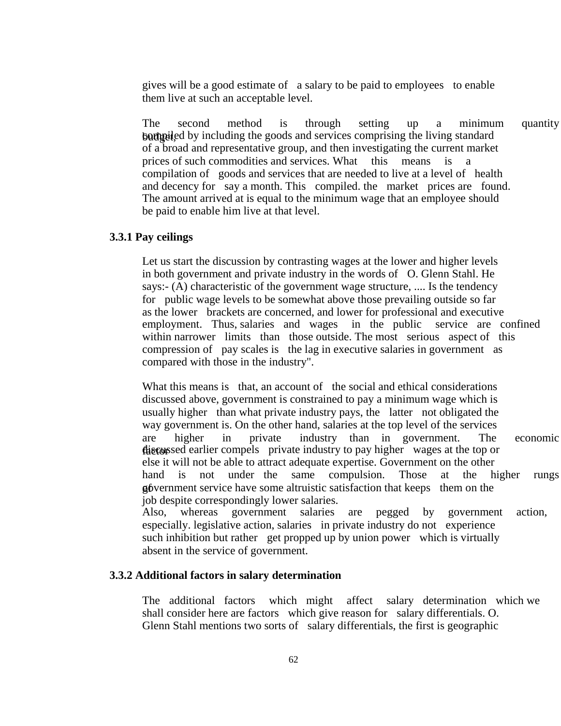gives will be a good estimate of a salary to be paid to employees to enable them live at such an acceptable level.

The second method is through setting up a minimum quantity but but by including the goods and services comprising the living standard of a broad and representative group, and then investigating the current market prices of such commodities and services. What this means is a compilation of goods and services that are needed to live at a level of health and decency for say a month. This compiled. the market prices are found. The amount arrived at is equal to the minimum wage that an employee should be paid to enable him live at that level.

#### **3.3.1 Pay ceilings**

Let us start the discussion by contrasting wages at the lower and higher levels in both government and private industry in the words of O. Glenn Stahl. He says:- (A) characteristic of the government wage structure, .... Is the tendency for public wage levels to be somewhat above those prevailing outside so far as the lower brackets are concerned, and lower for professional and executive employment. Thus, salaries and wages in the public service are concerned. employment. Thus, salaries and wages in the public service are confined within narrower limits than those outside. The most serious aspect of this compression of pay scales is the lag in executive salaries in government as compared with those in the industry".

What this means is that, an account of the social and ethical considerations discussed above, government is constrained to pay a minimum wage which is usually higher than what private industry pays, the latter not obligated the way government is. On the other hand, salaries at the top level of the services are higher in private industry than in government. The economic discussed earlier compels private industry to pay higher wages at the top or else it will not be able to attract adequate expertise. Government on the other hand is not under the same compulsion. Those at the higher rungs of government service have some altruistic satisfaction that keeps them on the job despite correspondingly lower salaries.<br>Also, whereas government salaries

government salaries are pegged by government action, especially. legislative action, salaries in private industry do not experience such inhibition but rather get propped up by union power which is virtually absent in the service of government.

#### **3.3.2 Additional factors in salary determination**

The additional factors which might affect salary determination which we shall consider here are factors which give reason for salary differentials. O. Glenn Stahl mentions two sorts of salary differentials, the first is geographic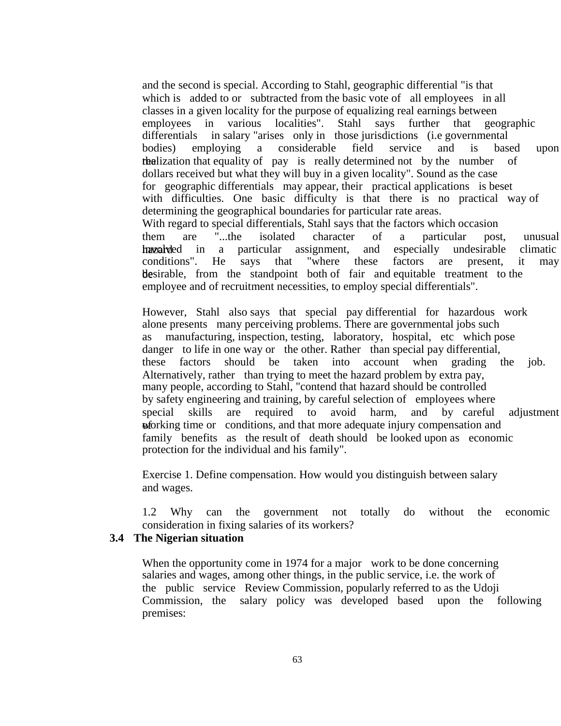and the second is special. According to Stahl, geographic differential "is that which is added to or subtracted from the basic vote of all employees in all classes in a given locality for the purpose of equalizing real earnings between employees in various localities". Stahl says further that geographic differentials in salary "arises only in those jurisdictions (i.e governmental bodies) employing a considerable field service and is based upon the and realization that equality of pay is really determined not by the number of dollars received but what they will buy in a given locality". Sound as the case for geographic differentials may appear, their practical applications is beset with difficulties. One basic difficulty is that there is no practical way of determining the geographical boundaries for particular rate areas. With regard to special differentials, Stahl says that the factors which occasion them are "...the isolated character of a particular post, unusual havard in a particular assignment, and especially undesirable climatic conditions". He says that "where these factors are present, it may conditions". He says that "where these factors are present, it may desirable, from the standpoint both of fair and equitable treatment to the employee and of recruitment necessities, to employ special differentials".

However, Stahl also says that special pay differential for hazardous work alone presents many perceiving problems. There are governmental jobs such as manufacturing, inspection, testing, laboratory, hospital, etc which pose danger to life in one way or the other. Rather than special pay differential, these factors should be taken into account when grading the job. Alternatively, rather than trying to meet the hazard problem by extra pay, many people, according to Stahl, "contend that hazard should be controlled by safety engineering and training, by careful selection of employees where special skills are required to avoid harm, and by careful adjustment **w**forking time or conditions, and that more adequate injury compensation and family benefits as the result of death should be looked upon as economic protection for the individual and his family".

Exercise 1. Define compensation. How would you distinguish between salary and wages.

1.2 Why can the government not totally do without the economic consideration in fixing salaries of its workers?

# **3.4 The Nigerian situation**

When the opportunity come in 1974 for a major work to be done concerning salaries and wages, among other things, in the public service, i.e. the work of the public service Review Commission, popularly referred to as the Udoji Commission, the salary policy was developed based upon the following premises: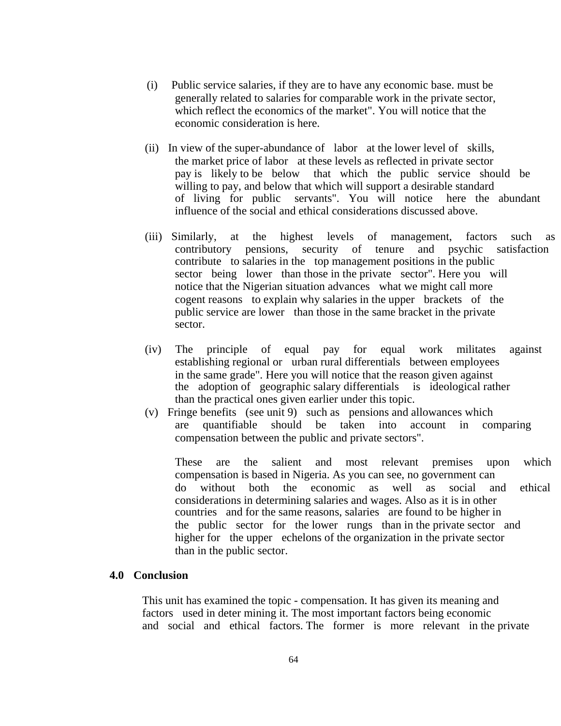- (i) Public service salaries, if they are to have any economic base. must be generally related to salaries for comparable work in the private sector, which reflect the economics of the market". You will notice that the economic consideration is here.
- (ii) In view of the super-abundance of labor at the lower level of skills, the market price of labor at these levels as reflected in private sector pay is likely to be below that which the public service should be willing to pay, and below that which will support a desirable standard of living for public servants". You will notice here the abundant influence of the social and ethical considerations discussed above.
- (iii) Similarly, at the highest levels of management, factors such as contributory pensions, security of tenure and psychic satisfaction contribute to salaries in the top management positions in the public sector being lower than those in the private sector". Here you will notice that the Nigerian situation advances what we might call more cogent reasons to explain why salaries in the upper brackets of the public service are lower than those in the same bracket in the private sector.
- (iv) The principle of equal pay for equal work militates against establishing regional or urban rural differentials between employees in the same grade". Here you will notice that the reason given against the adoption of geographic salary differentials is ideological rather than the practical ones given earlier under this topic.
- (v) Fringe benefits (see unit 9) such as pensions and allowances which are quantifiable should be taken into account in comparing compensation between the public and private sectors".

These are the salient and most relevant premises upon which compensation is based in Nigeria. As you can see, no government can do without both the economic as well as social and ethical considerations in determining salaries and wages. Also as it is in other countries and for the same reasons, salaries are found to be higher in the public sector for the lower rungs than in the private sector and higher for the upper echelons of the organization in the private sector than in the public sector.

# **4.0 Conclusion**

This unit has examined the topic - compensation. It has given its meaning and factors used in deter mining it. The most important factors being economic and social and ethical factors. The former is more relevant in the private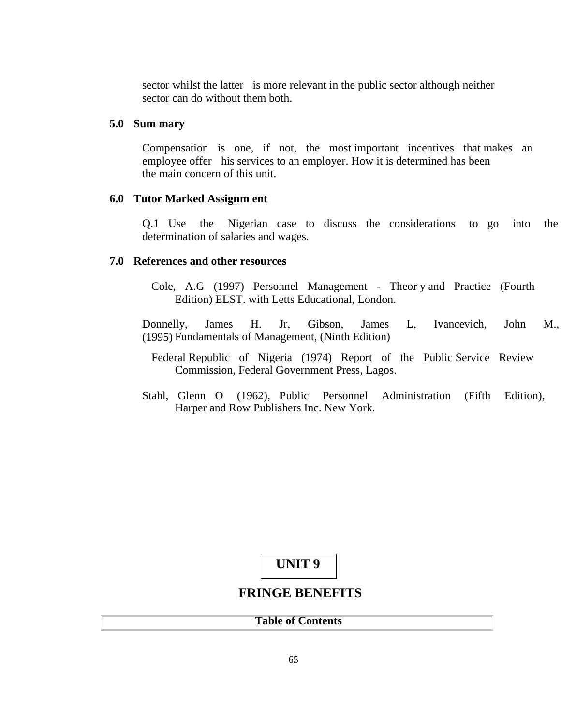sector whilst the latter is more relevant in the public sector although neither sector can do without them both.

#### **5.0 Sum mary**

Compensation is one, if not, the most important incentives that makes an employee offer his services to an employer. How it is determined has been the main concern of this unit.

#### **6.0 Tutor Marked Assignm ent**

Q.1 Use the Nigerian case to discuss the considerations to go into the determination of salaries and wages.

#### **7.0 References and other resources**

 Cole, A.G (1997) Personnel Management - Theor y and Practice (Fourth Edition) ELST. with Letts Educational, London.

Donnelly, James H. Jr, Gibson, James L, Ivancevich, John M., (1995) Fundamentals of Management, (Ninth Edition)

 Federal Republic of Nigeria (1974) Report of the Public Service Review Commission, Federal Government Press, Lagos.

Stahl, Glenn O (1962), Public Personnel Administration (Fifth Edition), Harper and Row Publishers Inc. New York.

# **UNIT 9**

# **FRINGE BENEFITS**

# **Table of Contents**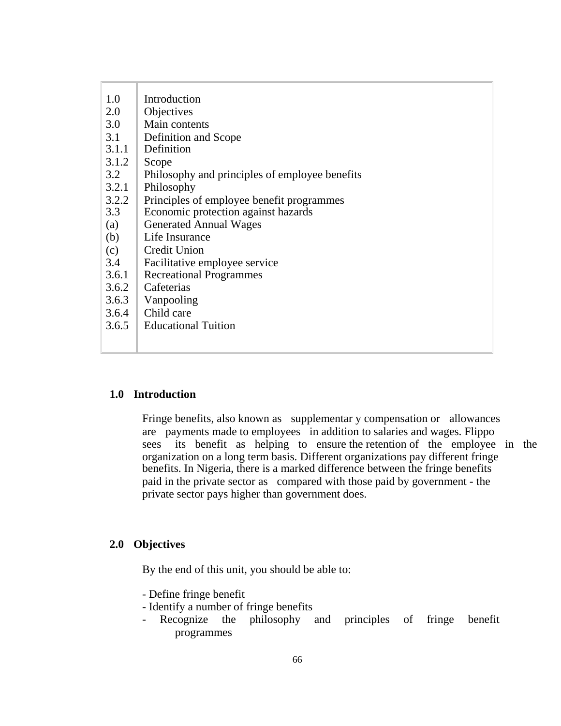| 1.0   | Introduction                                   |
|-------|------------------------------------------------|
| 2.0   | Objectives                                     |
| 3.0   | Main contents                                  |
| 3.1   | Definition and Scope                           |
| 3.1.1 | Definition                                     |
| 3.1.2 | Scope                                          |
| 3.2   | Philosophy and principles of employee benefits |
| 3.2.1 | Philosophy                                     |
| 3.2.2 | Principles of employee benefit programmes      |
| 3.3   | Economic protection against hazards            |
| (a)   | <b>Generated Annual Wages</b>                  |
| (b)   | Life Insurance                                 |
| (c)   | Credit Union                                   |
| 3.4   | Facilitative employee service                  |
| 3.6.1 | <b>Recreational Programmes</b>                 |
| 3.6.2 | Cafeterias                                     |
| 3.6.3 | Vanpooling                                     |
| 3.6.4 | Child care                                     |
| 3.6.5 | <b>Educational Tuition</b>                     |
|       |                                                |

# **1.0 Introduction**

Fringe benefits, also known as supplementar y compensation or allowances are payments made to employees in addition to salaries and wages. Flippo sees its benefit as helping to ensure the retention of the employee in the organization on a long term basis. Different organizations pay different fringe benefits. In Nigeria, there is a marked difference between the fringe benefits paid in the private sector as compared with those paid by government - the private sector pays higher than government does.

# **2.0 Objectives**

By the end of this unit, you should be able to:

- Define fringe benefit
- Identify a number of fringe benefits
- Recognize the philosophy and principles of fringe benefit programmes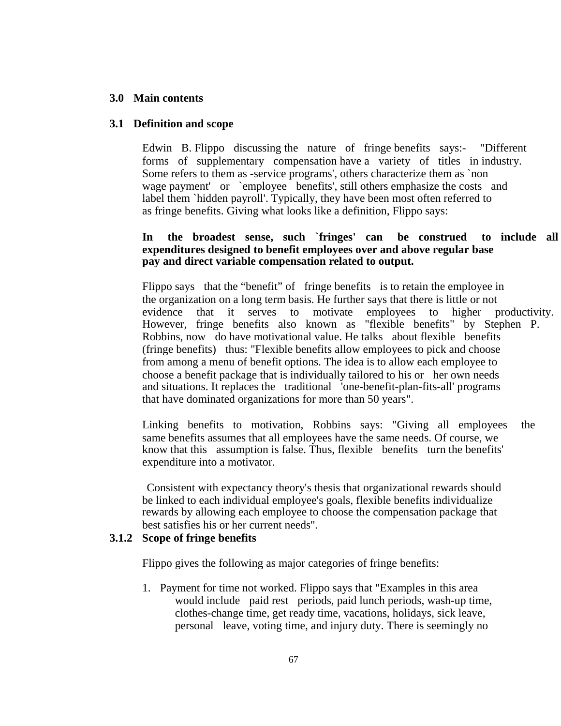#### **3.0 Main contents**

#### **3.1 Definition and scope**

Edwin B. Flippo discussing the nature of fringe benefits says:- "Different forms of supplementary compensation have a variety of titles in industry. Some refers to them as -service programs', others characterize them as `non wage payment' or `employee benefits', still others emphasize the costs and label them `hidden payroll'. Typically, they have been most often referred to as fringe benefits. Giving what looks like a definition, Flippo says:

# **In the broadest sense, such `fringes' can be construed to include all expenditures designed to benefit employees over and above regular base pay and direct variable compensation related to output.**

Flippo says that the "benefit" of fringe benefits is to retain the employee in the organization on a long term basis. He further says that there is little or not evidence that it serves to motivate employees to higher productivity. However, fringe benefits also known as "flexible benefits" by Stephen P. Robbins, now do have motivational value. He talks about flexible benefits (fringe benefits) thus: "Flexible benefits allow employees to pick and choose from among a menu of benefit options. The idea is to allow each employee to choose a benefit package that is individually tailored to his or her own needs and situations. It replaces the traditional 'one-benefit-plan-fits-all' programs that have dominated organizations for more than 50 years".

Linking benefits to motivation, Robbins says: "Giving all employees the same benefits assumes that all employees have the same needs. Of course, we know that this assumption is false. Thus, flexible benefits turn the benefits' expenditure into a motivator.

 Consistent with expectancy theory's thesis that organizational rewards should be linked to each individual employee's goals, flexible benefits individualize rewards by allowing each employee to choose the compensation package that best satisfies his or her current needs''.

#### **3.1.2 Scope of fringe benefits**

Flippo gives the following as major categories of fringe benefits:

1. Payment for time not worked. Flippo says that "Examples in this area would include paid rest periods, paid lunch periods, wash-up time, clothes-change time, get ready time, vacations, holidays, sick leave, personal leave, voting time, and injury duty. There is seemingly no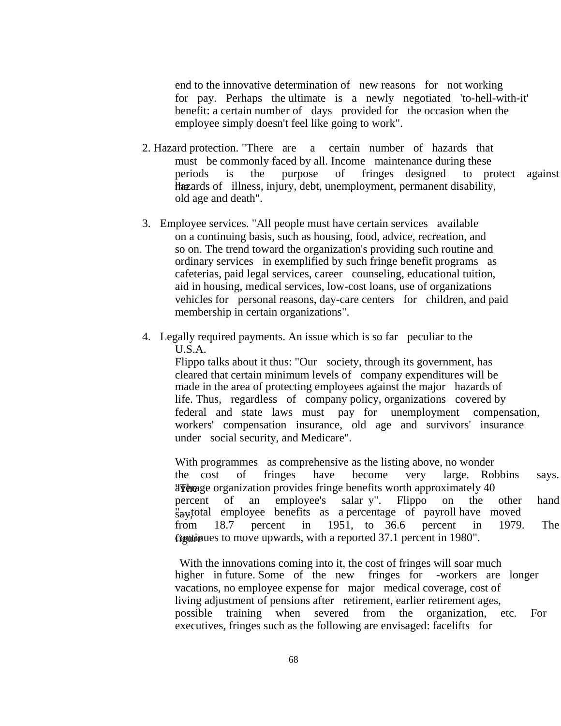end to the innovative determination of new reasons for not working for pay. Perhaps the ultimate is a newly negotiated 'to-hell-with-it' benefit: a certain number of days provided for the occasion when the employee simply doesn't feel like going to work".

- 2. Hazard protection. "There are a certain number of hazards that must be commonly faced by all. Income maintenance during these periods is the purpose of fringes designed to protect against the gards of illness, injury, debt, unemployment, permanent disability, old age and death".
- 3. Employee services. "All people must have certain services available on a continuing basis, such as housing, food, advice, recreation, and so on. The trend toward the organization's providing such routine and ordinary services in exemplified by such fringe benefit programs as cafeterias, paid legal services, career counseling, educational tuition, aid in housing, medical services, low-cost loans, use of organizations vehicles for personal reasons, day-care centers for children, and paid membership in certain organizations".
- 4. Legally required payments. An issue which is so far peculiar to the U.S.A.

Flippo talks about it thus: "Our society, through its government, has cleared that certain minimum levels of company expenditures will be made in the area of protecting employees against the major hazards of life. Thus, regardless of company policy, organizations covered by federal and state laws must pay for unemployment compensation, workers' compensation insurance, old age and survivors' insurance under social security, and Medicare".

With programmes as comprehensive as the listing above, no wonder the cost of fringes have become very large. Robbins says.  $\frac{d\Phi}{d\phi}$  are organization provides fringe benefits worth approximately 40 percent of an employee's salar v". Flippo on the percent of an employee's salar y". Flippo on the other hand  $\frac{1}{5}$ ay, total employee benefits as a percentage of payroll have moved from 18.7 percent in 1979. in 1951, to  $36.6$  percent in 1979. The **figuration** continuous to move upwards, with a reported 37.1 percent in 1980".

With the innovations coming into it, the cost of fringes will soar much higher in future. Some of the new fringes for -workers are longer vacations, no employee expense for major medical coverage, cost of living adjustment of pensions after retirement, earlier retirement ages, possible training when severed from the organization, etc. For executives, fringes such as the following are envisaged: facelifts for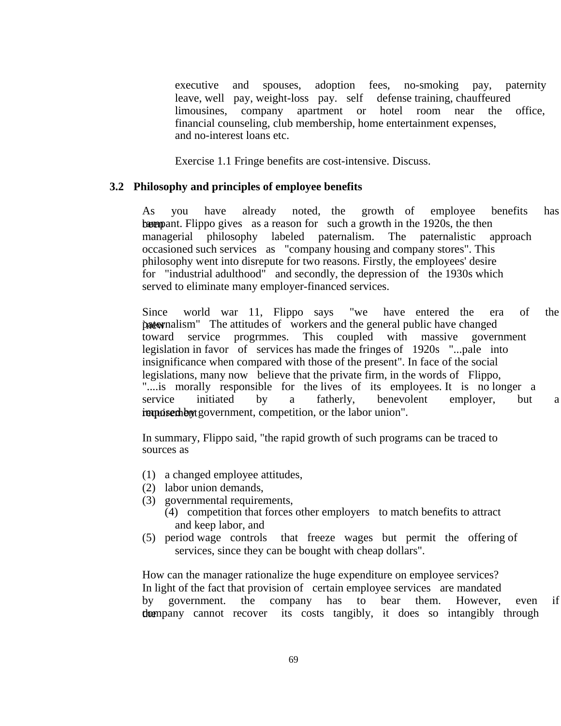executive and spouses, adoption fees, no-smoking pay, paternity leave, well pay, weight-loss pay. self defense training, chauffeured limousines, company apartment or hotel room near the office, financial counseling, club membership, home entertainment expenses, and no-interest loans etc.

Exercise 1.1 Fringe benefits are cost-intensive. Discuss.

# **3.2 Philosophy and principles of employee benefits**

As you have already noted, the growth of employee benefits has between the Flippo gives as a reason for such a growth in the 1920s, the then managerial philosophy labeled paternalism. The paternalistic approach occasioned such services as "company housing and company stores". This philosophy went into disrepute for two reasons. Firstly, the employees' desire for "industrial adulthood" and secondly, the depression of the 1930s which served to eliminate many employer-financed services.

Since world war 11, Flippo says "we have entered the era of the hat externalism" The attitudes of workers and the general public have changed toward service progrmmes. This coupled with massive government legislation in favor of services has made the fringes of 1920s "...pale into insignificance when compared with those of the present". In face of the social legislations, many now believe that the private firm, in the words of Flippo, "....is morally responsible for the lives of its employees. It is no longer a service initiated by a fatherly, benevolent employer, but a **requirement** imposed by government, competition, or the labor union".

In summary, Flippo said, "the rapid growth of such programs can be traced to sources as

- (1) a changed employee attitudes,
- (2) labor union demands,
- (3) governmental requirements,
	- $(4)$  competition that forces other employers to match benefits to attract and keep labor, and
- (5) period wage controls that freeze wages but permit the offering of services, since they can be bought with cheap dollars".

How can the manager rationalize the huge expenditure on employee services? In light of the fact that provision of certain employee services are mandated by government. the company has to bear them. However, even if the cannot recover its costs tangibly, it does so intangibly through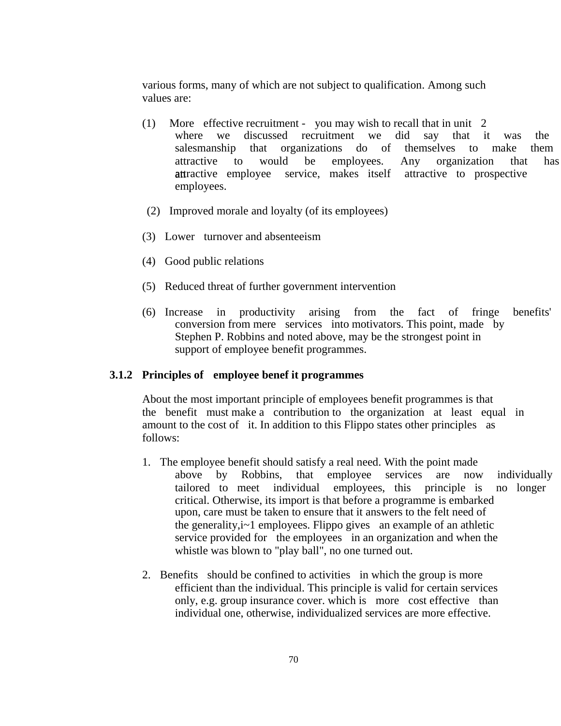various forms, many of which are not subject to qualification. Among such values are:

- (1) More effective recruitment you may wish to recall that in unit 2 where we discussed recruitment we did say that it was the salesmanship that organizations do of themselves to make them attractive to would be employees. Any organization that has attractive employee service, makes itself attractive to prospective employees.
- (2) Improved morale and loyalty (of its employees)
- (3) Lower turnover and absenteeism
- (4) Good public relations
- (5) Reduced threat of further government intervention
- (6) Increase in productivity arising from the fact of fringe benefits' conversion from mere services into motivators. This point, made by Stephen P. Robbins and noted above, may be the strongest point in support of employee benefit programmes.

### **3.1.2 Principles of employee benef it programmes**

About the most important principle of employees benefit programmes is that the benefit must make a contribution to the organization at least equal in amount to the cost of it. In addition to this Flippo states other principles as follows:

- 1. The employee benefit should satisfy a real need. With the point made above by Robbins, that employee services are now individually tailored to meet individual employees, this principle is no longer critical. Otherwise, its import is that before a programme is embarked upon, care must be taken to ensure that it answers to the felt need of the generality,i~1 employees. Flippo gives an example of an athletic service provided for the employees in an organization and when the whistle was blown to "play ball", no one turned out.
- 2. Benefits should be confined to activities in which the group is more efficient than the individual. This principle is valid for certain services only, e.g. group insurance cover. which is more cost effective than individual one, otherwise, individualized services are more effective.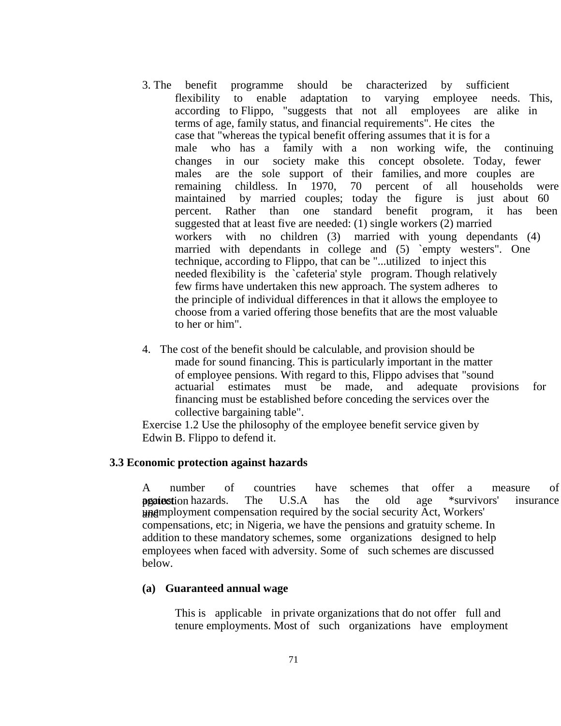- 3. The benefit programme should be characterized by sufficient flexibility to enable adaptation to varying employee needs. This, according to Flippo, "suggests that not all employees are alike in terms of age, family status, and financial requirements". He cites the case that "whereas the typical benefit offering assumes that it is for a male who has a family with a non working wife, the continuing changes in our society make this concept obsolete. Today, fewer males are the sole support of their families, and more couples are remaining childless. In 1970, 70 percent of all households were maintained by married couples; today the figure is just about 60 percent. Rather than one standard benefit program, it has been suggested that at least five are needed: (1) single workers (2) married workers with no children (3) married with young dependants (4) married with dependants in college and (5) `empty westers". One technique, according to Flippo, that can be "...utilized to inject this needed flexibility is the `cafeteria' style program. Though relatively few firms have undertaken this new approach. The system adheres to the principle of individual differences in that it allows the employee to choose from a varied offering those benefits that are the most valuable to her or him".
- 4. The cost of the benefit should be calculable, and provision should be made for sound financing. This is particularly important in the matter of employee pensions. With regard to this, Flippo advises that "sound actuarial estimates must be made, and adequate provisions for financing must be established before conceding the services over the collective bargaining table".

Exercise 1.2 Use the philosophy of the employee benefit service given by Edwin B. Flippo to defend it.

#### **3.3 Economic protection against hazards**

A number of countries have schemes that offer a measure of **protection hazards.** The U.S.A has the old age  $*$ survivors' insurance  $q$  and upden ployment compensation required by the social security Act, Workers' compensations, etc; in Nigeria, we have the pensions and gratuity scheme. In addition to these mandatory schemes, some organizations designed to help employees when faced with adversity. Some of such schemes are discussed below.

#### **(a) Guaranteed annual wage**

This is applicable in private organizations that do not offer full and tenure employments. Most of such organizations have employment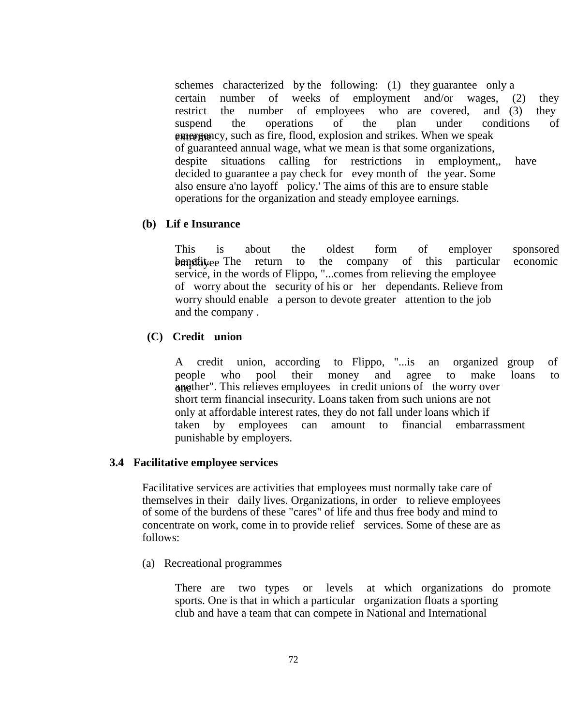schemes characterized by the following: (1) they guarantee only a certain number of weeks of employment and/or wages, (2) they restrict the number of employees who are covered, and (3) they suspend the operations of the plan under conditions of extermed emergency, such as fire, flood, explosion and strikes. When we speak of guaranteed annual wage, what we mean is that some organizations, despite situations calling for restrictions in employment,, have decided to guarantee a pay check for evey month of the year. Some also ensure a'no layoff policy.' The aims of this are to ensure stable operations for the organization and steady employee earnings.

# **(b) Lif e Insurance**

This is about the oldest form of employer sponsored band five the return to the company of this particular economic service, in the words of Flippo, "...comes from relieving the employee of worry about the security of his or her dependants. Relieve from worry should enable a person to devote greater attention to the job and the company .

# **(C) Credit union**

A credit union, according to Flippo, "...is an organized group of people who pool their money and agree to make loans to **angumer**". This relieves employees in credit unions of the worry over short term financial insecurity. Loans taken from such unions are not only at affordable interest rates, they do not fall under loans which if taken by employees can amount to financial embarrassment punishable by employers.

#### **3.4 Facilitative employee services**

Facilitative services are activities that employees must normally take care of themselves in their daily lives. Organizations, in order to relieve employees of some of the burdens of these "cares" of life and thus free body and mind to concentrate on work, come in to provide relief services. Some of these are as follows:

(a) Recreational programmes

There are two types or levels at which organizations do promote sports. One is that in which a particular organization floats a sporting club and have a team that can compete in National and International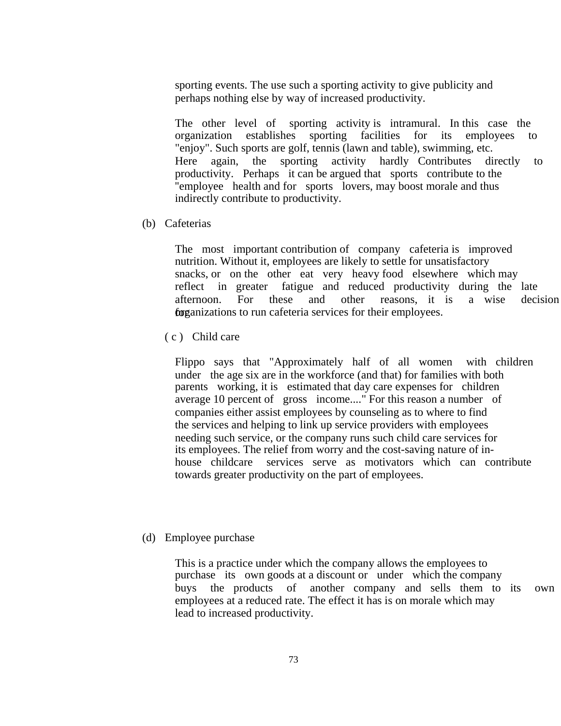sporting events. The use such a sporting activity to give publicity and perhaps nothing else by way of increased productivity.

The other level of sporting activity is intramural. In this case the organization establishes sporting facilities for its employees to "enjoy". Such sports are golf, tennis (lawn and table), swimming, etc. Here again, the sporting activity hardly Contributes directly to productivity. Perhaps it can be argued that sports contribute to the ''employee health and for sports lovers, may boost morale and thus indirectly contribute to productivity.

(b) Cafeterias

The most important contribution of company cafeteria is improved nutrition. Without it, employees are likely to settle for unsatisfactory snacks, or on the other eat very heavy food elsewhere which may reflect in greater fatigue and reduced productivity during the late afternoon. For these and other reasons, it is a wise decision forganizations to run cafeteria services for their employees.

( c ) Child care

Flippo says that "Approximately half of all women with children under the age six are in the workforce (and that) for families with both parents working, it is estimated that day care expenses for children average 10 percent of gross income...." For this reason a number of companies either assist employees by counseling as to where to find the services and helping to link up service providers with employees needing such service, or the company runs such child care services for its employees. The relief from worry and the cost-saving nature of inhouse childcare services serve as motivators which can contribute towards greater productivity on the part of employees.

(d) Employee purchase

This is a practice under which the company allows the employees to purchase its own goods at a discount or under which the company buys the products of another company and sells them to its own employees at a reduced rate. The effect it has is on morale which may lead to increased productivity.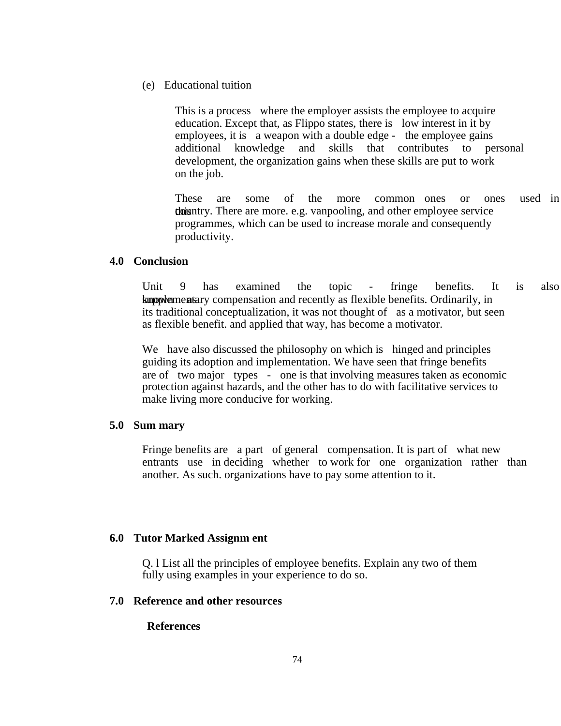(e) Educational tuition

This is a process where the employer assists the employee to acquire education. Except that, as Flippo states, there is low interest in it by employees, it is a weapon with a double edge - the employee gains additional knowledge and skills that contributes to personal development, the organization gains when these skills are put to work on the job.

These are some of the more common ones or ones used in the this country. There are more. e.g. vanpooling, and other employee service programmes, which can be used to increase morale and consequently productivity.

## **4.0 Conclusion**

Unit 9 has examined the topic - fringe benefits. It is also kunow het meature compensation and recently as flexible benefits. Ordinarily, in its traditional conceptualization, it was not thought of as a motivator, but seen as flexible benefit. and applied that way, has become a motivator.

We have also discussed the philosophy on which is hinged and principles guiding its adoption and implementation. We have seen that fringe benefits are of two major types - one is that involving measures taken as economic protection against hazards, and the other has to do with facilitative services to make living more conducive for working.

#### **5.0 Sum mary**

Fringe benefits are a part of general compensation. It is part of what new entrants use in deciding whether to work for one organization rather than another. As such. organizations have to pay some attention to it.

#### **6.0 Tutor Marked Assignm ent**

Q. l List all the principles of employee benefits. Explain any two of them fully using examples in your experience to do so.

## **7.0 Reference and other resources**

#### **References**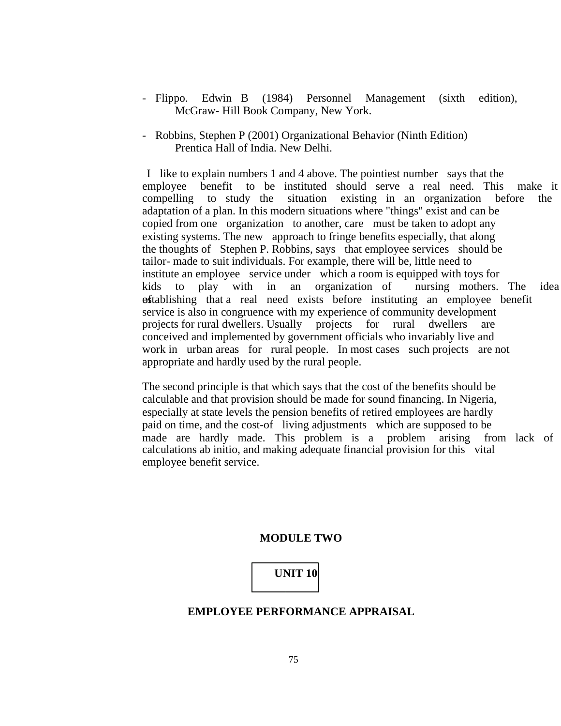- Flippo. Edwin B (1984) Personnel Management (sixth edition), McGraw- Hill Book Company, New York.
- Robbins, Stephen P (2001) Organizational Behavior (Ninth Edition) Prentica Hall of India. New Delhi.

 I like to explain numbers 1 and 4 above. The pointiest number says that the employee benefit to be instituted should serve a real need. This make it compelling to study the situation existing in an organization before the adaptation of a plan. In this modern situations where "things" exist and can be copied from one organization to another, care must be taken to adopt any existing systems. The new approach to fringe benefits especially, that along the thoughts of Stephen P. Robbins, says that employee services should be tailor- made to suit individuals. For example, there will be, little need to institute an employee service under which a room is equipped with toys for kids to play with in an organization of nursing mothers. The idea of tablishing that a real need exists before instituting an employee benefit service is also in congruence with my experience of community development projects for rural dwellers. Usually projects for rural dwellers are conceived and implemented by government officials who invariably live and work in urban areas for rural people. In most cases such projects are not appropriate and hardly used by the rural people.

The second principle is that which says that the cost of the benefits should be calculable and that provision should be made for sound financing. In Nigeria, especially at state levels the pension benefits of retired employees are hardly paid on time, and the cost-of living adjustments which are supposed to be made are hardly made. This problem is a problem arising from lack of calculations ab initio, and making adequate financial provision for this vital employee benefit service.

## **MODULE TWO**

# **UNIT 10**

#### **EMPLOYEE PERFORMANCE APPRAISAL**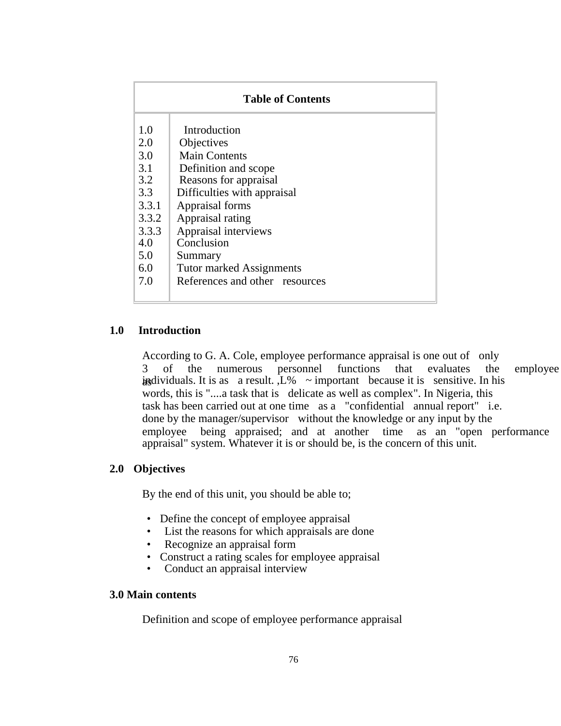| <b>Table of Contents</b> |                                |
|--------------------------|--------------------------------|
| 1.0                      | Introduction                   |
| 2.0                      | Objectives                     |
| 3.0                      | <b>Main Contents</b>           |
| 3.1                      | Definition and scope           |
| 3.2                      | Reasons for appraisal          |
| 3.3                      | Difficulties with appraisal    |
| 3.3.1                    | Appraisal forms                |
| 3.3.2                    | Appraisal rating               |
| 3.3.3                    | Appraisal interviews           |
| 4.0                      | Conclusion                     |
| 5.0                      | Summary                        |
| 6.0                      | Tutor marked Assignments       |
| 7.0                      | References and other resources |

## **1.0 Introduction**

According to G. A. Cole, employee performance appraisal is one out of only 3 of the numerous personnel functions that evaluates the employee individuals. It is as a result.  $L\%$  ~ important because it is sensitive. In his words, this is "....a task that is delicate as well as complex". In Nigeria, this task has been carried out at one time as a "confidential annual report" i.e. done by the manager/supervisor without the knowledge or any input by the employee being appraised; and at another time as an "open performance appraisal" system. Whatever it is or should be, is the concern of this unit.

## **2.0 Objectives**

By the end of this unit, you should be able to;

- Define the concept of employee appraisal
- List the reasons for which appraisals are done
- Recognize an appraisal form
- Construct a rating scales for employee appraisal
- Conduct an appraisal interview

#### **3.0 Main contents**

Definition and scope of employee performance appraisal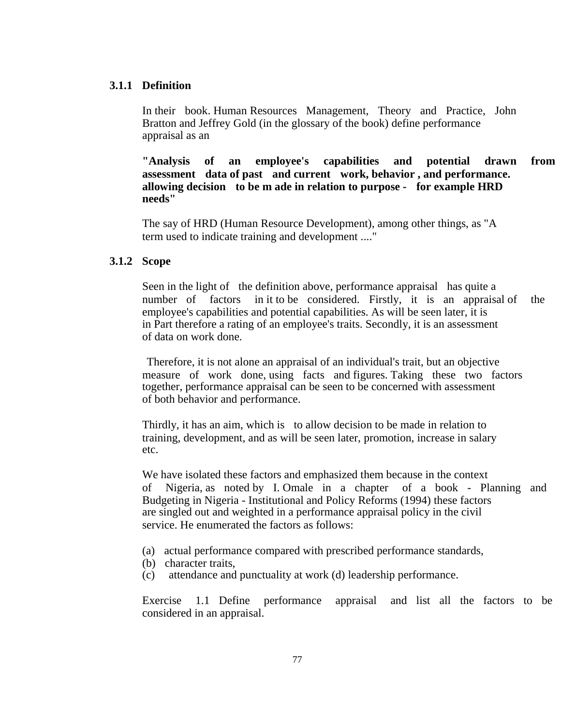## **3.1.1 Definition**

In their book. Human Resources Management, Theory and Practice, John Bratton and Jeffrey Gold (in the glossary of the book) define performance appraisal as an

**"Analysis of an employee's capabilities and potential drawn from assessment data of past and current work, behavior , and performance. allowing decision to be m ade in relation to purpose - for example HRD needs"**

The say of HRD (Human Resource Development), among other things, as "A term used to indicate training and development ...."

## **3.1.2 Scope**

Seen in the light of the definition above, performance appraisal has quite a number of factors in it to be considered. Firstly, it is an appraisal of the employee's capabilities and potential capabilities. As will be seen later, it is in Part therefore a rating of an employee's traits. Secondly, it is an assessment of data on work done.

 Therefore, it is not alone an appraisal of an individual's trait, but an objective measure of work done, using facts and figures. Taking these two factors together, performance appraisal can be seen to be concerned with assessment of both behavior and performance.

Thirdly, it has an aim, which is to allow decision to be made in relation to training, development, and as will be seen later, promotion, increase in salary etc.

We have isolated these factors and emphasized them because in the context of Nigeria, as noted by I. Omale in a chapter of a book - Planning and Budgeting in Nigeria - Institutional and Policy Reforms (1994) these factors are singled out and weighted in a performance appraisal policy in the civil service. He enumerated the factors as follows:

- (a) actual performance compared with prescribed performance standards,
- (b) character traits,
- (c) attendance and punctuality at work (d) leadership performance.

Exercise 1.1 Define performance appraisal and list all the factors to be considered in an appraisal.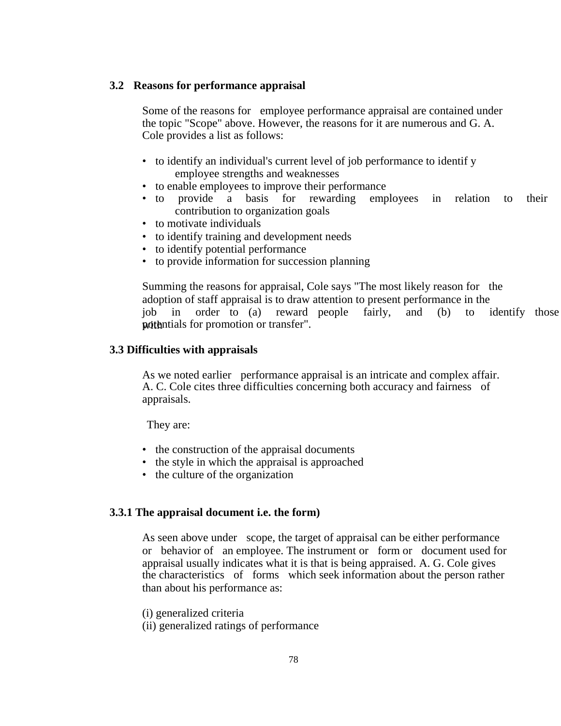## **3.2 Reasons for performance appraisal**

Some of the reasons for employee performance appraisal are contained under the topic "Scope" above. However, the reasons for it are numerous and G. A. Cole provides a list as follows:

- to identify an individual's current level of job performance to identif y employee strengths and weaknesses
- to enable employees to improve their performance
- to provide a basis for rewarding employees in relation to their contribution to organization goals
- to motivate individuals
- to identify training and development needs
- to identify potential performance
- to provide information for succession planning

Summing the reasons for appraisal, Cole says "The most likely reason for the adoption of staff appraisal is to draw attention to present performance in the job in order to (a) reward people fairly, and (b) to identify those with potentials for promotion or transfer".

#### **3.3 Difficulties with appraisals**

As we noted earlier performance appraisal is an intricate and complex affair. A. C. Cole cites three difficulties concerning both accuracy and fairness of appraisals.

They are:

- the construction of the appraisal documents
- the style in which the appraisal is approached
- the culture of the organization

## **3.3.1 The appraisal document i.e. the form)**

As seen above under scope, the target of appraisal can be either performance or behavior of an employee. The instrument or form or document used for appraisal usually indicates what it is that is being appraised. A. G. Cole gives the characteristics of forms which seek information about the person rather than about his performance as:

(i) generalized criteria

(ii) generalized ratings of performance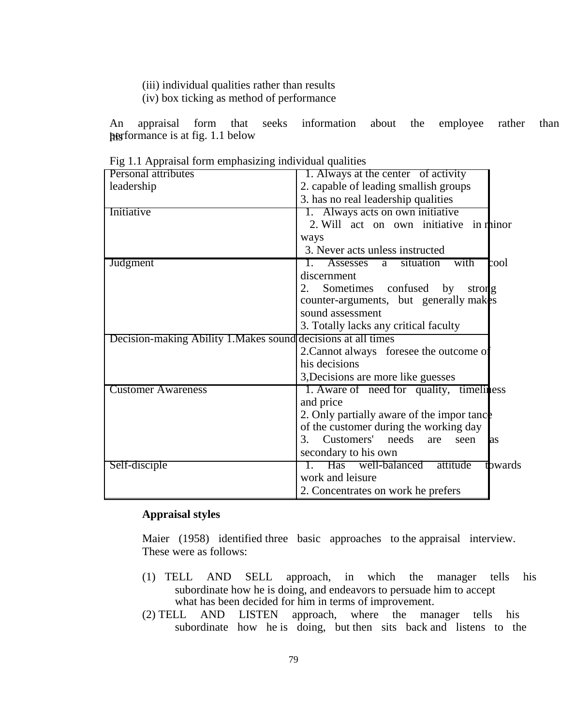#### (iii) individual qualities rather than results

(iv) box ticking as method of performance

An appraisal form that seeks information about the employee rather than his performance is at fig.  $1.1$  below

| Personal attributes                                           | 1. Always at the center of activity          |
|---------------------------------------------------------------|----------------------------------------------|
| leadership                                                    | 2. capable of leading smallish groups        |
|                                                               | 3. has no real leadership qualities          |
| Initiative                                                    | 1. Always acts on own initiative             |
|                                                               | 2. Will act on own initiative in minor       |
|                                                               | ways                                         |
|                                                               | 3. Never acts unless instructed              |
| <b>Judgment</b>                                               | situation<br>with<br>Assesses a<br>bool      |
|                                                               | discernment                                  |
|                                                               | Sometimes confused<br>by<br>2.<br>strong     |
|                                                               | counter-arguments, but generally makes       |
|                                                               | sound assessment                             |
|                                                               | 3. Totally lacks any critical faculty        |
| Decision-making Ability 1. Makes sound decisions at all times |                                              |
|                                                               | 2. Cannot always foresee the outcome of      |
|                                                               | his decisions                                |
|                                                               | 3, Decisions are more like guesses           |
| <b>Customer Awareness</b>                                     | 1. Aware of need for quality, timeliness     |
|                                                               | and price                                    |
|                                                               | 2. Only partially aware of the importance    |
|                                                               | of the customer during the working day       |
|                                                               | Customers' needs<br>are<br>3.<br>seen<br>las |
|                                                               | secondary to his own                         |
| Self-disciple                                                 | 1. Has well-balanced<br>attitude<br>towards  |
|                                                               | work and leisure                             |
|                                                               | 2. Concentrates on work he prefers           |

Fig 1.1 Appraisal form emphasizing individual qualities

## **Appraisal styles**

Maier (1958) identified three basic approaches to the appraisal interview. These were as follows:

- (1) TELL AND SELL approach, in which the manager tells his subordinate how he is doing, and endeavors to persuade him to accept what has been decided for him in terms of improvement.
- (2) TELL AND LISTEN approach, where the manager tells his subordinate how he is doing, but then sits back and listens to the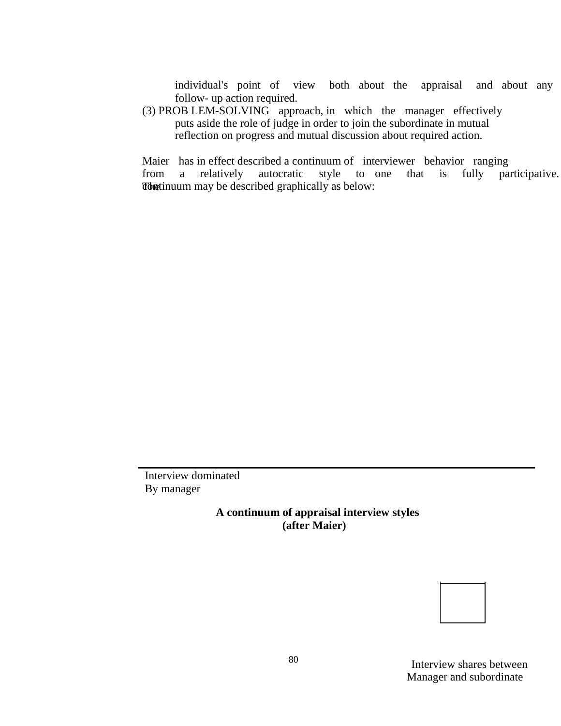individual's point of view both about the appraisal and about any follow- up action required.

(3) PROB LEM-SOLVING approach, in which the manager effectively puts aside the role of judge in order to join the subordinate in mutual reflection on progress and mutual discussion about required action.

Maier has in effect described a continuum of interviewer behavior ranging from a relatively autocratic style to one that is fully participative. The tinuum may be described graphically as below:

Interview dominated By manager

> **A continuum of appraisal interview styles (after Maier)**



80 Interview shares between Manager and subordinate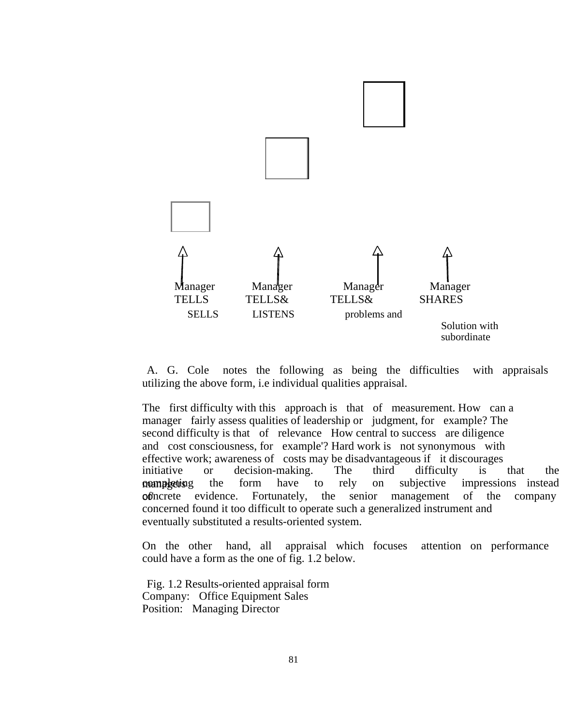

 A. G. Cole notes the following as being the difficulties with appraisals utilizing the above form, i.e individual qualities appraisal.

The first difficulty with this approach is that of measurement. How can a manager fairly assess qualities of leadership or judgment, for example? The second difficulty is that of relevance How central to success are diligence and cost consciousness, for example'? Hard work is not synonymous with effective work; awareness of costs may be disadvantageous if it discourages initiative or decision-making. The third difficulty is that the **nonpleting** the form have to rely on subjective impressions instead **of** concrete evidence. Fortunately, the senior management of the company concerned found it too difficult to operate such a generalized instrument and eventually substituted a results-oriented system.

On the other hand, all appraisal which focuses attention on performance could have a form as the one of fig. 1.2 below.

 Fig. 1.2 Results-oriented appraisal form Company: Office Equipment Sales Position: Managing Director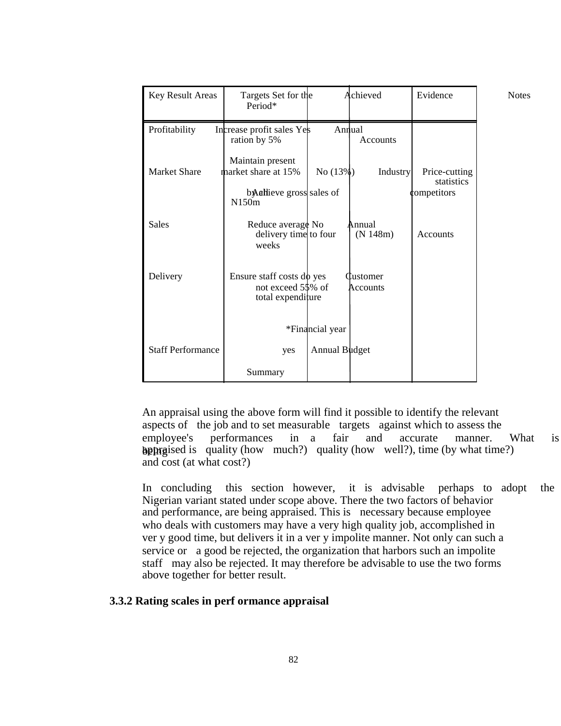| Key Result Areas         | Targets Set for the<br>Period*                                               |                 | Achieved             | Evidence                                   | <b>Notes</b> |
|--------------------------|------------------------------------------------------------------------------|-----------------|----------------------|--------------------------------------------|--------------|
| Profitability            | Increase profit sales Yes<br>ration by 5%                                    |                 | Annual<br>Accounts   |                                            |              |
| <b>Market Share</b>      | Maintain present<br>market share at 15%<br>by Andrew gross sales of<br>N150m | No $(13%)$      | <b>Industry</b>      | Price-cutting<br>statistics<br>competitors |              |
| Sales                    | Reduce average No<br>delivery time to four<br>weeks                          |                 | Annual<br>(N 148m)   | Accounts                                   |              |
| Delivery                 | Ensure staff costs $d\phi$ yes<br>not exceed 5\$% of<br>total expenditure    |                 | Customer<br>Accounts |                                            |              |
|                          |                                                                              | *Financial year |                      |                                            |              |
| <b>Staff Performance</b> | yes                                                                          | Annual Budget   |                      |                                            |              |
|                          | Summary                                                                      |                 |                      |                                            |              |

An appraisal using the above form will find it possible to identify the relevant aspects of the job and to set measurable targets against which to assess the employee's performances in a fair and accurate manner. What is beta approximately approximately quality (how well?), time (by what time?) and cost (at what cost?)

In concluding this section however, it is advisable perhaps to adopt the Nigerian variant stated under scope above. There the two factors of behavior and performance, are being appraised. This is necessary because employee who deals with customers may have a very high quality job, accomplished in ver y good time, but delivers it in a ver y impolite manner. Not only can such a service or a good be rejected, the organization that harbors such an impolite staff may also be rejected. It may therefore be advisable to use the two forms above together for better result.

## **3.3.2 Rating scales in perf ormance appraisal**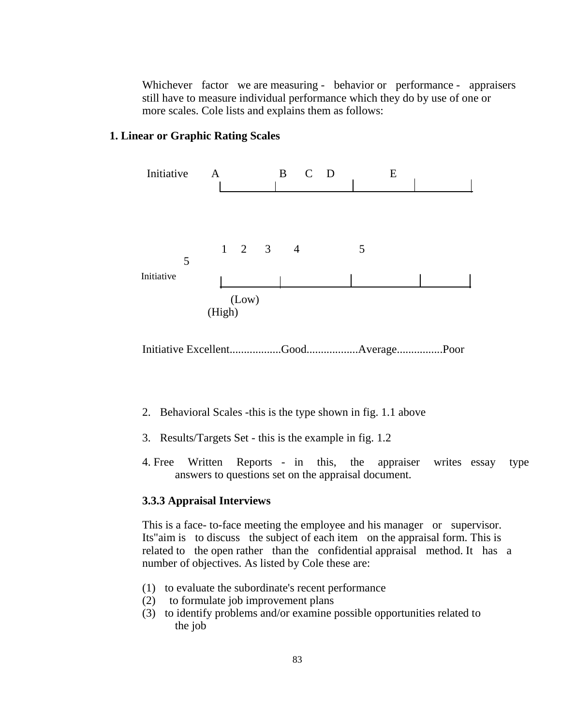Whichever factor we are measuring - behavior or performance - appraisers still have to measure individual performance which they do by use of one or more scales. Cole lists and explains them as follows:

## **1. Linear or Graphic Rating Scales**



Initiative Excellent..................Good..................Average................Poor

- 2. Behavioral Scales -this is the type shown in fig. 1.1 above
- 3. Results/Targets Set this is the example in fig. 1.2
- 4. Free Written Reports in this, the appraiser writes essay type answers to questions set on the appraisal document.

#### **3.3.3 Appraisal Interviews**

This is a face- to-face meeting the employee and his manager or supervisor. Its"aim is to discuss the subject of each item on the appraisal form. This is related to the open rather than the confidential appraisal method. It has a number of objectives. As listed by Cole these are:

- (1) to evaluate the subordinate's recent performance
- (2) to formulate job improvement plans
- (3) to identify problems and/or examine possible opportunities related to the job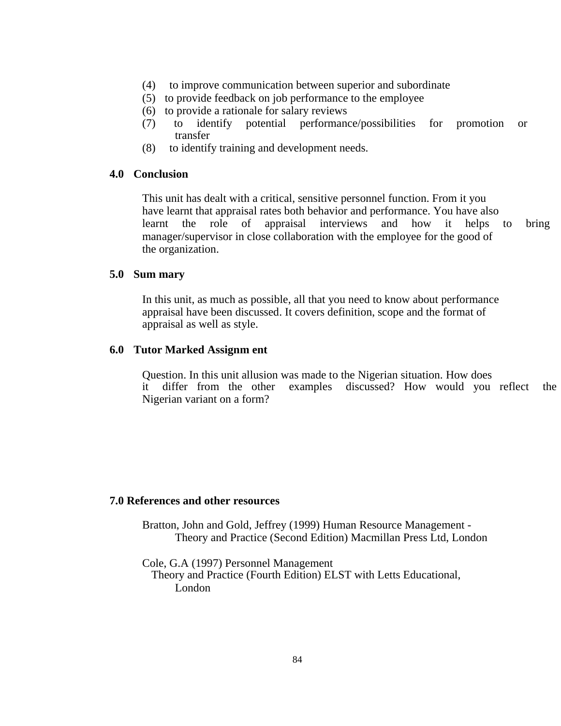- (4) to improve communication between superior and subordinate
- (5) to provide feedback on job performance to the employee
- (6) to provide a rationale for salary reviews
- (7) to identify potential performance/possibilities for promotion or transfer
- (8) to identify training and development needs.

## **4.0 Conclusion**

This unit has dealt with a critical, sensitive personnel function. From it you have learnt that appraisal rates both behavior and performance. You have also learnt the role of appraisal interviews and how it helps to bring manager/supervisor in close collaboration with the employee for the good of the organization.

## **5.0 Sum mary**

In this unit, as much as possible, all that you need to know about performance appraisal have been discussed. It covers definition, scope and the format of appraisal as well as style.

#### **6.0 Tutor Marked Assignm ent**

Question. In this unit allusion was made to the Nigerian situation. How does it differ from the other examples discussed? How would you reflect the Nigerian variant on a form?

#### **7.0 References and other resources**

Bratton, John and Gold, Jeffrey (1999) Human Resource Management - Theory and Practice (Second Edition) Macmillan Press Ltd, London

Cole, G.A (1997) Personnel Management Theory and Practice (Fourth Edition) ELST with Letts Educational, London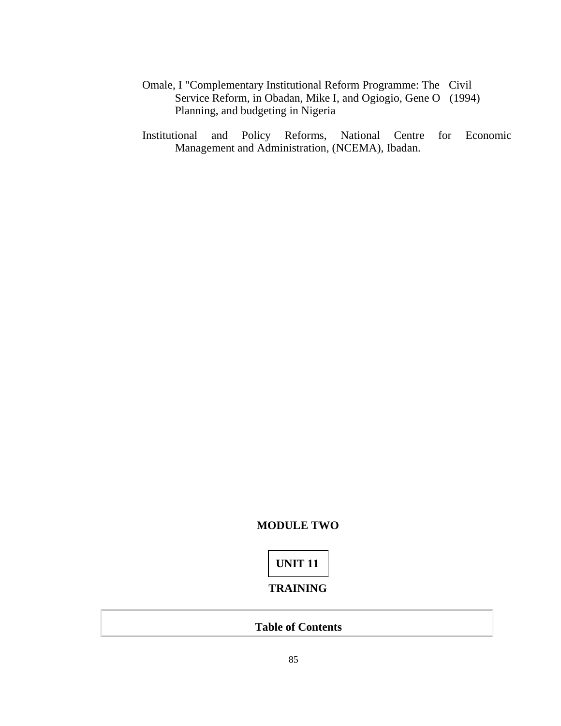- Omale, I "Complementary Institutional Reform Programme: The Civil Service Reform, in Obadan, Mike I, and Ogiogio, Gene O (1994) Planning, and budgeting in Nigeria
- Institutional and Policy Reforms, National Centre for Economic Management and Administration, (NCEMA), Ibadan.

## **MODULE TWO**

# **UNIT 11**

## **TRAINING**

## **Table of Contents**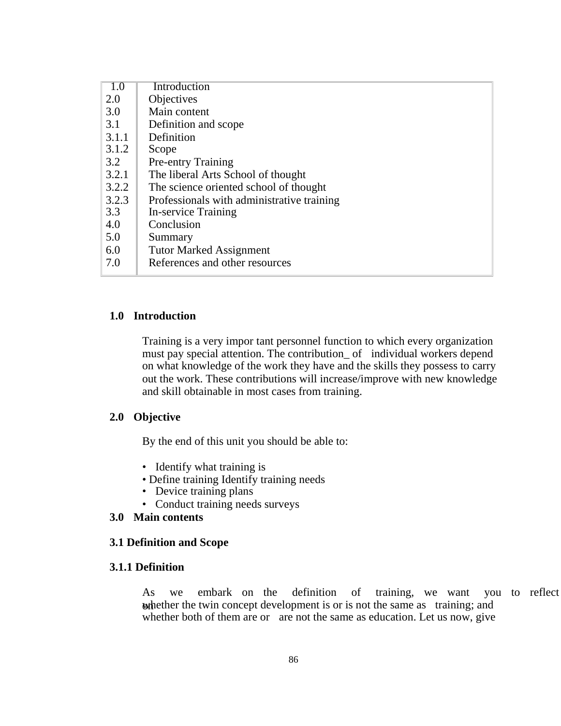| 1.0   | Introduction                               |
|-------|--------------------------------------------|
| 2.0   | <b>Objectives</b>                          |
| 3.0   | Main content                               |
| 3.1   | Definition and scope                       |
| 3.1.1 | Definition                                 |
| 3.1.2 | Scope                                      |
| 3.2   | <b>Pre-entry Training</b>                  |
| 3.2.1 | The liberal Arts School of thought         |
| 3.2.2 | The science oriented school of thought     |
| 3.2.3 | Professionals with administrative training |
| 3.3   | In-service Training                        |
| 4.0   | Conclusion                                 |
| 5.0   | Summary                                    |
| 6.0   | <b>Tutor Marked Assignment</b>             |
| 7.0   | References and other resources             |

## **1.0 Introduction**

Training is a very impor tant personnel function to which every organization must pay special attention. The contribution\_ of individual workers depend on what knowledge of the work they have and the skills they possess to carry out the work. These contributions will increase/improve with new knowledge and skill obtainable in most cases from training.

#### **2.0 Objective**

By the end of this unit you should be able to:

- Identify what training is
- Define training Identify training needs
- Device training plans
- Conduct training needs surveys

## **3.0 Main contents**

#### **3.1 Definition and Scope**

## **3.1.1 Definition**

As we embark on the definition of training, we want you to reflect whether the twin concept development is or is not the same as training; and whether both of them are or are not the same as education. Let us now, give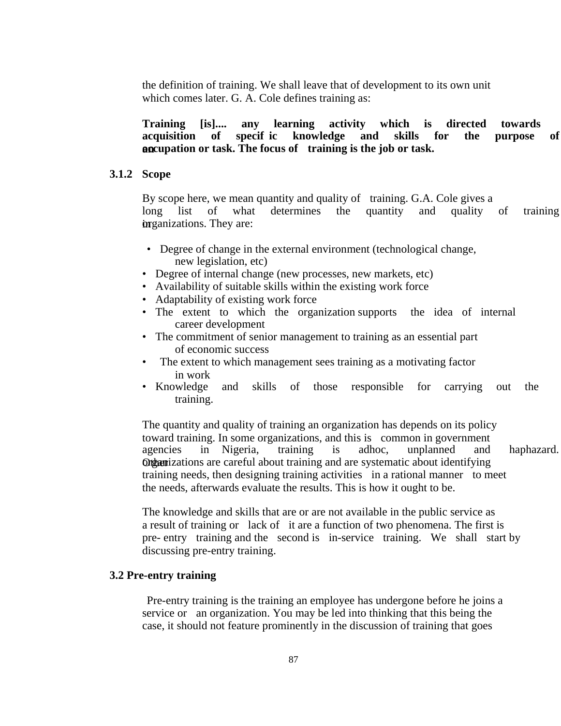the definition of training. We shall leave that of development to its own unit which comes later. G. A. Cole defines training as:

## **Training [is].... any learning activity which is directed towards acquisition of specif ic knowledge and skills for the purpose of an occupation or task. The focus of training is the job or task.**

## **3.1.2 Scope**

By scope here, we mean quantity and quality of training. G.A. Cole gives a long list of what determines the quantity and quality of training ing anizations. They are:

- Degree of change in the external environment (technological change, new legislation, etc)
- Degree of internal change (new processes, new markets, etc)
- Availability of suitable skills within the existing work force
- Adaptability of existing work force
- The extent to which the organization supports the idea of internal career development
- The commitment of senior management to training as an essential part of economic success
- The extent to which management sees training as a motivating factor in work
- Knowledge and skills of those responsible for carrying out the training.

The quantity and quality of training an organization has depends on its policy toward training. In some organizations, and this is common in government agencies in Nigeria, training is adhoc, unplanned and haphazard. Orther organizations are careful about training and are systematic about identifying training needs, then designing training activities in a rational manner to meet the needs, afterwards evaluate the results. This is how it ought to be.

The knowledge and skills that are or are not available in the public service as a result of training or lack of it are a function of two phenomena. The first is pre- entry training and the second is in-service training. We shall start by discussing pre-entry training.

#### **3.2 Pre-entry training**

 Pre-entry training is the training an employee has undergone before he joins a service or an organization. You may be led into thinking that this being the case, it should not feature prominently in the discussion of training that goes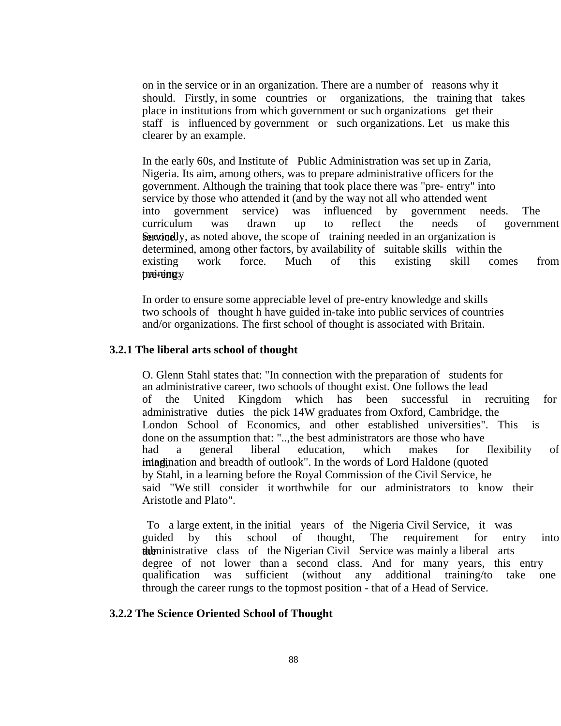on in the service or in an organization. There are a number of reasons why it should. Firstly, in some countries or organizations, the training that takes place in institutions from which government or such organizations get their staff is influenced by government or such organizations. Let us make this clearer by an example.

In the early 60s, and Institute of Public Administration was set up in Zaria, Nigeria. Its aim, among others, was to prepare administrative officers for the government. Although the training that took place there was "pre- entry" into service by those who attended it (and by the way not all who attended went into government service) was influenced by government needs. The curriculum was drawn up to reflect the needs of government Secondary, as noted above, the scope of training needed in an organization is determined, among other factors, by availability of suitable skills within the existing work force. Much of this existing skill comes from preining.y

In order to ensure some appreciable level of pre-entry knowledge and skills two schools of thought h have guided in-take into public services of countries and/or organizations. The first school of thought is associated with Britain.

## **3.2.1 The liberal arts school of thought**

O. Glenn Stahl states that: "In connection with the preparation of students for an administrative career, two schools of thought exist. One follows the lead of the United Kingdom which has been successful in recruiting for administrative duties the pick 14W graduates from Oxford, Cambridge, the London School of Economics, and other established universities". This is done on the assumption that: "..,the best administrators are those who have had a general liberal education, which makes for flexibility of ming, imagination and breadth of outlook". In the words of Lord Haldone (quoted by Stahl, in a learning before the Royal Commission of the Civil Service, he said "We still consider it worthwhile for our administrators to know their Aristotle and Plato".

 To a large extent, in the initial years of the Nigeria Civil Service, it was guided by this school of thought, The requirement for entry into the administrative class of the Nigerian Civil Service was mainly a liberal arts degree of not lower than a second class. And for many years, this entry qualification was sufficient (without any additional training/to take one through the career rungs to the topmost position - that of a Head of Service.

#### **3.2.2 The Science Oriented School of Thought**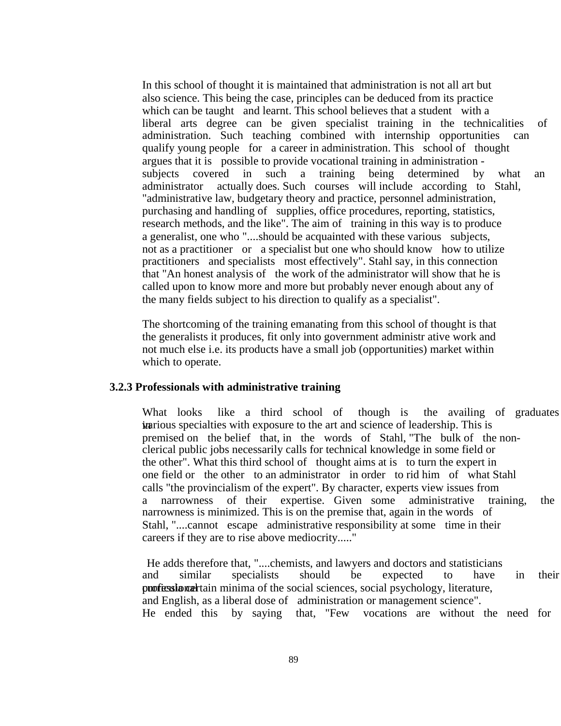In this school of thought it is maintained that administration is not all art but also science. This being the case, principles can be deduced from its practice which can be taught and learnt. This school believes that a student with a liberal arts degree can be given specialist training in the technicalities of administration. Such teaching combined with internship opportunities can qualify young people for a career in administration. This school of thought argues that it is possible to provide vocational training in administration subjects covered in such a training being determined by what an administrator actually does. Such courses will include according to Stahl, "administrative law, budgetary theory and practice, personnel administration, purchasing and handling of supplies, office procedures, reporting, statistics, research methods, and the like". The aim of training in this way is to produce a generalist, one who "....should be acquainted with these various subjects, not as a practitioner or a specialist but one who should know how to utilize practitioners and specialists most effectively". Stahl say, in this connection that "An honest analysis of the work of the administrator will show that he is called upon to know more and more but probably never enough about any of the many fields subject to his direction to qualify as a specialist".

The shortcoming of the training emanating from this school of thought is that the generalists it produces, fit only into government administr ative work and not much else i.e. its products have a small job (opportunities) market within which to operate.

#### **3.2.3 Professionals with administrative training**

What looks like a third school of though is the availing of graduates in various specialties with exposure to the art and science of leadership. This is premised on the belief that, in the words of Stahl, "The bulk of the nonclerical public jobs necessarily calls for technical knowledge in some field or the other". What this third school of thought aims at is to turn the expert in one field or the other to an administrator in order to rid him of what Stahl calls "the provincialism of the expert". By character, experts view issues from a narrowness of their expertise. Given some administrative training, the narrowness is minimized. This is on the premise that, again in the words of Stahl, "....cannot escape administrative responsibility at some time in their careers if they are to rise above mediocrity....."

He adds therefore that, "....chemists, and lawyers and doctors and statisticians<br>and similar specialists should be expected to have and similar specialists should be expected to have in their profession certain minima of the social sciences, social psychology, literature, and English, as a liberal dose of administration or management science". He ended this by saying that, "Few vocations are without the need for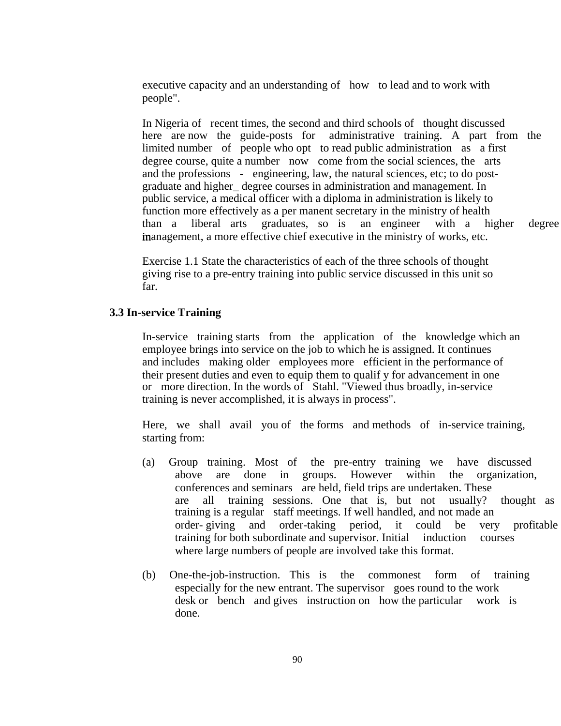executive capacity and an understanding of how to lead and to work with people".

In Nigeria of recent times, the second and third schools of thought discussed here are now the guide-posts for administrative training. A part from the limited number of people who opt to read public administration as a first degree course, quite a number now come from the social sciences, the arts and the professions - engineering, law, the natural sciences, etc; to do postgraduate and higher\_ degree courses in administration and management. In public service, a medical officer with a diploma in administration is likely to function more effectively as a per manent secretary in the ministry of health than a liberal arts graduates, so is an engineer with a higher degree management, a more effective chief executive in the ministry of works, etc.

Exercise 1.1 State the characteristics of each of the three schools of thought giving rise to a pre-entry training into public service discussed in this unit so far.

## **3.3 In-service Training**

In-service training starts from the application of the knowledge which an employee brings into service on the job to which he is assigned. It continues and includes making older employees more efficient in the performance of their present duties and even to equip them to qualif y for advancement in one or more direction. In the words of Stahl. "Viewed thus broadly, in-service training is never accomplished, it is always in process".

Here, we shall avail you of the forms and methods of in-service training, starting from:

- (a) Group training. Most of the pre-entry training we have discussed above are done in groups. However within the organization, conferences and seminars are held, field trips are undertaken. These are all training sessions. One that is, but not usually? thought as training is a regular staff meetings. If well handled, and not made an order- giving and order-taking period, it could be very profitable training for both subordinate and supervisor. Initial induction courses where large numbers of people are involved take this format.
- (b) One-the-job-instruction. This is the commonest form of training especially for the new entrant. The supervisor goes round to the work desk or bench and gives instruction on how the particular work is done.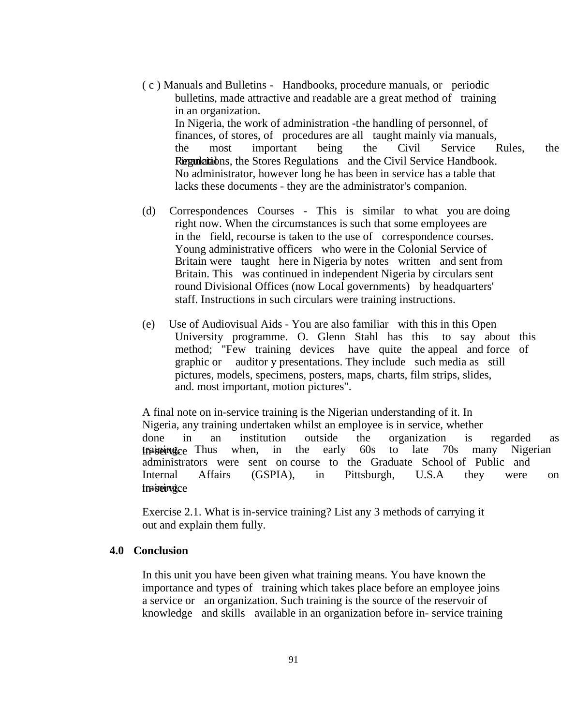- ( c ) Manuals and Bulletins Handbooks, procedure manuals, or periodic bulletins, made attractive and readable are a great method of training in an organization. In Nigeria, the work of administration -the handling of personnel, of finances, of stores, of procedures are all taught mainly via manuals, the most important being the Civil Service Rules, the **Regulations, the Stores Regulations** and the Civil Service Handbook. No administrator, however long he has been in service has a table that lacks these documents - they are the administrator's companion.
- (d) Correspondences Courses This is similar to what you are doing right now. When the circumstances is such that some employees are in the field, recourse is taken to the use of correspondence courses. Young administrative officers who were in the Colonial Service of Britain were taught here in Nigeria by notes written and sent from Britain. This was continued in independent Nigeria by circulars sent round Divisional Offices (now Local governments) by headquarters' staff. Instructions in such circulars were training instructions.
- (e) Use of Audiovisual Aids You are also familiar with this in this Open University programme. O. Glenn Stahl has this to say about this method; "Few training devices have quite the appeal and force of graphic or auditor y presentations. They include such media as still pictures, models, specimens, posters, maps, charts, film strips, slides, and. most important, motion pictures".

A final note on in-service training is the Nigerian understanding of it. In Nigeria, any training undertaken whilst an employee is in service, whether done in an institution outside the organization is regarded as  $triangular$  Thus when, in the early 60s to late 70s many Nigerian administrators were sent on course to the Graduate School of Public and Internal Affairs (GSPIA), in Pittsburgh, U.S.A they were on traineing.ce

Exercise 2.1. What is in-service training? List any 3 methods of carrying it out and explain them fully.

## **4.0 Conclusion**

In this unit you have been given what training means. You have known the importance and types of training which takes place before an employee joins a service or an organization. Such training is the source of the reservoir of knowledge and skills available in an organization before in- service training

91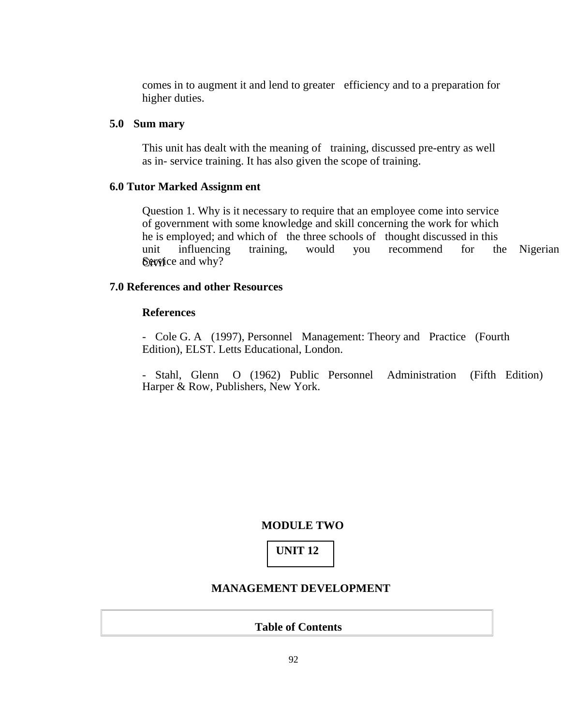comes in to augment it and lend to greater efficiency and to a preparation for higher duties.

#### **5.0 Sum mary**

This unit has dealt with the meaning of training, discussed pre-entry as well as in- service training. It has also given the scope of training.

## **6.0 Tutor Marked Assignm ent**

Question 1. Why is it necessary to require that an employee come into service of government with some knowledge and skill concerning the work for which he is employed; and which of the three schools of thought discussed in this unit influencing training, would you recommend for the unit influencing training, would you recommend for the Nigerian Sevies and why?

## **7.0 References and other Resources**

## **References**

- Cole G. A (1997), Personnel Management: Theory and Practice (Fourth Edition), ELST. Letts Educational, London.

- Stahl, Glenn O (1962) Public Personnel Administration (Fifth Edition) Harper & Row, Publishers, New York.

#### **MODULE TWO**

# **UNIT 12**

#### **MANAGEMENT DEVELOPMENT**

#### **Table of Contents**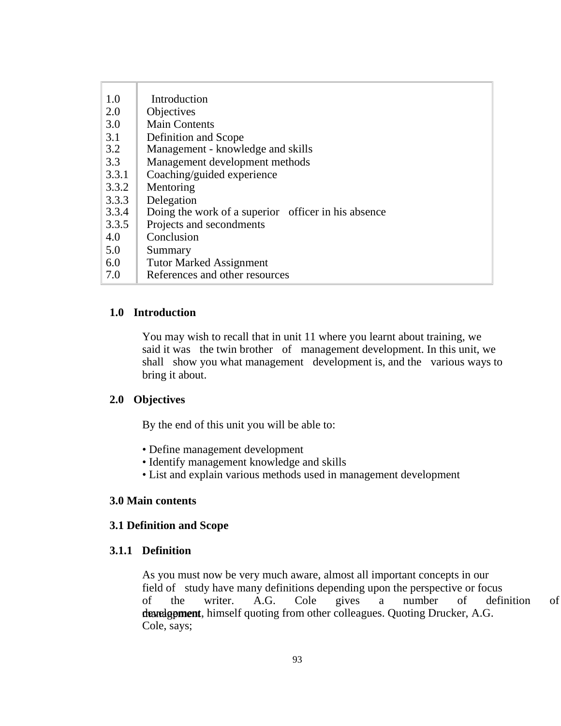| 1.0   | Introduction                                        |
|-------|-----------------------------------------------------|
| 2.0   | Objectives                                          |
| 3.0   | <b>Main Contents</b>                                |
| 3.1   | Definition and Scope                                |
| 3.2   | Management - knowledge and skills                   |
| 3.3   | Management development methods                      |
| 3.3.1 | Coaching/guided experience                          |
| 3.3.2 | Mentoring                                           |
| 3.3.3 | Delegation                                          |
| 3.3.4 | Doing the work of a superior officer in his absence |
| 3.3.5 | Projects and secondments                            |
| 4.0   | Conclusion                                          |
| 5.0   | Summary                                             |
| 6.0   | <b>Tutor Marked Assignment</b>                      |
| 7.0   | References and other resources                      |

## **1.0 Introduction**

You may wish to recall that in unit 11 where you learnt about training, we said it was the twin brother of management development. In this unit, we shall show you what management development is, and the various ways to bring it about.

## **2.0 Objectives**

By the end of this unit you will be able to:

- Define management development
- Identify management knowledge and skills
- List and explain various methods used in management development

## **3.0 Main contents**

#### **3.1 Definition and Scope**

## **3.1.1 Definition**

As you must now be very much aware, almost all important concepts in our field of study have many definitions depending upon the perspective or focus of the writer. A.G. Cole gives a number of definition of dearedgement, himself quoting from other colleagues. Quoting Drucker, A.G. Cole, says;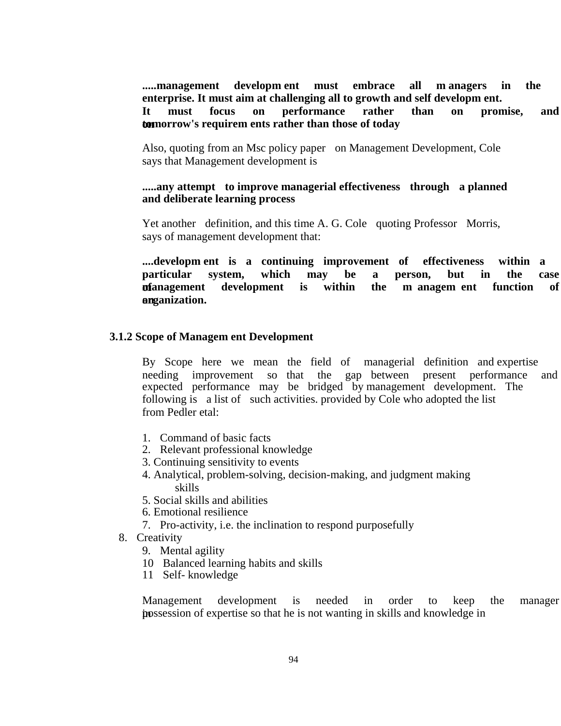**.....management developm ent must embrace all m anagers in the enterprise. It must aim at challenging all to growth and self developm ent.** 

**It must focus on performance rather than on promise, and tomorrow's requirem ents rather than those of today** 

Also, quoting from an Msc policy paper on Management Development, Cole says that Management development is

## **.....any attempt to improve managerial effectiveness through a planned and deliberate learning process**

Yet another definition, and this time A. G. Cole quoting Professor Morris, says of management development that:

**....developm ent is a continuing improvement of effectiveness within a particular system, which may be a person, but in the case of anagement** development is within the m anagem ent function of **anganization.** 

#### **3.1.2 Scope of Managem ent Development**

By Scope here we mean the field of managerial definition and expertise needing improvement so that the gap between present performance and expected performance may be bridged by management development. The following is a list of such activities. provided by Cole who adopted the list from Pedler etal:

- 1. Command of basic facts
- 2. Relevant professional knowledge
- 3. Continuing sensitivity to events
- 4. Analytical, problem-solving, decision-making, and judgment making skills
- 5. Social skills and abilities
- 6. Emotional resilience
- 7. Pro-activity, i.e. the inclination to respond purposefully
- 8. Creativity
	- 9. Mental agility
	- 10 Balanced learning habits and skills
	- 11 Self- knowledge

Management development is needed in order to keep the manager in possession of expertise so that he is not wanting in skills and knowledge in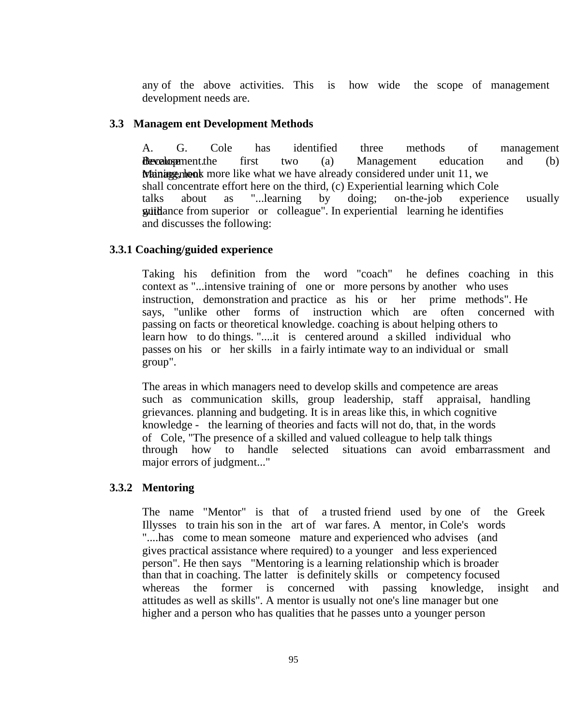any of the above activities. This is how wide the scope of management development needs are.

## **3.3 Managem ent Development Methods**

A. G. Cole has identified three methods of management **development.** Because the first two (a) Management education and (b) **Management Management is verify that we have already considered under unit 11, we** shall concentrate effort here on the third, (c) Experiential learning which Cole talks about as "...learning by doing; on-the-job experience usually with guidance from superior or colleague". In experiential learning he identifies and discusses the following:

## **3.3.1 Coaching/guided experience**

Taking his definition from the word "coach" he defines coaching in this context as "...intensive training of one or more persons by another who uses instruction, demonstration and practice as his or her prime methods". He says, "unlike other forms of instruction which are often concerned with passing on facts or theoretical knowledge. coaching is about helping others to learn how to do things. "....it is centered around a skilled individual who passes on his or her skills in a fairly intimate way to an individual or small group".

The areas in which managers need to develop skills and competence are areas such as communication skills, group leadership, staff appraisal, handling grievances. planning and budgeting. It is in areas like this, in which cognitive knowledge - the learning of theories and facts will not do, that, in the words of Cole, "The presence of a skilled and valued colleague to help talk things to handle selected situations can avoid embarrassment and major errors of judgment..."

## **3.3.2 Mentoring**

The name "Mentor" is that of a trusted friend used by one of the Greek Illysses to train his son in the art of war fares. A mentor, in Cole's words "....has come to mean someone mature and experienced who advises (and gives practical assistance where required) to a younger and less experienced person". He then says "Mentoring is a learning relationship which is broader than that in coaching. The latter is definitely skills or competency focused whereas the former is concerned with passing knowledge, insight and attitudes as well as skills". A mentor is usually not one's line manager but one higher and a person who has qualities that he passes unto a younger person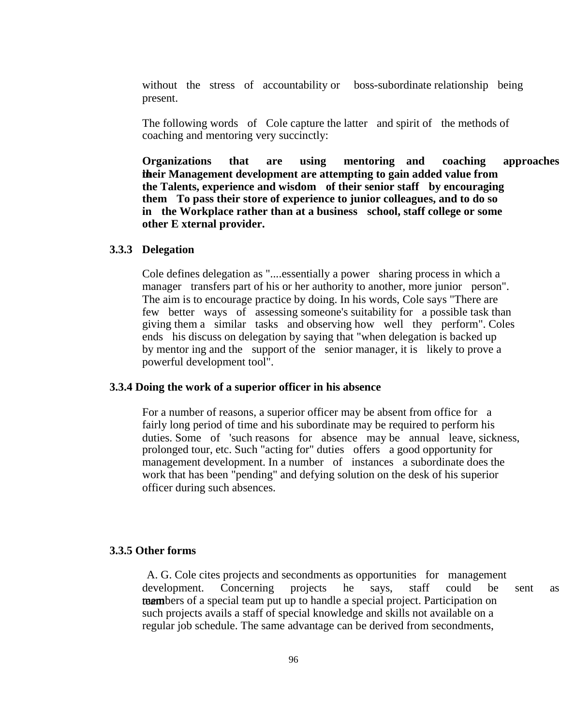without the stress of accountability or boss-subordinate relationship being present.

The following words of Cole capture the latter and spirit of the methods of coaching and mentoring very succinctly:

**Organizations that are using mentoring and coaching approaches in their Management development are attempting to gain added value from the Talents, experience and wisdom of their senior staff by encouraging them To pass their store of experience to junior colleagues, and to do so in the Workplace rather than at a business school, staff college or some other E xternal provider.**

#### **3.3.3 Delegation**

Cole defines delegation as "....essentially a power sharing process in which a manager transfers part of his or her authority to another, more junior person". The aim is to encourage practice by doing. In his words, Cole says "There are few better ways of assessing someone's suitability for a possible task than giving them a similar tasks and observing how well they perform". Coles ends his discuss on delegation by saying that "when delegation is backed up by mentor ing and the support of the senior manager, it is likely to prove a powerful development tool".

#### **3.3.4 Doing the work of a superior officer in his absence**

For a number of reasons, a superior officer may be absent from office for a fairly long period of time and his subordinate may be required to perform his duties. Some of 'such reasons for absence may be annual leave, sickness, prolonged tour, etc. Such "acting for" duties offers a good opportunity for management development. In a number of instances a subordinate does the work that has been "pending" and defying solution on the desk of his superior officer during such absences.

## **3.3.5 Other forms**

 A. G. Cole cites projects and secondments as opportunities for management development. Concerning projects he says, staff could be sent as teambers of a special team put up to handle a special project. Participation on such projects avails a staff of special knowledge and skills not available on a regular job schedule. The same advantage can be derived from secondments,

96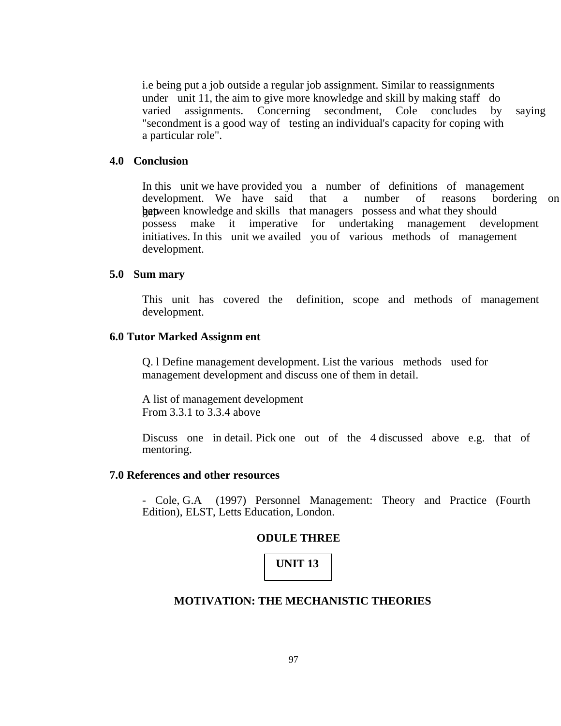i.e being put a job outside a regular job assignment. Similar to reassignments under unit 11, the aim to give more knowledge and skill by making staff do varied assignments. Concerning secondment, Cole concludes by saying "secondment is a good way of testing an individual's capacity for coping with a particular role".

## **4.0 Conclusion**

In this unit we have provided you a number of definitions of management development. We have said that a number of reasons bordering on **between** knowledge and skills that managers possess and what they should possess make it imperative for undertaking management development initiatives. In this unit we availed you of various methods of management development.

#### **5.0 Sum mary**

This unit has covered the definition, scope and methods of management development.

## **6.0 Tutor Marked Assignm ent**

Q. l Define management development. List the various methods used for management development and discuss one of them in detail.

A list of management development From 3.3.1 to 3.3.4 above

Discuss one in detail. Pick one out of the 4 discussed above e.g. that of mentoring.

## **7.0 References and other resources**

- Cole, G.A (1997) Personnel Management: Theory and Practice (Fourth Edition), ELST, Letts Education, London.

## **ODULE THREE**

| <b>UNIT 13</b> |  |
|----------------|--|
|                |  |

## **MOTIVATION: THE MECHANISTIC THEORIES**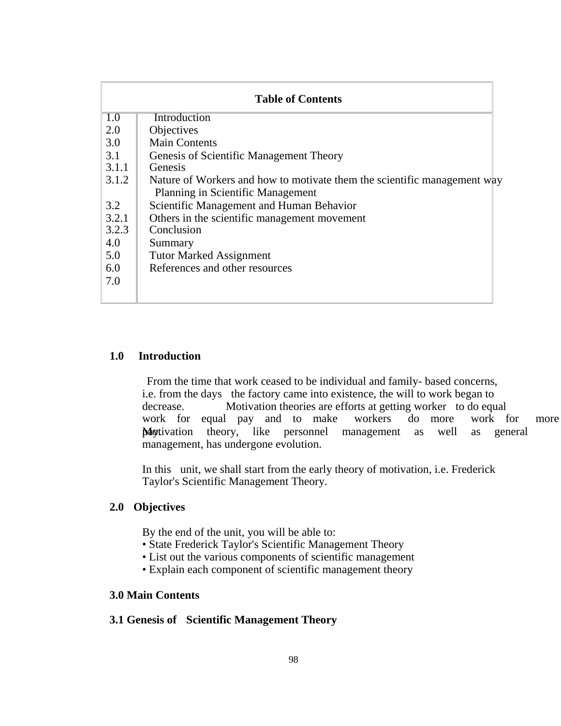|                  | <b>Table of Contents</b>                                                 |
|------------------|--------------------------------------------------------------------------|
| $\overline{1.0}$ | Introduction                                                             |
| 2.0              | Objectives                                                               |
| 3.0              | <b>Main Contents</b>                                                     |
| 3.1              | Genesis of Scientific Management Theory                                  |
| 3.1.1            | Genesis                                                                  |
| 3.1.2            | Nature of Workers and how to motivate them the scientific management way |
|                  | <b>Planning in Scientific Management</b>                                 |
| 3.2              | Scientific Management and Human Behavior                                 |
| 3.2.1            | Others in the scientific management movement                             |
| 3.2.3            | Conclusion                                                               |
| 4.0              | Summary                                                                  |
| 5.0              | <b>Tutor Marked Assignment</b>                                           |
| 6.0              | References and other resources                                           |
| 7.0              |                                                                          |
|                  |                                                                          |

## **1.0 Introduction**

 From the time that work ceased to be individual and family- based concerns, i.e. from the days the factory came into existence, the will to work began to decrease. Motivation theories are efforts at getting worker to do equal<br>work for equal pay and to make workers do more work f work for equal pay and to make workers do more work for more **Motivation** theory, like personnel management as well as general management, has undergone evolution.

In this unit, we shall start from the early theory of motivation, i.e. Frederick Taylor's Scientific Management Theory.

## **2.0 Objectives**

By the end of the unit, you will be able to:

- State Frederick Taylor's Scientific Management Theory
- List out the various components of scientific management
- Explain each component of scientific management theory

## **3.0 Main Contents**

## **3.1 Genesis of Scientific Management Theory**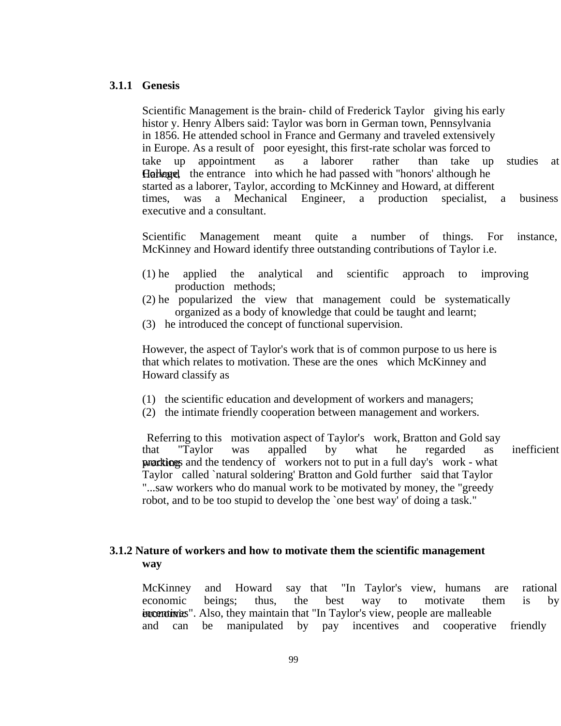#### **3.1.1 Genesis**

Scientific Management is the brain- child of Frederick Taylor giving his early histor y. Henry Albers said: Taylor was born in German town, Pennsylvania in 1856. He attended school in France and Germany and traveled extensively in Europe. As a result of poor eyesight, this first-rate scholar was forced to take up appointment as a laborer rather than take up studies at **Harvard** the entrance into which he had passed with "honors' although he started as a laborer, Taylor, according to McKinney and Howard, at different times, was a Mechanical Engineer, a production specialist, a business executive and a consultant.

Scientific Management meant quite a number of things. For instance, McKinney and Howard identify three outstanding contributions of Taylor i.e.

- (1) he applied the analytical and scientific approach to improving production methods;
- (2) he popularized the view that management could be systematically organized as a body of knowledge that could be taught and learnt;
- (3) he introduced the concept of functional supervision.

However, the aspect of Taylor's work that is of common purpose to us here is that which relates to motivation. These are the ones which McKinney and Howard classify as

- (1) the scientific education and development of workers and managers;
- (2) the intimate friendly cooperation between management and workers.

 Referring to this motivation aspect of Taylor's work, Bratton and Gold say that "Taylor was appalled by what he regarded as inefficient pracking and the tendency of workers not to put in a full day's work - what Taylor called `natural soldering' Bratton and Gold further said that Taylor "...saw workers who do manual work to be motivated by money, the "greedy robot, and to be too stupid to develop the `one best way' of doing a task."

## **3.1.2 Nature of workers and how to motivate them the scientific management way**

McKinney and Howard say that "In Taylor's view, humans are rational economic beings; thus, the best way to motivate them is by **excentives**". Also, they maintain that "In Taylor's view, people are malleable and can be manipulated by pay incentives and cooperative friendly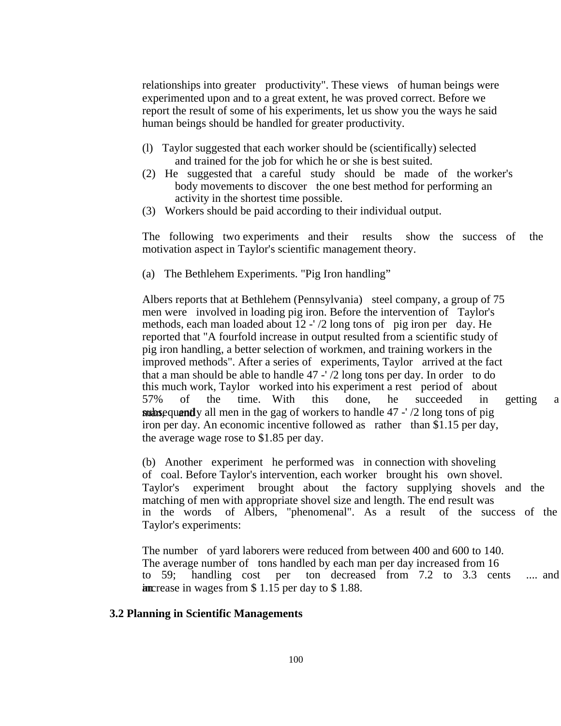relationships into greater productivity". These views of human beings were experimented upon and to a great extent, he was proved correct. Before we report the result of some of his experiments, let us show you the ways he said human beings should be handled for greater productivity.

- (l) Taylor suggested that each worker should be (scientifically) selected and trained for the job for which he or she is best suited.
- (2) He suggested that a careful study should be made of the worker's body movements to discover the one best method for performing an activity in the shortest time possible.
- (3) Workers should be paid according to their individual output.

The following two experiments and their results show the success of the motivation aspect in Taylor's scientific management theory.

(a) The Bethlehem Experiments. "Pig Iron handling"

Albers reports that at Bethlehem (Pennsylvania) steel company, a group of 75 men were involved in loading pig iron. Before the intervention of Taylor's methods, each man loaded about 12 -' /2 long tons of pig iron per day. He reported that "A fourfold increase in output resulted from a scientific study of pig iron handling, a better selection of workmen, and training workers in the improved methods". After a series of experiments, Taylor arrived at the fact that a man should be able to handle  $47 - 7/2$  long tons per day. In order to do this much work, Taylor worked into his experiment a rest period of about 57% of the time. With this done, he succeeded in getting a subsequently all men in the gag of workers to handle  $47 - 7/2$  long tons of pig iron per day. An economic incentive followed as rather than \$1.15 per day, the average wage rose to \$1.85 per day.

(b) Another experiment he performed was in connection with shoveling of coal. Before Taylor's intervention, each worker brought his own shovel. Taylor's experiment brought about the factory supplying shovels and the matching of men with appropriate shovel size and length. The end result was in the words of Albers, "phenomenal". As a result of the success of the Taylor's experiments:

The number of yard laborers were reduced from between 400 and 600 to 140. The average number of tons handled by each man per day increased from 16 to 59; handling cost per ton decreased from 7.2 to 3.3 cents .... and increase in wages from  $$ 1.15$  per day to  $$ 1.88$ .

## **3.2 Planning in Scientific Managements**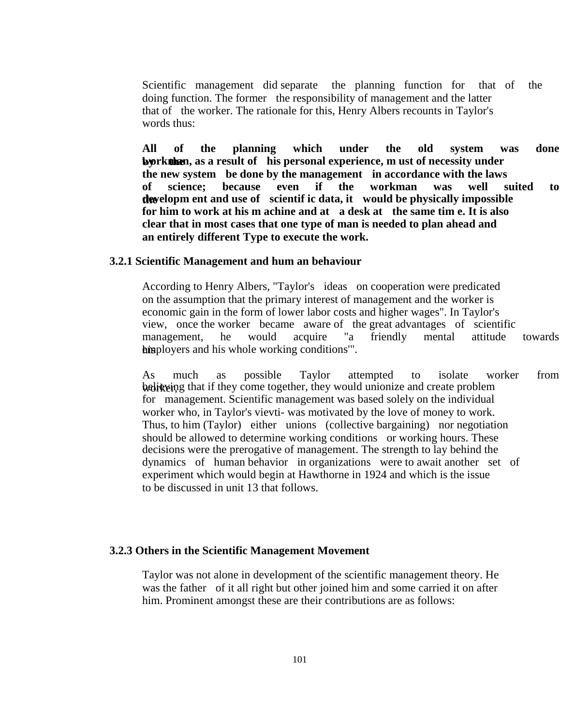Scientific management did separate the planning function for that of the doing function. The former the responsibility of management and the latter that of the worker. The rationale for this, Henry Albers recounts in Taylor's words thus:

**All of the planning which under the old system was done by orkthan, as a result of his personal experience, m ust of necessity under the new system be done by the management in accordance with the laws of science; because even if the workman was well suited to the developm ent and use of scientif ic data, it would be physically impossible for him to work at his m achine and at a desk at the same tim e. It is also clear that in most cases that one type of man is needed to plan ahead and an entirely different Type to execute the work.**

#### **3.2.1 Scientific Management and hum an behaviour**

According to Henry Albers, "Taylor's ideas on cooperation were predicated on the assumption that the primary interest of management and the worker is economic gain in the form of lower labor costs and higher wages". In Taylor's view, once the worker became aware of the great advantages of scientific management, he would acquire "a friendly mental attitude towards his ployers and his whole working conditions".

As much as possible Taylor attempted to isolate worker from beliveling that if they come together, they would unionize and create problem for management. Scientific management was based solely on the individual worker who, in Taylor's vievti- was motivated by the love of money to work. Thus, to him (Taylor) either unions (collective bargaining) nor negotiation should be allowed to determine working conditions or working hours. These decisions were the prerogative of management. The strength to lay behind the dynamics of human behavior in organizations were to await another set of experiment which would begin at Hawthorne in 1924 and which is the issue to be discussed in unit 13 that follows.

#### **3.2.3 Others in the Scientific Management Movement**

Taylor was not alone in development of the scientific management theory. He was the father of it all right but other joined him and some carried it on after him. Prominent amongst these are their contributions are as follows: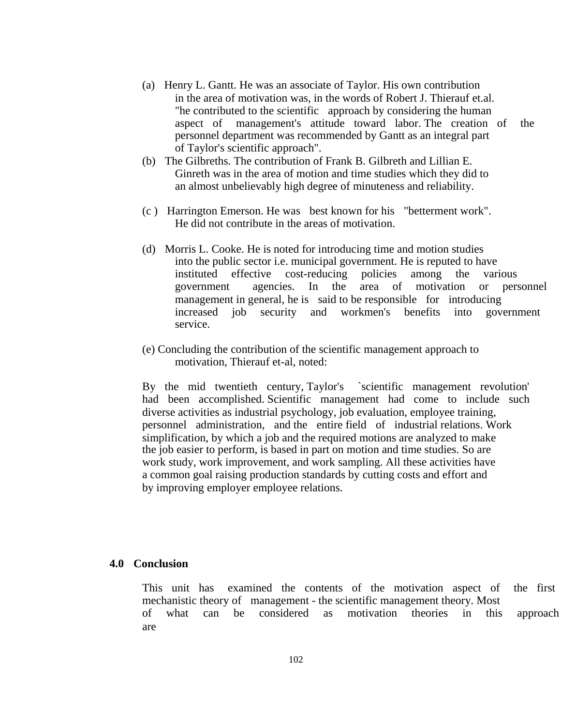- (a) Henry L. Gantt. He was an associate of Taylor. His own contribution in the area of motivation was, in the words of Robert J. Thierauf et.al. "he contributed to the scientific approach by considering the human aspect of management's attitude toward labor. The creation of the personnel department was recommended by Gantt as an integral part of Taylor's scientific approach".
- (b) The Gilbreths. The contribution of Frank B. Gilbreth and Lillian E. Ginreth was in the area of motion and time studies which they did to an almost unbelievably high degree of minuteness and reliability.
- (c ) Harrington Emerson. He was best known for his "betterment work". He did not contribute in the areas of motivation.
- (d) Morris L. Cooke. He is noted for introducing time and motion studies into the public sector i.e. municipal government. He is reputed to have instituted effective cost-reducing policies among the various government agencies. In the area of motivation or personnel management in general, he is said to be responsible for introducing increased job security and workmen's benefits into government service.
- (e) Concluding the contribution of the scientific management approach to motivation, Thierauf et-al, noted:

By the mid twentieth century, Taylor's `scientific management revolution' had been accomplished. Scientific management had come to include such diverse activities as industrial psychology, job evaluation, employee training, personnel administration, and the entire field of industrial relations. Work simplification, by which a job and the required motions are analyzed to make the job easier to perform, is based in part on motion and time studies. So are work study, work improvement, and work sampling. All these activities have a common goal raising production standards by cutting costs and effort and by improving employer employee relations.

## **4.0 Conclusion**

This unit has examined the contents of the motivation aspect of the first mechanistic theory of management - the scientific management theory. Most of what can be considered as motivation theories in this approach are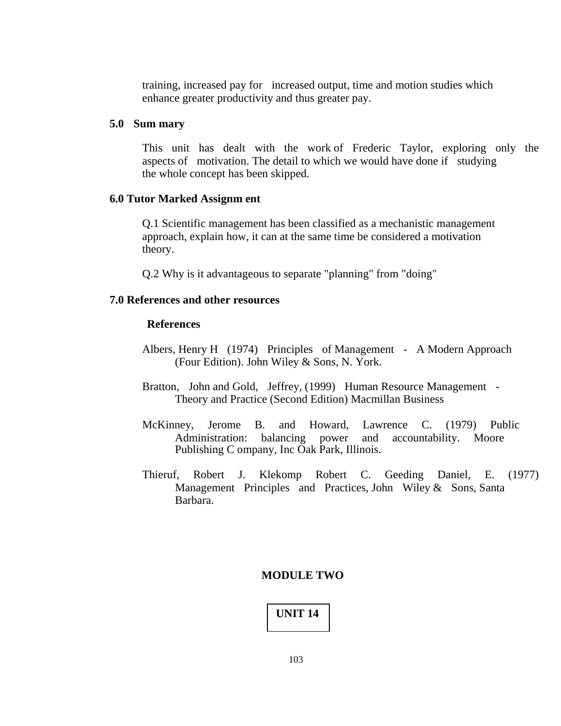training, increased pay for increased output, time and motion studies which enhance greater productivity and thus greater pay.

## **5.0 Sum mary**

This unit has dealt with the work of Frederic Taylor, exploring only the aspects of motivation. The detail to which we would have done if studying the whole concept has been skipped.

## **6.0 Tutor Marked Assignm ent**

Q.1 Scientific management has been classified as a mechanistic management approach, explain how, it can at the same time be considered a motivation theory.

Q.2 Why is it advantageous to separate "planning" from "doing"

## **7.0 References and other resources**

## **References**

- Albers, Henry H (1974) Principles of Management A Modern Approach (Four Edition). John Wiley & Sons, N. York.
- Bratton, John and Gold, Jeffrey, (1999) Human Resource Management Theory and Practice (Second Edition) Macmillan Business
- McKinney, Jerome B. and Howard, Lawrence C. (1979) Public Administration: balancing power and accountability. Moore Publishing C ompany, Inc Oak Park, Illinois.
- Thieruf, Robert J. Klekomp Robert C. Geeding Daniel, E. (1977) Management Principles and Practices, John Wiley & Sons, Santa Barbara.

## **MODULE TWO**

# **UNIT 14**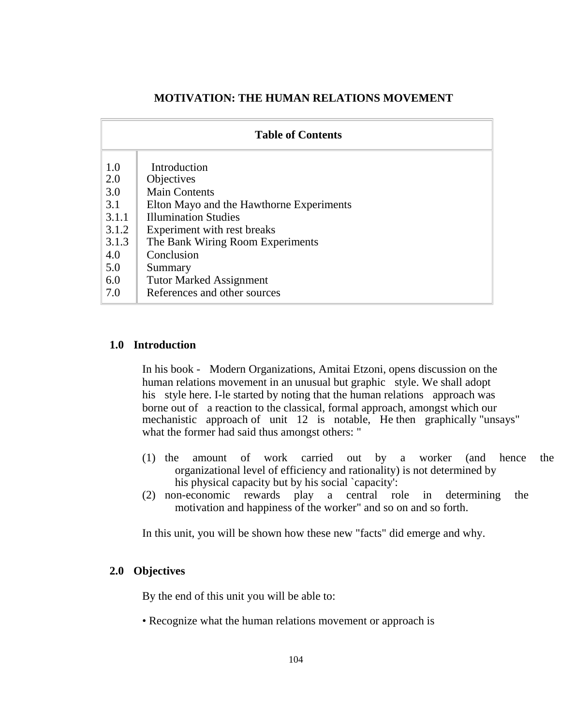## **MOTIVATION: THE HUMAN RELATIONS MOVEMENT**

| <b>Table of Contents</b>                                                        |                                                                                                                                                                                                                                                                                             |
|---------------------------------------------------------------------------------|---------------------------------------------------------------------------------------------------------------------------------------------------------------------------------------------------------------------------------------------------------------------------------------------|
| 1.0<br>2.0<br>3.0<br>3.1<br>3.1.1<br>3.1.2<br>3.1.3<br>4.0<br>5.0<br>6.0<br>7.0 | Introduction<br>Objectives<br><b>Main Contents</b><br>Elton Mayo and the Hawthorne Experiments<br><b>Illumination Studies</b><br>Experiment with rest breaks<br>The Bank Wiring Room Experiments<br>Conclusion<br>Summary<br><b>Tutor Marked Assignment</b><br>References and other sources |
|                                                                                 |                                                                                                                                                                                                                                                                                             |

## **1.0 Introduction**

In his book - Modern Organizations, Amitai Etzoni, opens discussion on the human relations movement in an unusual but graphic style. We shall adopt his style here. I-le started by noting that the human relations approach was borne out of a reaction to the classical, formal approach, amongst which our mechanistic approach of unit 12 is notable, He then graphically "unsays" what the former had said thus amongst others: "

- (1) the amount of work carried out by a worker (and hence the organizational level of efficiency and rationality) is not determined by his physical capacity but by his social `capacity':
- (2) non-economic rewards play a central role in determining the motivation and happiness of the worker" and so on and so forth.

In this unit, you will be shown how these new "facts" did emerge and why.

## **2.0 Objectives**

By the end of this unit you will be able to:

• Recognize what the human relations movement or approach is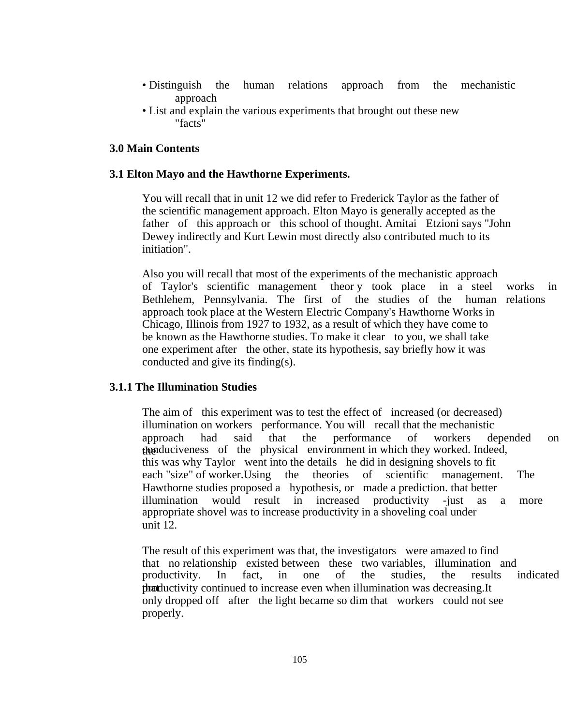- Distinguish the human relations approach from the mechanistic approach
- List and explain the various experiments that brought out these new "facts"

## **3.0 Main Contents**

## **3.1 Elton Mayo and the Hawthorne Experiments.**

You will recall that in unit 12 we did refer to Frederick Taylor as the father of the scientific management approach. Elton Mayo is generally accepted as the father of this approach or this school of thought. Amitai Etzioni says "John Dewey indirectly and Kurt Lewin most directly also contributed much to its initiation".

Also you will recall that most of the experiments of the mechanistic approach of Taylor's scientific management theor y took place in a steel works in Bethlehem, Pennsylvania. The first of the studies of the human relations approach took place at the Western Electric Company's Hawthorne Works in Chicago, Illinois from 1927 to 1932, as a result of which they have come to be known as the Hawthorne studies. To make it clear to you, we shall take one experiment after the other, state its hypothesis, say briefly how it was conducted and give its finding(s).

## **3.1.1 The Illumination Studies**

The aim of this experiment was to test the effect of increased (or decreased) illumination on workers performance. You will recall that the mechanistic approach had said that the performance of workers depended on the conduciveness of the physical environment in which they worked. Indeed, this was why Taylor went into the details he did in designing shovels to fit each "size" of worker.Using the theories of scientific management. The Hawthorne studies proposed a hypothesis, or made a prediction. that better illumination would result in increased productivity -just as a more appropriate shovel was to increase productivity in a shoveling coal under unit 12.

The result of this experiment was that, the investigators were amazed to find that no relationship existed between these two variables, illumination and productivity. In fact, in one of the studies, the results indicated the productivity continued to increase even when illumination was decreasing. It only dropped off after the light became so dim that workers could not see properly.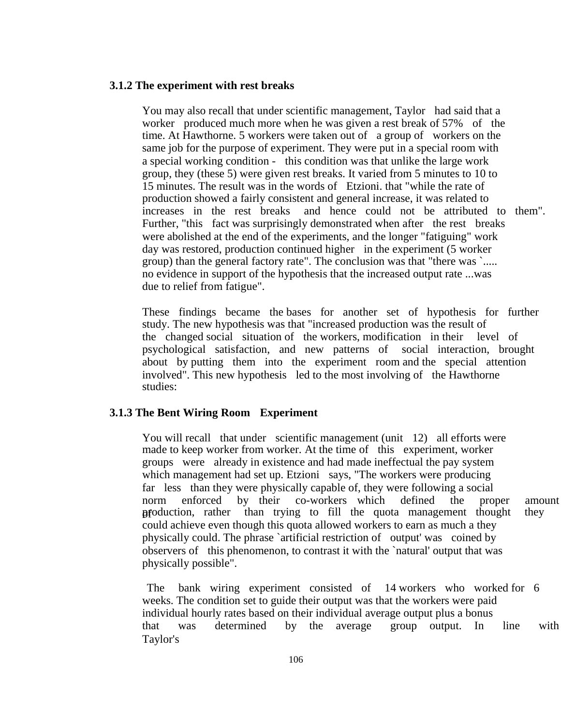#### **3.1.2 The experiment with rest breaks**

You may also recall that under scientific management, Taylor had said that a worker produced much more when he was given a rest break of 57% of the time. At Hawthorne. 5 workers were taken out of a group of workers on the same job for the purpose of experiment. They were put in a special room with a special working condition - this condition was that unlike the large work group, they (these 5) were given rest breaks. It varied from 5 minutes to 10 to 15 minutes. The result was in the words of Etzioni. that "while the rate of production showed a fairly consistent and general increase, it was related to increases in the rest breaks and hence could not be attributed to them". Further, "this fact was surprisingly demonstrated when after the rest breaks were abolished at the end of the experiments, and the longer "fatiguing" work day was restored, production continued higher in the experiment (5 worker group) than the general factory rate". The conclusion was that "there was `..... no evidence in support of the hypothesis that the increased output rate ...was due to relief from fatigue".

These findings became the bases for another set of hypothesis for further study. The new hypothesis was that "increased production was the result of the changed social situation of the workers, modification in their level of psychological satisfaction, and new patterns of social interaction, brought about by putting them into the experiment room and the special attention involved". This new hypothesis led to the most involving of the Hawthorne studies:

#### **3.1.3 The Bent Wiring Room Experiment**

You will recall that under scientific management (unit 12) all efforts were made to keep worker from worker. At the time of this experiment, worker groups were already in existence and had made ineffectual the pay system which management had set up. Etzioni says, "The workers were producing far less than they were physically capable of, they were following a social norm enforced by their co-workers which defined the proper amount of production, rather than trying to fill the quota management thought they could achieve even though this quota allowed workers to earn as much a they physically could. The phrase `artificial restriction of output' was coined by observers of this phenomenon, to contrast it with the `natural' output that was physically possible".

 The bank wiring experiment consisted of 14 workers who worked for 6 weeks. The condition set to guide their output was that the workers were paid individual hourly rates based on their individual average output plus a bonus that was determined by the average group output. In line with Taylor's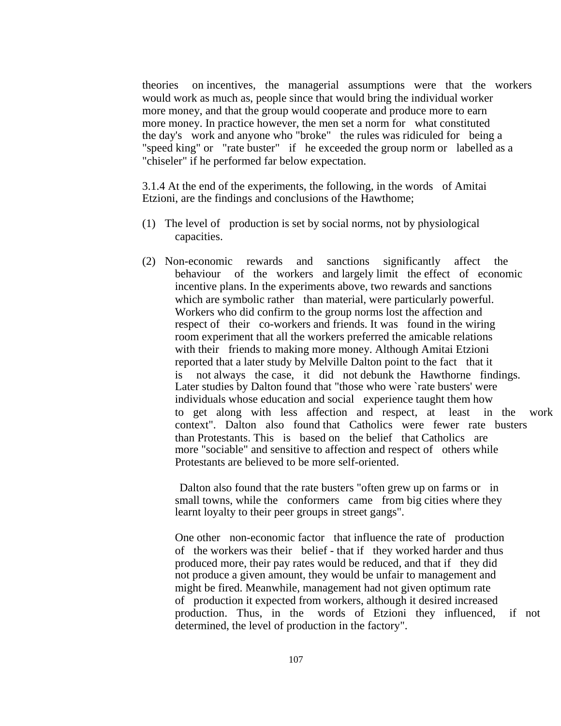theories on incentives, the managerial assumptions were that the workers would work as much as, people since that would bring the individual worker more money, and that the group would cooperate and produce more to earn more money. In practice however, the men set a norm for what constituted the day's work and anyone who "broke" the rules was ridiculed for being a "speed king" or "rate buster" if he exceeded the group norm or labelled as a "chiseler" if he performed far below expectation.

3.1.4 At the end of the experiments, the following, in the words of Amitai Etzioni, are the findings and conclusions of the Hawthome;

- (1) The level of production is set by social norms, not by physiological capacities.
- (2) Non-economic rewards and sanctions significantly affect the behaviour of the workers and largely limit the effect of economic incentive plans. In the experiments above, two rewards and sanctions which are symbolic rather than material, were particularly powerful. Workers who did confirm to the group norms lost the affection and respect of their co-workers and friends. It was found in the wiring room experiment that all the workers preferred the amicable relations with their friends to making more money. Although Amitai Etzioni reported that a later study by Melville Dalton point to the fact that it is not always the case, it did not debunk the Hawthorne findings. Later studies by Dalton found that "those who were `rate busters' were individuals whose education and social experience taught them how to get along with less affection and respect, at least in the work context". Dalton also found that Catholics were fewer rate busters than Protestants. This is based on the belief that Catholics are more "sociable" and sensitive to affection and respect of others while Protestants are believed to be more self-oriented.

 Dalton also found that the rate busters "often grew up on farms or in small towns, while the conformers came from big cities where they learnt loyalty to their peer groups in street gangs".

One other non-economic factor that influence the rate of production of the workers was their belief - that if they worked harder and thus produced more, their pay rates would be reduced, and that if they did not produce a given amount, they would be unfair to management and might be fired. Meanwhile, management had not given optimum rate of production it expected from workers, although it desired increased production. Thus, in the words of Etzioni they influenced, if not determined, the level of production in the factory".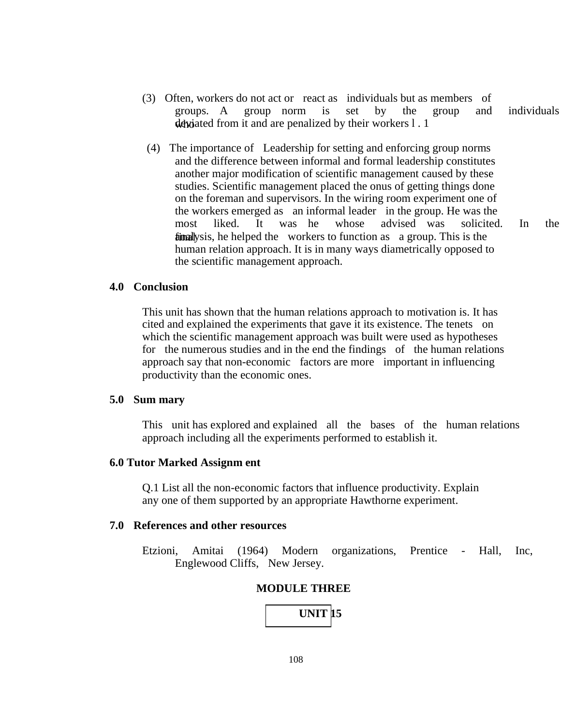- (3) Often, workers do not act or react as individuals but as members of groups. A group norm is set by the group and individuals  $\frac{1}{2}$  depointed from it and are penalized by their workers l. 1
- (4) The importance of Leadership for setting and enforcing group norms and the difference between informal and formal leadership constitutes another major modification of scientific management caused by these studies. Scientific management placed the onus of getting things done on the foreman and supervisors. In the wiring room experiment one of the workers emerged as an informal leader in the group. He was the most liked. It was he whose advised was solicited. In the funallysis, he helped the workers to function as a group. This is the human relation approach. It is in many ways diametrically opposed to the scientific management approach.

## **4.0 Conclusion**

This unit has shown that the human relations approach to motivation is. It has cited and explained the experiments that gave it its existence. The tenets on which the scientific management approach was built were used as hypotheses for the numerous studies and in the end the findings of the human relations approach say that non-economic factors are more important in influencing productivity than the economic ones.

## **5.0 Sum mary**

This unit has explored and explained all the bases of the human relations approach including all the experiments performed to establish it.

#### **6.0 Tutor Marked Assignm ent**

Q.1 List all the non-economic factors that influence productivity. Explain any one of them supported by an appropriate Hawthorne experiment.

#### **7.0 References and other resources**

Etzioni, Amitai (1964) Modern organizations, Prentice - Hall, Inc, Englewood Cliffs, New Jersey.

#### **MODULE THREE**

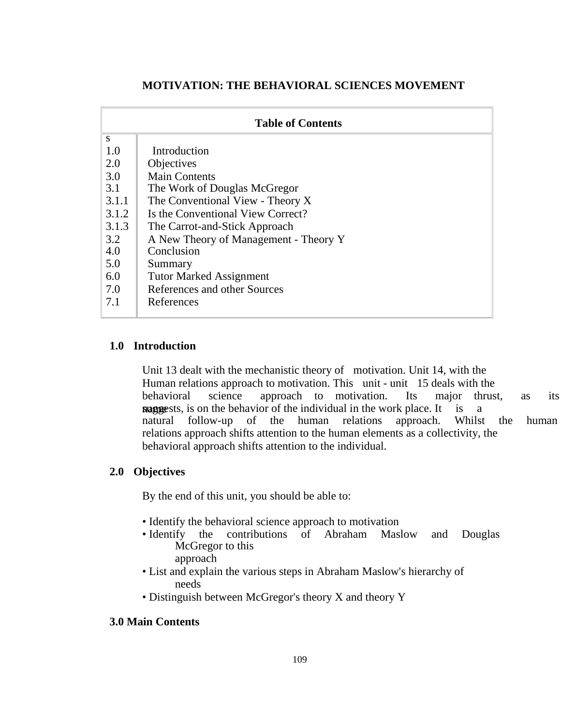# **MOTIVATION: THE BEHAVIORAL SCIENCES MOVEMENT**

| <b>Table of Contents</b> |                                       |  |
|--------------------------|---------------------------------------|--|
| S                        |                                       |  |
| 1.0                      | Introduction                          |  |
| 2.0                      | <b>Objectives</b>                     |  |
| 3.0                      | <b>Main Contents</b>                  |  |
| 3.1                      | The Work of Douglas McGregor          |  |
| 3.1.1                    | The Conventional View - Theory X      |  |
| 3.1.2                    | Is the Conventional View Correct?     |  |
| 3.1.3                    | The Carrot-and-Stick Approach         |  |
| 3.2                      | A New Theory of Management - Theory Y |  |
| 4.0                      | Conclusion                            |  |
| 5.0                      | Summary                               |  |
| 6.0                      | <b>Tutor Marked Assignment</b>        |  |
| 7.0                      | References and other Sources          |  |
| 7.1                      | References                            |  |

## **1.0 Introduction**

Unit 13 dealt with the mechanistic theory of motivation. Unit 14, with the Human relations approach to motivation. This unit - unit 15 deals with the behavioral science approach to motivation. Its major thrust, as its naggests, is on the behavior of the individual in the work place. It is a natural follow-up of the human relations approach. Whilst the human relations approach shifts attention to the human elements as a collectivity, the behavioral approach shifts attention to the individual.

## **2.0 Objectives**

By the end of this unit, you should be able to:

- Identify the behavioral science approach to motivation
- Identify the contributions of Abraham Maslow and Douglas McGregor to this
	- approach
- List and explain the various steps in Abraham Maslow's hierarchy of needs
- Distinguish between McGregor's theory X and theory Y

## **3.0 Main Contents**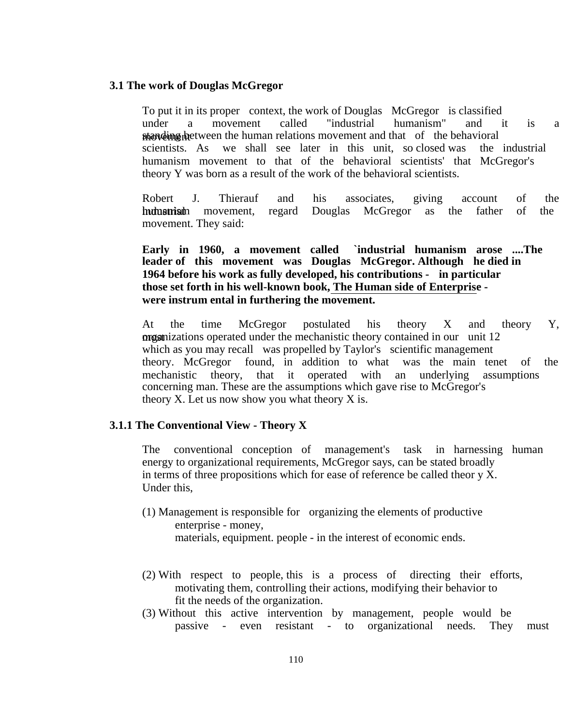#### **3.1 The work of Douglas McGregor**

To put it in its proper context, the work of Douglas McGregor is classified under a movement called "industrial humanism" and it is a standing between the human relations movement and that of the behavioral scientists. As we shall see later in this unit, so closed was the industrial humanism movement to that of the behavioral scientists' that McGregor's theory Y was born as a result of the work of the behavioral scientists.

Robert J. Thierauf and his associates, giving account of the humanism movement, regard Douglas McGregor as the father of the movement. They said:

**Early in 1960, a movement called `industrial humanism arose ....The leader of this movement was Douglas McGregor. Although he died in 1964 before his work as fully developed, his contributions - in particular those set forth in his well-known book, The Human side of Enterprise were instrum ental in furthering the movement.**

At the time McGregor postulated his theory X and theory Y, most incomponent organizations operated under the mechanistic theory contained in our unit 12 which as you may recall was propelled by Taylor's scientific management theory. McGregor found, in addition to what was the main tenet of the mechanistic theory, that it operated with an underlying assumptions concerning man. These are the assumptions which gave rise to McGregor's theory  $X$ . Let us now show you what theory  $X$  is.

#### **3.1.1 The Conventional View - Theory X**

The conventional conception of management's task in harnessing human energy to organizational requirements, McGregor says, can be stated broadly in terms of three propositions which for ease of reference be called theor y X. Under this,

- (1) Management is responsible for organizing the elements of productive enterprise - money, materials, equipment. people - in the interest of economic ends.
- (2) With respect to people, this is a process of directing their efforts, motivating them, controlling their actions, modifying their behavior to fit the needs of the organization.
- (3) Without this active intervention by management, people would be passive - even resistant - to organizational needs. They must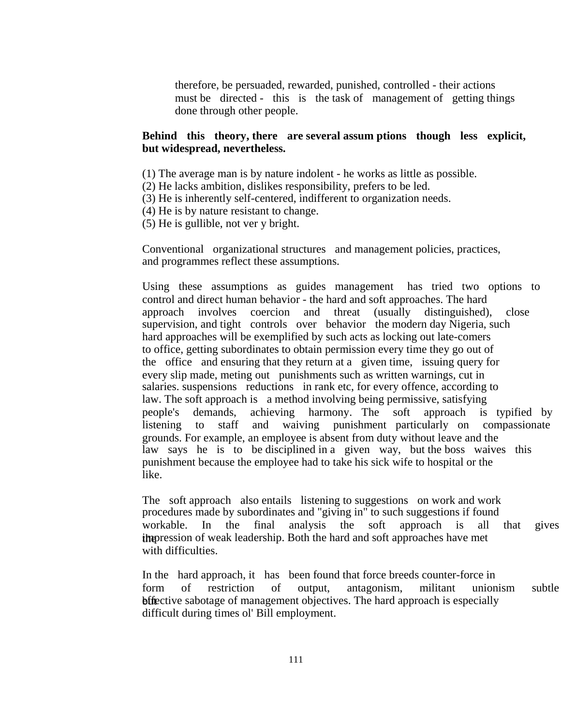therefore, be persuaded, rewarded, punished, controlled - their actions must be directed - this is the task of management of getting things done through other people.

## **Behind this theory, there are several assum ptions though less explicit, but widespread, nevertheless.**

- (1) The average man is by nature indolent he works as little as possible.
- (2) He lacks ambition, dislikes responsibility, prefers to be led.
- (3) He is inherently self-centered, indifferent to organization needs.
- (4) He is by nature resistant to change.
- (5) He is gullible, not ver y bright.

Conventional organizational structures and management policies, practices, and programmes reflect these assumptions.

Using these assumptions as guides management has tried two options to control and direct human behavior - the hard and soft approaches. The hard<br>approach involves coercion and threat (usually distinguished) approach involves coercion and threat (usually distinguished), close supervision, and tight controls over behavior the modern day Nigeria, such hard approaches will be exemplified by such acts as locking out late-comers to office, getting subordinates to obtain permission every time they go out of the office and ensuring that they return at a given time, issuing query for every slip made, meting out punishments such as written warnings, cut in salaries. suspensions reductions in rank etc, for every offence, according to law. The soft approach is a method involving being permissive, satisfying people's demands, achieving harmony. The soft approach is typified by listening to staff and waiving punishment particularly on compassionate grounds. For example, an employee is absent from duty without leave and the law says he is to be disciplined in a given way, but the boss waives this punishment because the employee had to take his sick wife to hospital or the like.

The soft approach also entails listening to suggestions on work and work procedures made by subordinates and "giving in" to such suggestions if found workable. In the final analysis the soft approach is all that gives **the** pression of weak leadership. Both the hard and soft approaches have met with difficulties.

In the hard approach, it has been found that force breeds counter-force in form of restriction of output, antagonism, militant unionism subtle bifective sabotage of management objectives. The hard approach is especially difficult during times ol' Bill employment.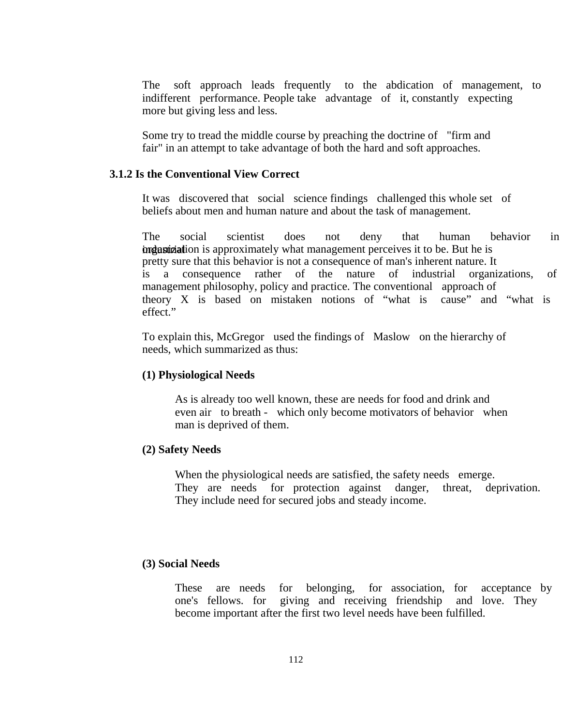The soft approach leads frequently to the abdication of management, to indifferent performance. People take advantage of it, constantly expecting more but giving less and less.

Some try to tread the middle course by preaching the doctrine of "firm and fair" in an attempt to take advantage of both the hard and soft approaches.

## **3.1.2 Is the Conventional View Correct**

It was discovered that social science findings challenged this whole set of beliefs about men and human nature and about the task of management.

The social scientist does not deny that human behavior in industrial organization is approximately what management perceives it to be. But he is pretty sure that this behavior is not a consequence of man's inherent nature. It is a consequence rather of the nature of industrial organizations, of management philosophy, policy and practice. The conventional approach of theory X is based on mistaken notions of "what is cause" and "what is effect."

To explain this, McGregor used the findings of Maslow on the hierarchy of needs, which summarized as thus:

## **(1) Physiological Needs**

As is already too well known, these are needs for food and drink and even air to breath - which only become motivators of behavior when man is deprived of them.

## **(2) Safety Needs**

When the physiological needs are satisfied, the safety needs emerge. They are needs for protection against danger, threat, deprivation. They include need for secured jobs and steady income.

#### **(3) Social Needs**

These are needs for belonging, for association, for acceptance by one's fellows. for giving and receiving friendship and love. They become important after the first two level needs have been fulfilled.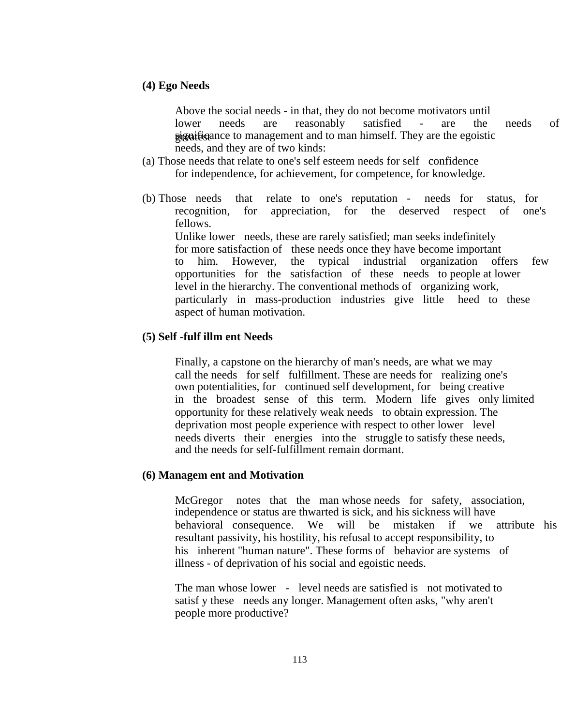## **(4) Ego Needs**

Above the social needs - in that, they do not become motivators until lower needs are reasonably satisfied - are the needs of significance to management and to man himself. They are the egoistic needs, and they are of two kinds:

- (a) Those needs that relate to one's self esteem needs for self confidence for independence, for achievement, for competence, for knowledge.
- (b) Those needs that relate to one's reputation needs for status, for recognition, for appreciation, for the deserved respect of one's fellows. Unlike lower needs, these are rarely satisfied; man seeks indefinitely for more satisfaction of these needs once they have become important to him. However, the typical industrial organization offers few opportunities for the satisfaction of these needs to people at lower level in the hierarchy. The conventional methods of organizing work,

particularly in mass-production industries give little heed to these aspect of human motivation.

## **(5) Self -fulf illm ent Needs**

Finally, a capstone on the hierarchy of man's needs, are what we may call the needs for self fulfillment. These are needs for realizing one's own potentialities, for continued self development, for being creative in the broadest sense of this term. Modern life gives only limited opportunity for these relatively weak needs to obtain expression. The deprivation most people experience with respect to other lower level needs diverts their energies into the struggle to satisfy these needs, and the needs for self-fulfillment remain dormant.

#### **(6) Managem ent and Motivation**

McGregor notes that the man whose needs for safety, association, independence or status are thwarted is sick, and his sickness will have behavioral consequence. We will be mistaken if we attribute his resultant passivity, his hostility, his refusal to accept responsibility, to his inherent "human nature". These forms of behavior are systems of illness - of deprivation of his social and egoistic needs.

The man whose lower - level needs are satisfied is not motivated to satisf y these needs any longer. Management often asks, "why aren't people more productive?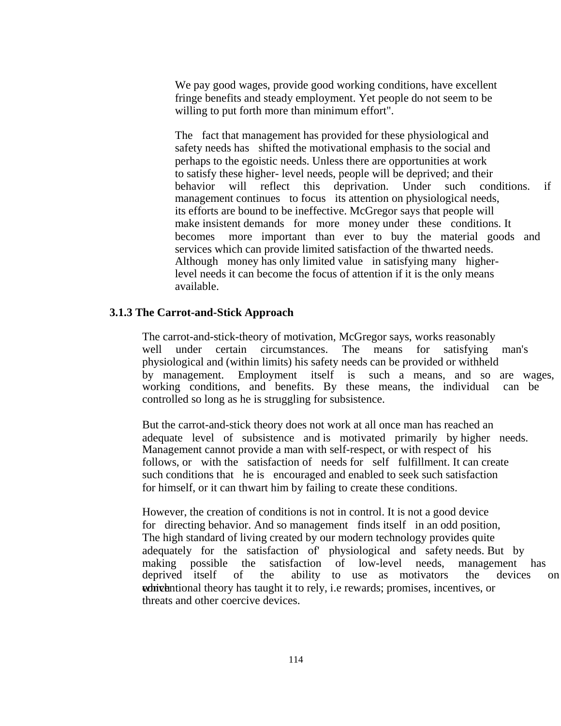We pay good wages, provide good working conditions, have excellent fringe benefits and steady employment. Yet people do not seem to be willing to put forth more than minimum effort".

The fact that management has provided for these physiological and safety needs has shifted the motivational emphasis to the social and perhaps to the egoistic needs. Unless there are opportunities at work to satisfy these higher- level needs, people will be deprived; and their behavior will reflect this deprivation. Under such conditions. if management continues to focus its attention on physiological needs, its efforts are bound to be ineffective. McGregor says that people will make insistent demands for more money under these conditions. It becomes more important than ever to buy the material goods and services which can provide limited satisfaction of the thwarted needs. Although money has only limited value in satisfying many higherlevel needs it can become the focus of attention if it is the only means available.

## **3.1.3 The Carrot-and-Stick Approach**

The carrot-and-stick-theory of motivation, McGregor says, works reasonably well under certain circumstances. The means for satisfying man's physiological and (within limits) his safety needs can be provided or withheld by management. Employment itself is such a means, and so are wages, working conditions, and benefits. By these means, the individual can be controlled so long as he is struggling for subsistence.

But the carrot-and-stick theory does not work at all once man has reached an adequate level of subsistence and is motivated primarily by higher needs. Management cannot provide a man with self-respect, or with respect of his follows, or with the satisfaction of needs for self fulfillment. It can create such conditions that he is encouraged and enabled to seek such satisfaction for himself, or it can thwart him by failing to create these conditions.

However, the creation of conditions is not in control. It is not a good device for directing behavior. And so management finds itself in an odd position, The high standard of living created by our modern technology provides quite adequately for the satisfaction of' physiological and safety needs. But by making possible the satisfaction of low-level needs, management has deprived itself of the ability to use as motivators the devices on which velocity has taught it to rely, i.e rewards; promises, incentives, or threats and other coercive devices.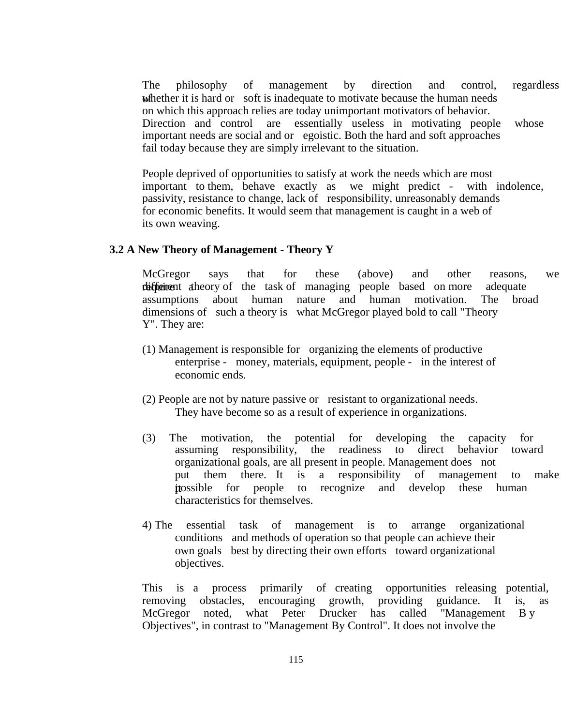The philosophy of management by direction and control, regardless whether it is hard or soft is inadequate to motivate because the human needs on which this approach relies are today unimportant motivators of behavior. Direction and control are essentially useless in motivating people whose important needs are social and or egoistic. Both the hard and soft approaches fail today because they are simply irrelevant to the situation.

People deprived of opportunities to satisfy at work the needs which are most important to them, behave exactly as we might predict - with indolence, passivity, resistance to change, lack of responsibility, unreasonably demands for economic benefits. It would seem that management is caught in a web of its own weaving.

## **3.2 A New Theory of Management - Theory Y**

McGregor says that for these (above) and other reasons, we relations a different above of the task of managing people based on more adequate assumptions about human nature and human motivation. The broad dimensions of such a theory is what McGregor played bold to call "Theory" Y". They are:

- (1) Management is responsible for organizing the elements of productive enterprise - money, materials, equipment, people - in the interest of economic ends.
- (2) People are not by nature passive or resistant to organizational needs. They have become so as a result of experience in organizations.
- (3) The motivation, the potential for developing the capacity for assuming responsibility, the readiness to direct behavior toward organizational goals, are all present in people. Management does not put them there. It is a responsibility of management to make it possible for people to recognize and develop these human characteristics for themselves.
- 4) The essential task of management is to arrange organizational conditions and methods of operation so that people can achieve their own goals best by directing their own efforts toward organizational objectives.

This is a process primarily of creating opportunities releasing potential, removing obstacles, encouraging growth, providing guidance. It is, as McGregor noted, what Peter Drucker has called "Management B y Objectives", in contrast to "Management By Control". It does not involve the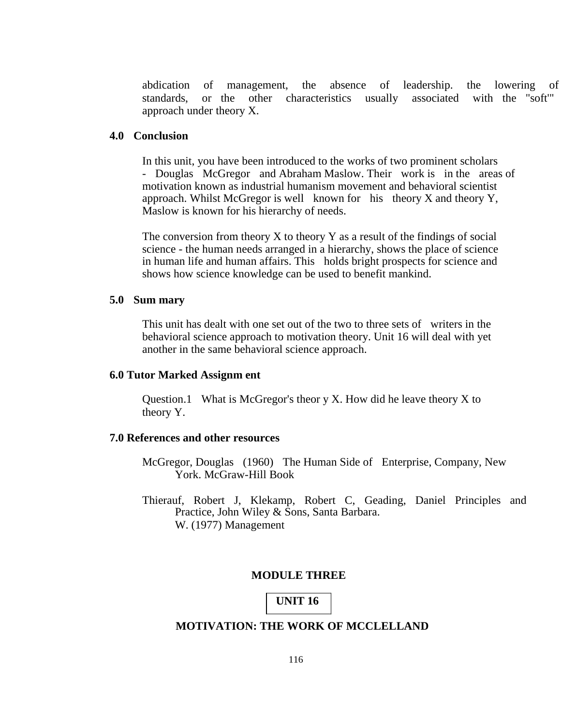abdication of management, the absence of leadership. the lowering of standards, or the other characteristics usually associated with the "soft'" approach under theory X.

## **4.0 Conclusion**

In this unit, you have been introduced to the works of two prominent scholars - Douglas McGregor and Abraham Maslow. Their work is in the areas of motivation known as industrial humanism movement and behavioral scientist approach. Whilst McGregor is well known for his theory X and theory Y, Maslow is known for his hierarchy of needs.

The conversion from theory  $X$  to theory  $Y$  as a result of the findings of social science - the human needs arranged in a hierarchy, shows the place of science in human life and human affairs. This holds bright prospects for science and shows how science knowledge can be used to benefit mankind.

## **5.0 Sum mary**

This unit has dealt with one set out of the two to three sets of writers in the behavioral science approach to motivation theory. Unit 16 will deal with yet another in the same behavioral science approach.

#### **6.0 Tutor Marked Assignm ent**

Question.1 What is McGregor's theor y X. How did he leave theory X to theory Y.

#### **7.0 References and other resources**

- McGregor, Douglas (1960) The Human Side of Enterprise, Company, New York. McGraw-Hill Book
- Thierauf, Robert J, Klekamp, Robert C, Geading, Daniel Principles and Practice, John Wiley & Sons, Santa Barbara. W. (1977) Management

## **MODULE THREE**

# **UNIT 16**

## **MOTIVATION: THE WORK OF MCCLELLAND**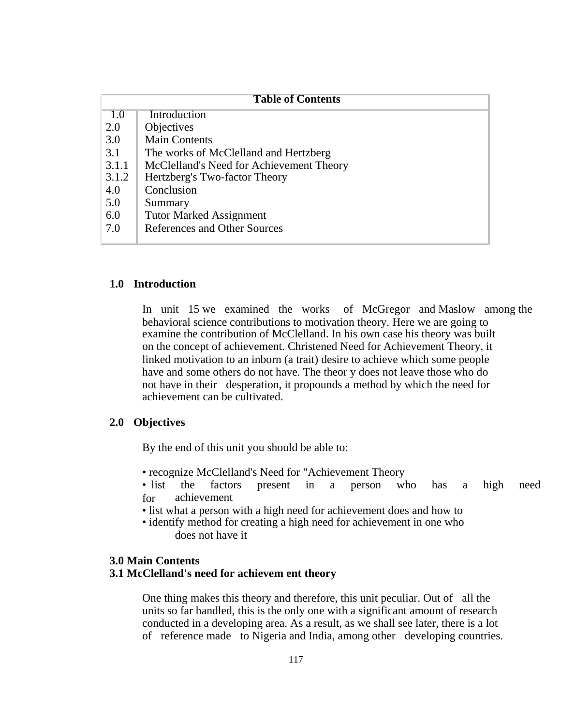| <b>Table of Contents</b>                 |  |  |
|------------------------------------------|--|--|
| Introduction                             |  |  |
| Objectives                               |  |  |
| <b>Main Contents</b>                     |  |  |
| The works of McClelland and Hertzberg    |  |  |
| McClelland's Need for Achievement Theory |  |  |
| Hertzberg's Two-factor Theory            |  |  |
| Conclusion                               |  |  |
| Summary                                  |  |  |
| <b>Tutor Marked Assignment</b>           |  |  |
| References and Other Sources             |  |  |
|                                          |  |  |

#### **1.0 Introduction**

In unit 15 we examined the works of McGregor and Maslow among the behavioral science contributions to motivation theory. Here we are going to examine the contribution of McClelland. In his own case his theory was built on the concept of achievement. Christened Need for Achievement Theory, it linked motivation to an inborn (a trait) desire to achieve which some people have and some others do not have. The theor y does not leave those who do not have in their desperation, it propounds a method by which the need for achievement can be cultivated.

## **2.0 Objectives**

By the end of this unit you should be able to:

• recognize McClelland's Need for "Achievement Theory

• list the factors present in a person who has a high need for achievement

- list what a person with a high need for achievement does and how to
- identify method for creating a high need for achievement in one who does not have it

#### **3.0 Main Contents**

#### **3.1 McClelland's need for achievem ent theory**

One thing makes this theory and therefore, this unit peculiar. Out of all the units so far handled, this is the only one with a significant amount of research conducted in a developing area. As a result, as we shall see later, there is a lot of reference made to Nigeria and India, among other developing countries.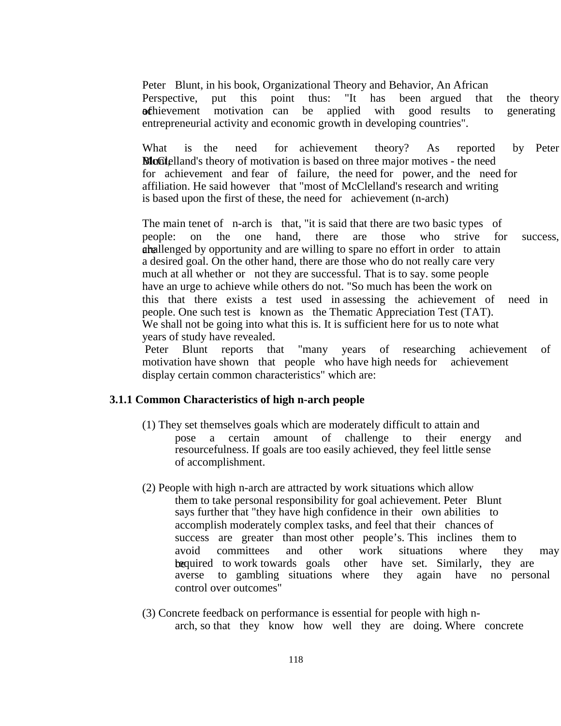Peter Blunt, in his book, Organizational Theory and Behavior, An African Perspective, put this point thus: "It has been argued that the theory of the vertex of the canadieconentrepreneurial activity and economic growth in developing countries".

What is the need for achievement theory? As reported by Peter **BloGtelland's theory of motivation is based on three major motives - the need** for achievement and fear of failure, the need for power, and the need for affiliation. He said however that "most of McClelland's research and writing is based upon the first of these, the need for achievement (n-arch)

The main tenet of n-arch is that, "it is said that there are two basic types of people: on the one hand, there are those who strive for success, aballenged by opportunity and are willing to spare no effort in order to attain a desired goal. On the other hand, there are those who do not really care very much at all whether or not they are successful. That is to say, some people have an urge to achieve while others do not. "So much has been the work on this that there exists a test used in assessing the achievement of need in people. One such test is known as the Thematic Appreciation Test (TAT). We shall not be going into what this is. It is sufficient here for us to note what years of study have revealed.

Peter Blunt reports that "many years of researching achievement of motivation have shown that people who have high needs for achievement display certain common characteristics" which are:

#### **3.1.1 Common Characteristics of high n-arch people**

- (1) They set themselves goals which are moderately difficult to attain and pose a certain amount of challenge to their energy and resourcefulness. If goals are too easily achieved, they feel little sense of accomplishment.
- (2) People with high n-arch are attracted by work situations which allow them to take personal responsibility for goal achievement. Peter Blunt says further that "they have high confidence in their own abilities to accomplish moderately complex tasks, and feel that their chances of success are greater than most other people's. This inclines them to avoid committees and other work situations where they may beguired to work towards goals other have set. Similarly, they are averse to gambling situations where they again have no personal control over outcomes"
- (3) Concrete feedback on performance is essential for people with high narch, so that they know how well they are doing. Where concrete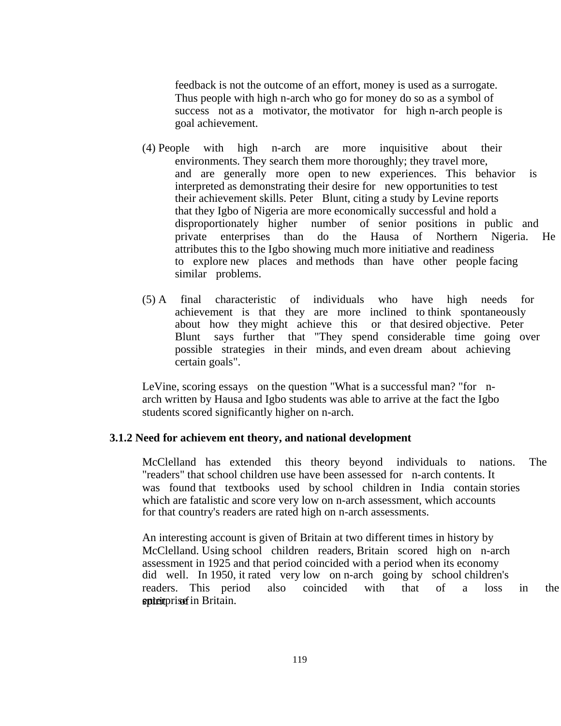feedback is not the outcome of an effort, money is used as a surrogate. Thus people with high n-arch who go for money do so as a symbol of success not as a motivator, the motivator for high n-arch people is goal achievement.

- (4) People with high n-arch are more inquisitive about their environments. They search them more thoroughly; they travel more, and are generally more open to new experiences. This behavior is interpreted as demonstrating their desire for new opportunities to test their achievement skills. Peter Blunt, citing a study by Levine reports that they Igbo of Nigeria are more economically successful and hold a disproportionately higher number of senior positions in public and private enterprises than do the Hausa of Northern Nigeria. He attributes this to the Igbo showing much more initiative and readiness to explore new places and methods than have other people facing similar problems.
- (5) A final characteristic of individuals who have high needs for achievement is that they are more inclined to think spontaneously about how they might achieve this or that desired objective. Peter Blunt says further that "They spend considerable time going over possible strategies in their minds, and even dream about achieving certain goals".

LeVine, scoring essays on the question "What is a successful man? "for narch written by Hausa and Igbo students was able to arrive at the fact the Igbo students scored significantly higher on n-arch.

#### **3.1.2 Need for achievem ent theory, and national development**

McClelland has extended this theory beyond individuals to nations. The "readers" that school children use have been assessed for n-arch contents. It was found that textbooks used by school children in India contain stories which are fatalistic and score very low on n-arch assessment, which accounts for that country's readers are rated high on n-arch assessments.

An interesting account is given of Britain at two different times in history by McClelland. Using school children readers, Britain scored high on n-arch assessment in 1925 and that period coincided with a period when its economy did well. In 1950, it rated very low on n-arch going by school children's readers. This period also coincided with that of a loss in the spirit prise in Britain.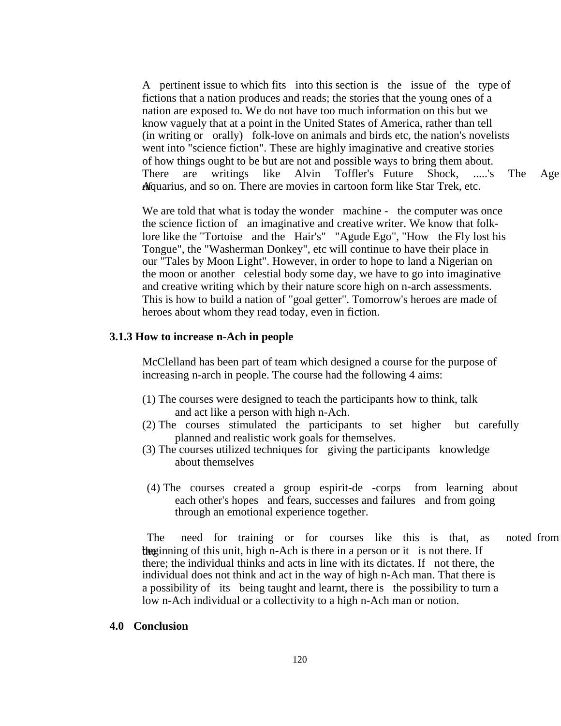A pertinent issue to which fits into this section is the issue of the type of fictions that a nation produces and reads; the stories that the young ones of a nation are exposed to. We do not have too much information on this but we know vaguely that at a point in the United States of America, rather than tell (in writing or orally) folk-love on animals and birds etc, the nation's novelists went into "science fiction". These are highly imaginative and creative stories of how things ought to be but are not and possible ways to bring them about. There are writings like Alvin Toffler's Future Shock, .....'s The Age **A** fquarius, and so on. There are movies in cartoon form like Star Trek, etc.

We are told that what is today the wonder machine - the computer was once the science fiction of an imaginative and creative writer. We know that folklore like the "Tortoise and the Hair's" "Agude Ego", "How the Fly lost his Tongue", the "Washerman Donkey", etc will continue to have their place in our "Tales by Moon Light". However, in order to hope to land a Nigerian on the moon or another celestial body some day, we have to go into imaginative and creative writing which by their nature score high on n-arch assessments. This is how to build a nation of "goal getter". Tomorrow's heroes are made of heroes about whom they read today, even in fiction.

## **3.1.3 How to increase n-Ach in people**

McClelland has been part of team which designed a course for the purpose of increasing n-arch in people. The course had the following 4 aims:

- (1) The courses were designed to teach the participants how to think, talk and act like a person with high n-Ach.
- (2) The courses stimulated the participants to set higher but carefully planned and realistic work goals for themselves.
- (3) The courses utilized techniques for giving the participants knowledge about themselves
- (4) The courses created a group espirit-de -corps from learning about each other's hopes and fears, successes and failures and from going through an emotional experience together.

The need for training or for courses like this is that, as noted from the beginning of this unit, high n-Ach is there in a person or it is not there. If there; the individual thinks and acts in line with its dictates. If not there, the individual does not think and act in the way of high n-Ach man. That there is a possibility of its being taught and learnt, there is the possibility to turn a low n-Ach individual or a collectivity to a high n-Ach man or notion.

## **4.0 Conclusion**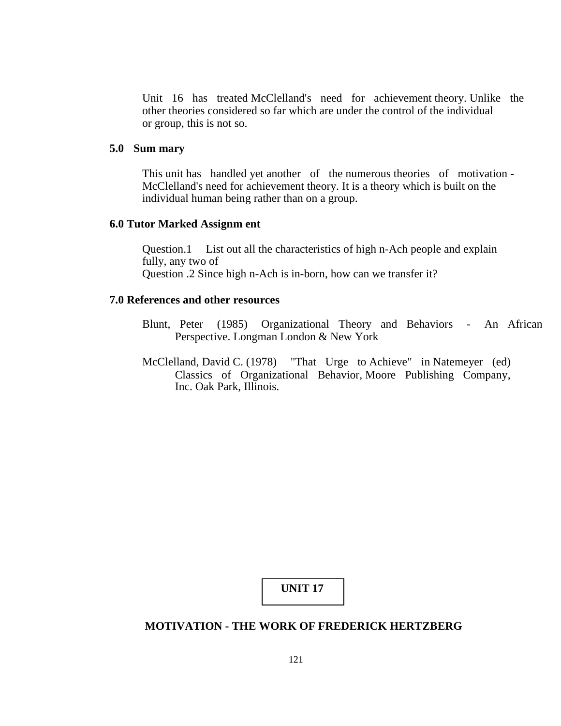Unit 16 has treated McClelland's need for achievement theory. Unlike the other theories considered so far which are under the control of the individual or group, this is not so.

#### **5.0 Sum mary**

This unit has handled yet another of the numerous theories of motivation - McClelland's need for achievement theory. It is a theory which is built on the individual human being rather than on a group.

## **6.0 Tutor Marked Assignm ent**

Question.1 List out all the characteristics of high n-Ach people and explain fully, any two of Question .2 Since high n-Ach is in-born, how can we transfer it?

## **7.0 References and other resources**

- Blunt, Peter (1985) Organizational Theory and Behaviors An African Perspective. Longman London & New York
- McClelland, David C. (1978) "That Urge to Achieve" in Natemeyer (ed) Classics of Organizational Behavior, Moore Publishing Company, Inc. Oak Park, Illinois.

## **UNIT 17**

## **MOTIVATION - THE WORK OF FREDERICK HERTZBERG**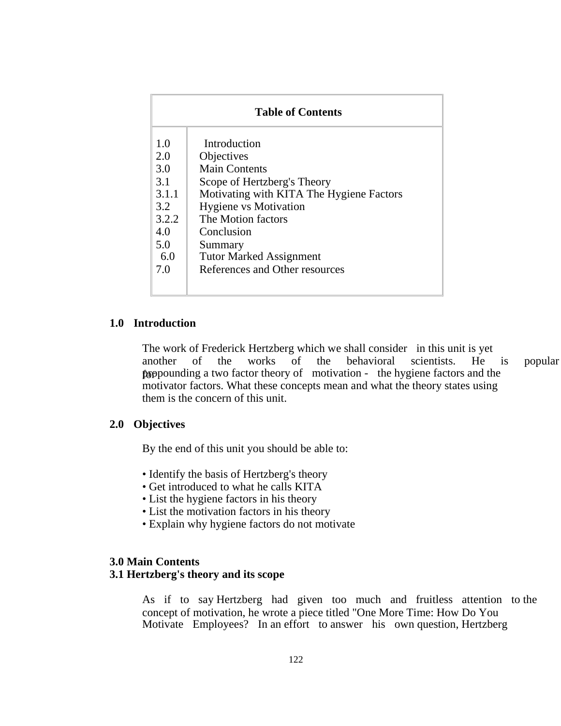| <b>Table of Contents</b> |                                          |  |
|--------------------------|------------------------------------------|--|
| 1.0                      | Introduction                             |  |
| 2.0                      | Objectives                               |  |
| 3.0                      | <b>Main Contents</b>                     |  |
| 3.1                      | Scope of Hertzberg's Theory              |  |
| 3.1.1                    | Motivating with KITA The Hygiene Factors |  |
| 3.2                      | <b>Hygiene vs Motivation</b>             |  |
| 3.2.2                    | The Motion factors                       |  |
| 4.0                      | Conclusion                               |  |
| 5.0                      | Summary                                  |  |
| 6.0                      | <b>Tutor Marked Assignment</b>           |  |
| 7.0                      | References and Other resources           |  |
|                          |                                          |  |

## **1.0 Introduction**

The work of Frederick Hertzberg which we shall consider in this unit is yet another of the works of the behavioral scientists. He is popular funding a two factor theory of motivation - the hygiene factors and the motivator factors. What these concepts mean and what the theory states using them is the concern of this unit.

## **2.0 Objectives**

By the end of this unit you should be able to:

- Identify the basis of Hertzberg's theory
- Get introduced to what he calls KITA
- List the hygiene factors in his theory
- List the motivation factors in his theory
- Explain why hygiene factors do not motivate

#### **3.0 Main Contents**

## **3.1 Hertzberg's theory and its scope**

As if to say Hertzberg had given too much and fruitless attention to the concept of motivation, he wrote a piece titled "One More Time: How Do You Motivate Employees? In an effort to answer his own question, Hertzberg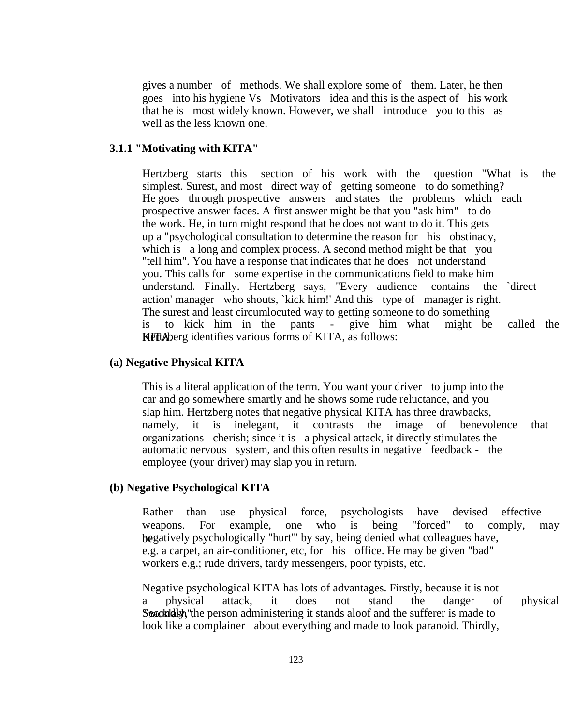gives a number of methods. We shall explore some of them. Later, he then goes into his hygiene Vs Motivators idea and this is the aspect of his work that he is most widely known. However, we shall introduce you to this as well as the less known one.

#### **3.1.1 "Motivating with KITA"**

Hertzberg starts this section of his work with the question "What is the simplest. Surest, and most direct way of getting someone to do something? He goes through prospective answers and states the problems which each prospective answer faces. A first answer might be that you "ask him" to do the work. He, in turn might respond that he does not want to do it. This gets up a "psychological consultation to determine the reason for his obstinacy, which is a long and complex process. A second method might be that you "tell him". You have a response that indicates that he does not understand you. This calls for some expertise in the communications field to make him understand. Finally. Hertzberg says, "Every audience contains the `direct action' manager who shouts, `kick him!' And this type of manager is right. The surest and least circumlocuted way to getting someone to do something<br>is to kick him in the pants - give him what might be is to kick him in the pants - give him what might be called the KET taberg identifies various forms of KITA, as follows:

## **(a) Negative Physical KITA**

This is a literal application of the term. You want your driver to jump into the car and go somewhere smartly and he shows some rude reluctance, and you slap him. Hertzberg notes that negative physical KITA has three drawbacks, namely, it is inelegant, it contrasts the image of benevolence that organizations cherish; since it is a physical attack, it directly stimulates the automatic nervous system, and this often results in negative feedback - the employee (your driver) may slap you in return.

#### **(b) Negative Psychological KITA**

Rather than use physical force, psychologists have devised effective weapons. For example, one who is being "forced" to comply, may begatively psychologically "hurt"' by say, being denied what colleagues have, e.g. a carpet, an air-conditioner, etc, for his office. He may be given "bad" workers e.g.; rude drivers, tardy messengers, poor typists, etc.

Negative psychological KITA has lots of advantages. Firstly, because it is not a physical attack, it does not stand the danger of physical Seachdash, the person administering it stands aloof and the sufferer is made to look like a complainer about everything and made to look paranoid. Thirdly,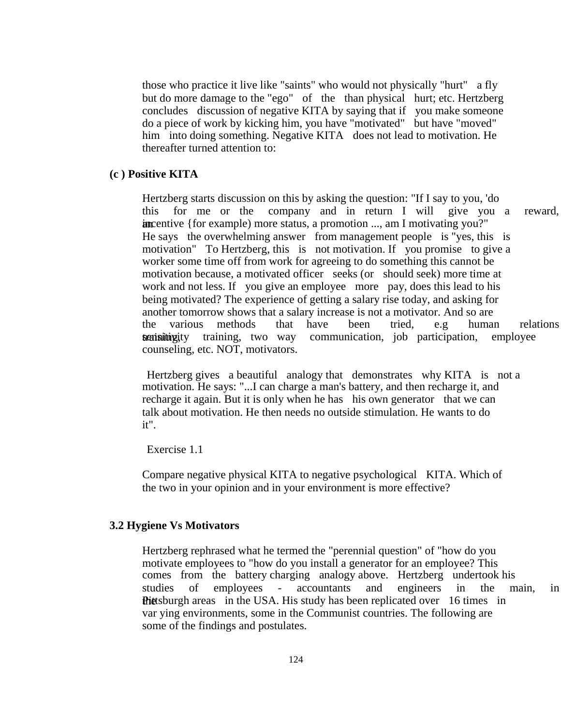those who practice it live like "saints" who would not physically "hurt" a fly but do more damage to the "ego" of the than physical hurt; etc. Hertzberg concludes discussion of negative KITA by saying that if you make someone do a piece of work by kicking him, you have "motivated" but have "moved" him into doing something. Negative KITA does not lead to motivation. He thereafter turned attention to:

#### **(c ) Positive KITA**

Hertzberg starts discussion on this by asking the question: "If I say to you, 'do this for me or the company and in return I will give you a reward, incentive {for example} more status, a promotion  $\dots$ , am I motivating you?" He says the overwhelming answer from management people is "yes, this is motivation" To Hertzberg, this is not motivation. If you promise to give a worker some time off from work for agreeing to do something this cannot be motivation because, a motivated officer seeks (or should seek) more time at work and not less. If you give an employee more pay, does this lead to his being motivated? The experience of getting a salary rise today, and asking for another tomorrow shows that a salary increase is not a motivator. And so are<br>the various methods that have been tried, e.g human the various methods that have been tried, e.g human relations terisitivity training, two way communication, job participation, employee counseling, etc. NOT, motivators.

 Hertzberg gives a beautiful analogy that demonstrates why KITA is not a motivation. He says: "...I can charge a man's battery, and then recharge it, and recharge it again. But it is only when he has his own generator that we can talk about motivation. He then needs no outside stimulation. He wants to do it".

Exercise 1.1

Compare negative physical KITA to negative psychological KITA. Which of the two in your opinion and in your environment is more effective?

#### **3.2 Hygiene Vs Motivators**

Hertzberg rephrased what he termed the "perennial question" of "how do you motivate employees to "how do you install a generator for an employee? This comes from the battery charging analogy above. Hertzberg undertook his studies of employees - accountants and engineers in the main, in **The EXECUTE:** The USA. His study has been replicated over 16 times in var ying environments, some in the Communist countries. The following are some of the findings and postulates.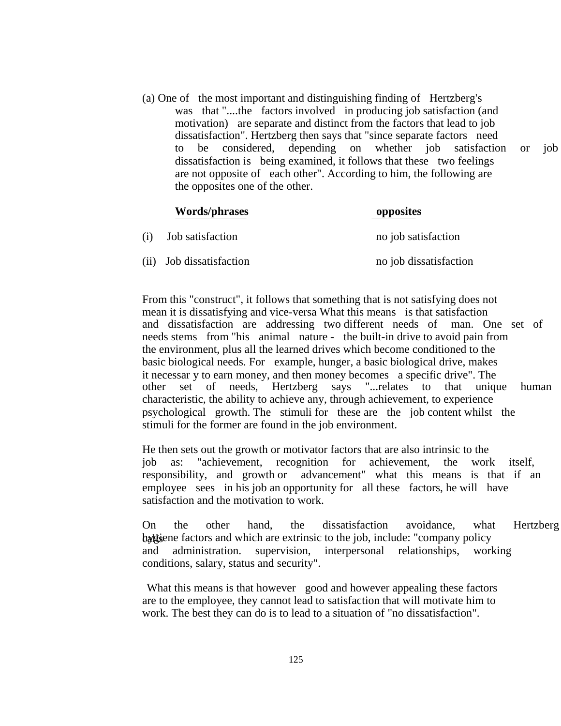(a) One of the most important and distinguishing finding of Hertzberg's was that "....the factors involved in producing job satisfaction (and motivation) are separate and distinct from the factors that lead to job dissatisfaction". Hertzberg then says that "since separate factors need to be considered, depending on whether job satisfaction or job dissatisfaction is being examined, it follows that these two feelings are not opposite of each other". According to him, the following are the opposites one of the other.

#### **Words/phrases opposites**

- (i) Job satisfaction no job satisfaction
- (ii) Job dissatisfaction no job dissatisfaction

From this "construct", it follows that something that is not satisfying does not mean it is dissatisfying and vice-versa What this means is that satisfaction and dissatisfaction are addressing two different needs of man. One set of needs stems from "his animal nature - the built-in drive to avoid pain from the environment, plus all the learned drives which become conditioned to the basic biological needs. For example, hunger, a basic biological drive, makes it necessar y to earn money, and then money becomes a specific drive". The other set of needs, Hertzberg says "...relates to that unique human characteristic, the ability to achieve any, through achievement, to experience psychological growth. The stimuli for these are the job content whilst the stimuli for the former are found in the job environment.

He then sets out the growth or motivator factors that are also intrinsic to the job as: "achievement, recognition for achievement, the work itself, responsibility, and growth or advancement" what this means is that if an employee sees in his job an opportunity for all these factors, he will have satisfaction and the motivation to work.

On the other hand, the dissatisfaction avoidance, what Hertzberg by the factors and which are extrinsic to the job, include: "company policy and administration. supervision, interpersonal relationships, working conditions, salary, status and security".

 What this means is that however good and however appealing these factors are to the employee, they cannot lead to satisfaction that will motivate him to work. The best they can do is to lead to a situation of "no dissatisfaction".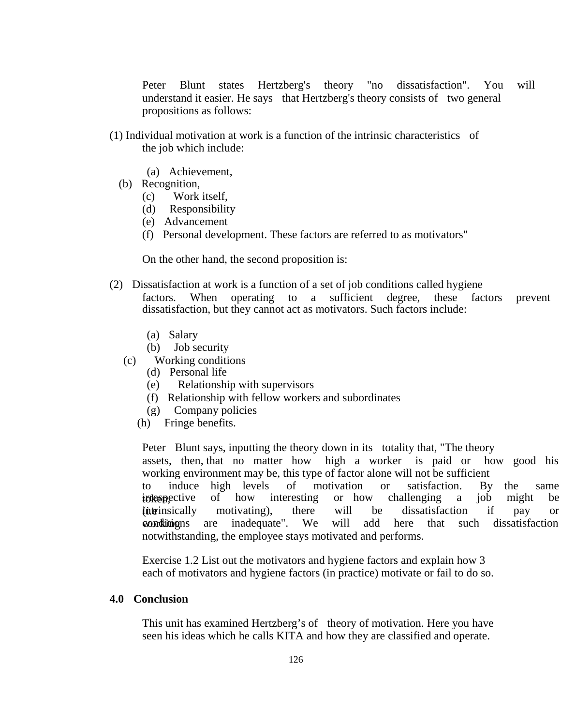Peter Blunt states Hertzberg's theory "no dissatisfaction". You will understand it easier. He says that Hertzberg's theory consists of two general propositions as follows:

- (1) Individual motivation at work is a function of the intrinsic characteristics of the job which include:
	- (a) Achievement,
	- (b) Recognition,
		- (c) Work itself,
		- (d) Responsibility
		- (e) Advancement
		- (f) Personal development. These factors are referred to as motivators"

On the other hand, the second proposition is:

- (2) Dissatisfaction at work is a function of a set of job conditions called hygiene factors. When operating to a sufficient degree, these factors prevent dissatisfaction, but they cannot act as motivators. Such factors include:
	- (a) Salary
	- (b) Job security
	- (c) Working conditions
		- (d) Personal life
		- (e) Relationship with supervisors
		- (f) Relationship with fellow workers and subordinates
		- (g) Company policies
		- (h) Fringe benefits.

Peter Blunt says, inputting the theory down in its totality that, "The theory assets, then, that no matter how high a worker is paid or how good his working environment may be, this type of factor alone will not be sufficient to induce high levels of motivation or satisfaction. By the same **tolespective** of how interesting or how challenging a job might be  $\langle$ **interinsically** motivating), there will be dissatisfaction if pay or worthing conditions are inadequate". We will add here that such dissatisfaction notwithstanding, the employee stays motivated and performs.

Exercise 1.2 List out the motivators and hygiene factors and explain how 3 each of motivators and hygiene factors (in practice) motivate or fail to do so.

#### **4.0 Conclusion**

This unit has examined Hertzberg's of theory of motivation. Here you have seen his ideas which he calls KITA and how they are classified and operate.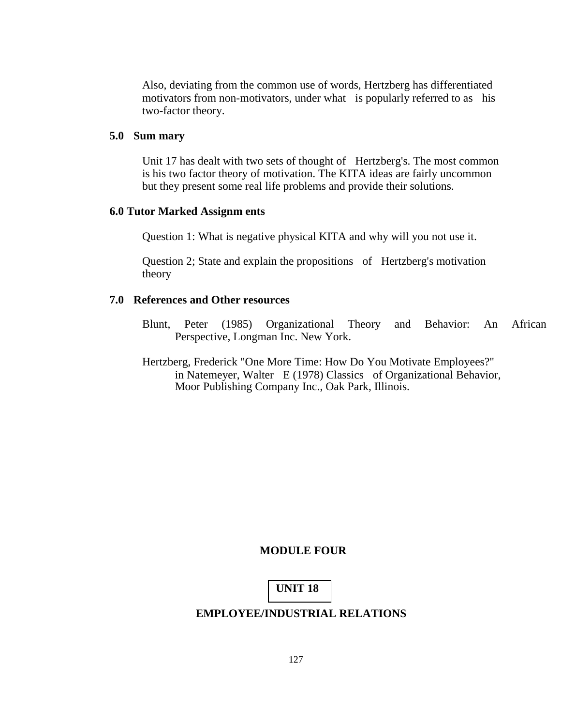Also, deviating from the common use of words, Hertzberg has differentiated motivators from non-motivators, under what is popularly referred to as his two-factor theory.

## **5.0 Sum mary**

Unit 17 has dealt with two sets of thought of Hertzberg's. The most common is his two factor theory of motivation. The KITA ideas are fairly uncommon but they present some real life problems and provide their solutions.

## **6.0 Tutor Marked Assignm ents**

Question 1: What is negative physical KITA and why will you not use it.

Question 2; State and explain the propositions of Hertzberg's motivation theory

## **7.0 References and Other resources**

- Blunt, Peter (1985) Organizational Theory and Behavior: An African Perspective, Longman Inc. New York.
- Hertzberg, Frederick "One More Time: How Do You Motivate Employees?" in Natemeyer, Walter E (1978) Classics of Organizational Behavior, Moor Publishing Company Inc., Oak Park, Illinois.

## **MODULE FOUR**

## **UNIT 18**

## **EMPLOYEE/INDUSTRIAL RELATIONS**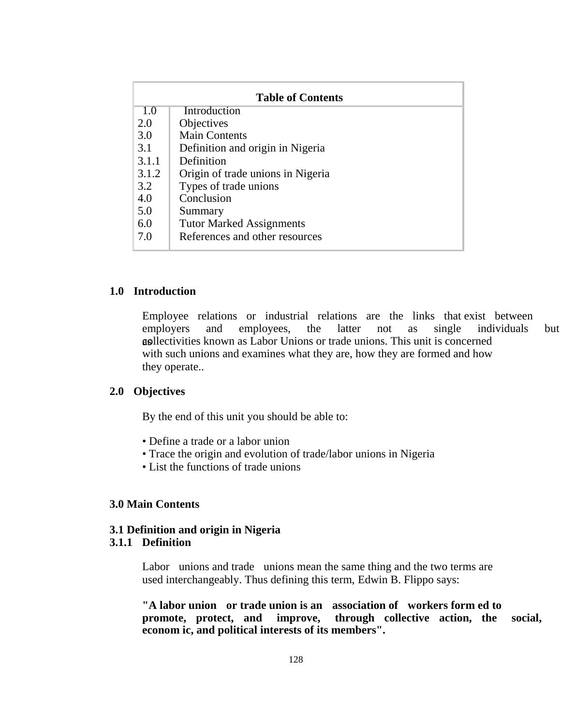| <b>Table of Contents</b> |                                   |  |
|--------------------------|-----------------------------------|--|
| 1.0                      | Introduction                      |  |
| 2.0                      | Objectives                        |  |
| 3.0                      | <b>Main Contents</b>              |  |
| 3.1                      | Definition and origin in Nigeria  |  |
| 3.1.1                    | Definition                        |  |
| 3.1.2                    | Origin of trade unions in Nigeria |  |
| 3.2                      | Types of trade unions             |  |
| 4.0                      | Conclusion                        |  |
| 5.0                      | Summary                           |  |
| 6.0                      | <b>Tutor Marked Assignments</b>   |  |
| 7.0                      | References and other resources    |  |

#### **1.0 Introduction**

Employee relations or industrial relations are the links that exist between employers and employees, the latter not as single individuals but as collectivities known as Labor Unions or trade unions. This unit is concerned with such unions and examines what they are, how they are formed and how they operate..

#### **2.0 Objectives**

By the end of this unit you should be able to:

- Define a trade or a labor union
- Trace the origin and evolution of trade/labor unions in Nigeria
- List the functions of trade unions

## **3.0 Main Contents**

### **3.1 Definition and origin in Nigeria**

## **3.1.1 Definition**

Labor unions and trade unions mean the same thing and the two terms are used interchangeably. Thus defining this term, Edwin B. Flippo says:

**"A labor union or trade union is an association of workers form ed to promote, protect, and improve, through collective action, the social, econom ic, and political interests of its members".**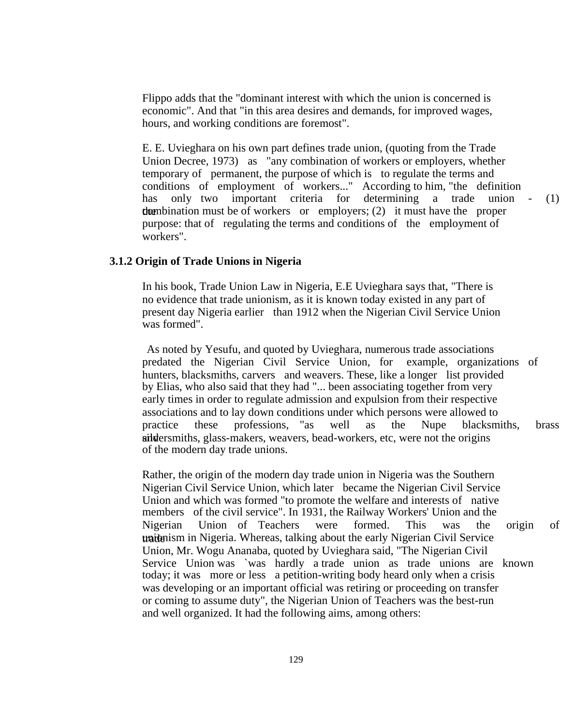Flippo adds that the "dominant interest with which the union is concerned is economic". And that "in this area desires and demands, for improved wages, hours, and working conditions are foremost".

E. E. Uvieghara on his own part defines trade union, (quoting from the Trade Union Decree, 1973) as "any combination of workers or employers, whether temporary of permanent, the purpose of which is to regulate the terms and conditions of employment of workers..." According to him, "the definition has only two important criteria for determining a trade union - (1) **the combination must be of workers** or employers; (2) it must have the proper purpose: that of regulating the terms and conditions of the employment of workers".

## **3.1.2 Origin of Trade Unions in Nigeria**

In his book, Trade Union Law in Nigeria, E.E Uvieghara says that, "There is no evidence that trade unionism, as it is known today existed in any part of present day Nigeria earlier than 1912 when the Nigerian Civil Service Union was formed".

 As noted by Yesufu, and quoted by Uvieghara, numerous trade associations predated the Nigerian Civil Service Union, for example, organizations of hunters, blacksmiths, carvers and weavers. These, like a longer list provided by Elias, who also said that they had "... been associating together from very early times in order to regulate admission and expulsion from their respective associations and to lay down conditions under which persons were allowed to practice these professions, "as well as the Nupe blacksmiths, brass and silversmiths, glass-makers, weavers, bead-workers, etc, were not the origins of the modern day trade unions.

Rather, the origin of the modern day trade union in Nigeria was the Southern Nigerian Civil Service Union, which later became the Nigerian Civil Service Union and which was formed "to promote the welfare and interests of native members of the civil service". In 1931, the Railway Workers' Union and the Nigerian Union of Teachers were formed. This was the origin of trade unions in Nigeria. Whereas, talking about the early Nigerian Civil Service Union, Mr. Wogu Ananaba, quoted by Uvieghara said, "The Nigerian Civil Service Union was `was hardly a trade union as trade unions are known today; it was more or less a petition-writing body heard only when a crisis was developing or an important official was retiring or proceeding on transfer or coming to assume duty", the Nigerian Union of Teachers was the best-run and well organized. It had the following aims, among others: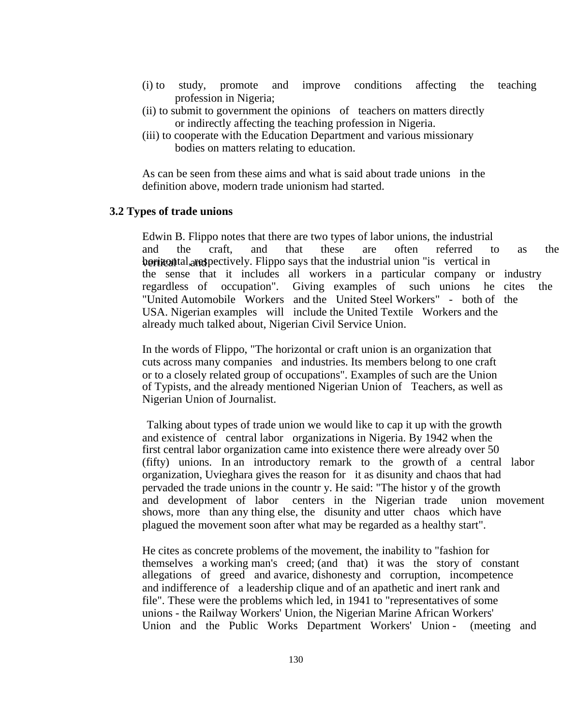- (i) to study, promote and improve conditions affecting the teaching profession in Nigeria;
- (ii) to submit to government the opinions of teachers on matters directly or indirectly affecting the teaching profession in Nigeria.
- (iii) to cooperate with the Education Department and various missionary bodies on matters relating to education.

As can be seen from these aims and what is said about trade unions in the definition above, modern trade unionism had started.

## **3.2 Types of trade unions**

Edwin B. Flippo notes that there are two types of labor unions, the industrial and the craft, and that these are often referred to as the **bertical and inducedual** Flippo says that the industrial union "is vertical in the sense that it includes all workers in a particular company or industry regardless of occupation". Giving examples of such unions he cites the "United Automobile Workers and the United Steel Workers" - both of the USA. Nigerian examples will include the United Textile Workers and the already much talked about, Nigerian Civil Service Union.

In the words of Flippo, "The horizontal or craft union is an organization that cuts across many companies and industries. Its members belong to one craft or to a closely related group of occupations". Examples of such are the Union of Typists, and the already mentioned Nigerian Union of Teachers, as well as Nigerian Union of Journalist.

 Talking about types of trade union we would like to cap it up with the growth and existence of central labor organizations in Nigeria. By 1942 when the first central labor organization came into existence there were already over 50 (fifty) unions. In an introductory remark to the growth of a central labor organization, Uvieghara gives the reason for it as disunity and chaos that had pervaded the trade unions in the countr y. He said: "The histor y of the growth and development of labor centers in the Nigerian trade union movement shows, more than any thing else, the disunity and utter chaos which have plagued the movement soon after what may be regarded as a healthy start".

He cites as concrete problems of the movement, the inability to "fashion for themselves a working man's creed; (and that) it was the story of constant allegations of greed and avarice, dishonesty and corruption, incompetence and indifference of a leadership clique and of an apathetic and inert rank and file". These were the problems which led, in 1941 to "representatives of some unions - the Railway Workers' Union, the Nigerian Marine African Workers' Union and the Public Works Department Workers' Union - (meeting and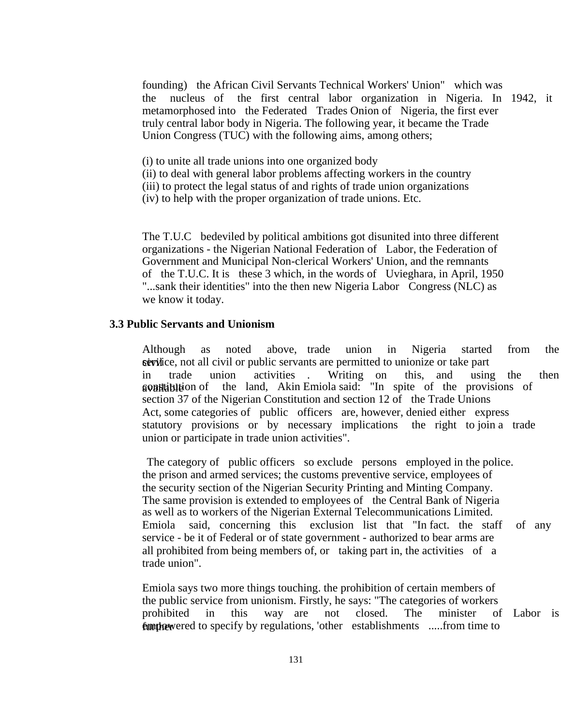founding) the African Civil Servants Technical Workers' Union" which was the nucleus of the first central labor organization in Nigeria. In 1942, it metamorphosed into the Federated Trades Onion of Nigeria, the first ever truly central labor body in Nigeria. The following year, it became the Trade Union Congress (TUC) with the following aims, among others;

(i) to unite all trade unions into one organized body

(ii) to deal with general labor problems affecting workers in the country

(iii) to protect the legal status of and rights of trade union organizations

(iv) to help with the proper organization of trade unions. Etc.

The T.U.C bedeviled by political ambitions got disunited into three different organizations - the Nigerian National Federation of Labor, the Federation of Government and Municipal Non-clerical Workers' Union, and the remnants of the T.U.C. It is these 3 which, in the words of Uvieghara, in April, 1950 "...sank their identities" into the then new Nigeria Labor Congress (NLC) as we know it today.

#### **3.3 Public Servants and Unionism**

Although as noted above, trade union in Nigeria started from the sevilice, not all civil or public servants are permitted to unionize or take part in trade union activities . Writing on this, and using the then available ion of the land, Akin Emiola said: "In spite of the provisions of section 37 of the Nigerian Constitution and section 12 of the Trade Unions Act, some categories of public officers are, however, denied either express statutory provisions or by necessary implications the right to join a trade union or participate in trade union activities".

 The category of public officers so exclude persons employed in the police. the prison and armed services; the customs preventive service, employees of the security section of the Nigerian Security Printing and Minting Company. The same provision is extended to employees of the Central Bank of Nigeria as well as to workers of the Nigerian External Telecommunications Limited. Emiola said, concerning this exclusion list that "In fact. the staff of any service - be it of Federal or of state government - authorized to bear arms are all prohibited from being members of, or taking part in, the activities of a trade union".

Emiola says two more things touching. the prohibition of certain members of the public service from unionism. Firstly, he says: "The categories of workers prohibited in this way are not closed. The minister of Labor is **funtherentially** empropered to specify by regulations, 'other establishments .....from time to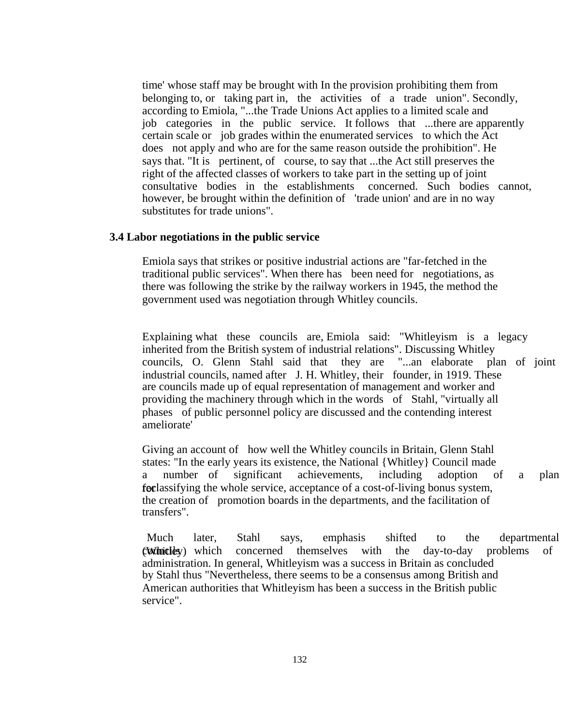time' whose staff may be brought with In the provision prohibiting them from belonging to, or taking part in, the activities of a trade union". Secondly, according to Emiola, "...the Trade Unions Act applies to a limited scale and job categories in the public service. It follows that ...there are apparently certain scale or job grades within the enumerated services to which the Act does not apply and who are for the same reason outside the prohibition". He says that. "It is pertinent, of course, to say that ...the Act still preserves the right of the affected classes of workers to take part in the setting up of joint consultative bodies in the establishments concerned. Such bodies cannot, however, be brought within the definition of 'trade union' and are in no way substitutes for trade unions".

#### **3.4 Labor negotiations in the public service**

Emiola says that strikes or positive industrial actions are "far-fetched in the traditional public services". When there has been need for negotiations, as there was following the strike by the railway workers in 1945, the method the government used was negotiation through Whitley councils.

Explaining what these councils are, Emiola said: "Whitleyism is a legacy inherited from the British system of industrial relations". Discussing Whitley councils, O. Glenn Stahl said that they are "...an elaborate plan of joint industrial councils, named after J. H. Whitley, their founder, in 1919. These are councils made up of equal representation of management and worker and providing the machinery through which in the words of Stahl, "virtually all phases of public personnel policy are discussed and the contending interest ameliorate'

Giving an account of how well the Whitley councils in Britain, Glenn Stahl states: "In the early years its existence, the National {Whitley} Council made a number of significant achievements, including adoption of a plan for reclassifying the whole service, acceptance of a cost-of-living bonus system, the creation of promotion boards in the departments, and the facilitation of transfers".

Much later, Stahl says, emphasis shifted to the departmental  $C$ White idea is the method themselves with the day-to-day problems of administration. In general, Whitleyism was a success in Britain as concluded by Stahl thus "Nevertheless, there seems to be a consensus among British and American authorities that Whitleyism has been a success in the British public service".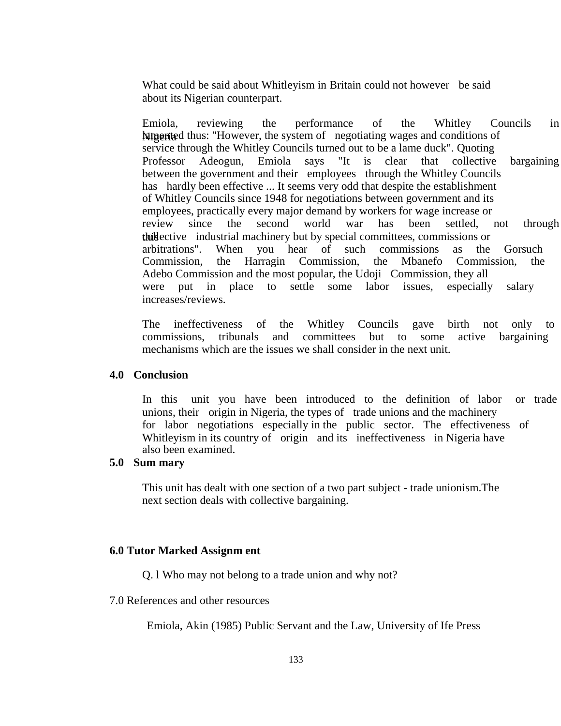What could be said about Whitleyism in Britain could not however be said about its Nigerian counterpart.

Emiola, reviewing the performance of the Whitley Councils in Ninented thus: "However, the system of negotiating wages and conditions of service through the Whitley Councils turned out to be a lame duck". Quoting Professor Adeogun, Emiola says "It is clear that collective bargaining between the government and their employees through the Whitley Councils has hardly been effective ... It seems very odd that despite the establishment of Whitley Councils since 1948 for negotiations between government and its employees, practically every major demand by workers for wage increase or review since the second world war has been settled, not through **the** difference industrial machinery but by special committees, commissions or arbitrations". When you hear of such commissions as the Gorsuch Commission, the Harragin Commission, the Mbanefo Commission, the Adebo Commission and the most popular, the Udoji Commission, they all were put in place to settle some labor issues, especially salary increases/reviews.

The ineffectiveness of the Whitley Councils gave birth not only to commissions, tribunals and committees but to some active bargaining mechanisms which are the issues we shall consider in the next unit.

## **4.0 Conclusion**

In this unit you have been introduced to the definition of labor or trade unions, their origin in Nigeria, the types of trade unions and the machinery for labor negotiations especially in the public sector. The effectiveness of Whitleyism in its country of origin and its ineffectiveness in Nigeria have also been examined.

## **5.0 Sum mary**

This unit has dealt with one section of a two part subject - trade unionism.The next section deals with collective bargaining.

#### **6.0 Tutor Marked Assignm ent**

Q. l Who may not belong to a trade union and why not?

7.0 References and other resources

Emiola, Akin (1985) Public Servant and the Law, University of Ife Press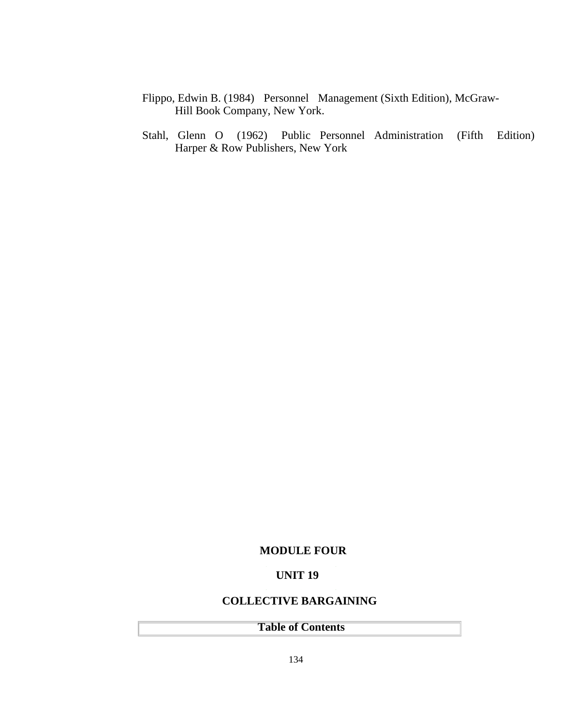- Flippo, Edwin B. (1984) Personnel Management (Sixth Edition), McGraw-Hill Book Company, New York.
- Stahl, Glenn O (1962) Public Personnel Administration (Fifth Edition) Harper & Row Publishers, New York

## **MODULE FOUR**

**UNIT 19**

## **COLLECTIVE BARGAINING**

**Table of Contents**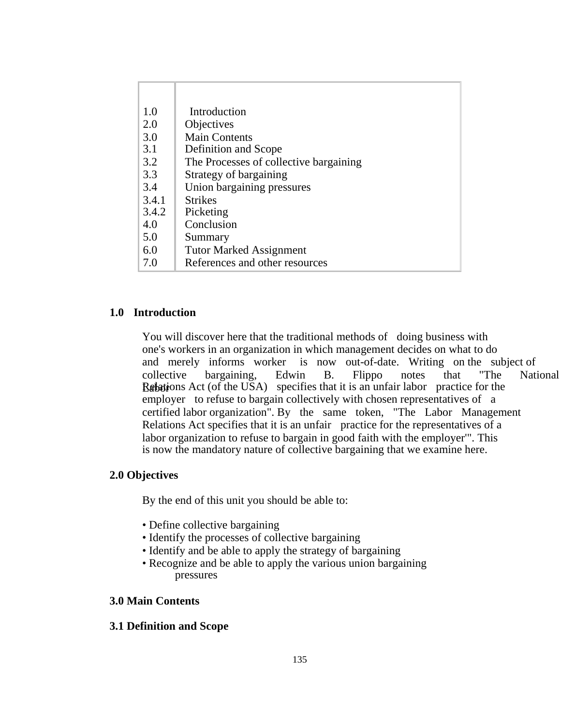| 1.0   | Introduction                           |
|-------|----------------------------------------|
| 2.0   | Objectives                             |
| 3.0   | <b>Main Contents</b>                   |
| 3.1   | Definition and Scope                   |
| 3.2   | The Processes of collective bargaining |
| 3.3   | Strategy of bargaining                 |
| 3.4   | Union bargaining pressures             |
| 3.4.1 | <b>Strikes</b>                         |
| 3.4.2 | Picketing                              |
| 4.0   | Conclusion                             |
| 5.0   | Summary                                |
| 6.0   | <b>Tutor Marked Assignment</b>         |
| 7.0   | References and other resources         |

## **1.0 Introduction**

You will discover here that the traditional methods of doing business with one's workers in an organization in which management decides on what to do and merely informs worker is now out-of-date. Writing on the subject of collective bargaining, Edwin B. Flippo notes that "The National Raboritions Act (of the USA) specifies that it is an unfair labor practice for the employer to refuse to bargain collectively with chosen representatives of a certified labor organization". By the same token, "The Labor Management Relations Act specifies that it is an unfair practice for the representatives of a labor organization to refuse to bargain in good faith with the employer'". This is now the mandatory nature of collective bargaining that we examine here.

## **2.0 Objectives**

By the end of this unit you should be able to:

- Define collective bargaining
- Identify the processes of collective bargaining
- Identify and be able to apply the strategy of bargaining
- Recognize and be able to apply the various union bargaining pressures

## **3.0 Main Contents**

## **3.1 Definition and Scope**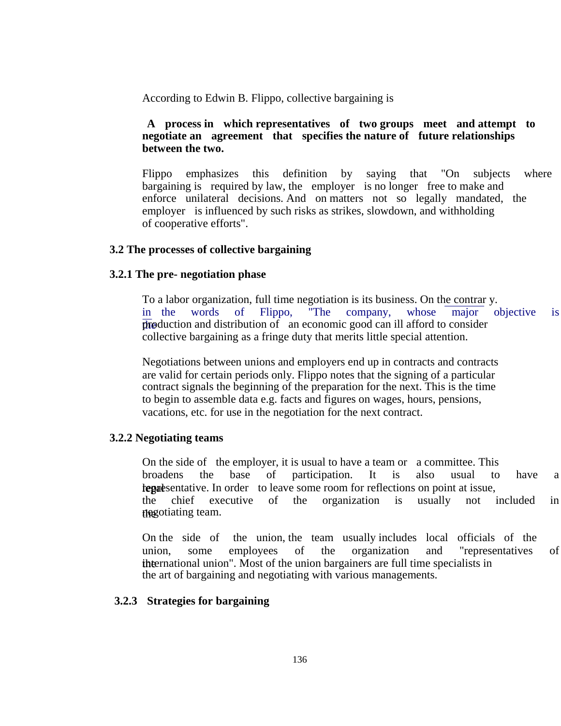According to Edwin B. Flippo, collective bargaining is

## **A process in which representatives of two groups meet and attempt to negotiate an agreement that specifies the nature of future relationships between the two.**

Flippo emphasizes this definition by saying that "On subjects where bargaining is required by law, the employer is no longer free to make and enforce unilateral decisions. And on matters not so legally mandated, the employer is influenced by such risks as strikes, slowdown, and withholding of cooperative efforts".

## **3.2 The processes of collective bargaining**

## **3.2.1 The pre- negotiation phase**

To a labor organization, full time negotiation is its business. On the contrar y. in the words of Flippo, "The company, whose major objective is  $\overline{p}$  production and distribution of an economic good can ill afford to consider collective bargaining as a fringe duty that merits little special attention.

Negotiations between unions and employers end up in contracts and contracts are valid for certain periods only. Flippo notes that the signing of a particular contract signals the beginning of the preparation for the next. This is the time to begin to assemble data e.g. facts and figures on wages, hours, pensions, vacations, etc. for use in the negotiation for the next contract.

## **3.2.2 Negotiating teams**

On the side of the employer, it is usual to have a team or a committee. This broadens the base of participation. It is also usual to have a **legale** sentative. In order to leave some room for reflections on point at issue, the chief executive of the organization is usually not included in the gotiating team.

On the side of the union, the team usually includes local officials of the union, some employees of the organization and "representatives of the the international union". Most of the union bargainers are full time specialists in the art of bargaining and negotiating with various managements.

## **3.2.3 Strategies for bargaining**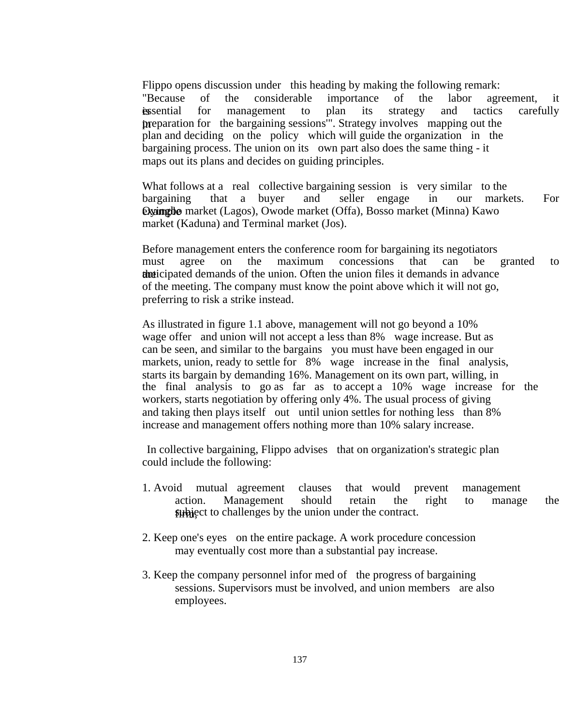Flippo opens discussion under this heading by making the following remark: "Because of the considerable importance of the labor agreement, it is essential for management to plan its strategy and tactics carefully in preparation for the bargaining sessions'". Strategy involves mapping out the plan and deciding on the policy which will guide the organization in the bargaining process. The union on its own part also does the same thing - it maps out its plans and decides on guiding principles.

What follows at a real collective bargaining session is very similar to the bargaining that a buyer and seller engage in our markets. For **Example** market (Lagos), Owode market (Offa), Bosso market (Minna) Kawo market (Kaduna) and Terminal market (Jos).

Before management enters the conference room for bargaining its negotiators must agree on the maximum concessions that can be granted to the action and the union. Often the union files it demands in advance of the meeting. The company must know the point above which it will not go, preferring to risk a strike instead.

As illustrated in figure 1.1 above, management will not go beyond a 10% wage offer and union will not accept a less than 8% wage increase. But as can be seen, and similar to the bargains you must have been engaged in our markets, union, ready to settle for 8% wage increase in the final analysis, starts its bargain by demanding 16%. Management on its own part, willing, in the final analysis to go as far as to accept a 10% wage increase for the workers, starts negotiation by offering only 4%. The usual process of giving and taking then plays itself out until union settles for nothing less than 8% increase and management offers nothing more than 10% salary increase.

 In collective bargaining, Flippo advises that on organization's strategic plan could include the following:

- 1. Avoid mutual agreement clauses that would prevent management action. Management should retain the right to manage the  $f$ ith,  $g$  is the union under the contract.
- 2. Keep one's eyes on the entire package. A work procedure concession may eventually cost more than a substantial pay increase.
- 3. Keep the company personnel infor med of the progress of bargaining sessions. Supervisors must be involved, and union members are also employees.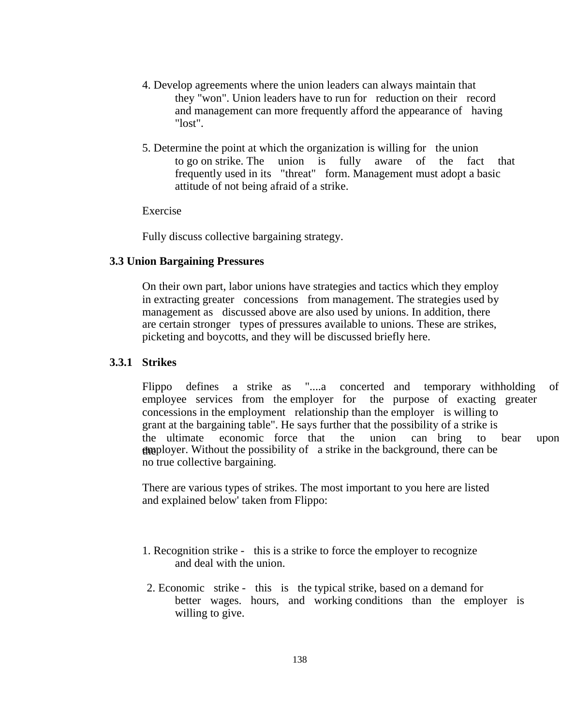- 4. Develop agreements where the union leaders can always maintain that they "won". Union leaders have to run for reduction on their record and management can more frequently afford the appearance of having "lost".
- 5. Determine the point at which the organization is willing for the union to go on strike. The union is fully aware of the fact that frequently used in its "threat" form. Management must adopt a basic attitude of not being afraid of a strike.

Exercise

Fully discuss collective bargaining strategy.

## **3.3 Union Bargaining Pressures**

On their own part, labor unions have strategies and tactics which they employ in extracting greater concessions from management. The strategies used by management as discussed above are also used by unions. In addition, there are certain stronger types of pressures available to unions. These are strikes, picketing and boycotts, and they will be discussed briefly here.

## **3.3.1 Strikes**

Flippo defines a strike as "....a concerted and temporary withholding of employee services from the employer for the purpose of exacting greater concessions in the employment relationship than the employer is willing to grant at the bargaining table". He says further that the possibility of a strike is the ultimate economic force that the union can bring to bear upon  $f(x)$  employer. Without the possibility of a strike in the background, there can be no true collective bargaining.

There are various types of strikes. The most important to you here are listed and explained below' taken from Flippo:

- 1. Recognition strike this is a strike to force the employer to recognize and deal with the union.
- 2. Economic strike this is the typical strike, based on a demand for better wages. hours, and working conditions than the employer is willing to give.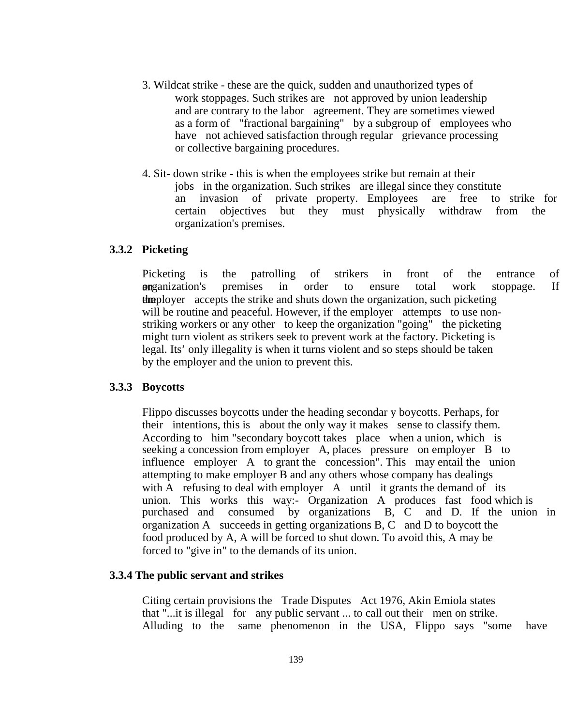- 3. Wildcat strike these are the quick, sudden and unauthorized types of work stoppages. Such strikes are not approved by union leadership and are contrary to the labor agreement. They are sometimes viewed as a form of "fractional bargaining" by a subgroup of employees who have not achieved satisfaction through regular grievance processing or collective bargaining procedures.
- 4. Sit- down strike this is when the employees strike but remain at their jobs in the organization. Such strikes are illegal since they constitute an invasion of private property. Employees are free to strike for certain objectives but they must physically withdraw from the organization's premises.

## **3.3.2 Picketing**

Picketing is the patrolling of strikers in front of the entrance of **an**ganization's premises in order to ensure total work stoppage. If the employer accepts the strike and shuts down the organization, such picketing will be routine and peaceful. However, if the employer attempts to use nonstriking workers or any other to keep the organization "going" the picketing might turn violent as strikers seek to prevent work at the factory. Picketing is legal. Its' only illegality is when it turns violent and so steps should be taken by the employer and the union to prevent this.

#### **3.3.3 Boycotts**

Flippo discusses boycotts under the heading secondar y boycotts. Perhaps, for their intentions, this is about the only way it makes sense to classify them. According to him "secondary boycott takes place when a union, which is seeking a concession from employer A, places pressure on employer B to influence employer A to grant the concession". This may entail the union attempting to make employer B and any others whose company has dealings with A refusing to deal with employer A until it grants the demand of its union. This works this way:- Organization A produces fast food which is purchased and consumed by organizations B, C and D. If the union in purchased and consumed by organizations  $\overline{B}$ , C organization A succeeds in getting organizations B, C and D to boycott the food produced by A, A will be forced to shut down. To avoid this, A may be forced to "give in" to the demands of its union.

### **3.3.4 The public servant and strikes**

Citing certain provisions the Trade Disputes Act 1976, Akin Emiola states that "...it is illegal for any public servant ... to call out their men on strike. Alluding to the same phenomenon in the USA, Flippo says "some have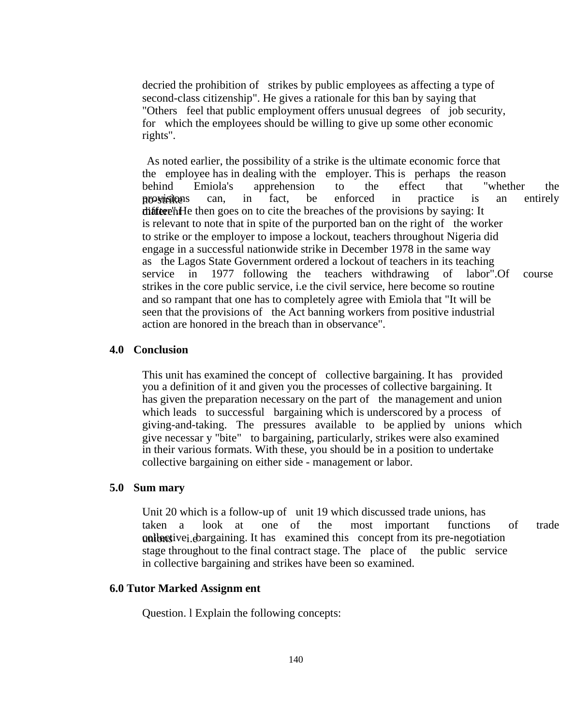decried the prohibition of strikes by public employees as affecting a type of second-class citizenship". He gives a rationale for this ban by saying that "Others feel that public employment offers unusual degrees of job security, for which the employees should be willing to give up some other economic rights".

 As noted earlier, the possibility of a strike is the ultimate economic force that the employee has in dealing with the employer. This is perhaps the reason behind Emiola's apprehension to the effect that "whether the provisitions can, in fact, be enforced in practice is an entirely provisions can, in fact, be enforced in practice is an entirely different then goes on to cite the breaches of the provisions by saying: It is relevant to note that in spite of the purported ban on the right of the worker to strike or the employer to impose a lockout, teachers throughout Nigeria did engage in a successful nationwide strike in December 1978 in the same way as the Lagos State Government ordered a lockout of teachers in its teaching service in 1977 following the teachers withdrawing of labor".Of course strikes in the core public service, i.e the civil service, here become so routine and so rampant that one has to completely agree with Emiola that "It will be seen that the provisions of the Act banning workers from positive industrial action are honored in the breach than in observance".

## **4.0 Conclusion**

This unit has examined the concept of collective bargaining. It has provided you a definition of it and given you the processes of collective bargaining. It has given the preparation necessary on the part of the management and union which leads to successful bargaining which is underscored by a process of giving-and-taking. The pressures available to be applied by unions which give necessar y "bite" to bargaining, particularly, strikes were also examined in their various formats. With these, you should be in a position to undertake collective bargaining on either side - management or labor.

#### **5.0 Sum mary**

Unit 20 which is a follow-up of unit 19 which discussed trade unions, has taken a look at one of the most important functions of trade **unitary** and  $\alpha$  is examined this concept from its pre-negotiation stage throughout to the final contract stage. The place of the public service in collective bargaining and strikes have been so examined.

#### **6.0 Tutor Marked Assignm ent**

Question. l Explain the following concepts: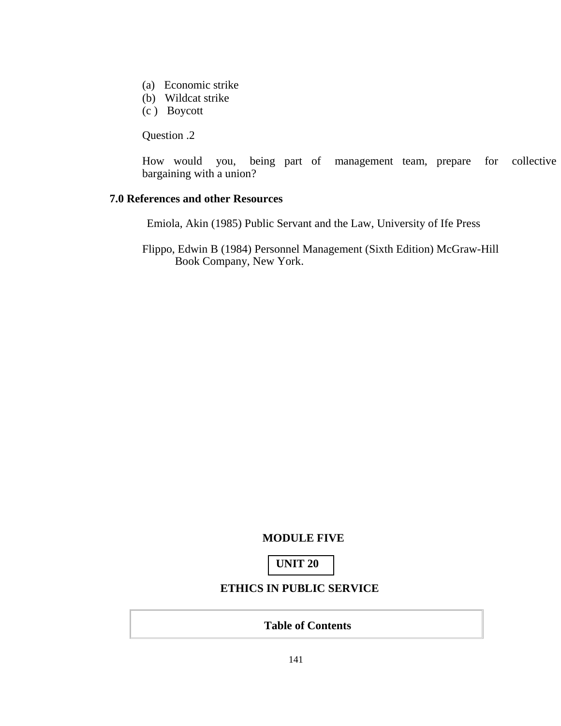- (a) Economic strike
- (b) Wildcat strike
- (c ) Boycott

Question .2

How would you, being part of management team, prepare for collective bargaining with a union?

## **7.0 References and other Resources**

Emiola, Akin (1985) Public Servant and the Law, University of Ife Press

Flippo, Edwin B (1984) Personnel Management (Sixth Edition) McGraw-Hill Book Company, New York.

## **MODULE FIVE**

**UNIT 20**

## **ETHICS IN PUBLIC SERVICE**

## **Table of Contents**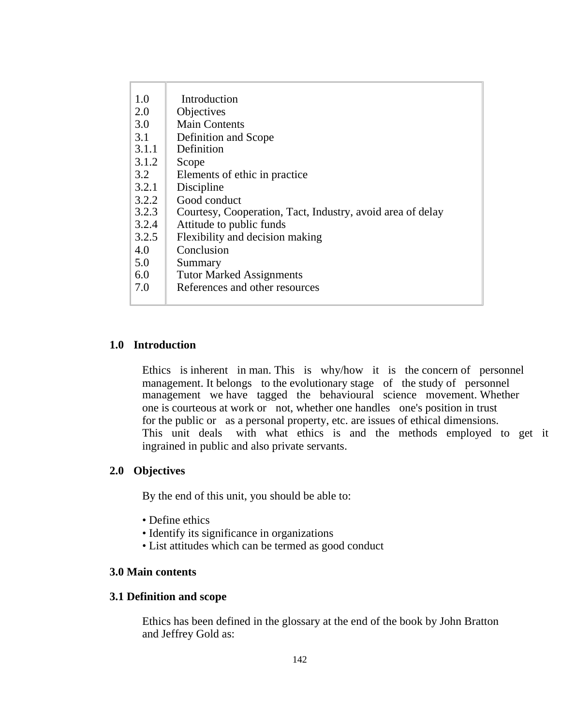| 1.0   | Introduction                                               |
|-------|------------------------------------------------------------|
| 2.0   | Objectives                                                 |
| 3.0   | <b>Main Contents</b>                                       |
| 3.1   | Definition and Scope                                       |
| 3.1.1 | Definition                                                 |
| 3.1.2 | Scope                                                      |
| 3.2   | Elements of ethic in practice.                             |
| 3.2.1 | Discipline                                                 |
| 3.2.2 | Good conduct                                               |
| 3.2.3 | Courtesy, Cooperation, Tact, Industry, avoid area of delay |
| 3.2.4 | Attitude to public funds                                   |
| 3.2.5 | Flexibility and decision making                            |
| 4.0   | Conclusion                                                 |
| 5.0   | Summary                                                    |
| 6.0   | <b>Tutor Marked Assignments</b>                            |
| 7.0   | References and other resources                             |
|       |                                                            |

## **1.0 Introduction**

Ethics is inherent in man. This is why/how it is the concern of personnel management. It belongs to the evolutionary stage of the study of personnel management we have tagged the behavioural science movement. Whether one is courteous at work or not, whether one handles one's position in trust for the public or as a personal property, etc. are issues of ethical dimensions. This unit deals with what ethics is and the methods employed to get it ingrained in public and also private servants.

## **2.0 Objectives**

By the end of this unit, you should be able to:

- Define ethics
- Identify its significance in organizations
- List attitudes which can be termed as good conduct

## **3.0 Main contents**

#### **3.1 Definition and scope**

Ethics has been defined in the glossary at the end of the book by John Bratton and Jeffrey Gold as: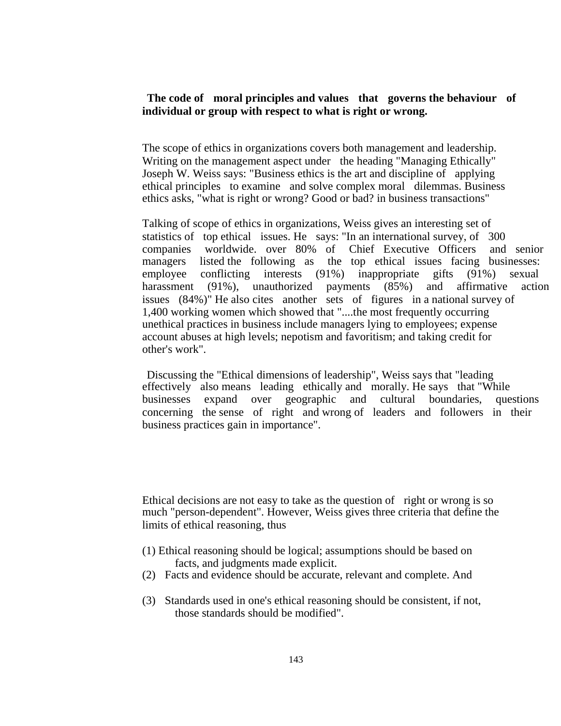## **The code of moral principles and values that governs the behaviour of individual or group with respect to what is right or wrong.**

The scope of ethics in organizations covers both management and leadership. Writing on the management aspect under the heading "Managing Ethically" Joseph W. Weiss says: "Business ethics is the art and discipline of applying ethical principles to examine and solve complex moral dilemmas. Business ethics asks, "what is right or wrong? Good or bad? in business transactions"

Talking of scope of ethics in organizations, Weiss gives an interesting set of statistics of top ethical issues. He says: "In an international survey, of 300 companies worldwide. over 80% of Chief Executive Officers and senior managers listed the following as the top ethical issues facing businesses: employee conflicting interests (91%) inappropriate gifts (91%) sexual harassment (91%), unauthorized payments (85%) and affirmative action issues (84%)" He also cites another sets of figures in a national survey of 1,400 working women which showed that "....the most frequently occurring unethical practices in business include managers lying to employees; expense account abuses at high levels; nepotism and favoritism; and taking credit for other's work".

 Discussing the "Ethical dimensions of leadership", Weiss says that "leading effectively also means leading ethically and morally. He says that "While businesses expand over geographic and cultural boundaries, questions concerning the sense of right and wrong of leaders and followers in their business practices gain in importance".

Ethical decisions are not easy to take as the question of right or wrong is so much "person-dependent". However, Weiss gives three criteria that define the limits of ethical reasoning, thus

- (1) Ethical reasoning should be logical; assumptions should be based on facts, and judgments made explicit.
- (2) Facts and evidence should be accurate, relevant and complete. And
- (3) Standards used in one's ethical reasoning should be consistent, if not, those standards should be modified".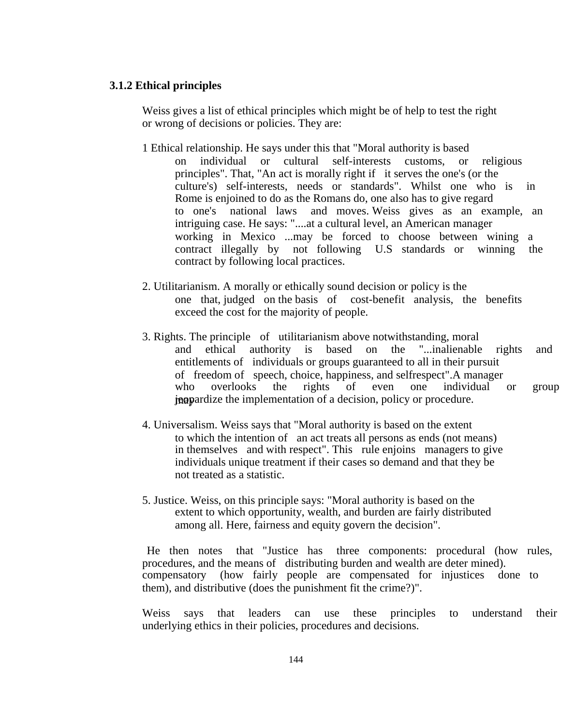## **3.1.2 Ethical principles**

Weiss gives a list of ethical principles which might be of help to test the right or wrong of decisions or policies. They are:

- 1 Ethical relationship. He says under this that "Moral authority is based on individual or cultural self-interests customs, or religious principles". That, "An act is morally right if it serves the one's (or the culture's) self-interests, needs or standards". Whilst one who is in Rome is enjoined to do as the Romans do, one also has to give regard to one's national laws and moves. Weiss gives as an example, an intriguing case. He says: "....at a cultural level, an American manager working in Mexico ...may be forced to choose between wining a contract illegally by not following U.S standards or winning the contract by following local practices.
- 2. Utilitarianism. A morally or ethically sound decision or policy is the one that, judged on the basis of cost-benefit analysis, the benefits exceed the cost for the majority of people.
- 3. Rights. The principle of utilitarianism above notwithstanding, moral and ethical authority is based on the "...inalienable rights and entitlements of individuals or groups guaranteed to all in their pursuit of freedom of speech, choice, happiness, and selfrespect".A manager who overlooks the rights of even one individual or group **indep**referent implementation of a decision, policy or procedure.
- 4. Universalism. Weiss says that "Moral authority is based on the extent to which the intention of an act treats all persons as ends (not means) in themselves and with respect". This rule enjoins managers to give individuals unique treatment if their cases so demand and that they be not treated as a statistic.
- 5. Justice. Weiss, on this principle says: "Moral authority is based on the extent to which opportunity, wealth, and burden are fairly distributed among all. Here, fairness and equity govern the decision".

 He then notes that "Justice has three components: procedural (how rules, procedures, and the means of distributing burden and wealth are deter mined). compensatory (how fairly people are compensated for injustices done to them), and distributive (does the punishment fit the crime?)".

Weiss says that leaders can use these principles to understand their underlying ethics in their policies, procedures and decisions.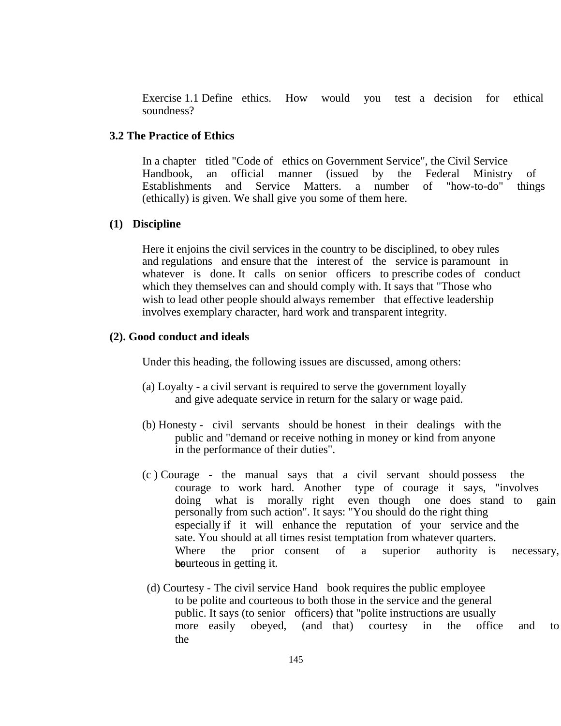Exercise 1.1 Define ethics. How would you test a decision for ethical soundness?

### **3.2 The Practice of Ethics**

In a chapter titled "Code of ethics on Government Service", the Civil Service Handbook, an official manner (issued by the Federal Ministry of Establishments and Service Matters. a number of "how-to-do" things (ethically) is given. We shall give you some of them here.

#### **(1) Discipline**

Here it enjoins the civil services in the country to be disciplined, to obey rules and regulations and ensure that the interest of the service is paramount in whatever is done. It calls on senior officers to prescribe codes of conduct which they themselves can and should comply with. It says that "Those who wish to lead other people should always remember that effective leadership involves exemplary character, hard work and transparent integrity.

# **(2). Good conduct and ideals**

Under this heading, the following issues are discussed, among others:

- (a) Loyalty a civil servant is required to serve the government loyally and give adequate service in return for the salary or wage paid.
- (b) Honesty civil servants should be honest in their dealings with the public and "demand or receive nothing in money or kind from anyone in the performance of their duties".
- (c ) Courage the manual says that a civil servant should possess the courage to work hard. Another type of courage it says, "involves doing what is morally right even though one does stand to gain personally from such action". It says: "You should do the right thing especially if it will enhance the reputation of your service and the sate. You should at all times resist temptation from whatever quarters. Where the prior consent of a superior authority is necessary, beurteous in getting it.
- (d) Courtesy The civil service Hand book requires the public employee to be polite and courteous to both those in the service and the general public. It says (to senior officers) that "polite instructions are usually more easily obeyed, (and that) courtesy in the office and to the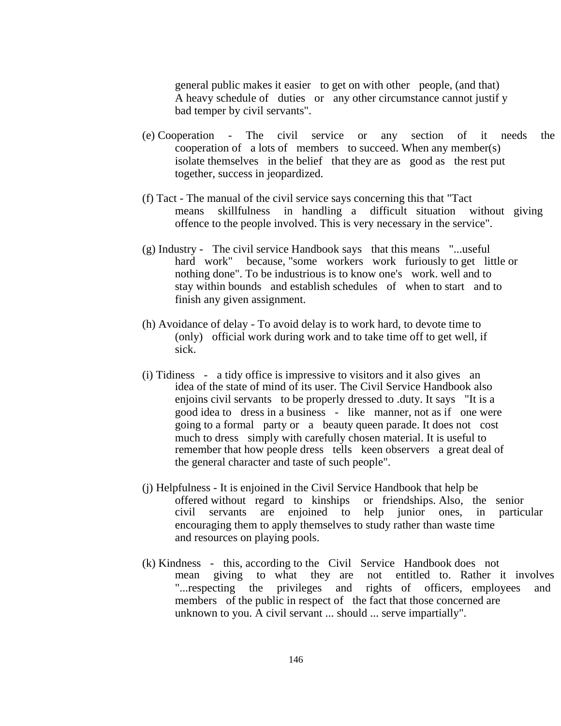general public makes it easier to get on with other people, (and that) A heavy schedule of duties or any other circumstance cannot justif y bad temper by civil servants".

- (e) Cooperation The civil service or any section of it needs the cooperation of a lots of members to succeed. When any member(s) isolate themselves in the belief that they are as good as the rest put together, success in jeopardized.
- (f) Tact The manual of the civil service says concerning this that "Tact means skillfulness in handling a difficult situation without giving offence to the people involved. This is very necessary in the service".
- (g) Industry The civil service Handbook says that this means "...useful hard work" because, "some workers work furiously to get little or nothing done". To be industrious is to know one's work. well and to stay within bounds and establish schedules of when to start and to finish any given assignment.
- (h) Avoidance of delay To avoid delay is to work hard, to devote time to (only) official work during work and to take time off to get well, if sick.
- (i) Tidiness a tidy office is impressive to visitors and it also gives an idea of the state of mind of its user. The Civil Service Handbook also enjoins civil servants to be properly dressed to .duty. It says "It is a good idea to dress in a business - like manner, not as if one were going to a formal party or a beauty queen parade. It does not cost much to dress simply with carefully chosen material. It is useful to remember that how people dress tells keen observers a great deal of the general character and taste of such people".
- (j) Helpfulness It is enjoined in the Civil Service Handbook that help be offered without regard to kinships or friendships. Also, the senior civil servants are enjoined to help junior ones, in particular encouraging them to apply themselves to study rather than waste time and resources on playing pools.
- (k) Kindness this, according to the Civil Service Handbook does not mean giving to what they are not entitled to. Rather it involves "...respecting the privileges and rights of officers, employees and members of the public in respect of the fact that those concerned are unknown to you. A civil servant ... should ... serve impartially".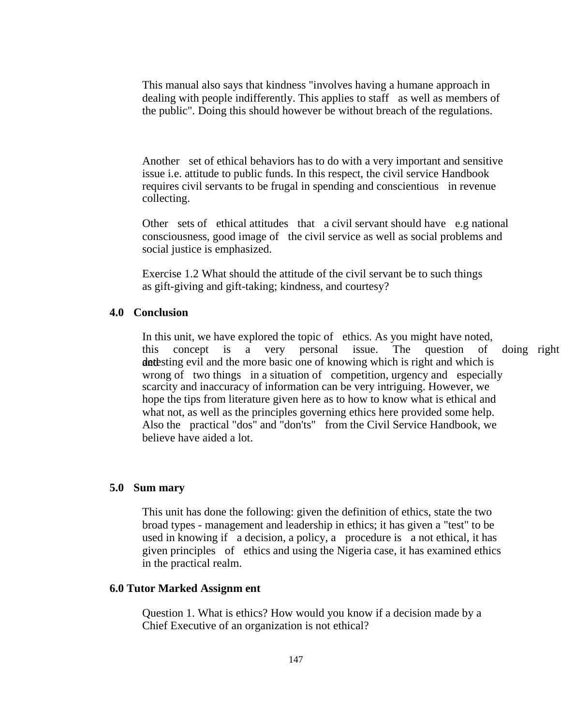This manual also says that kindness "involves having a humane approach in dealing with people indifferently. This applies to staff as well as members of the public". Doing this should however be without breach of the regulations.

Another set of ethical behaviors has to do with a very important and sensitive issue i.e. attitude to public funds. In this respect, the civil service Handbook requires civil servants to be frugal in spending and conscientious in revenue collecting.

Other sets of ethical attitudes that a civil servant should have e.g national consciousness, good image of the civil service as well as social problems and social justice is emphasized.

Exercise 1.2 What should the attitude of the civil servant be to such things as gift-giving and gift-taking; kindness, and courtesy?

# **4.0 Conclusion**

In this unit, we have explored the topic of ethics. As you might have noted, this concept is a very personal issue. The question of doing right datesting evil and the more basic one of knowing which is right and which is wrong of two things in a situation of competition, urgency and especially scarcity and inaccuracy of information can be very intriguing. However, we hope the tips from literature given here as to how to know what is ethical and what not, as well as the principles governing ethics here provided some help. Also the practical "dos" and "don'ts" from the Civil Service Handbook, we believe have aided a lot.

#### **5.0 Sum mary**

This unit has done the following: given the definition of ethics, state the two broad types - management and leadership in ethics; it has given a "test" to be used in knowing if a decision, a policy, a procedure is a not ethical, it has given principles of ethics and using the Nigeria case, it has examined ethics in the practical realm.

#### **6.0 Tutor Marked Assignm ent**

Question 1. What is ethics? How would you know if a decision made by a Chief Executive of an organization is not ethical?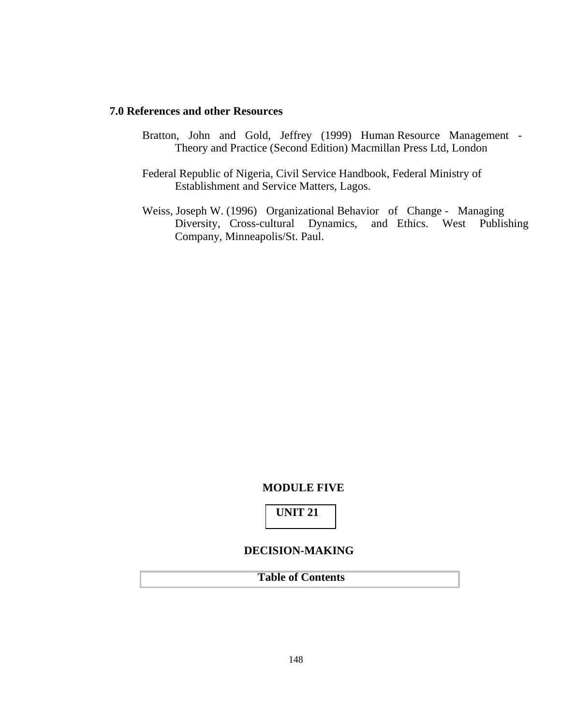# **7.0 References and other Resources**

- Bratton, John and Gold, Jeffrey (1999) Human Resource Management Theory and Practice (Second Edition) Macmillan Press Ltd, London
- Federal Republic of Nigeria, Civil Service Handbook, Federal Ministry of Establishment and Service Matters, Lagos.
- Weiss, Joseph W. (1996) Organizational Behavior of Change Managing Diversity, Cross-cultural Dynamics, and Ethics. West Publishing Company, Minneapolis/St. Paul.

#### **MODULE FIVE**



# **DECISION-MAKING**

**Table of Contents**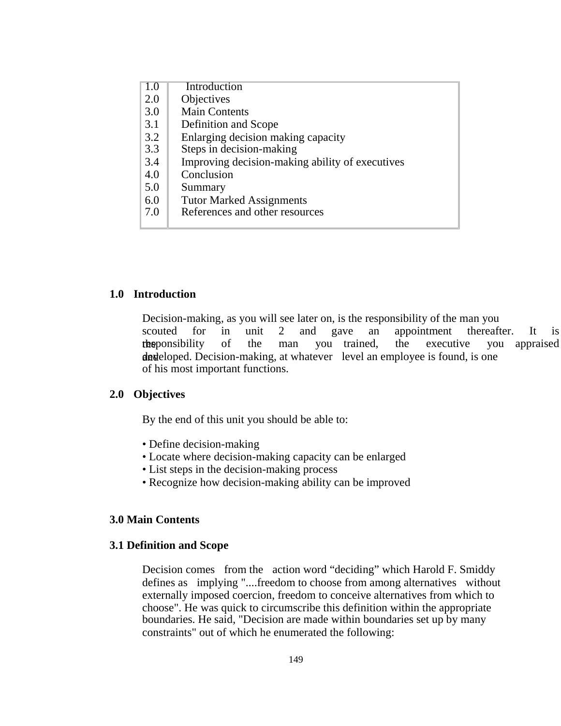| 1.0 | Introduction                                    |
|-----|-------------------------------------------------|
| 2.0 | Objectives                                      |
| 3.0 | <b>Main Contents</b>                            |
| 3.1 | Definition and Scope                            |
| 3.2 | Enlarging decision making capacity              |
| 3.3 | Steps in decision-making                        |
| 3.4 | Improving decision-making ability of executives |
| 4.0 | Conclusion                                      |
| 5.0 | Summary                                         |
| 6.0 | <b>Tutor Marked Assignments</b>                 |
| 7.0 | References and other resources                  |
|     |                                                 |

# **1.0 Introduction**

Decision-making, as you will see later on, is the responsibility of the man you scouted for in unit 2 and gave an appointment thereafter. It is the responsibility of the man you trained, the executive you appraised developed. Decision-making, at whatever level an employee is found, is one of his most important functions.

### **2.0 Objectives**

By the end of this unit you should be able to:

- Define decision-making
- Locate where decision-making capacity can be enlarged
- List steps in the decision-making process
- Recognize how decision-making ability can be improved

#### **3.0 Main Contents**

#### **3.1 Definition and Scope**

Decision comes from the action word "deciding" which Harold F. Smiddy defines as implying "....freedom to choose from among alternatives without externally imposed coercion, freedom to conceive alternatives from which to choose". He was quick to circumscribe this definition within the appropriate boundaries. He said, "Decision are made within boundaries set up by many constraints" out of which he enumerated the following: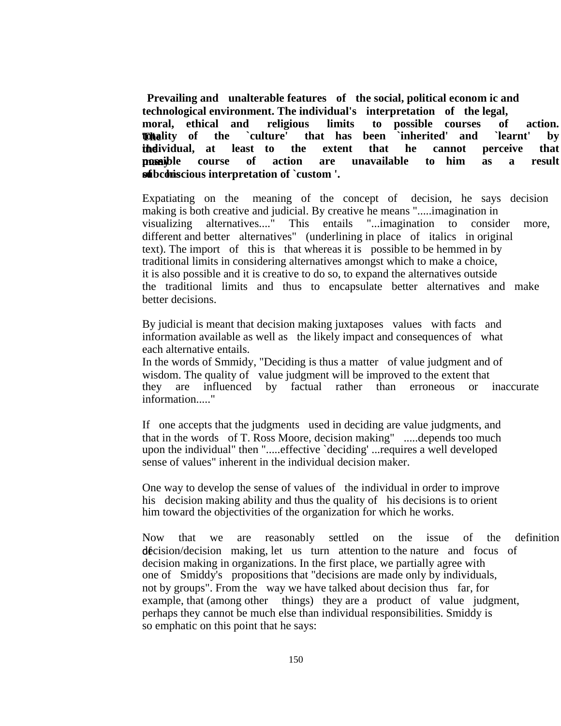**Prevailing and unalterable features of the social, political econom ic and technological environment. The individual's interpretation of the legal, moral, ethical and religious limits to possible courses of action. The** the `culture' that has been `inherited' and `learnt' by individual, at least to the extent that he cannot perceive that **the i**vidual, at least to the extent that he cannot perceive that **possible** course of action are unavailable to him as a result **subconscious interpretation of `custom '.** 

Expatiating on the meaning of the concept of decision, he says decision making is both creative and judicial. By creative he means ".....imagination in visualizing alternatives...." This entails "...imagination to consider more, different and better alternatives" (underlining in place of italics in original text). The import of this is that whereas it is possible to be hemmed in by traditional limits in considering alternatives amongst which to make a choice, it is also possible and it is creative to do so, to expand the alternatives outside the traditional limits and thus to encapsulate better alternatives and make better decisions.

By judicial is meant that decision making juxtaposes values with facts and information available as well as the likely impact and consequences of what each alternative entails.

In the words of Smmidy, "Deciding is thus a matter of value judgment and of wisdom. The quality of value judgment will be improved to the extent that they are influenced by factual rather than erroneous or inaccurate information....."

If one accepts that the judgments used in deciding are value judgments, and that in the words of T. Ross Moore, decision making" .....depends too much upon the individual" then ".....effective `deciding' ...requires a well developed sense of values" inherent in the individual decision maker.

One way to develop the sense of values of the individual in order to improve his decision making ability and thus the quality of his decisions is to orient him toward the objectivities of the organization for which he works.

Now that we are reasonably settled on the issue of the definition  $\frac{d}{dx}$  decision/decision making, let us turn attention to the nature and focus of decision making in organizations. In the first place, we partially agree with one of Smiddy's propositions that "decisions are made only by individuals, not by groups". From the way we have talked about decision thus far, for example, that (among other things) they are a product of value judgment, perhaps they cannot be much else than individual responsibilities. Smiddy is so emphatic on this point that he says: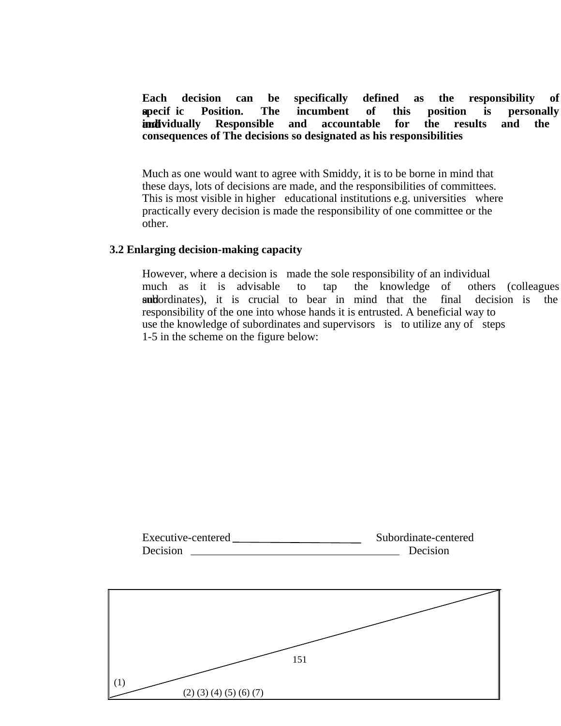**Each decision can be specifically defined as the responsibility of apecif ic Position.** The incumbent of this position is personally **and individually** Responsible and accountable for the results and the **consequences of The decisions so designated as his responsibilities**

Much as one would want to agree with Smiddy, it is to be borne in mind that these days, lots of decisions are made, and the responsibilities of committees. This is most visible in higher educational institutions e.g. universities where practically every decision is made the responsibility of one committee or the other.

# **3.2 Enlarging decision-making capacity**

However, where a decision is made the sole responsibility of an individual much as it is advisable to tap the knowledge of others (colleagues and bordinates), it is crucial to bear in mind that the final decision is the responsibility of the one into whose hands it is entrusted. A beneficial way to use the knowledge of subordinates and supervisors is to utilize any of steps 1-5 in the scheme on the figure below:



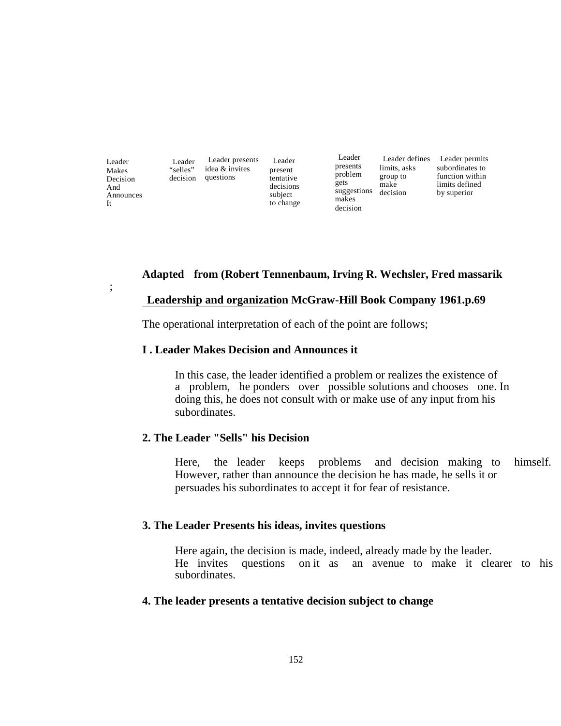| Leader<br>Makes<br>Decision<br>And<br>Announces<br><b>It</b> | Leader<br>"selles"<br>decision | Leader presents<br>idea & invites<br>questions | Leader<br>present<br>tentative<br>decisions<br>subject<br>to change | Leader<br>presents<br>problem<br>gets<br>suggestions<br>makes<br>decision | Leader defines<br>limits, asks<br>group to<br>make<br>decision | Leader permits<br>subordinates to<br>function within<br>limits defined<br>by superior |
|--------------------------------------------------------------|--------------------------------|------------------------------------------------|---------------------------------------------------------------------|---------------------------------------------------------------------------|----------------------------------------------------------------|---------------------------------------------------------------------------------------|
|--------------------------------------------------------------|--------------------------------|------------------------------------------------|---------------------------------------------------------------------|---------------------------------------------------------------------------|----------------------------------------------------------------|---------------------------------------------------------------------------------------|

#### **Adapted from (Robert Tennenbaum, Irving R. Wechsler, Fred massarik**

### **Leadership and organization McGraw-Hill Book Company 1961.p.69**

The operational interpretation of each of the point are follows;

### **I . Leader Makes Decision and Announces it**

In this case, the leader identified a problem or realizes the existence of a problem, he ponders over possible solutions and chooses one. In doing this, he does not consult with or make use of any input from his subordinates.

### **2. The Leader "Sells" his Decision**

;

Here, the leader keeps problems and decision making to himself. However, rather than announce the decision he has made, he sells it or persuades his subordinates to accept it for fear of resistance.

#### **3. The Leader Presents his ideas, invites questions**

Here again, the decision is made, indeed, already made by the leader. He invites questions on it as an avenue to make it clearer to his subordinates.

### **4. The leader presents a tentative decision subject to change**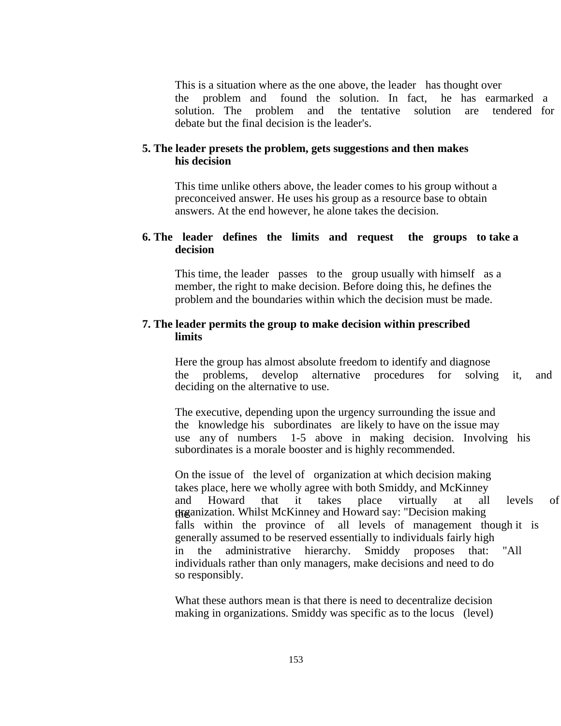This is a situation where as the one above, the leader has thought over the problem and found the solution. In fact, he has earmarked a solution. The problem and the tentative solution are tendered for debate but the final decision is the leader's.

# **5. The leader presets the problem, gets suggestions and then makes his decision**

This time unlike others above, the leader comes to his group without a preconceived answer. He uses his group as a resource base to obtain answers. At the end however, he alone takes the decision.

# **6. The leader defines the limits and request the groups to take a decision**

This time, the leader passes to the group usually with himself as a member, the right to make decision. Before doing this, he defines the problem and the boundaries within which the decision must be made.

# **7. The leader permits the group to make decision within prescribed limits**

Here the group has almost absolute freedom to identify and diagnose the problems, develop alternative procedures for solving it, and deciding on the alternative to use.

The executive, depending upon the urgency surrounding the issue and the knowledge his subordinates are likely to have on the issue may use any of numbers 1-5 above in making decision. Involving his subordinates is a morale booster and is highly recommended.

On the issue of the level of organization at which decision making takes place, here we wholly agree with both Smiddy, and McKinney and Howard that it takes place virtually at all levels of the original say: "Decision making the analytical Howard say: "Decision making falls within the province of all levels of management though it is generally assumed to be reserved essentially to individuals fairly high in the administrative hierarchy. Smiddy proposes that: "All individuals rather than only managers, make decisions and need to do so responsibly.

What these authors mean is that there is need to decentralize decision making in organizations. Smiddy was specific as to the locus (level)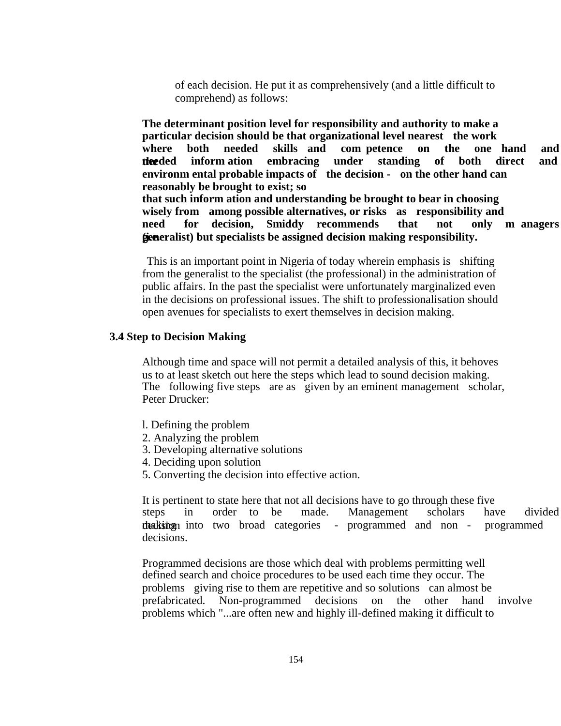of each decision. He put it as comprehensively (and a little difficult to comprehend) as follows:

**The determinant position level for responsibility and authority to make a particular decision should be that organizational level nearest the work where both needed skills and com petence on the one hand and the needed inform ation embracing under standing of both direct and environm ental probable impacts of the decision - on the other hand can reasonably be brought to exist; so that such inform ation and understanding be brought to bear in choosing wisely from among possible alternatives, or risks as responsibility and need for decision, Smiddy recommends that not only m anagers (igneralist)** but specialists be assigned decision making responsibility.

 This is an important point in Nigeria of today wherein emphasis is shifting from the generalist to the specialist (the professional) in the administration of public affairs. In the past the specialist were unfortunately marginalized even in the decisions on professional issues. The shift to professionalisation should open avenues for specialists to exert themselves in decision making.

### **3.4 Step to Decision Making**

Although time and space will not permit a detailed analysis of this, it behoves us to at least sketch out here the steps which lead to sound decision making. The following five steps are as given by an eminent management scholar, Peter Drucker:

- l. Defining the problem
- 2. Analyzing the problem
- 3. Developing alternative solutions
- 4. Deciding upon solution
- 5. Converting the decision into effective action.

It is pertinent to state here that not all decisions have to go through these five<br>steps in order to be made. Management scholars has steps in order to be made. Management scholars have divided dealising into two broad categories - programmed and non - programmed decisions.

Programmed decisions are those which deal with problems permitting well defined search and choice procedures to be used each time they occur. The problems giving rise to them are repetitive and so solutions can almost be prefabricated. Non-programmed decisions on the other hand involve problems which "...are often new and highly ill-defined making it difficult to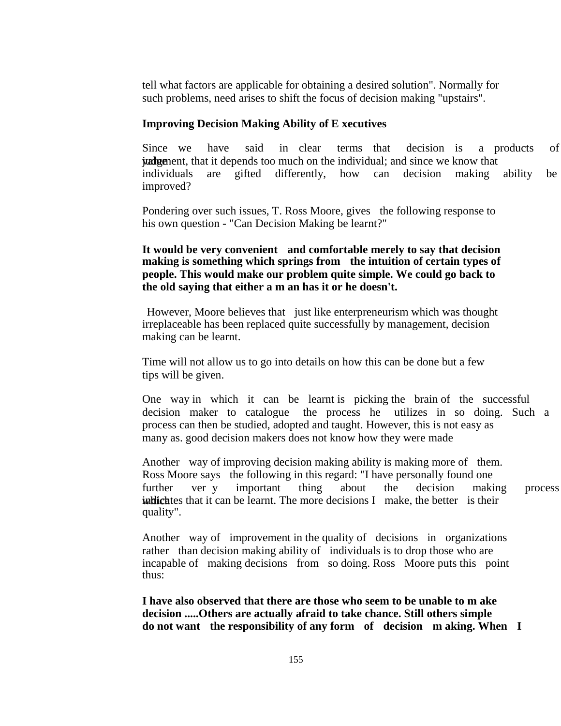tell what factors are applicable for obtaining a desired solution". Normally for such problems, need arises to shift the focus of decision making "upstairs".

#### **Improving Decision Making Ability of E xecutives**

Since we have said in clear terms that decision is a products of **undgement, that it depends too much on the individual; and since we know that** individuals are gifted differently, how can decision making ability be improved?

Pondering over such issues, T. Ross Moore, gives the following response to his own question - "Can Decision Making be learnt?"

# **It would be very convenient and comfortable merely to say that decision making is something which springs from the intuition of certain types of people. This would make our problem quite simple. We could go back to the old saying that either a m an has it or he doesn't.**

 However, Moore believes that just like enterpreneurism which was thought irreplaceable has been replaced quite successfully by management, decision making can be learnt.

Time will not allow us to go into details on how this can be done but a few tips will be given.

One way in which it can be learnt is picking the brain of the successful decision maker to catalogue the process he utilizes in so doing. Such a process can then be studied, adopted and taught. However, this is not easy as many as. good decision makers does not know how they were made

Another way of improving decision making ability is making more of them. Ross Moore says the following in this regard: "I have personally found one further ver y important thing about the decision making process indecentiation indicates that it can be learnt. The more decisions I make, the better is their quality".

Another way of improvement in the quality of decisions in organizations rather than decision making ability of individuals is to drop those who are incapable of making decisions from so doing. Ross Moore puts this point thus:

**I have also observed that there are those who seem to be unable to m ake decision .....Others are actually afraid to take chance. Still others simple do not want the responsibility of any form of decision m aking. When I**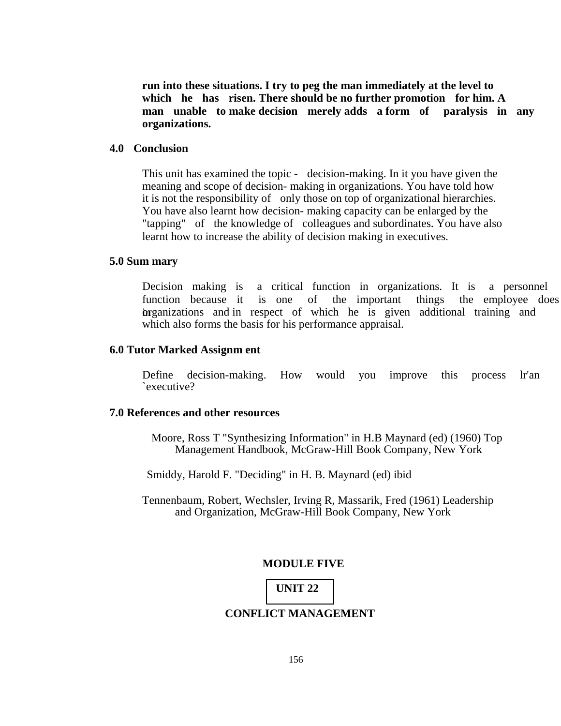**run into these situations. I try to peg the man immediately at the level to which he has risen. There should be no further promotion for him. A man unable to make decision merely adds a form of paralysis in any organizations.**

#### **4.0 Conclusion**

This unit has examined the topic - decision-making. In it you have given the meaning and scope of decision- making in organizations. You have told how it is not the responsibility of only those on top of organizational hierarchies. You have also learnt how decision- making capacity can be enlarged by the "tapping" of the knowledge of colleagues and subordinates. You have also learnt how to increase the ability of decision making in executives.

#### **5.0 Sum mary**

Decision making is a critical function in organizations. It is a personnel function because it is one of the important things the employee does in terms and in respect of which he is given additional training and which also forms the basis for his performance appraisal.

#### **6.0 Tutor Marked Assignm ent**

Define decision-making. How would you improve this process lr'an `executive?

#### **7.0 References and other resources**

 Moore, Ross T "Synthesizing Information" in H.B Maynard (ed) (1960) Top Management Handbook, McGraw-Hill Book Company, New York

Smiddy, Harold F. "Deciding" in H. B. Maynard (ed) ibid

Tennenbaum, Robert, Wechsler, Irving R, Massarik, Fred (1961) Leadership and Organization, McGraw-Hill Book Company, New York

### **MODULE FIVE**



# **CONFLICT MANAGEMENT**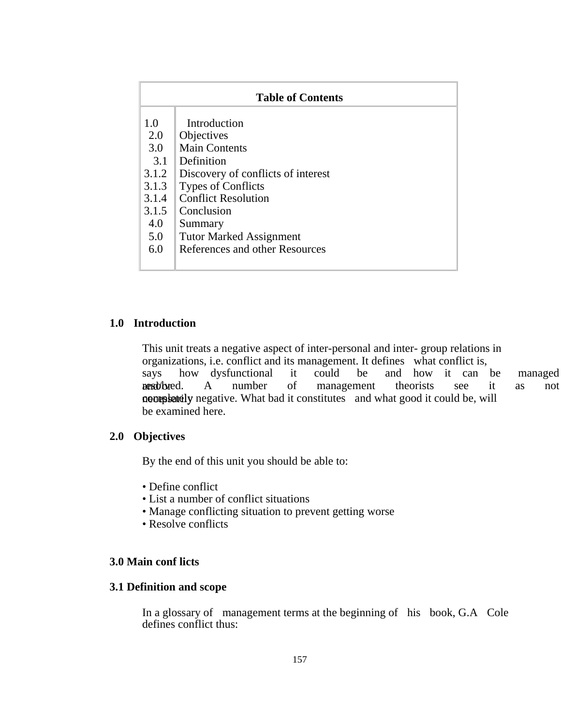| <b>Table of Contents</b> |                                    |  |  |  |  |  |
|--------------------------|------------------------------------|--|--|--|--|--|
| 1.0                      | Introduction                       |  |  |  |  |  |
| 2.0                      | Objectives                         |  |  |  |  |  |
| 3.0                      | <b>Main Contents</b>               |  |  |  |  |  |
| 3.1                      | Definition                         |  |  |  |  |  |
| 3.1.2                    | Discovery of conflicts of interest |  |  |  |  |  |
| 3.1.3                    | <b>Types of Conflicts</b>          |  |  |  |  |  |
| 3.1.4                    | <b>Conflict Resolution</b>         |  |  |  |  |  |
| 3.1.5                    | Conclusion                         |  |  |  |  |  |
| 4.0                      | Summary                            |  |  |  |  |  |
| 5.0                      | <b>Tutor Marked Assignment</b>     |  |  |  |  |  |
| 6.0                      | References and other Resources     |  |  |  |  |  |
|                          |                                    |  |  |  |  |  |

### **1.0 Introduction**

This unit treats a negative aspect of inter-personal and inter- group relations in organizations, i.e. conflict and its management. It defines what conflict is, says how dysfunctional it could be and how it can says how dysfunctional it could be and how it can be managed **next**blaced. A number of management theorists see it as not neces are set in present in the constituted and what good it could be, will be examined here.

### **2.0 Objectives**

By the end of this unit you should be able to:

- Define conflict
- List a number of conflict situations
- Manage conflicting situation to prevent getting worse
- Resolve conflicts

# **3.0 Main conf licts**

### **3.1 Definition and scope**

In a glossary of management terms at the beginning of his book, G.A Cole defines conflict thus: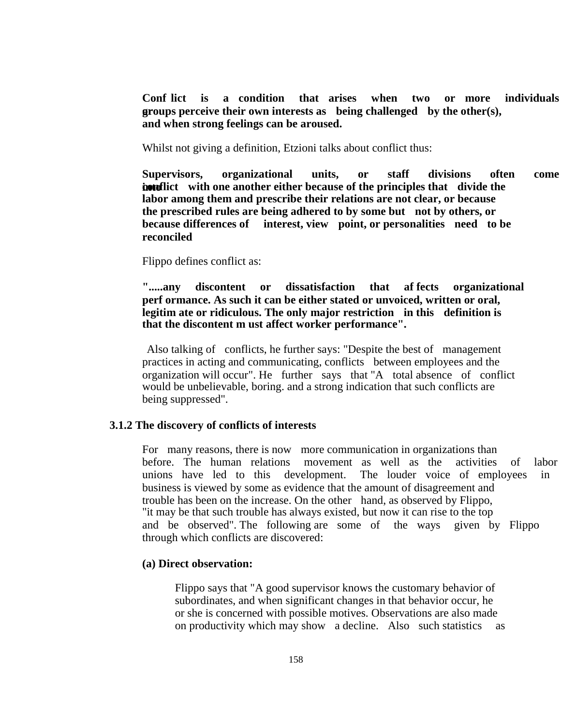**Conf lict is a condition that arises when two or more individuals <u>eroups</u>** perceive their own interests as being challenged by the other(s), **and when strong feelings can be aroused.**

Whilst not giving a definition, Etzioni talks about conflict thus:

**Supervisors, organizational units, or staff divisions often come into conflict** with one another either because of the principles that divide the **labor among them and prescribe their relations are not clear, or because the prescribed rules are being adhered to by some but not by others, or because differences of interest, view point, or personalities need to be reconciled**

Flippo defines conflict as:

**".....any discontent or dissatisfaction that af fects organizational perf ormance. As such it can be either stated or unvoiced, written or oral, legitim ate or ridiculous. The only major restriction in this definition is that the discontent m ust affect worker performance".**

 Also talking of conflicts, he further says: "Despite the best of management practices in acting and communicating, conflicts between employees and the organization will occur". He further says that "A total absence of conflict would be unbelievable, boring. and a strong indication that such conflicts are being suppressed".

#### **3.1.2 The discovery of conflicts of interests**

For many reasons, there is now more communication in organizations than before. The human relations movement as well as the activities of labor unions have led to this development. The louder voice of employees in business is viewed by some as evidence that the amount of disagreement and trouble has been on the increase. On the other hand, as observed by Flippo, "it may be that such trouble has always existed, but now it can rise to the top and be observed". The following are some of the ways given by Flippo through which conflicts are discovered:

#### **(a) Direct observation:**

Flippo says that "A good supervisor knows the customary behavior of subordinates, and when significant changes in that behavior occur, he or she is concerned with possible motives. Observations are also made on productivity which may show a decline. Also such statistics as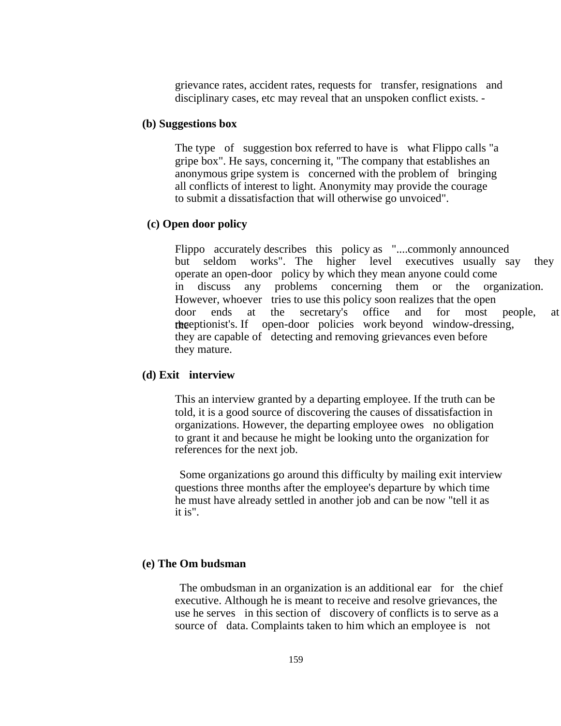grievance rates, accident rates, requests for transfer, resignations and disciplinary cases, etc may reveal that an unspoken conflict exists. -

### **(b) Suggestions box**

The type of suggestion box referred to have is what Flippo calls "a gripe box". He says, concerning it, "The company that establishes an anonymous gripe system is concerned with the problem of bringing all conflicts of interest to light. Anonymity may provide the courage to submit a dissatisfaction that will otherwise go unvoiced".

### **(c) Open door policy**

Flippo accurately describes this policy as "....commonly announced but seldom works". The higher level executives usually say they operate an open-door policy by which they mean anyone could come in discuss any problems concerning them or the organization. However, whoever tries to use this policy soon realizes that the open door ends at the secretary's office and for most people, at the receptionist's. If open-door policies work beyond window-dressing, they are capable of detecting and removing grievances even before they mature.

#### **(d) Exit interview**

This an interview granted by a departing employee. If the truth can be told, it is a good source of discovering the causes of dissatisfaction in organizations. However, the departing employee owes no obligation to grant it and because he might be looking unto the organization for references for the next job.

 Some organizations go around this difficulty by mailing exit interview questions three months after the employee's departure by which time he must have already settled in another job and can be now "tell it as it is".

### **(e) The Om budsman**

 The ombudsman in an organization is an additional ear for the chief executive. Although he is meant to receive and resolve grievances, the use he serves in this section of discovery of conflicts is to serve as a source of data. Complaints taken to him which an employee is not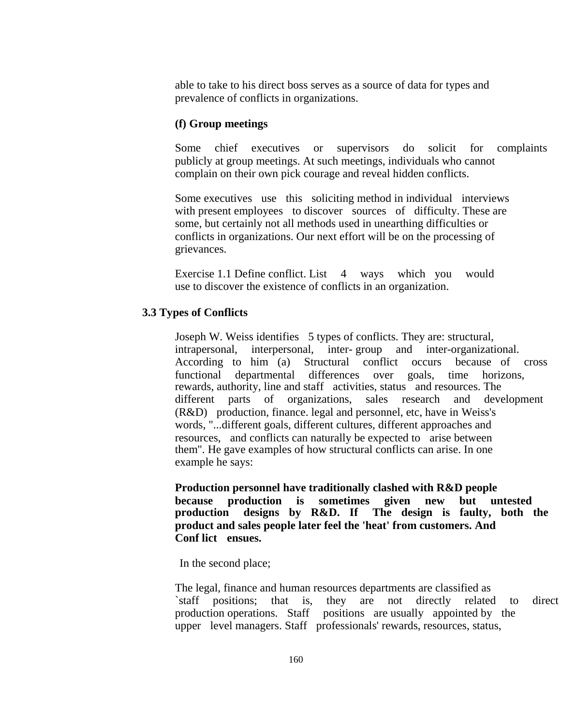able to take to his direct boss serves as a source of data for types and prevalence of conflicts in organizations.

### **(f) Group meetings**

Some chief executives or supervisors do solicit for complaints publicly at group meetings. At such meetings, individuals who cannot complain on their own pick courage and reveal hidden conflicts.

Some executives use this soliciting method in individual interviews with present employees to discover sources of difficulty. These are some, but certainly not all methods used in unearthing difficulties or conflicts in organizations. Our next effort will be on the processing of grievances.

Exercise 1.1 Define conflict. List 4 ways which you would use to discover the existence of conflicts in an organization.

# **3.3 Types of Conflicts**

Joseph W. Weiss identifies 5 types of conflicts. They are: structural, intrapersonal, interpersonal, inter-group and inter-organizational. According to him (a) Structural conflict occurs because of cross functional departmental differences over goals, time horizons, rewards, authority, line and staff activities, status and resources. The different parts of organizations, sales research and development (R&D) production, finance. legal and personnel, etc, have in Weiss's words, "...different goals, different cultures, different approaches and resources, and conflicts can naturally be expected to arise between them''. He gave examples of how structural conflicts can arise. In one example he says:

**Production personnel have traditionally clashed with R&D people because production is sometimes given new but untested production designs by R&D. If The design is faulty, both the product and sales people later feel the 'heat' from customers. And Conf lict ensues.**

In the second place;

The legal, finance and human resources departments are classified as `staff positions; that is, they are not directly related to direct production operations. Staff positions are usually appointed by the upper level managers. Staff professionals' rewards, resources, status,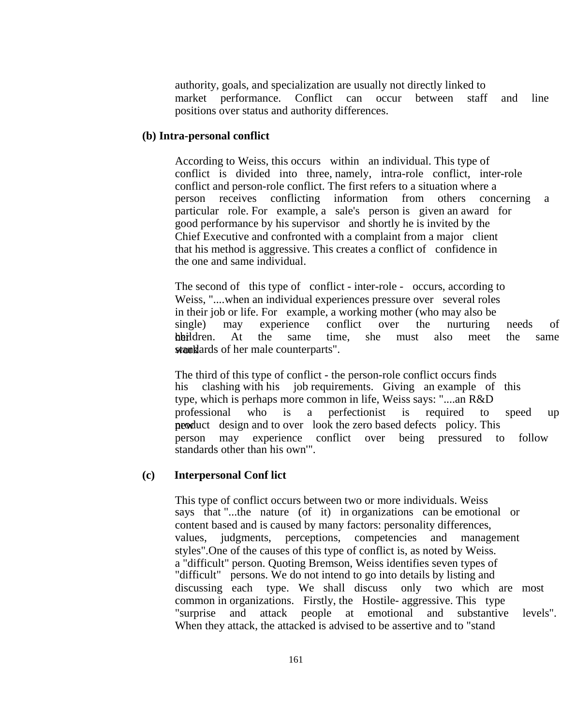authority, goals, and specialization are usually not directly linked to market performance. Conflict can occur between staff and line positions over status and authority differences.

#### **(b) Intra-personal conflict**

According to Weiss, this occurs within an individual. This type of conflict is divided into three, namely, intra-role conflict, inter-role conflict and person-role conflict. The first refers to a situation where a person receives conflicting information from others concerning a particular role. For example, a sale's person is given an award for good performance by his supervisor and shortly he is invited by the Chief Executive and confronted with a complaint from a major client that his method is aggressive. This creates a conflict of confidence in the one and same individual.

The second of this type of conflict - inter-role - occurs, according to Weiss, "....when an individual experiences pressure over several roles in their job or life. For example, a working mother (who may also be single) may experience conflict over the nurturing single) may experience conflict over the nurturing needs of her a a the same time, she must also meet the same work and starts of her male counterparts".

The third of this type of conflict - the person-role conflict occurs finds his clashing with his job requirements. Giving an example of this type, which is perhaps more common in life, Weiss says: "....an R&D professional who is a perfectionist is required to speed up new duct design and to over look the zero based defects policy. This person may experience conflict over being pressured to follow standards other than his own'".

# **(c) Interpersonal Conf lict**

This type of conflict occurs between two or more individuals. Weiss says that "...the nature (of it) in organizations can be emotional or content based and is caused by many factors: personality differences, values, judgments, perceptions, competencies and management styles".One of the causes of this type of conflict is, as noted by Weiss. a "difficult" person. Quoting Bremson, Weiss identifies seven types of "difficult" persons. We do not intend to go into details by listing and discussing each type. We shall discuss only two which are most common in organizations. Firstly, the Hostile- aggressive. This type "surprise and attack people at emotional and substantive levels". When they attack, the attacked is advised to be assertive and to "stand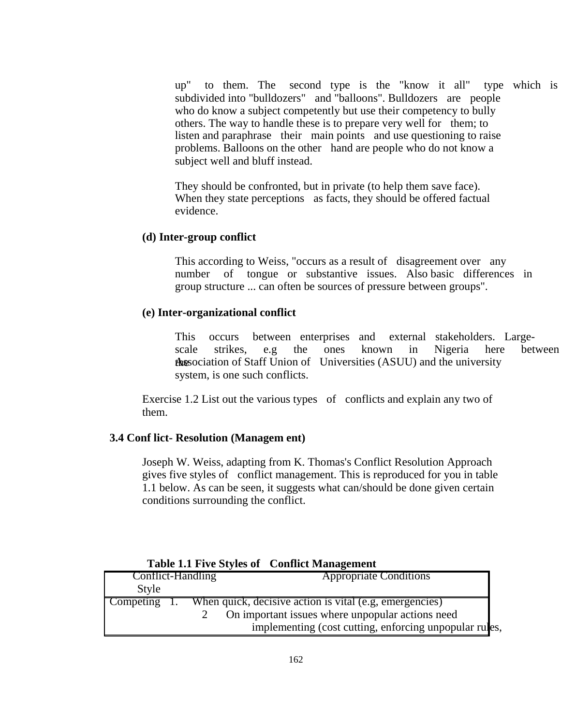up" to them. The second type is the "know it all" type which is subdivided into "bulldozers" and "balloons". Bulldozers are people who do know a subject competently but use their competency to bully others. The way to handle these is to prepare very well for them; to listen and paraphrase their main points and use questioning to raise problems. Balloons on the other hand are people who do not know a subject well and bluff instead.

They should be confronted, but in private (to help them save face). When they state perceptions as facts, they should be offered factual evidence.

#### **(d) Inter-group conflict**

This according to Weiss, "occurs as a result of disagreement over any number of tongue or substantive issues. Also basic differences in group structure ... can often be sources of pressure between groups".

#### **(e) Inter-organizational conflict**

This occurs between enterprises and external stakeholders. Largescale strikes, e.g the ones known in Nigeria here between the Association of Staff Union of Universities (ASUU) and the university system, is one such conflicts.

Exercise 1.2 List out the various types of conflicts and explain any two of them.

### **3.4 Conf lict- Resolution (Managem ent)**

Joseph W. Weiss, adapting from K. Thomas's Conflict Resolution Approach gives five styles of conflict management. This is reproduced for you in table 1.1 below. As can be seen, it suggests what can/should be done given certain conditions surrounding the conflict.

| Conflict-Handling | <b>Appropriate Conditions</b>                           |
|-------------------|---------------------------------------------------------|
| <b>Style</b>      |                                                         |
| Competing 1.      | When quick, decisive action is vital (e.g. emergencies) |
|                   | On important issues where unpopular actions need        |
|                   | implementing (cost cutting, enforcing unpopular rules,  |

 **Table 1.1 Five Styles of Conflict Management**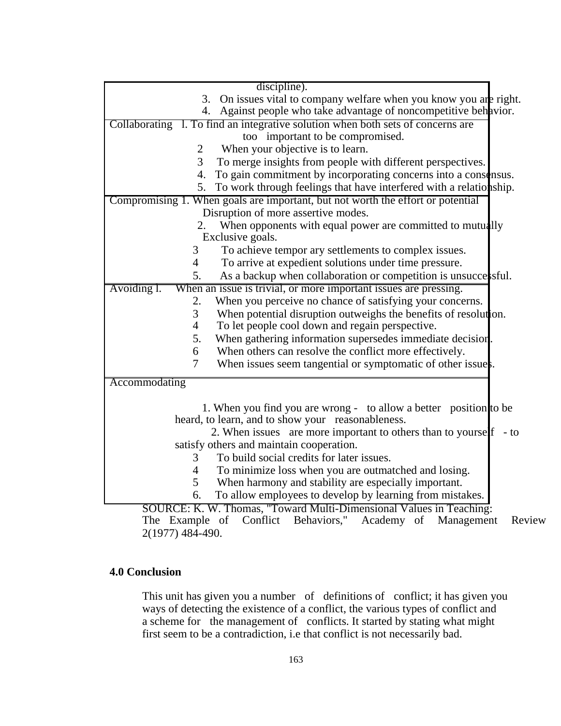| discipline).                                                                              |
|-------------------------------------------------------------------------------------------|
| On issues vital to company welfare when you know you are right.<br>3.                     |
| Against people who take advantage of noncompetitive behavior.<br>4.                       |
| 1. To find an integrative solution when both sets of concerns are<br><b>Collaborating</b> |
| too important to be compromised.                                                          |
| When your objective is to learn.<br>2                                                     |
| 3<br>To merge insights from people with different perspectives.                           |
| To gain commitment by incorporating concerns into a consensus.<br>4.                      |
| To work through feelings that have interfered with a relationship.<br>5.                  |
| Compromising 1. When goals are important, but not worth the effort or potential           |
| Disruption of more assertive modes.                                                       |
| When opponents with equal power are committed to mutually<br>2.                           |
| Exclusive goals.                                                                          |
| 3<br>To achieve tempor ary settlements to complex issues.                                 |
| To arrive at expedient solutions under time pressure.<br>4                                |
| As a backup when collaboration or competition is unsuccessful.<br>5.                      |
| When an issue is trivial, or more important issues are pressing.<br>Avoiding l.           |
| When you perceive no chance of satisfying your concerns.<br>2.                            |
| 3<br>When potential disruption outweighs the benefits of resolution.                      |
| To let people cool down and regain perspective.<br>4                                      |
| 5.<br>When gathering information supersedes immediate decision.                           |
| When others can resolve the conflict more effectively.<br>6                               |
| 7<br>When issues seem tangential or symptomatic of other issues.                          |
| Accommodating                                                                             |
|                                                                                           |
| 1. When you find you are wrong - to allow a better position to be                         |
| heard, to learn, and to show your reasonableness.                                         |
| 2. When issues are more important to others than to yourse $\mathbf{f}$ - to              |
| satisfy others and maintain cooperation.                                                  |
| To build social credits for later issues.<br>3                                            |
| To minimize loss when you are outmatched and losing.<br>4                                 |
| 5<br>When harmony and stability are especially important.                                 |
| To allow employees to develop by learning from mistakes.<br>6.                            |
| $\overline{S}\Omega$ UPCE, $V$ W Thomas "Toward Multi Dimensional Values in Teaching"     |

SOURCE: K. W. Thomas, "Toward Multi-Dimensional Values in Teaching: The Example of Conflict Behaviors," Academy of Management Review 2(1977) 484-490.

# **4.0 Conclusion**

This unit has given you a number of definitions of conflict; it has given you ways of detecting the existence of a conflict, the various types of conflict and a scheme for the management of conflicts. It started by stating what might first seem to be a contradiction, i.e that conflict is not necessarily bad.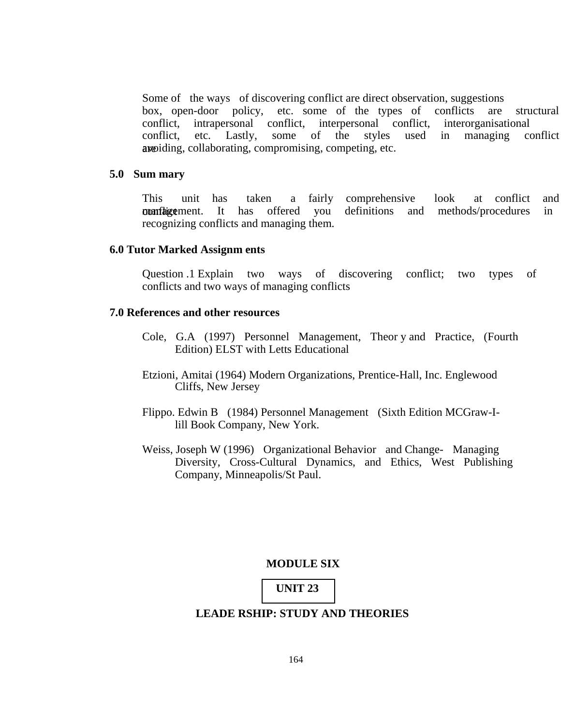Some of the ways of discovering conflict are direct observation, suggestions box, open-door policy, etc. some of the types of conflicts are structural conflict, intrapersonal conflict, interpersonal conflict, interorganisational<br>conflict, etc. Lastly, some of the styles used in managing co conflict, etc. Lastly, some of the styles used in managing conflict are oiding, collaborating, compromising, competing, etc.

#### **5.0 Sum mary**

This unit has taken a fairly comprehensive look at conflict and **confluct** ment. It has offered you definitions and methods/procedures in recognizing conflicts and managing them.

#### **6.0 Tutor Marked Assignm ents**

Question .1 Explain two ways of discovering conflict; two types of conflicts and two ways of managing conflicts

#### **7.0 References and other resources**

- Cole, G.A (1997) Personnel Management, Theor y and Practice, (Fourth Edition) ELST with Letts Educational
- Etzioni, Amitai (1964) Modern Organizations, Prentice-Hall, Inc. Englewood Cliffs, New Jersey
- Flippo. Edwin B (1984) Personnel Management (Sixth Edition MCGraw-Ilill Book Company, New York.
- Weiss, Joseph W (1996) Organizational Behavior and Change- Managing Diversity, Cross-Cultural Dynamics, and Ethics, West Publishing Company, Minneapolis/St Paul.

#### **MODULE SIX**

# **UNIT 23**

#### **LEADE RSHIP: STUDY AND THEORIES**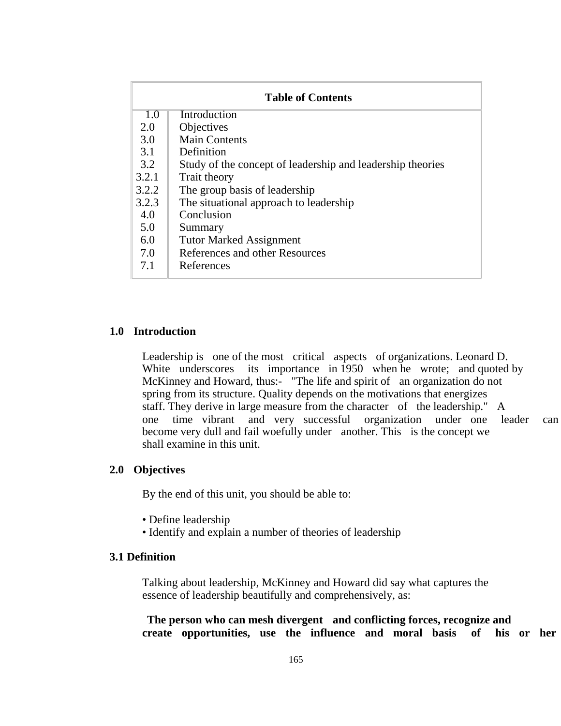| <b>Table of Contents</b> |                                                            |  |  |  |  |
|--------------------------|------------------------------------------------------------|--|--|--|--|
| 1.0                      | Introduction                                               |  |  |  |  |
| 2.0                      | Objectives                                                 |  |  |  |  |
| 3.0                      | <b>Main Contents</b>                                       |  |  |  |  |
| 3.1                      | Definition                                                 |  |  |  |  |
| 3.2                      | Study of the concept of leadership and leadership theories |  |  |  |  |
| 3.2.1                    | Trait theory                                               |  |  |  |  |
| 3.2.2                    | The group basis of leadership                              |  |  |  |  |
| 3.2.3                    | The situational approach to leadership                     |  |  |  |  |
| 4.0                      | Conclusion                                                 |  |  |  |  |
| 5.0                      | Summary                                                    |  |  |  |  |
| 6.0                      | <b>Tutor Marked Assignment</b>                             |  |  |  |  |
| 7.0                      | References and other Resources                             |  |  |  |  |
| 7.1                      | References                                                 |  |  |  |  |

### **1.0 Introduction**

Leadership is one of the most critical aspects of organizations. Leonard D. White underscores its importance in 1950 when he wrote; and quoted by McKinney and Howard, thus:- "The life and spirit of an organization do not spring from its structure. Quality depends on the motivations that energizes staff. They derive in large measure from the character of the leadership." A one time vibrant and very successful organization under one leader can become very dull and fail woefully under another. This is the concept we shall examine in this unit.

#### **2.0 Objectives**

By the end of this unit, you should be able to:

- Define leadership
- Identify and explain a number of theories of leadership

#### **3.1 Definition**

Talking about leadership, McKinney and Howard did say what captures the essence of leadership beautifully and comprehensively, as:

 **The person who can mesh divergent and conflicting forces, recognize and create opportunities, use the influence and moral basis of his or her**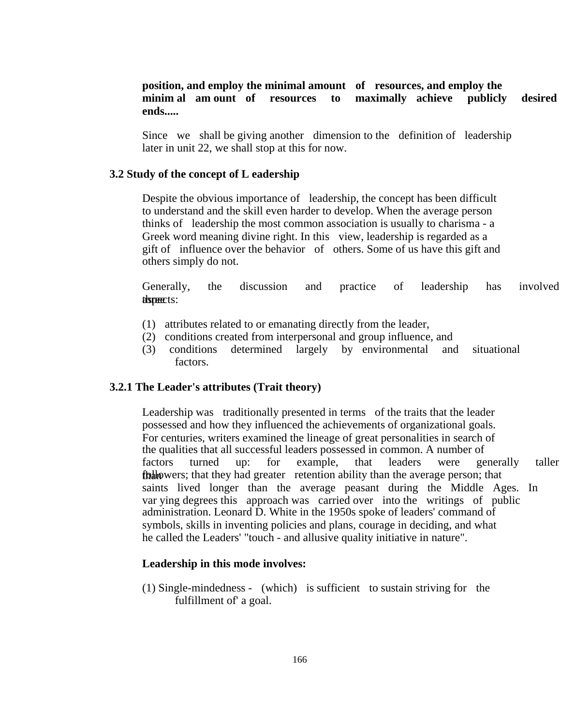# **position, and employ the minimal amount of resources, and employ the minim al am ount of resources to maximally achieve publicly desired ends.....**

Since we shall be giving another dimension to the definition of leadership later in unit 22, we shall stop at this for now.

## **3.2 Study of the concept of L eadership**

Despite the obvious importance of leadership, the concept has been difficult to understand and the skill even harder to develop. When the average person thinks of leadership the most common association is usually to charisma - a Greek word meaning divine right. In this view, leadership is regarded as a gift of influence over the behavior of others. Some of us have this gift and others simply do not.

Generally, the discussion and practice of leadership has involved there are the set of strength set of the set of the set of the set of the set of the set of the set of the set of the set of the set of the set of the set of the set of the set of the set of the set of the set of the set o

- (1) attributes related to or emanating directly from the leader,
- (2) conditions created from interpersonal and group influence, and
- (3) conditions determined largely by environmental and situational factors.

#### **3.2.1 The Leader's attributes (Trait theory)**

Leadership was traditionally presented in terms of the traits that the leader possessed and how they influenced the achievements of organizational goals. For centuries, writers examined the lineage of great personalities in search of the qualities that all successful leaders possessed in common. A number of factors turned up: for example, that leaders were generally taller the followers; that they had greater retention ability than the average person; that saints lived longer than the average peasant during the Middle Ages. In var ying degrees this approach was carried over into the writings of public administration. Leonard D. White in the 1950s spoke of leaders' command of symbols, skills in inventing policies and plans, courage in deciding, and what he called the Leaders' "touch - and allusive quality initiative in nature".

#### **Leadership in this mode involves:**

(1) Single-mindedness - (which) is sufficient to sustain striving for the fulfillment of' a goal.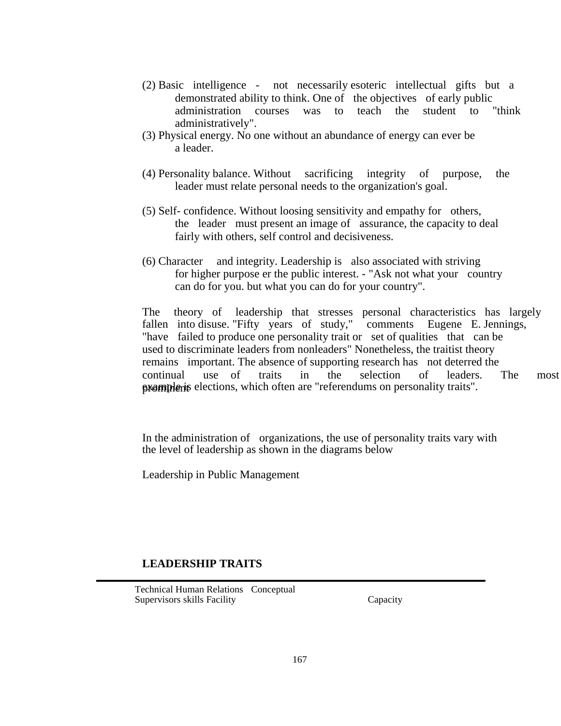- (2) Basic intelligence not necessarily esoteric intellectual gifts but a demonstrated ability to think. One of the objectives of early public administration courses was to teach the student to "think administratively".
- (3) Physical energy. No one without an abundance of energy can ever be a leader.
- (4) Personality balance. Without sacrificing integrity of purpose, the leader must relate personal needs to the organization's goal.
- (5) Self- confidence. Without loosing sensitivity and empathy for others, the leader must present an image of assurance, the capacity to deal fairly with others, self control and decisiveness.
- (6) Character and integrity. Leadership is also associated with striving for higher purpose er the public interest. - "Ask not what your country can do for you. but what you can do for your country".

The theory of leadership that stresses personal characteristics has largely fallen into disuse. "Fifty years of study," comments Eugene E. Jennings, "have failed to produce one personality trait or set of qualities that can be used to discriminate leaders from nonleaders" Nonetheless, the traitist theory remains important. The absence of supporting research has not deterred the continual use of traits in the selection of leaders. The most promiplent elections, which often are "referendums on personality traits".

In the administration of organizations, the use of personality traits vary with the level of leadership as shown in the diagrams below

Leadership in Public Management

# **LEADERSHIP TRAITS**

Technical Human Relations Conceptual Supervisors skills Facility Capacity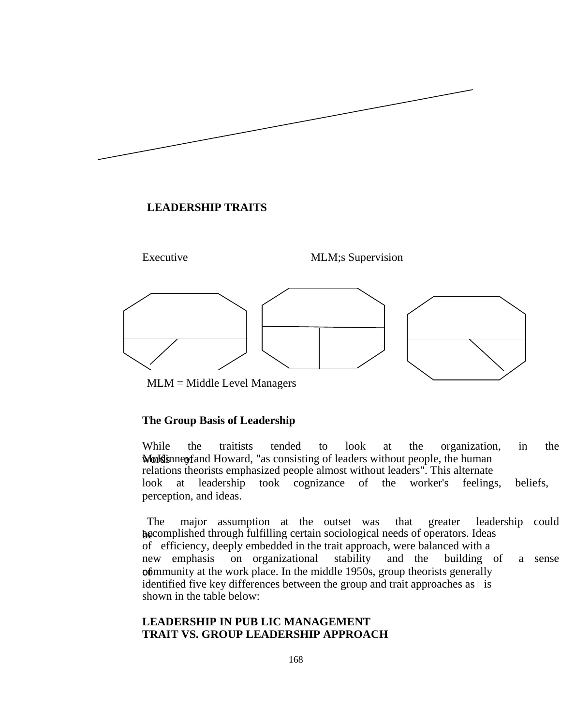

#### **LEADERSHIP TRAITS**



MLM = Middle Level Managers

## **The Group Basis of Leadership**

While the traitists tended to look at the organization, in the **McK**inney fand Howard, "as consisting of leaders without people, the human relations theorists emphasized people almost without leaders". This alternate look at leadership took cognizance of the worker's feelings, beliefs, perception, and ideas.

The major assumption at the outset was that greater leadership could be complished through fulfilling certain sociological needs of operators. Ideas of efficiency, deeply embedded in the trait approach, were balanced with a new emphasis on organizational stability and the building of a sense  $o6$ mmunity at the work place. In the middle 1950s, group theorists generally identified five key differences between the group and trait approaches as is shown in the table below:

# **LEADERSHIP IN PUB LIC MANAGEMENT TRAIT VS. GROUP LEADERSHIP APPROACH**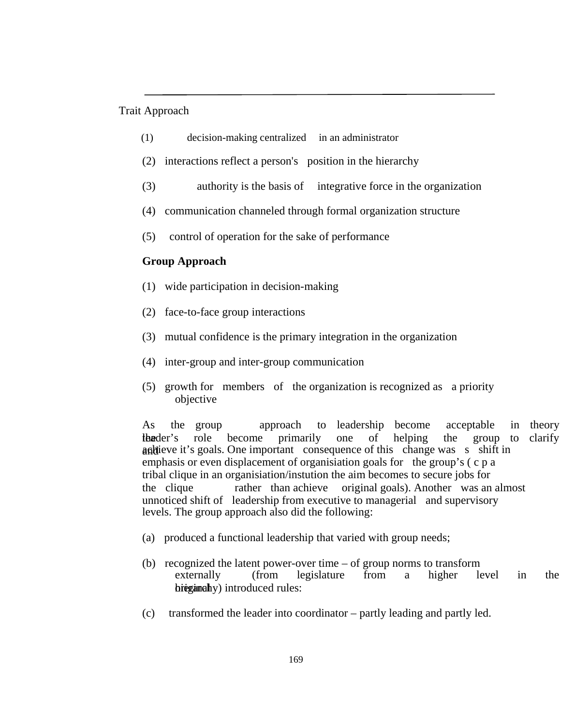Trait Approach

- (1) decision-making centralized in an administrator
- (2) interactions reflect a person's position in the hierarchy
- (3) authority is the basis of integrative force in the organization
- (4) communication channeled through formal organization structure
- (5) control of operation for the sake of performance

## **Group Approach**

- (1) wide participation in decision-making
- (2) face-to-face group interactions
- (3) mutual confidence is the primary integration in the organization
- (4) inter-group and inter-group communication
- (5) growth for members of the organization is recognized as a priority objective

As the group approach to leadership become acceptable in theory the detacher's role become primarily one of helping the group to clarify applieve it's goals. One important consequence of this change was s shift in emphasis or even displacement of organisiation goals for the group's ( c p a tribal clique in an organisiation/instution the aim becomes to secure jobs for the clique rather than achieve original goals). Another was an almost unnoticed shift of leadership from executive to managerial and supervisory levels. The group approach also did the following:

- (a) produced a functional leadership that varied with group needs;
- (b) recognized the latent power-over time of group norms to transform externally (from legislature from a higher level in the breginal hy introduced rules:
- (c) transformed the leader into coordinator partly leading and partly led.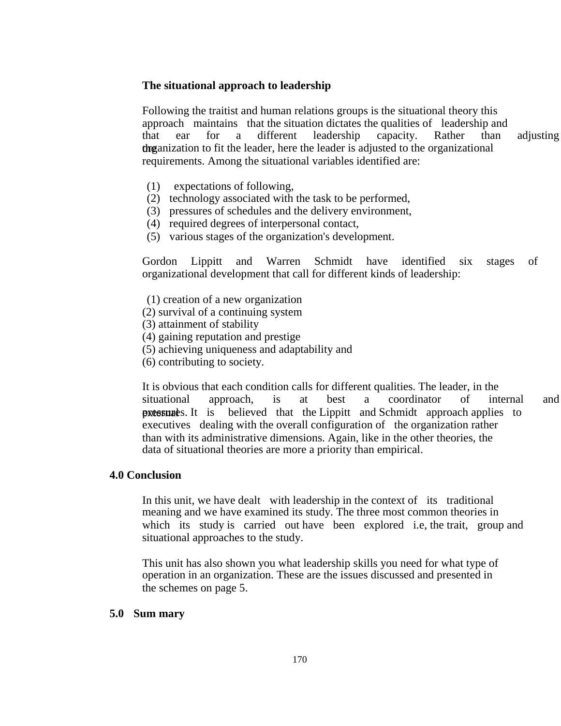# **The situational approach to leadership**

Following the traitist and human relations groups is the situational theory this approach maintains that the situation dictates the qualities of leadership and that ear for a different leadership capacity. Rather than adjusting the organization to fit the leader, here the leader is adjusted to the organizational requirements. Among the situational variables identified are:

- (1) expectations of following,
- (2) technology associated with the task to be performed,
- (3) pressures of schedules and the delivery environment,
- (4) required degrees of interpersonal contact,
- (5) various stages of the organization's development.

Gordon Lippitt and Warren Schmidt have identified six stages of organizational development that call for different kinds of leadership:

- (1) creation of a new organization
- (2) survival of a continuing system
- (3) attainment of stability
- (4) gaining reputation and prestige
- (5) achieving uniqueness and adaptability and
- (6) contributing to society.

It is obvious that each condition calls for different qualities. The leader, in the situational approach, is at best a coordinator of internal and **externate**s. It is believed that the Lippitt and Schmidt approach applies to executives dealing with the overall configuration of the organization rather than with its administrative dimensions. Again, like in the other theories, the data of situational theories are more a priority than empirical.

# **4.0 Conclusion**

In this unit, we have dealt with leadership in the context of its traditional meaning and we have examined its study. The three most common theories in which its study is carried out have been explored i.e, the trait, group and situational approaches to the study.

This unit has also shown you what leadership skills you need for what type of operation in an organization. These are the issues discussed and presented in the schemes on page 5.

#### **5.0 Sum mary**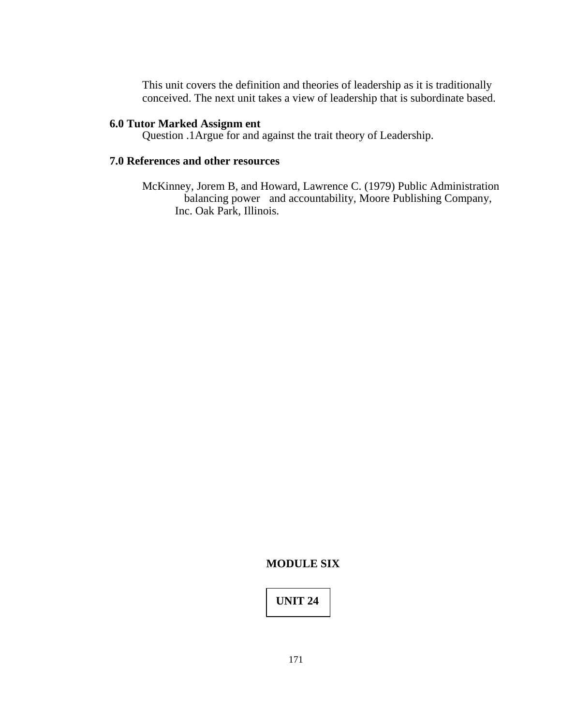This unit covers the definition and theories of leadership as it is traditionally conceived. The next unit takes a view of leadership that is subordinate based.

#### **6.0 Tutor Marked Assignm ent**

Question .1Argue for and against the trait theory of Leadership.

### **7.0 References and other resources**

McKinney, Jorem B, and Howard, Lawrence C. (1979) Public Administration balancing power and accountability, Moore Publishing Company, Inc. Oak Park, Illinois.

# **MODULE SIX**

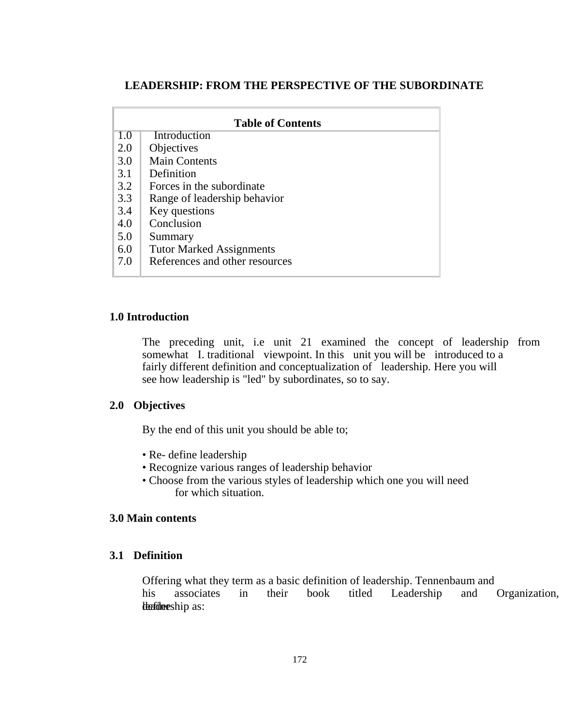# **LEADERSHIP: FROM THE PERSPECTIVE OF THE SUBORDINATE**

| <b>Table of Contents</b>        |  |  |  |  |
|---------------------------------|--|--|--|--|
| Introduction                    |  |  |  |  |
| Objectives                      |  |  |  |  |
| <b>Main Contents</b>            |  |  |  |  |
| Definition                      |  |  |  |  |
| Forces in the subordinate       |  |  |  |  |
| Range of leadership behavior    |  |  |  |  |
| Key questions                   |  |  |  |  |
| Conclusion                      |  |  |  |  |
| Summary                         |  |  |  |  |
| <b>Tutor Marked Assignments</b> |  |  |  |  |
| References and other resources  |  |  |  |  |
|                                 |  |  |  |  |

### **1.0 Introduction**

The preceding unit, i.e unit 21 examined the concept of leadership from somewhat I. traditional viewpoint. In this unit you will be introduced to a fairly different definition and conceptualization of leadership. Here you will see how leadership is "led" by subordinates, so to say.

# **2.0 Objectives**

By the end of this unit you should be able to;

- Re- define leadership
- Recognize various ranges of leadership behavior
- Choose from the various styles of leadership which one you will need for which situation.

# **3.0 Main contents**

# **3.1 Definition**

Offering what they term as a basic definition of leadership. Tennenbaum and his associates in their book titled Leadership and Organization, defoloeship as: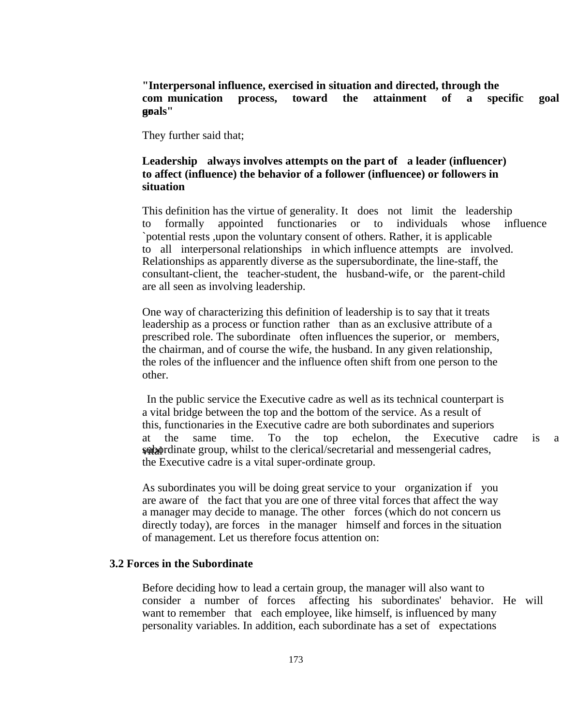**"Interpersonal influence, exercised in situation and directed, through the com munication process, toward the attainment of a specific goal or goals"**

They further said that;

# **Leadership always involves attempts on the part of a leader (influencer) to affect (influence) the behavior of a follower (influencee) or followers in situation**

This definition has the virtue of generality. It does not limit the leadership to formally appointed functionaries or to individuals whose influence `potential rests ,upon the voluntary consent of others. Rather, it is applicable to all interpersonal relationships in which influence attempts are involved. Relationships as apparently diverse as the supersubordinate, the line-staff, the consultant-client, the teacher-student, the husband-wife, or the parent-child are all seen as involving leadership.

One way of characterizing this definition of leadership is to say that it treats leadership as a process or function rather than as an exclusive attribute of a prescribed role. The subordinate often influences the superior, or members, the chairman, and of course the wife, the husband. In any given relationship, the roles of the influencer and the influence often shift from one person to the other.

 In the public service the Executive cadre as well as its technical counterpart is a vital bridge between the top and the bottom of the service. As a result of this, functionaries in the Executive cadre are both subordinates and superiors at the same time. To the top echelon, the Executive cadre is a subsequently subsequently subsequently subsequently subsequently subsequently subsequently subsequently subsequently the Executive cadre is a vital super-ordinate group.

As subordinates you will be doing great service to your organization if you are aware of the fact that you are one of three vital forces that affect the way a manager may decide to manage. The other forces (which do not concern us directly today), are forces in the manager himself and forces in the situation of management. Let us therefore focus attention on:

#### **3.2 Forces in the Subordinate**

Before deciding how to lead a certain group, the manager will also want to consider a number of forces affecting his subordinates' behavior. He will want to remember that each employee, like himself, is influenced by many personality variables. In addition, each subordinate has a set of expectations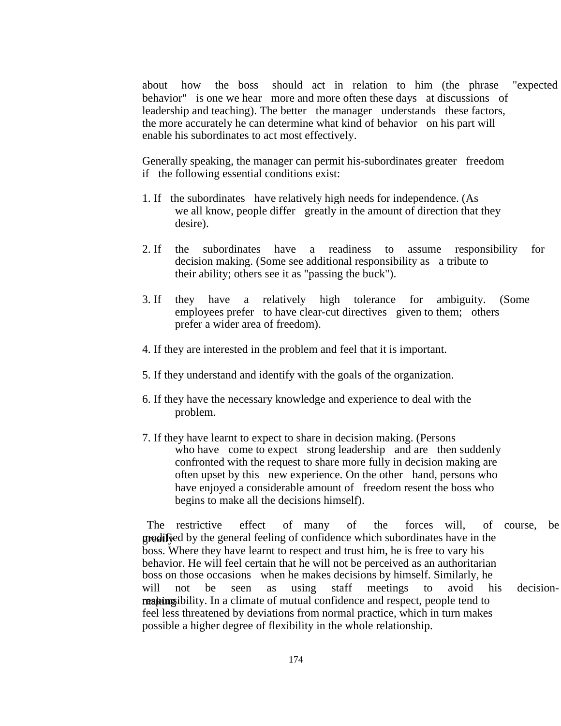about how the boss should act in relation to him (the phrase "expected behavior" is one we hear more and more often these days at discussions of leadership and teaching). The better the manager understands these factors, the more accurately he can determine what kind of behavior on his part will enable his subordinates to act most effectively.

Generally speaking, the manager can permit his-subordinates greater freedom if the following essential conditions exist:

- 1. If the subordinates have relatively high needs for independence. (As we all know, people differ greatly in the amount of direction that they desire).
- 2. If the subordinates have a readiness to assume responsibility for decision making. (Some see additional responsibility as a tribute to their ability; others see it as "passing the buck").
- 3. If they have a relatively high tolerance for ambiguity. (Some employees prefer to have clear-cut directives given to them; others prefer a wider area of freedom).
- 4. If they are interested in the problem and feel that it is important.
- 5. If they understand and identify with the goals of the organization.
- 6. If they have the necessary knowledge and experience to deal with the problem.
- 7. If they have learnt to expect to share in decision making. (Persons who have come to expect strong leadership and are then suddenly confronted with the request to share more fully in decision making are often upset by this new experience. On the other hand, persons who have enjoyed a considerable amount of freedom resent the boss who begins to make all the decisions himself).

The restrictive effect of many of the forces will, of course, be **greatly** modified by the general feeling of confidence which subordinates have in the boss. Where they have learnt to respect and trust him, he is free to vary his behavior. He will feel certain that he will not be perceived as an authoritarian boss on those occasions when he makes decisions by himself. Similarly, he will not be seen as using staff meetings to avoid his decisionmaking responsibility. In a climate of mutual confidence and respect, people tend to feel less threatened by deviations from normal practice, which in turn makes possible a higher degree of flexibility in the whole relationship.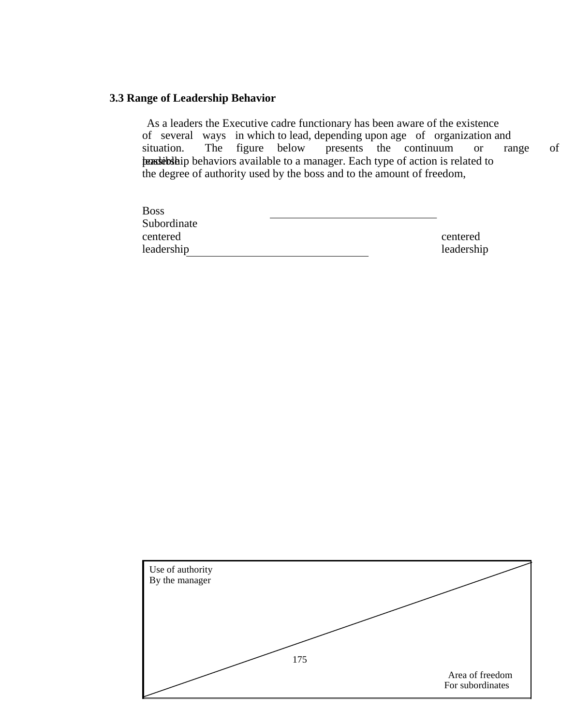# **3.3 Range of Leadership Behavior**

 As a leaders the Executive cadre functionary has been aware of the existence of several ways in which to lead, depending upon age of organization and situation. The figure below presents the continuum or ran situation. The figure below presents the continuum or range of **possible leadership** behaviors available to a manager. Each type of action is related to the degree of authority used by the boss and to the amount of freedom,

| <b>Boss</b> |            |
|-------------|------------|
| Subordinate |            |
| centered    | centered   |
| leadership  | leadership |

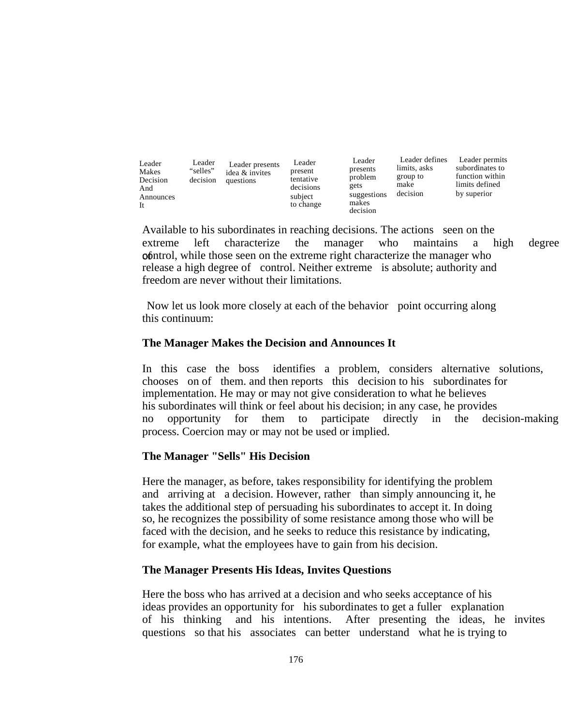| Leader<br>Makes<br>Decision<br>And<br>Announces<br>- Tt | Leader<br>"selles"<br>decision | Leader presents<br>idea & invites<br>questions | Leader<br>present<br>tentative<br>decisions<br>subject<br>to change | Leader<br>presents<br>problem<br>gets<br>suggestions<br>makes<br>decision | Leader defines<br>limits, asks<br>group to<br>make<br>decision | Leader permits<br>subordinates to<br>function within<br>limits defined<br>by superior |
|---------------------------------------------------------|--------------------------------|------------------------------------------------|---------------------------------------------------------------------|---------------------------------------------------------------------------|----------------------------------------------------------------|---------------------------------------------------------------------------------------|
|---------------------------------------------------------|--------------------------------|------------------------------------------------|---------------------------------------------------------------------|---------------------------------------------------------------------------|----------------------------------------------------------------|---------------------------------------------------------------------------------------|

Available to his subordinates in reaching decisions. The actions seen on the extreme left characterize the manager who maintains a high degree of other control, while those seen on the extreme right characterize the manager who release a high degree of control. Neither extreme is absolute; authority and freedom are never without their limitations.

Now let us look more closely at each of the behavior point occurring along this continuum:

### **The Manager Makes the Decision and Announces It**

In this case the boss identifies a problem, considers alternative solutions, chooses on of them. and then reports this decision to his subordinates for implementation. He may or may not give consideration to what he believes his subordinates will think or feel about his decision; in any case, he provides no opportunity for them to participate directly in the decision-making process. Coercion may or may not be used or implied.

# **The Manager "Sells" His Decision**

Here the manager, as before, takes responsibility for identifying the problem and arriving at a decision. However, rather than simply announcing it, he takes the additional step of persuading his subordinates to accept it. In doing so, he recognizes the possibility of some resistance among those who will be faced with the decision, and he seeks to reduce this resistance by indicating, for example, what the employees have to gain from his decision.

#### **The Manager Presents His Ideas, Invites Questions**

Here the boss who has arrived at a decision and who seeks acceptance of his ideas provides an opportunity for his subordinates to get a fuller explanation of his thinking and his intentions. After presenting the ideas, he invites questions so that his associates can better understand what he is trying to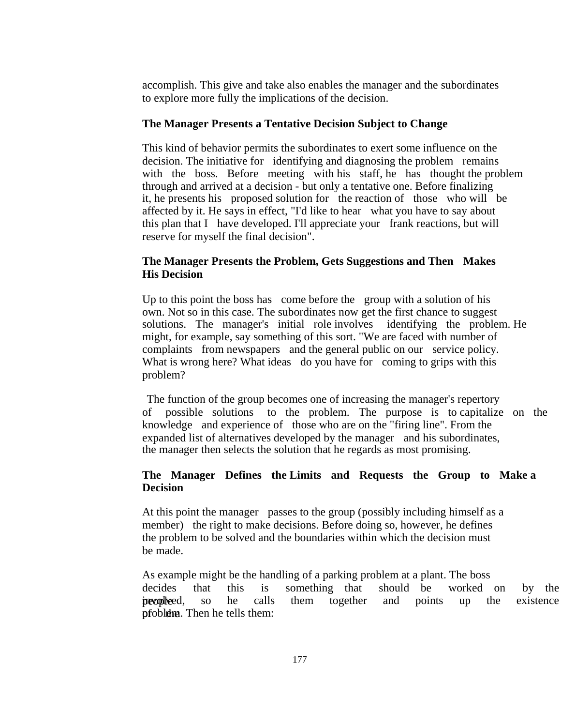accomplish. This give and take also enables the manager and the subordinates to explore more fully the implications of the decision.

# **The Manager Presents a Tentative Decision Subject to Change**

This kind of behavior permits the subordinates to exert some influence on the decision. The initiative for identifying and diagnosing the problem remains with the boss. Before meeting with his staff, he has thought the problem through and arrived at a decision - but only a tentative one. Before finalizing it, he presents his proposed solution for the reaction of those who will be affected by it. He says in effect, "I'd like to hear what you have to say about this plan that I have developed. I'll appreciate your frank reactions, but will reserve for myself the final decision".

# **The Manager Presents the Problem, Gets Suggestions and Then Makes His Decision**

Up to this point the boss has come before the group with a solution of his own. Not so in this case. The subordinates now get the first chance to suggest solutions. The manager's initial role involves identifying the problem. He might, for example, say something of this sort. "We are faced with number of complaints from newspapers and the general public on our service policy. What is wrong here? What ideas do you have for coming to grips with this problem?

 The function of the group becomes one of increasing the manager's repertory of possible solutions to the problem. The purpose is to capitalize on the knowledge and experience of those who are on the "firing line". From the expanded list of alternatives developed by the manager and his subordinates, the manager then selects the solution that he regards as most promising.

# **The Manager Defines the Limits and Requests the Group to Make a Decision**

At this point the manager passes to the group (possibly including himself as a member) the right to make decisions. Before doing so, however, he defines the problem to be solved and the boundaries within which the decision must be made.

As example might be the handling of a parking problem at a plant. The boss decides that this is something that should be worked on by the precople ed, so he calls them together and points up the existence problem. Then he tells them: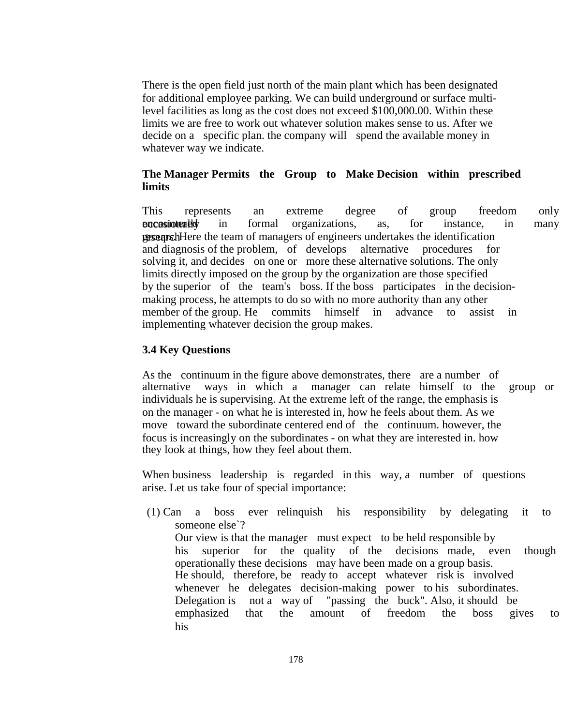There is the open field just north of the main plant which has been designated for additional employee parking. We can build underground or surface multilevel facilities as long as the cost does not exceed \$100,000.00. Within these limits we are free to work out whatever solution makes sense to us. After we decide on a specific plan. the company will spend the available money in whatever way we indicate.

### **The Manager Permits the Group to Make Decision within prescribed limits**

This represents an extreme degree of group freedom only **occasionexel in** formal organizations, as, for instance, in many **groups.** Here the team of managers of engineers undertakes the identification and diagnosis of the problem, of develops alternative procedures for solving it, and decides on one or more these alternative solutions. The only limits directly imposed on the group by the organization are those specified by the superior of the team's boss. If the boss participates in the decisionmaking process, he attempts to do so with no more authority than any other member of the group. He commits himself in advance to assist in implementing whatever decision the group makes.

### **3.4 Key Questions**

As the continuum in the figure above demonstrates, there are a number of alternative ways in which a manager can relate himself to the group or individuals he is supervising. At the extreme left of the range, the emphasis is on the manager - on what he is interested in, how he feels about them. As we move toward the subordinate centered end of the continuum. however, the focus is increasingly on the subordinates - on what they are interested in. how they look at things, how they feel about them.

When business leadership is regarded in this way, a number of questions arise. Let us take four of special importance:

 (1) Can a boss ever relinquish his responsibility by delegating it to someone else`? Our view is that the manager must expect to be held responsible by his superior for the quality of the decisions made, even though operationally these decisions may have been made on a group basis. He should, therefore, be ready to accept whatever risk is involved whenever he delegates decision-making power to his subordinates. Delegation is not a way of "passing the buck". Also, it should be emphasized that the amount of freedom the boss gives to his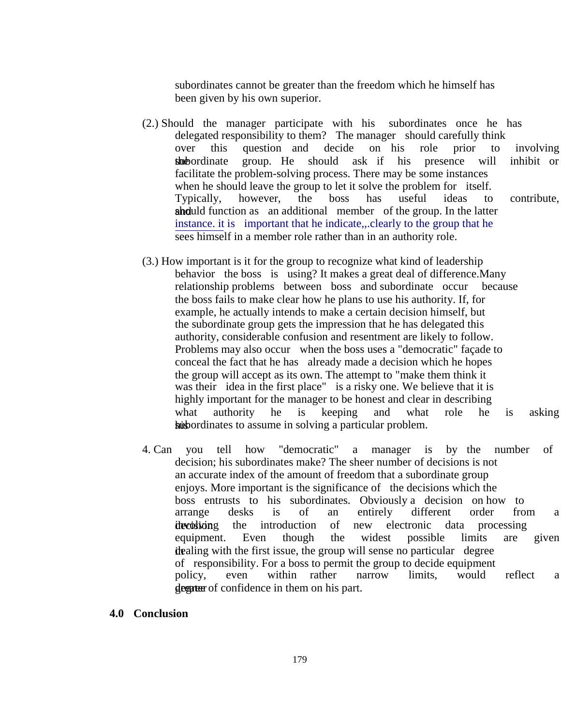subordinates cannot be greater than the freedom which he himself has been given by his own superior.

- (2.) Should the manager participate with his subordinates once he has delegated responsibility to them? The manager should carefully think over this question and decide on his role prior to involving the bordinate group. He should ask if his presence will inhibit or facilitate the problem-solving process. There may be some instances when he should leave the group to let it solve the problem for itself. Typically, however, the boss has useful ideas to contribute, and and should function as an additional member of the group. In the latter instance. it is important that he indicate,,.clearly to the group that he sees himself in a member role rather than in an authority role.
- (3.) How important is it for the group to recognize what kind of leadership behavior the boss is using? It makes a great deal of difference.Many relationship problems between boss and subordinate occur because the boss fails to make clear how he plans to use his authority. If, for example, he actually intends to make a certain decision himself, but the subordinate group gets the impression that he has delegated this authority, considerable confusion and resentment are likely to follow. Problems may also occur when the boss uses a "democratic" façade to conceal the fact that he has already made a decision which he hopes the group will accept as its own. The attempt to "make them think it was their idea in the first place" is a risky one. We believe that it is highly important for the manager to be honest and clear in describing what authority he is keeping and what role he is asking his bordinates to assume in solving a particular problem.
- 4. Can you tell how "democratic" a manager is by the number of decision; his subordinates make? The sheer number of decisions is not an accurate index of the amount of freedom that a subordinate group enjoys. More important is the significance of the decisions which the boss entrusts to his subordinates. Obviously a decision on how to arrange desks is of an entirely different order fro arrange desks is of an entirely different order from a deconstraining the introduction of new electronic data processing equipment. Even though the widest possible limits are given dealing with the first issue, the group will sense no particular degree of responsibility. For a boss to permit the group to decide equipment policy, even within rather narrow limits, would reflect a degater of confidence in them on his part.
- **4.0 Conclusion**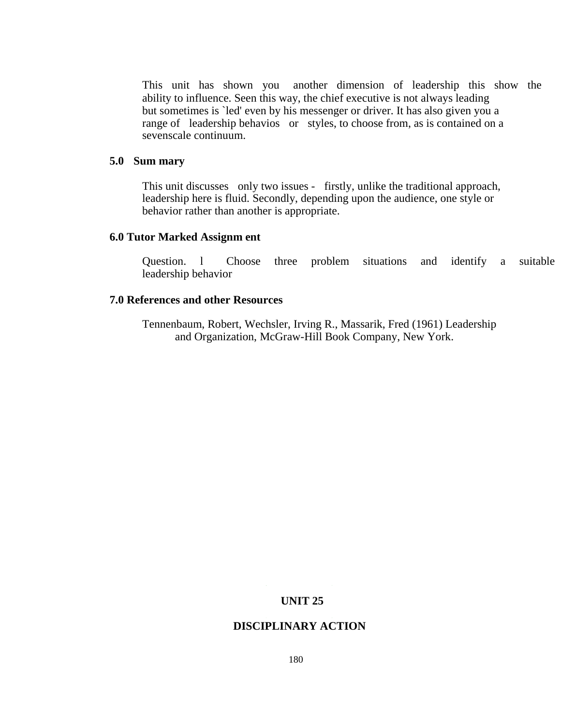This unit has shown you another dimension of leadership this show the ability to influence. Seen this way, the chief executive is not always leading but sometimes is `led' even by his messenger or driver. It has also given you a range of leadership behavios or styles, to choose from, as is contained on a sevenscale continuum.

# **5.0 Sum mary**

This unit discusses only two issues - firstly, unlike the traditional approach, leadership here is fluid. Secondly, depending upon the audience, one style or behavior rather than another is appropriate.

# **6.0 Tutor Marked Assignm ent**

Question. l Choose three problem situations and identify a suitable leadership behavior

# **7.0 References and other Resources**

Tennenbaum, Robert, Wechsler, Irving R., Massarik, Fred (1961) Leadership and Organization, McGraw-Hill Book Company, New York.

 **UNIT 25**

## **DISCIPLINARY ACTION**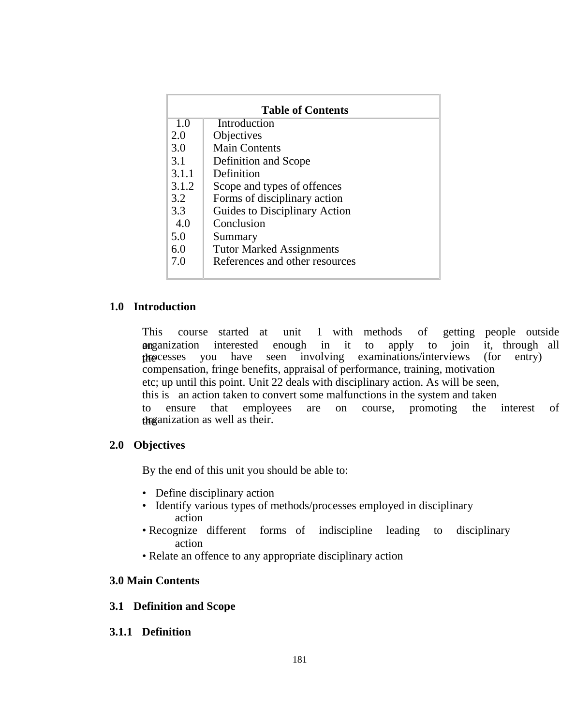| <b>Table of Contents</b> |                                 |  |
|--------------------------|---------------------------------|--|
| $\overline{1.0}$         | Introduction                    |  |
| 2.0                      | Objectives                      |  |
| 3.0                      | <b>Main Contents</b>            |  |
| 3.1                      | Definition and Scope            |  |
| 3.1.1                    | Definition                      |  |
| 3.1.2                    | Scope and types of offences     |  |
| 3.2                      | Forms of disciplinary action    |  |
| 3.3                      | Guides to Disciplinary Action   |  |
| 4.0                      | Conclusion                      |  |
| 5.0                      | Summary                         |  |
| 6.0                      | <b>Tutor Marked Assignments</b> |  |
| 7.0                      | References and other resources  |  |

## **1.0 Introduction**

This course started at unit 1 with methods of getting people outside **an** ganization interested enough in it to apply to join it, through all the energy ou have seen involving examinations/interviews (for entry) the processes you have seen involving examinations/interviews (for entry) compensation, fringe benefits, appraisal of performance, training, motivation etc; up until this point. Unit 22 deals with disciplinary action. As will be seen, this is an action taken to convert some malfunctions in the system and taken to ensure that employees are on course, promoting the interest of the original as well as their.

#### **2.0 Objectives**

By the end of this unit you should be able to:

- Define disciplinary action
- Identify various types of methods/processes employed in disciplinary action
- Recognize different forms of indiscipline leading to disciplinary action
- Relate an offence to any appropriate disciplinary action

## **3.0 Main Contents**

## **3.1 Definition and Scope**

## **3.1.1 Definition**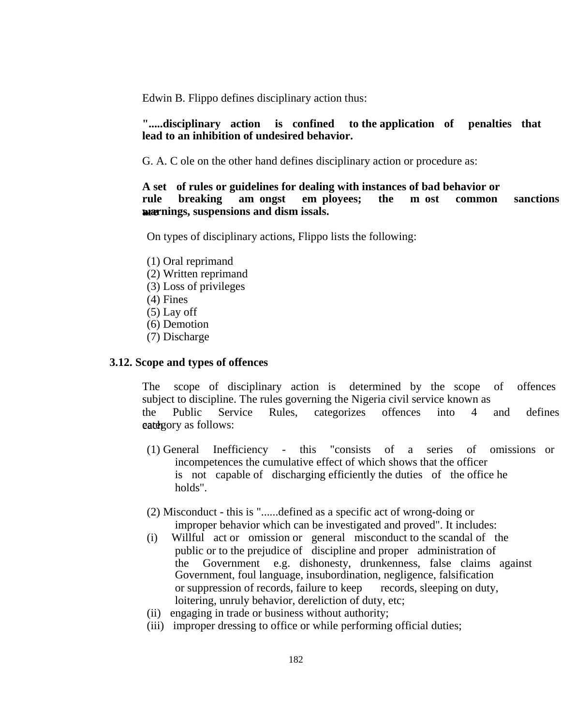Edwin B. Flippo defines disciplinary action thus:

#### **".....disciplinary action is confined to the application of penalties that lead to an inhibition of undesired behavior.**

G. A. C ole on the other hand defines disciplinary action or procedure as:

## **A set of rules or guidelines for dealing with instances of bad behavior or rule breaking am ongst em ployees; the m ost common sanctions are warnings, suspensions and dism issals.**

On types of disciplinary actions, Flippo lists the following:

- (1) Oral reprimand
- (2) Written reprimand
- (3) Loss of privileges
- (4) Fines
- (5) Lay off
- (6) Demotion
- (7) Discharge

#### **3.12. Scope and types of offences**

The scope of disciplinary action is determined by the scope of offences subject to discipline. The rules governing the Nigeria civil service known as the Public Service Rules, categorizes offences into 4 and defines eater cheque follows:

- (1) General Inefficiency this "consists of a series of omissions or incompetences the cumulative effect of which shows that the officer is not capable of discharging efficiently the duties of the office he holds".
- (2) Misconduct this is "......defined as a specific act of wrong-doing or improper behavior which can be investigated and proved". It includes:
- (i) Willful act or omission or general misconduct to the scandal of the public or to the prejudice of discipline and proper administration of the Government e.g. dishonesty, drunkenness, false claims against Government, foul language, insubordination, negligence, falsification or suppression of records, failure to keep records, sleeping on duty, loitering, unruly behavior, dereliction of duty, etc;
- (ii) engaging in trade or business without authority;
- (iii) improper dressing to office or while performing official duties;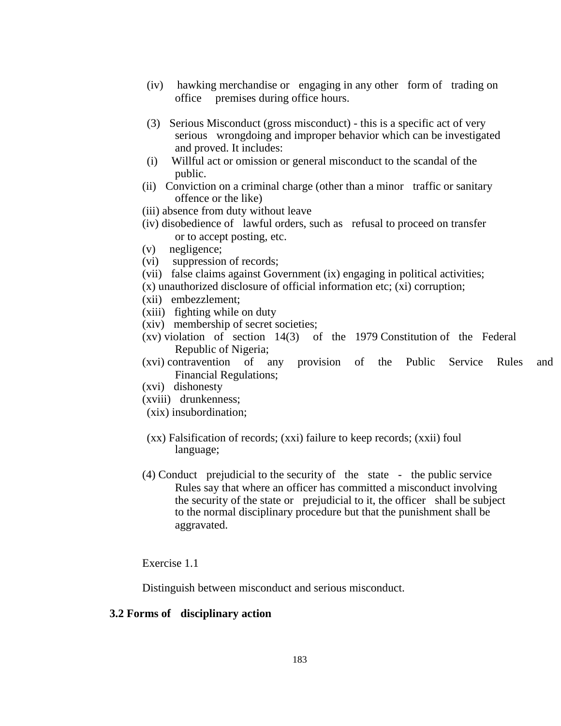- (iv) hawking merchandise or engaging in any other form of trading on office premises during office hours.
- (3) Serious Misconduct (gross misconduct) this is a specific act of very serious wrongdoing and improper behavior which can be investigated and proved. It includes:
- (i) Willful act or omission or general misconduct to the scandal of the public.
- (ii) Conviction on a criminal charge (other than a minor traffic or sanitary offence or the like)
- (iii) absence from duty without leave
- (iv) disobedience of lawful orders, such as refusal to proceed on transfer or to accept posting, etc.
- (v) negligence;
- (vi) suppression of records;
- (vii) false claims against Government (ix) engaging in political activities;
- (x) unauthorized disclosure of official information etc; (xi) corruption;
- (xii) embezzlement;
- (xiii) fighting while on duty
- (xiv) membership of secret societies;
- (xv) violation of section 14(3) of the 1979 Constitution of the Federal Republic of Nigeria;
- (xvi) contravention of any provision of the Public Service Rules and Financial Regulations;
- (xvi) dishonesty
- (xviii) drunkenness;
- (xix) insubordination;
- (xx) Falsification of records; (xxi) failure to keep records; (xxii) foul language;
- (4) Conduct prejudicial to the security of the state the public service Rules say that where an officer has committed a misconduct involving the security of the state or prejudicial to it, the officer shall be subject to the normal disciplinary procedure but that the punishment shall be aggravated.

Exercise 1.1

Distinguish between misconduct and serious misconduct.

## **3.2 Forms of disciplinary action**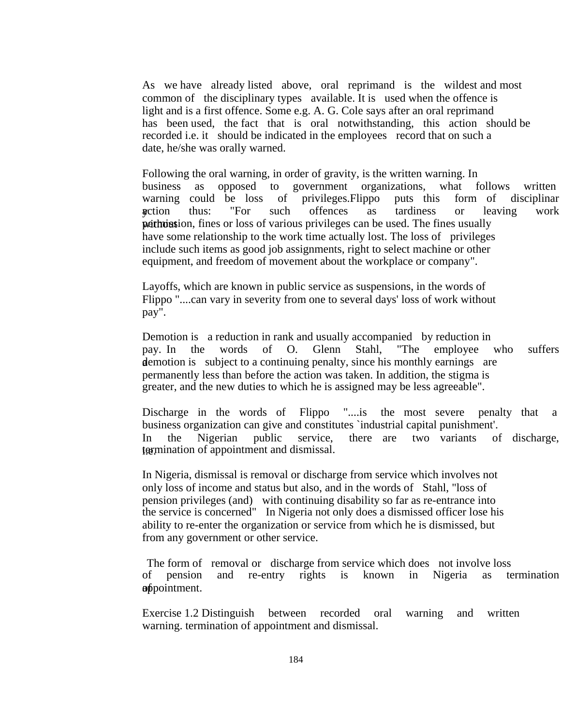As we have already listed above, oral reprimand is the wildest and most common of the disciplinary types available. It is used when the offence is light and is a first offence. Some e.g. A. G. Cole says after an oral reprimand has been used, the fact that is oral notwithstanding, this action should be recorded i.e. it should be indicated in the employees record that on such a date, he/she was orally warned.

Following the oral warning, in order of gravity, is the written warning. In business as opposed to government organizations, what follows written<br>warning could be loss of privileges. Flippo puts this form of disciplinar warning could be loss of privileges.Flippo puts this form of disciplinar getion thus: "For such offences as tardiness or leaving work **permission**, fines or loss of various privileges can be used. The fines usually have some relationship to the work time actually lost. The loss of privileges include such items as good job assignments, right to select machine or other equipment, and freedom of movement about the workplace or company".

Layoffs, which are known in public service as suspensions, in the words of Flippo "....can vary in severity from one to several days' loss of work without pay".

Demotion is a reduction in rank and usually accompanied by reduction in pay. In the words of O. Glenn Stahl, "The employee who suffers demotion is subject to a continuing penalty, since his monthly earnings are permanently less than before the action was taken. In addition, the stigma is greater, and the new duties to which he is assigned may be less agreeable".

Discharge in the words of Flippo "....is the most severe penalty that a business organization can give and constitutes `industrial capital punishment'. In the Nigerian public service, there are two variants of discharge, termination of appointment and dismissal.

In Nigeria, dismissal is removal or discharge from service which involves not only loss of income and status but also, and in the words of Stahl, "loss of pension privileges (and) with continuing disability so far as re-entrance into the service is concerned" In Nigeria not only does a dismissed officer lose his ability to re-enter the organization or service from which he is dismissed, but from any government or other service.

 The form of removal or discharge from service which does not involve loss of pension and re-entry rights is known in Nigeria as termination oppointment.

Exercise 1.2 Distinguish between recorded oral warning and written warning. termination of appointment and dismissal.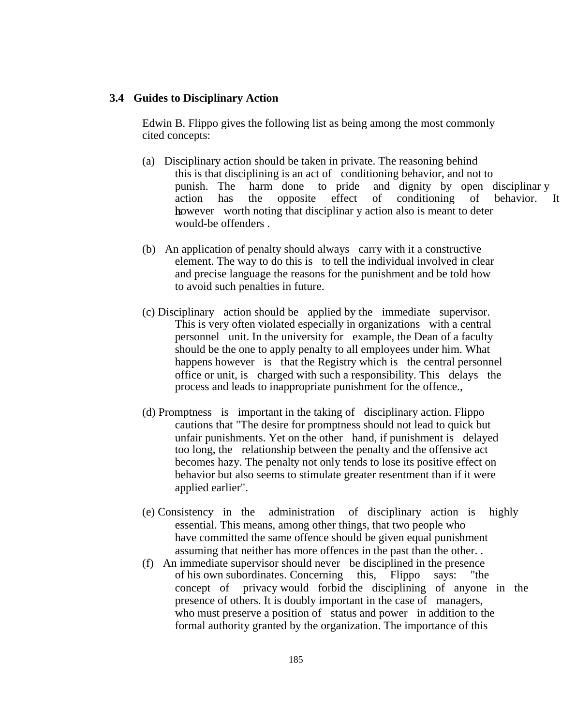#### **3.4 Guides to Disciplinary Action**

Edwin B. Flippo gives the following list as being among the most commonly cited concepts:

- (a) Disciplinary action should be taken in private. The reasoning behind this is that disciplining is an act of conditioning behavior, and not to punish. The harm done to pride and dignity by open disciplinar y action has the opposite effect of conditioning of behavior. It is however worth noting that disciplinar y action also is meant to deter would-be offenders .
- (b) An application of penalty should always carry with it a constructive element. The way to do this is to tell the individual involved in clear and precise language the reasons for the punishment and be told how to avoid such penalties in future.
- (c) Disciplinary action should be applied by the immediate supervisor. This is very often violated especially in organizations with a central personnel unit. In the university for example, the Dean of a faculty should be the one to apply penalty to all employees under him. What happens however is that the Registry which is the central personnel office or unit, is charged with such a responsibility. This delays the process and leads to inappropriate punishment for the offence.,
- (d) Promptness is important in the taking of disciplinary action. Flippo cautions that "The desire for promptness should not lead to quick but unfair punishments. Yet on the other hand, if punishment is delayed too long, the relationship between the penalty and the offensive act becomes hazy. The penalty not only tends to lose its positive effect on behavior but also seems to stimulate greater resentment than if it were applied earlier".
- (e) Consistency in the administration of disciplinary action is highly essential. This means, among other things, that two people who have committed the same offence should be given equal punishment assuming that neither has more offences in the past than the other. .
- (f) An immediate supervisor should never be disciplined in the presence of his own subordinates. Concerning this, Flippo says: "the of his own subordinates. Concerning this, Flippo says: "the concept of privacy would forbid the disciplining of anyone in the presence of others. It is doubly important in the case of managers, who must preserve a position of status and power in addition to the formal authority granted by the organization. The importance of this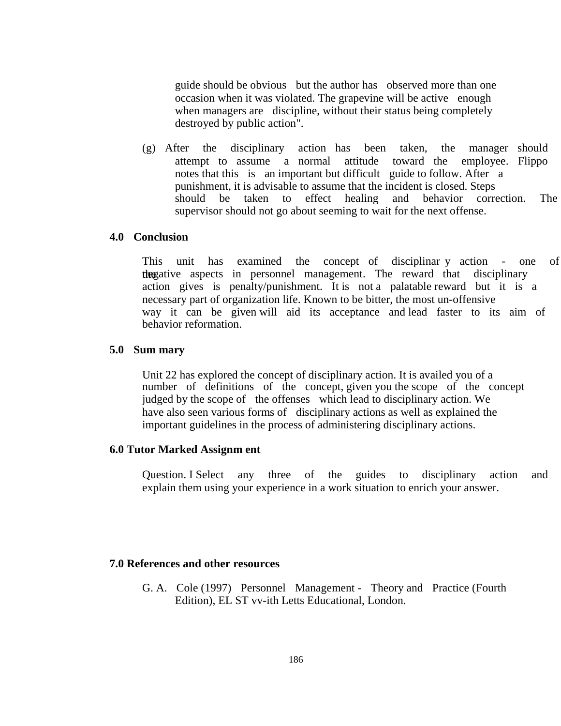guide should be obvious but the author has observed more than one occasion when it was violated. The grapevine will be active enough when managers are discipline, without their status being completely destroyed by public action".

(g) After the disciplinary action has been taken, the manager should attempt to assume a normal attitude toward the employee. Flippo notes that this is an important but difficult guide to follow. After a punishment, it is advisable to assume that the incident is closed. Steps should be taken to effect healing and behavior correction. The supervisor should not go about seeming to wait for the next offense.

#### **4.0 Conclusion**

This unit has examined the concept of disciplinar y action - one of the negative aspects in personnel management. The reward that disciplinary action gives is penalty/punishment. It is not a palatable reward but it is a necessary part of organization life. Known to be bitter, the most un-offensive way it can be given will aid its acceptance and lead faster to its aim of behavior reformation.

#### **5.0 Sum mary**

Unit 22 has explored the concept of disciplinary action. It is availed you of a number of definitions of the concept, given you the scope of the concept judged by the scope of the offenses which lead to disciplinary action. We have also seen various forms of disciplinary actions as well as explained the important guidelines in the process of administering disciplinary actions.

#### **6.0 Tutor Marked Assignm ent**

Question. I Select any three of the guides to disciplinary action and explain them using your experience in a work situation to enrich your answer.

#### **7.0 References and other resources**

G. A. Cole (1997) Personnel Management - Theory and Practice (Fourth Edition), EL ST vv-ith Letts Educational, London.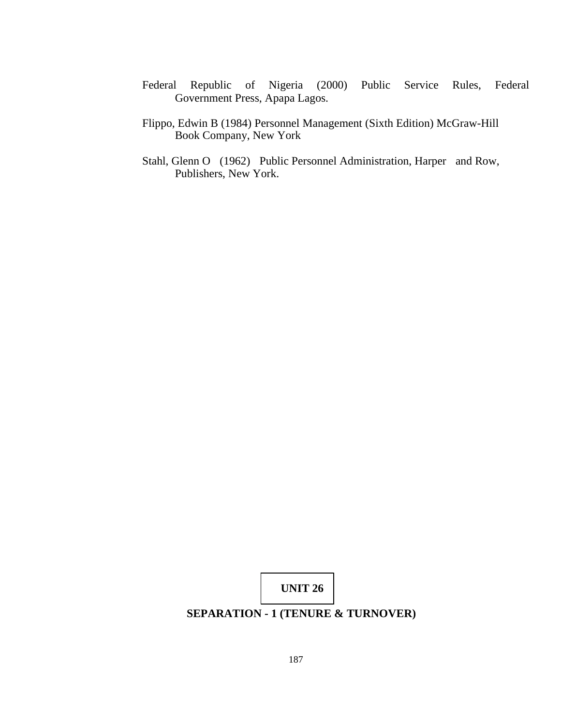- Federal Republic of Nigeria (2000) Public Service Rules, Federal Government Press, Apapa Lagos.
- Flippo, Edwin B (1984) Personnel Management (Sixth Edition) McGraw-Hill Book Company, New York
- Stahl, Glenn O (1962) Public Personnel Administration, Harper and Row, Publishers, New York.

 **UNIT 26**

## **SEPARATION - 1 (TENURE & TURNOVER)**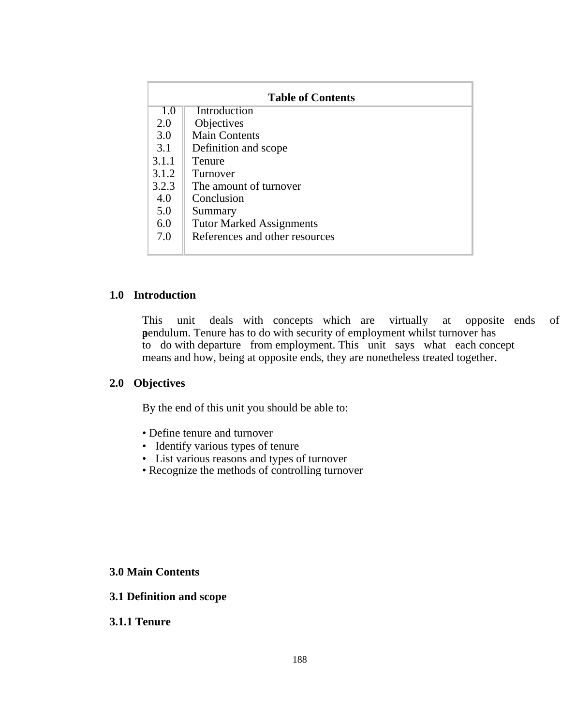| <b>Table of Contents</b> |                                 |  |
|--------------------------|---------------------------------|--|
| 1.0                      | Introduction                    |  |
| 2.0                      | Objectives                      |  |
| 3.0                      | <b>Main Contents</b>            |  |
| 3.1                      | Definition and scope            |  |
| 3.1.1                    | Tenure                          |  |
| 3.1.2                    | Turnover                        |  |
| 3.2.3                    | The amount of turnover          |  |
| 4.0                      | Conclusion                      |  |
| 5.0                      | Summary                         |  |
| 6.0                      | <b>Tutor Marked Assignments</b> |  |
| 7.0                      | References and other resources  |  |
|                          |                                 |  |

# **1.0 Introduction**

This unit deals with concepts which are virtually at opposite ends of pendulum. Tenure has to do with security of employment whilst turnover has to do with departure from employment. This unit says what each concept means and how, being at opposite ends, they are nonetheless treated together.

#### **2.0 Objectives**

By the end of this unit you should be able to:

- Define tenure and turnover
- Identify various types of tenure
- List various reasons and types of turnover
- Recognize the methods of controlling turnover

## **3.0 Main Contents**

## **3.1 Definition and scope**

#### **3.1.1 Tenure**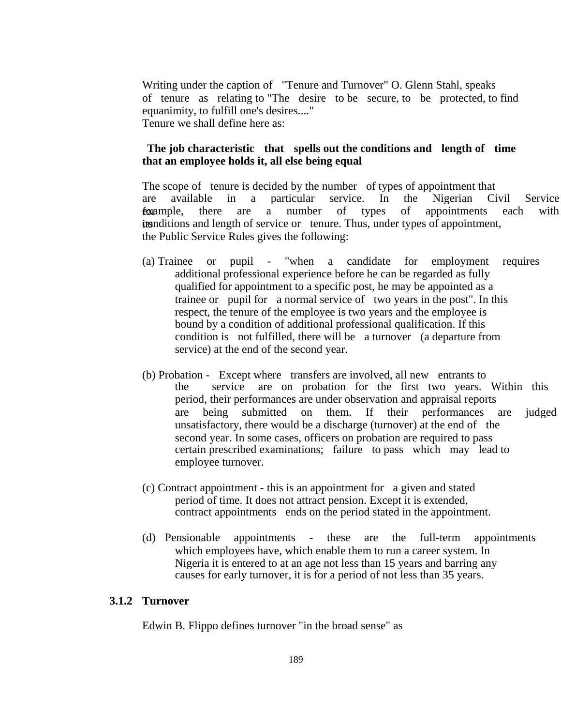Writing under the caption of "Tenure and Turnover" O. Glenn Stahl, speaks of tenure as relating to "The desire to be secure, to be protected, to find equanimity, to fulfill one's desires...." Tenure we shall define here as:

## **The job characteristic that spells out the conditions and length of time that an employee holds it, all else being equal**

The scope of tenure is decided by the number of types of appointment that are available in a particular service. In the Nigerian Ci are available in a particular service. In the Nigerian Civil Service for example, there are a number of types of appointments each with its conditions and length of service or tenure. Thus, under types of appointment, the Public Service Rules gives the following:

- (a) Trainee or pupil "when a candidate for employment requires additional professional experience before he can be regarded as fully qualified for appointment to a specific post, he may be appointed as a trainee or pupil for a normal service of two years in the post". In this respect, the tenure of the employee is two years and the employee is bound by a condition of additional professional qualification. If this condition is not fulfilled, there will be a turnover (a departure from service) at the end of the second year.
- (b) Probation Except where transfers are involved, all new entrants to the service are on probation for the first two years. Within this period, their performances are under observation and appraisal reports are being submitted on them. If their performances are judged unsatisfactory, there would be a discharge (turnover) at the end of the second year. In some cases, officers on probation are required to pass certain prescribed examinations; failure to pass which may lead to employee turnover.
- (c) Contract appointment this is an appointment for a given and stated period of time. It does not attract pension. Except it is extended, contract appointments ends on the period stated in the appointment.
- (d) Pensionable appointments these are the full-term appointments which employees have, which enable them to run a career system. In Nigeria it is entered to at an age not less than 15 years and barring any causes for early turnover, it is for a period of not less than 35 years.

## **3.1.2 Turnover**

Edwin B. Flippo defines turnover "in the broad sense" as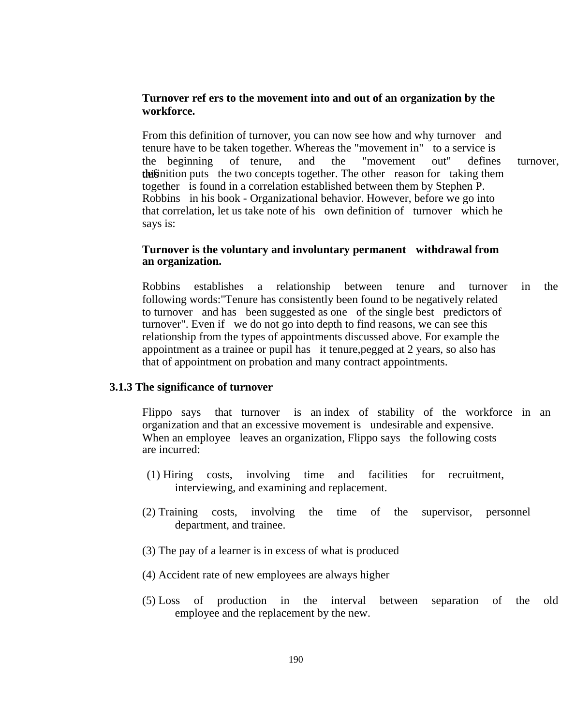## **Turnover ref ers to the movement into and out of an organization by the workforce.**

From this definition of turnover, you can now see how and why turnover and tenure have to be taken together. Whereas the "movement in" to a service is the beginning of tenure, and the "movement out" defines turnover, the the two concepts together. The other reason for taking them together is found in a correlation established between them by Stephen P. Robbins in his book - Organizational behavior. However, before we go into that correlation, let us take note of his own definition of turnover which he says is:

## **Turnover is the voluntary and involuntary permanent withdrawal from an organization.**

Robbins establishes a relationship between tenure and turnover in the following words:"Tenure has consistently been found to be negatively related to turnover and has been suggested as one of the single best predictors of turnover". Even if we do not go into depth to find reasons, we can see this relationship from the types of appointments discussed above. For example the appointment as a trainee or pupil has it tenure,pegged at 2 years, so also has that of appointment on probation and many contract appointments.

#### **3.1.3 The significance of turnover**

Flippo says that turnover is an index of stability of the workforce in an organization and that an excessive movement is undesirable and expensive. When an employee leaves an organization, Flippo says the following costs are incurred:

- (1) Hiring costs, involving time and facilities for recruitment, interviewing, and examining and replacement.
- (2) Training costs, involving the time of the supervisor, personnel department, and trainee.
- (3) The pay of a learner is in excess of what is produced
- (4) Accident rate of new employees are always higher
- (5) Loss of production in the interval between separation of the old employee and the replacement by the new.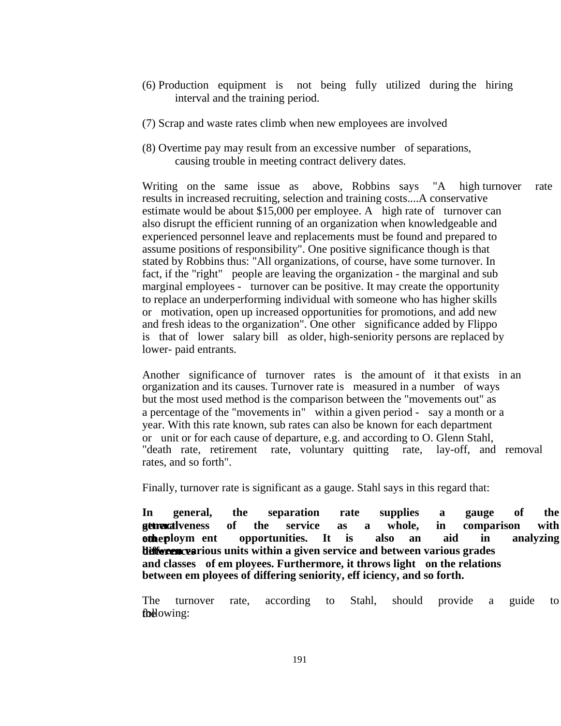- (6) Production equipment is not being fully utilized during the hiring interval and the training period.
- (7) Scrap and waste rates climb when new employees are involved
- (8) Overtime pay may result from an excessive number of separations, causing trouble in meeting contract delivery dates.

Writing on the same issue as above, Robbins says "A high turnover rate results in increased recruiting, selection and training costs....A conservative estimate would be about \$15,000 per employee. A high rate of turnover can also disrupt the efficient running of an organization when knowledgeable and experienced personnel leave and replacements must be found and prepared to assume positions of responsibility". One positive significance though is that stated by Robbins thus: "All organizations, of course, have some turnover. In fact, if the "right" people are leaving the organization - the marginal and sub marginal employees - turnover can be positive. It may create the opportunity to replace an underperforming individual with someone who has higher skills or motivation, open up increased opportunities for promotions, and add new and fresh ideas to the organization". One other significance added by Flippo is that of lower salary bill as older, high-seniority persons are replaced by lower- paid entrants.

Another significance of turnover rates is the amount of it that exists in an organization and its causes. Turnover rate is measured in a number of ways but the most used method is the comparison between the "movements out" as a percentage of the "movements in" within a given period - say a month or a year. With this rate known, sub rates can also be known for each department or unit or for each cause of departure, e.g. and according to O. Glenn Stahl, "death rate, retirement rate, voluntary quitting rate, lay-off, and removal rates, and so forth".

Finally, turnover rate is significant as a gauge. Stahl says in this regard that:

**In general, the separation rate supplies a gauge of the general**  attractiveness of the service as a whole, in comparison with **other ployment opportunities. It is also an aid in analyzing differences** rious units within a given service and between various grades **and classes of em ployees. Furthermore, it throws light on the relations between em ployees of differing seniority, eff iciency, and so forth.**

The turnover rate, according to Stahl, should provide a guide to the blowing: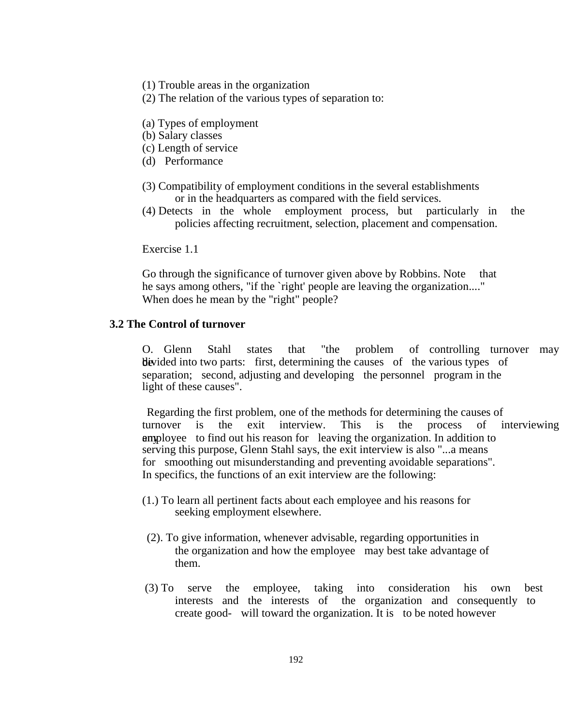- (1) Trouble areas in the organization
- (2) The relation of the various types of separation to:
- (a) Types of employment
- (b) Salary classes
- (c) Length of service
- (d) Performance
- (3) Compatibility of employment conditions in the several establishments or in the headquarters as compared with the field services.
- (4) Detects in the whole employment process, but particularly in the policies affecting recruitment, selection, placement and compensation.

Exercise 1.1

Go through the significance of turnover given above by Robbins. Note that he says among others, "if the `right' people are leaving the organization...." When does he mean by the "right" people?

#### **3.2 The Control of turnover**

O. Glenn Stahl states that "the problem of controlling turnover may bevided into two parts: first, determining the causes of the various types of separation; second, adjusting and developing the personnel program in the light of these causes".

 Regarding the first problem, one of the methods for determining the causes of turnover is the exit interview. This is the process of interviewing **amployee** to find out his reason for leaving the organization. In addition to serving this purpose, Glenn Stahl says, the exit interview is also "...a means for smoothing out misunderstanding and preventing avoidable separations". In specifics, the functions of an exit interview are the following:

- (1.) To learn all pertinent facts about each employee and his reasons for seeking employment elsewhere.
- (2). To give information, whenever advisable, regarding opportunities in the organization and how the employee may best take advantage of them.
- (3) To serve the employee, taking into consideration his own best interests and the interests of the organization and consequently to create good- will toward the organization. It is to be noted however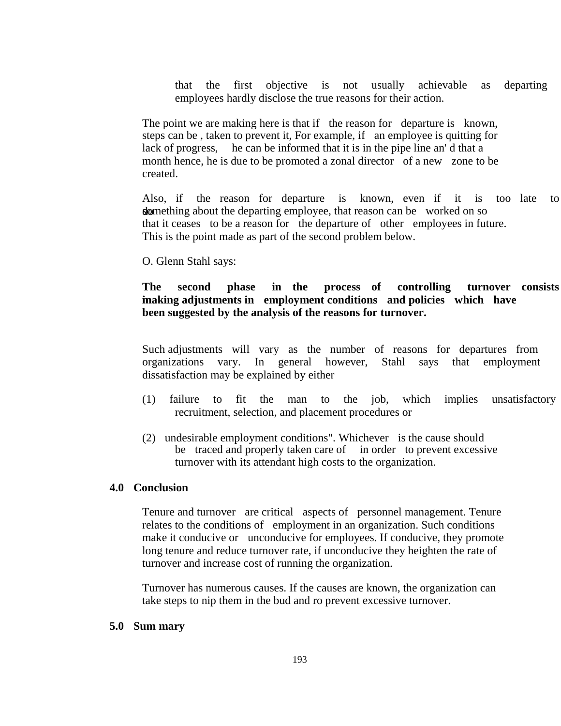that the first objective is not usually achievable as departing employees hardly disclose the true reasons for their action.

The point we are making here is that if the reason for departure is known, steps can be , taken to prevent it, For example, if an employee is quitting for lack of progress, he can be informed that it is in the pipe line an' d that a month hence, he is due to be promoted a zonal director of a new zone to be created.

Also, if the reason for departure is known, even if it is too late to something about the departing employee, that reason can be worked on so that it ceases to be a reason for the departure of other employees in future. This is the point made as part of the second problem below.

O. Glenn Stahl says:

**The second phase in the process of controlling turnover consists inaking adjustments in employment conditions and policies which have been suggested by the analysis of the reasons for turnover.**

Such adjustments will vary as the number of reasons for departures from organizations vary. In general however, Stahl says that employment dissatisfaction may be explained by either

- (1) failure to fit the man to the job, which implies unsatisfactory recruitment, selection, and placement procedures or
- (2) undesirable employment conditions". Whichever is the cause should be traced and properly taken care of in order to prevent excessive turnover with its attendant high costs to the organization.

## **4.0 Conclusion**

Tenure and turnover are critical aspects of personnel management. Tenure relates to the conditions of employment in an organization. Such conditions make it conducive or unconducive for employees. If conducive, they promote long tenure and reduce turnover rate, if unconducive they heighten the rate of turnover and increase cost of running the organization.

Turnover has numerous causes. If the causes are known, the organization can take steps to nip them in the bud and ro prevent excessive turnover.

#### **5.0 Sum mary**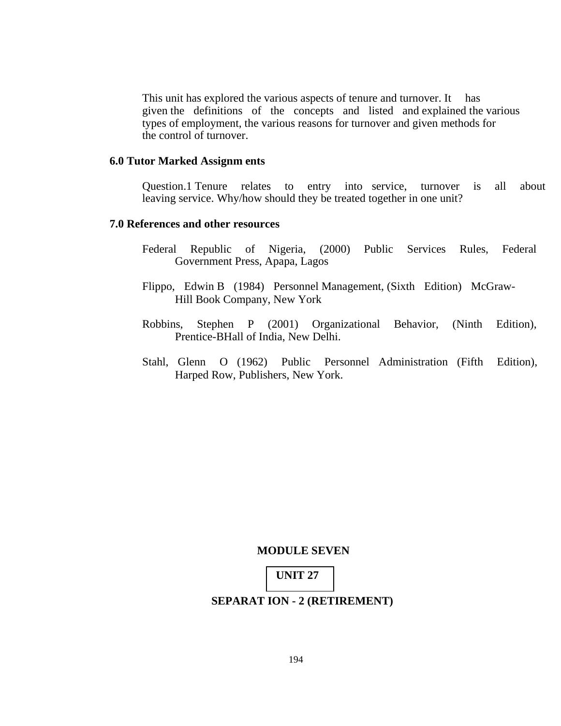This unit has explored the various aspects of tenure and turnover. It has given the definitions of the concepts and listed and explained the various types of employment, the various reasons for turnover and given methods for the control of turnover.

## **6.0 Tutor Marked Assignm ents**

Question.1 Tenure relates to entry into service, turnover is all about leaving service. Why/how should they be treated together in one unit?

## **7.0 References and other resources**

- Federal Republic of Nigeria, (2000) Public Services Rules, Federal Government Press, Apapa, Lagos
- Flippo, Edwin B (1984) Personnel Management, (Sixth Edition) McGraw-Hill Book Company, New York
- Robbins, Stephen P (2001) Organizational Behavior, (Ninth Edition), Prentice-BHall of India, New Delhi.
- Stahl, Glenn O (1962) Public Personnel Administration (Fifth Edition), Harped Row, Publishers, New York.

#### **MODULE SEVEN**

# **UNIT 27**

#### **SEPARAT ION - 2 (RETIREMENT)**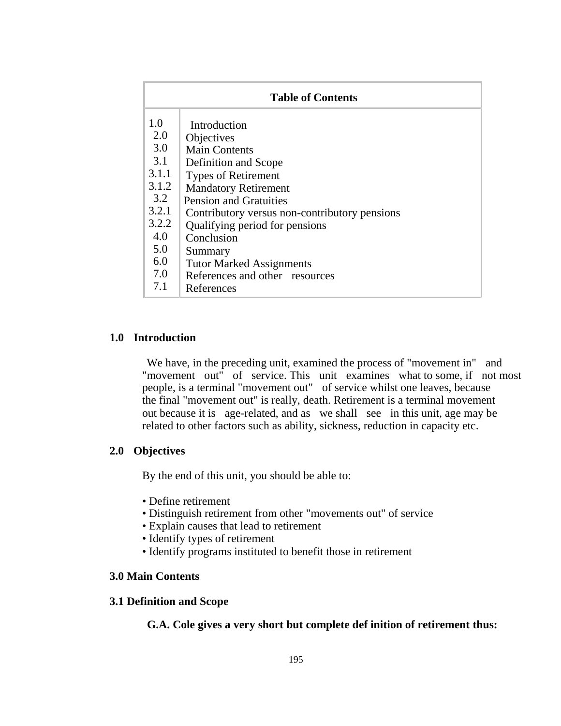| <b>Table of Contents</b> |                                               |  |
|--------------------------|-----------------------------------------------|--|
| 1.0                      | Introduction                                  |  |
| 2.0                      | Objectives                                    |  |
| 3.0                      | <b>Main Contents</b>                          |  |
| 3.1                      | Definition and Scope                          |  |
| 3.1.1                    | <b>Types of Retirement</b>                    |  |
| 3.1.2                    | <b>Mandatory Retirement</b>                   |  |
| 3.2                      | <b>Pension and Gratuities</b>                 |  |
| 3.2.1                    | Contributory versus non-contributory pensions |  |
| 3.2.2                    | Qualifying period for pensions                |  |
| 4.0                      | Conclusion                                    |  |
| 5.0                      | Summary                                       |  |
| 6.0                      | <b>Tutor Marked Assignments</b>               |  |
| 7.0                      | References and other resources                |  |
| 7.1                      | References                                    |  |

# **1.0 Introduction**

 We have, in the preceding unit, examined the process of "movement in" and "movement out" of service. This unit examines what to some, if not most people, is a terminal "movement out" of service whilst one leaves, because the final "movement out" is really, death. Retirement is a terminal movement out because it is age-related, and as we shall see in this unit, age may be related to other factors such as ability, sickness, reduction in capacity etc.

#### **2.0 Objectives**

By the end of this unit, you should be able to:

- Define retirement
- Distinguish retirement from other "movements out" of service
- Explain causes that lead to retirement
- Identify types of retirement
- Identify programs instituted to benefit those in retirement

## **3.0 Main Contents**

#### **3.1 Definition and Scope**

#### **G.A. Cole gives a very short but complete def inition of retirement thus:**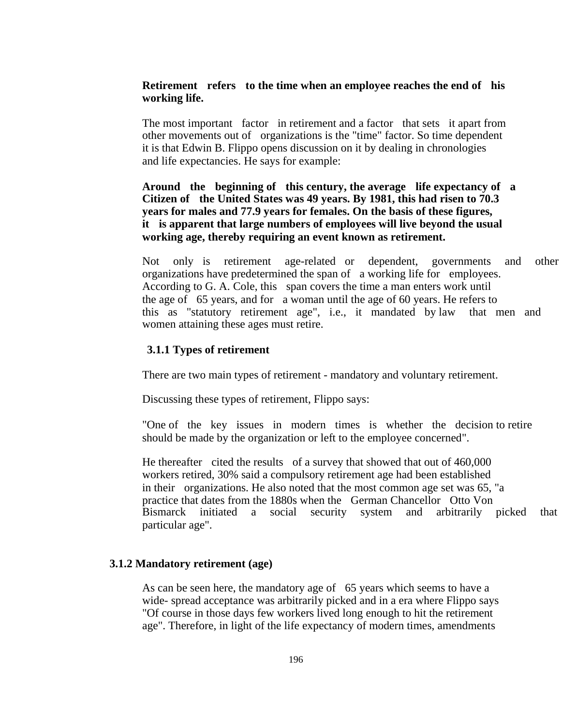## **Retirement refers to the time when an employee reaches the end of his working life.**

The most important factor in retirement and a factor that sets it apart from other movements out of organizations is the "time" factor. So time dependent it is that Edwin B. Flippo opens discussion on it by dealing in chronologies and life expectancies. He says for example:

# **Around the beginning of this century, the average life expectancy of a Citizen of the United States was 49 years. By 1981, this had risen to 70.3 years for males and 77.9 years for females. On the basis of these figures, it is apparent that large numbers of employees will live beyond the usual working age, thereby requiring an event known as retirement.**

Not only is retirement age-related or dependent, governments and other organizations have predetermined the span of a working life for employees. According to G. A. Cole, this span covers the time a man enters work until the age of 65 years, and for a woman until the age of 60 years. He refers to this as "statutory retirement age", i.e., it mandated by law that men and women attaining these ages must retire.

## **3.1.1 Types of retirement**

There are two main types of retirement - mandatory and voluntary retirement.

Discussing these types of retirement, Flippo says:

"One of the key issues in modern times is whether the decision to retire should be made by the organization or left to the employee concerned".

He thereafter cited the results of a survey that showed that out of 460,000 workers retired, 30% said a compulsory retirement age had been established in their organizations. He also noted that the most common age set was 65, "a practice that dates from the 1880s when the German Chancellor Otto Von Bismarck initiated a social security system and arbitrarily picked that particular age".

## **3.1.2 Mandatory retirement (age)**

As can be seen here, the mandatory age of 65 years which seems to have a wide- spread acceptance was arbitrarily picked and in a era where Flippo says "Of course in those days few workers lived long enough to hit the retirement age". Therefore, in light of the life expectancy of modern times, amendments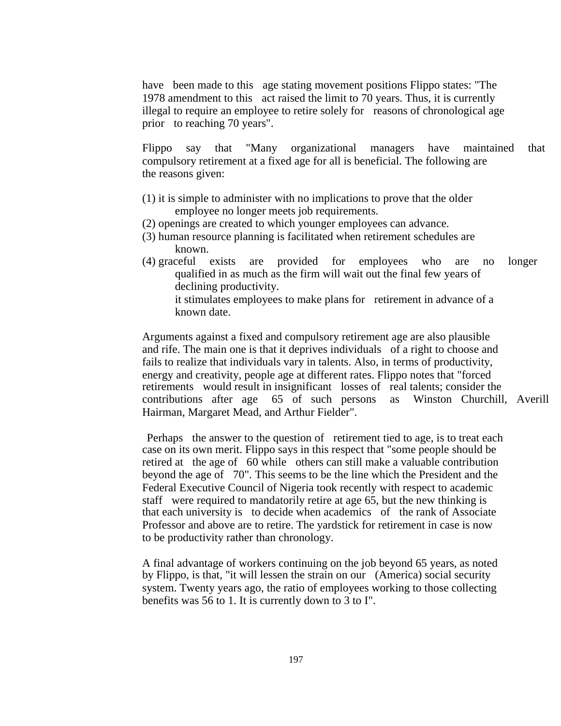have been made to this age stating movement positions Flippo states: "The 1978 amendment to this act raised the limit to 70 years. Thus, it is currently illegal to require an employee to retire solely for reasons of chronological age prior to reaching 70 years".

Flippo say that "Many organizational managers have maintained that compulsory retirement at a fixed age for all is beneficial. The following are the reasons given:

- (1) it is simple to administer with no implications to prove that the older employee no longer meets job requirements.
- (2) openings are created to which younger employees can advance.
- (3) human resource planning is facilitated when retirement schedules are known.
- (4) graceful exists are provided for employees who are no longer qualified in as much as the firm will wait out the final few years of declining productivity.

it stimulates employees to make plans for retirement in advance of a known date.

Arguments against a fixed and compulsory retirement age are also plausible and rife. The main one is that it deprives individuals of a right to choose and fails to realize that individuals vary in talents. Also, in terms of productivity, energy and creativity, people age at different rates. Flippo notes that "forced retirements would result in insignificant losses of real talents; consider the contributions after age 65 of such persons as Winston Churchill, Averill Hairman, Margaret Mead, and Arthur Fielder".

Perhaps the answer to the question of retirement tied to age, is to treat each case on its own merit. Flippo says in this respect that "some people should be retired at the age of 60 while others can still make a valuable contribution beyond the age of 70". This seems to be the line which the President and the Federal Executive Council of Nigeria took recently with respect to academic staff were required to mandatorily retire at age 65, but the new thinking is that each university is to decide when academics of the rank of Associate Professor and above are to retire. The yardstick for retirement in case is now to be productivity rather than chronology.

A final advantage of workers continuing on the job beyond 65 years, as noted by Flippo, is that, "it will lessen the strain on our (America) social security system. Twenty years ago, the ratio of employees working to those collecting benefits was 56 to 1. It is currently down to 3 to I".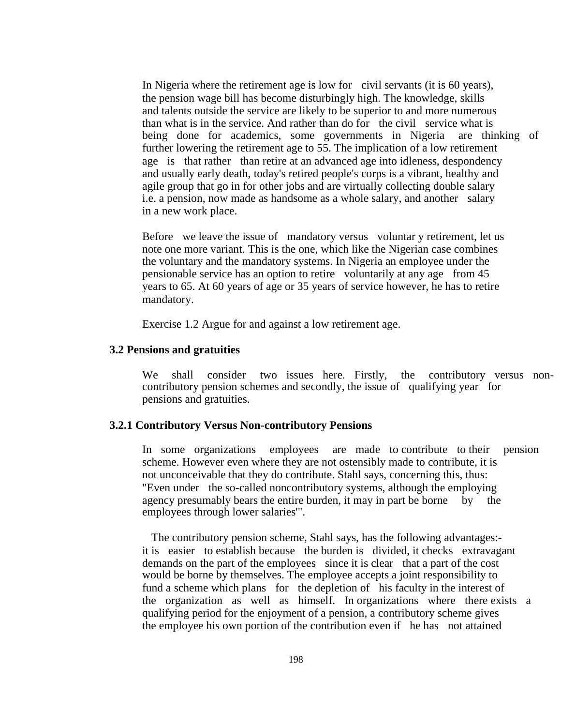In Nigeria where the retirement age is low for civil servants (it is 60 years), the pension wage bill has become disturbingly high. The knowledge, skills and talents outside the service are likely to be superior to and more numerous than what is in the service. And rather than do for the civil service what is being done for academics, some governments in Nigeria are thinking of further lowering the retirement age to 55. The implication of a low retirement age is that rather than retire at an advanced age into idleness, despondency and usually early death, today's retired people's corps is a vibrant, healthy and agile group that go in for other jobs and are virtually collecting double salary i.e. a pension, now made as handsome as a whole salary, and another salary in a new work place.

Before we leave the issue of mandatory versus voluntar y retirement, let us note one more variant. This is the one, which like the Nigerian case combines the voluntary and the mandatory systems. In Nigeria an employee under the pensionable service has an option to retire voluntarily at any age from 45 years to 65. At 60 years of age or 35 years of service however, he has to retire mandatory.

Exercise 1.2 Argue for and against a low retirement age.

#### **3.2 Pensions and gratuities**

We shall consider two issues here. Firstly, the contributory versus noncontributory pension schemes and secondly, the issue of qualifying year for pensions and gratuities.

#### **3.2.1 Contributory Versus Non-contributory Pensions**

In some organizations employees are made to contribute to their pension scheme. However even where they are not ostensibly made to contribute, it is not unconceivable that they do contribute. Stahl says, concerning this, thus: "Even under the so-called noncontributory systems, although the employing agency presumably bears the entire burden, it may in part be borne by the employees through lower salaries'".

 The contributory pension scheme, Stahl says, has the following advantages: it is easier to establish because the burden is divided, it checks extravagant demands on the part of the employees since it is clear that a part of the cost would be borne by themselves. The employee accepts a joint responsibility to fund a scheme which plans for the depletion of his faculty in the interest of the organization as well as himself. In organizations where there exists a qualifying period for the enjoyment of a pension, a contributory scheme gives the employee his own portion of the contribution even if he has not attained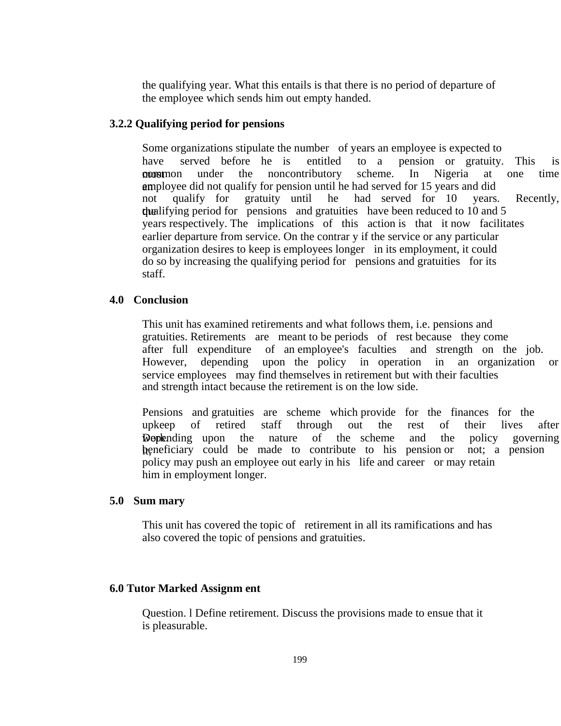the qualifying year. What this entails is that there is no period of departure of the employee which sends him out empty handed.

## **3.2.2 Qualifying period for pensions**

Some organizations stipulate the number of years an employee is expected to have served before he is entitled to a pension or gratuity. This is **governot** under the noncontributory scheme. In Nigeria at one time amployee did not qualify for pension until he had served for 15 years and did not qualify for gratuity until he had served for 10 years. Recently, the alifying period for pensions and gratuities have been reduced to  $10$  and  $5$ years respectively. The implications of this action is that it now facilitates earlier departure from service. On the contrar y if the service or any particular organization desires to keep is employees longer in its employment, it could do so by increasing the qualifying period for pensions and gratuities for its staff.

## **4.0 Conclusion**

This unit has examined retirements and what follows them, i.e. pensions and gratuities. Retirements are meant to be periods of rest because they come after full expenditure of an employee's faculties and strength on the job. However, depending upon the policy in operation in an organization or service employees may find themselves in retirement but with their faculties and strength intact because the retirement is on the low side.

Pensions and gratuities are scheme which provide for the finances for the upkeep of retired staff through out the rest of their lives after **Workerman** when the nature of the scheme and the policy governing beneficiary could be made to contribute to his pension or not; a pension  $h$ eneficiary could be made to contribute to his pension or policy may push an employee out early in his life and career or may retain him in employment longer.

#### **5.0 Sum mary**

This unit has covered the topic of retirement in all its ramifications and has also covered the topic of pensions and gratuities.

## **6.0 Tutor Marked Assignm ent**

Question. l Define retirement. Discuss the provisions made to ensue that it is pleasurable.